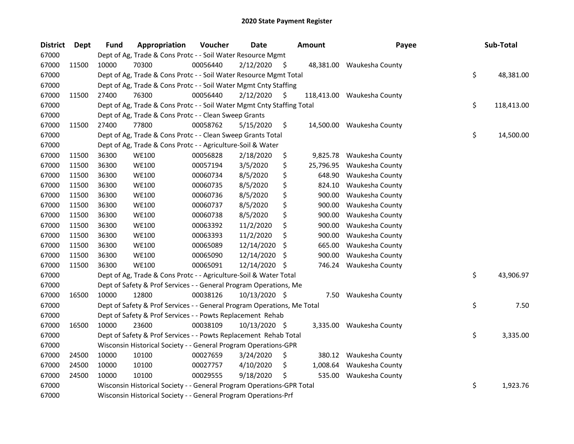| <b>District</b> | Dept  | <b>Fund</b> | Appropriation                                                           | Voucher  | <b>Date</b>   |     | <b>Amount</b> | Payee                      | Sub-Total        |
|-----------------|-------|-------------|-------------------------------------------------------------------------|----------|---------------|-----|---------------|----------------------------|------------------|
| 67000           |       |             | Dept of Ag, Trade & Cons Protc - - Soil Water Resource Mgmt             |          |               |     |               |                            |                  |
| 67000           | 11500 | 10000       | 70300                                                                   | 00056440 | 2/12/2020     | - S |               | 48,381.00 Waukesha County  |                  |
| 67000           |       |             | Dept of Ag, Trade & Cons Protc - - Soil Water Resource Mgmt Total       |          |               |     |               |                            | \$<br>48,381.00  |
| 67000           |       |             | Dept of Ag, Trade & Cons Protc - - Soil Water Mgmt Cnty Staffing        |          |               |     |               |                            |                  |
| 67000           | 11500 | 27400       | 76300                                                                   | 00056440 | 2/12/2020     | \$. |               | 118,413.00 Waukesha County |                  |
| 67000           |       |             | Dept of Ag, Trade & Cons Protc - - Soil Water Mgmt Cnty Staffing Total  |          |               |     |               |                            | \$<br>118,413.00 |
| 67000           |       |             | Dept of Ag, Trade & Cons Protc - - Clean Sweep Grants                   |          |               |     |               |                            |                  |
| 67000           | 11500 | 27400       | 77800                                                                   | 00058762 | 5/15/2020     | \$  |               | 14,500.00 Waukesha County  |                  |
| 67000           |       |             | Dept of Ag, Trade & Cons Protc - - Clean Sweep Grants Total             |          |               |     |               |                            | \$<br>14,500.00  |
| 67000           |       |             | Dept of Ag, Trade & Cons Protc - - Agriculture-Soil & Water             |          |               |     |               |                            |                  |
| 67000           | 11500 | 36300       | <b>WE100</b>                                                            | 00056828 | 2/18/2020     | \$  |               | 9,825.78 Waukesha County   |                  |
| 67000           | 11500 | 36300       | <b>WE100</b>                                                            | 00057194 | 3/5/2020      | \$  | 25,796.95     | Waukesha County            |                  |
| 67000           | 11500 | 36300       | <b>WE100</b>                                                            | 00060734 | 8/5/2020      | \$  | 648.90        | Waukesha County            |                  |
| 67000           | 11500 | 36300       | <b>WE100</b>                                                            | 00060735 | 8/5/2020      | \$  | 824.10        | Waukesha County            |                  |
| 67000           | 11500 | 36300       | <b>WE100</b>                                                            | 00060736 | 8/5/2020      | \$  | 900.00        | Waukesha County            |                  |
| 67000           | 11500 | 36300       | <b>WE100</b>                                                            | 00060737 | 8/5/2020      | \$  | 900.00        | Waukesha County            |                  |
| 67000           | 11500 | 36300       | <b>WE100</b>                                                            | 00060738 | 8/5/2020      | \$  | 900.00        | Waukesha County            |                  |
| 67000           | 11500 | 36300       | <b>WE100</b>                                                            | 00063392 | 11/2/2020     | \$  | 900.00        | Waukesha County            |                  |
| 67000           | 11500 | 36300       | <b>WE100</b>                                                            | 00063393 | 11/2/2020     | \$  | 900.00        | Waukesha County            |                  |
| 67000           | 11500 | 36300       | <b>WE100</b>                                                            | 00065089 | 12/14/2020    | \$  | 665.00        | Waukesha County            |                  |
| 67000           | 11500 | 36300       | <b>WE100</b>                                                            | 00065090 | 12/14/2020    | \$, | 900.00        | Waukesha County            |                  |
| 67000           | 11500 | 36300       | <b>WE100</b>                                                            | 00065091 | 12/14/2020    | S   |               | 746.24 Waukesha County     |                  |
| 67000           |       |             | Dept of Ag, Trade & Cons Protc - - Agriculture-Soil & Water Total       |          |               |     |               |                            | \$<br>43,906.97  |
| 67000           |       |             | Dept of Safety & Prof Services - - General Program Operations, Me       |          |               |     |               |                            |                  |
| 67000           | 16500 | 10000       | 12800                                                                   | 00038126 | 10/13/2020 \$ |     |               | 7.50 Waukesha County       |                  |
| 67000           |       |             | Dept of Safety & Prof Services - - General Program Operations, Me Total |          |               |     |               |                            | \$<br>7.50       |
| 67000           |       |             | Dept of Safety & Prof Services - - Powts Replacement Rehab              |          |               |     |               |                            |                  |
| 67000           | 16500 | 10000       | 23600                                                                   | 00038109 | 10/13/2020 \$ |     |               | 3,335.00 Waukesha County   |                  |
| 67000           |       |             | Dept of Safety & Prof Services - - Powts Replacement Rehab Total        |          |               |     |               |                            | \$<br>3,335.00   |
| 67000           |       |             | Wisconsin Historical Society - - General Program Operations-GPR         |          |               |     |               |                            |                  |
| 67000           | 24500 | 10000       | 10100                                                                   | 00027659 | 3/24/2020     | \$  |               | 380.12 Waukesha County     |                  |
| 67000           | 24500 | 10000       | 10100                                                                   | 00027757 | 4/10/2020     | \$  |               | 1,008.64 Waukesha County   |                  |
| 67000           | 24500 | 10000       | 10100                                                                   | 00029555 | 9/18/2020     | \$. | 535.00        | Waukesha County            |                  |
| 67000           |       |             | Wisconsin Historical Society - - General Program Operations-GPR Total   |          |               |     |               |                            | \$<br>1,923.76   |
| 67000           |       |             | Wisconsin Historical Society - - General Program Operations-Prf         |          |               |     |               |                            |                  |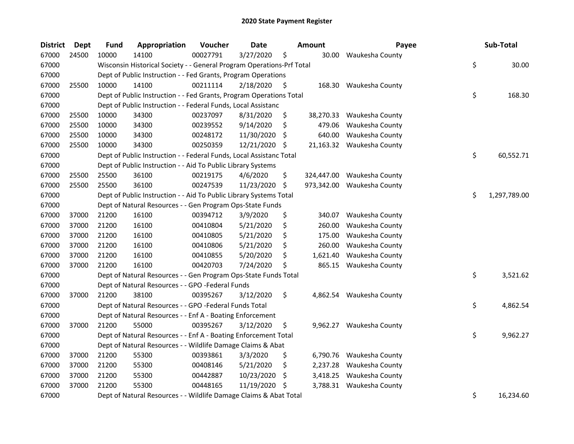| <b>District</b> | <b>Dept</b> | <b>Fund</b> | Appropriation                                                         | Voucher  | <b>Date</b> |     | <b>Amount</b> | Payee                     | Sub-Total          |
|-----------------|-------------|-------------|-----------------------------------------------------------------------|----------|-------------|-----|---------------|---------------------------|--------------------|
| 67000           | 24500       | 10000       | 14100                                                                 | 00027791 | 3/27/2020   | \$  | 30.00         | Waukesha County           |                    |
| 67000           |             |             | Wisconsin Historical Society - - General Program Operations-Prf Total |          |             |     |               |                           | \$<br>30.00        |
| 67000           |             |             | Dept of Public Instruction - - Fed Grants, Program Operations         |          |             |     |               |                           |                    |
| 67000           | 25500       | 10000       | 14100                                                                 | 00211114 | 2/18/2020   | \$  |               | 168.30 Waukesha County    |                    |
| 67000           |             |             | Dept of Public Instruction - - Fed Grants, Program Operations Total   |          |             |     |               |                           | \$<br>168.30       |
| 67000           |             |             | Dept of Public Instruction - - Federal Funds, Local Assistanc         |          |             |     |               |                           |                    |
| 67000           | 25500       | 10000       | 34300                                                                 | 00237097 | 8/31/2020   | \$  | 38,270.33     | Waukesha County           |                    |
| 67000           | 25500       | 10000       | 34300                                                                 | 00239552 | 9/14/2020   | \$  | 479.06        | Waukesha County           |                    |
| 67000           | 25500       | 10000       | 34300                                                                 | 00248172 | 11/30/2020  | \$. | 640.00        | Waukesha County           |                    |
| 67000           | 25500       | 10000       | 34300                                                                 | 00250359 | 12/21/2020  | -\$ |               | 21,163.32 Waukesha County |                    |
| 67000           |             |             | Dept of Public Instruction - - Federal Funds, Local Assistanc Total   |          |             |     |               |                           | \$<br>60,552.71    |
| 67000           |             |             | Dept of Public Instruction - - Aid To Public Library Systems          |          |             |     |               |                           |                    |
| 67000           | 25500       | 25500       | 36100                                                                 | 00219175 | 4/6/2020    | \$  | 324,447.00    | Waukesha County           |                    |
| 67000           | 25500       | 25500       | 36100                                                                 | 00247539 | 11/23/2020  | \$  | 973,342.00    | Waukesha County           |                    |
| 67000           |             |             | Dept of Public Instruction - - Aid To Public Library Systems Total    |          |             |     |               |                           | \$<br>1,297,789.00 |
| 67000           |             |             | Dept of Natural Resources - - Gen Program Ops-State Funds             |          |             |     |               |                           |                    |
| 67000           | 37000       | 21200       | 16100                                                                 | 00394712 | 3/9/2020    | \$  | 340.07        | Waukesha County           |                    |
| 67000           | 37000       | 21200       | 16100                                                                 | 00410804 | 5/21/2020   | \$  | 260.00        | Waukesha County           |                    |
| 67000           | 37000       | 21200       | 16100                                                                 | 00410805 | 5/21/2020   | \$  | 175.00        | Waukesha County           |                    |
| 67000           | 37000       | 21200       | 16100                                                                 | 00410806 | 5/21/2020   | \$  | 260.00        | Waukesha County           |                    |
| 67000           | 37000       | 21200       | 16100                                                                 | 00410855 | 5/20/2020   | \$  | 1,621.40      | Waukesha County           |                    |
| 67000           | 37000       | 21200       | 16100                                                                 | 00420703 | 7/24/2020   | \$  | 865.15        | Waukesha County           |                    |
| 67000           |             |             | Dept of Natural Resources - - Gen Program Ops-State Funds Total       |          |             |     |               |                           | \$<br>3,521.62     |
| 67000           |             |             | Dept of Natural Resources - - GPO -Federal Funds                      |          |             |     |               |                           |                    |
| 67000           | 37000       | 21200       | 38100                                                                 | 00395267 | 3/12/2020   | \$  | 4,862.54      | Waukesha County           |                    |
| 67000           |             |             | Dept of Natural Resources - - GPO -Federal Funds Total                |          |             |     |               |                           | \$<br>4,862.54     |
| 67000           |             |             | Dept of Natural Resources - - Enf A - Boating Enforcement             |          |             |     |               |                           |                    |
| 67000           | 37000       | 21200       | 55000                                                                 | 00395267 | 3/12/2020   | \$  |               | 9,962.27 Waukesha County  |                    |
| 67000           |             |             | Dept of Natural Resources - - Enf A - Boating Enforcement Total       |          |             |     |               |                           | \$<br>9,962.27     |
| 67000           |             |             | Dept of Natural Resources - - Wildlife Damage Claims & Abat           |          |             |     |               |                           |                    |
| 67000           | 37000       | 21200       | 55300                                                                 | 00393861 | 3/3/2020    | \$  | 6,790.76      | Waukesha County           |                    |
| 67000           | 37000       | 21200       | 55300                                                                 | 00408146 | 5/21/2020   | \$  | 2,237.28      | Waukesha County           |                    |
| 67000           | 37000       | 21200       | 55300                                                                 | 00442887 | 10/23/2020  | \$. | 3,418.25      | Waukesha County           |                    |
| 67000           | 37000       | 21200       | 55300                                                                 | 00448165 | 11/19/2020  | \$. | 3,788.31      | Waukesha County           |                    |
| 67000           |             |             | Dept of Natural Resources - - Wildlife Damage Claims & Abat Total     |          |             |     |               |                           | \$<br>16,234.60    |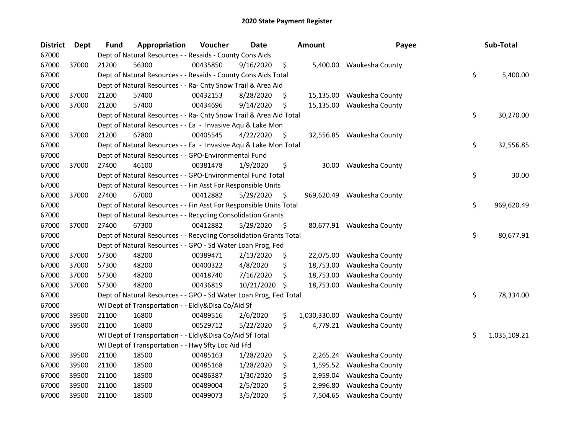| <b>District</b> | Dept  | <b>Fund</b> | Appropriation                                                      | Voucher  | <b>Date</b> | <b>Amount</b>      | Payee                     | Sub-Total          |
|-----------------|-------|-------------|--------------------------------------------------------------------|----------|-------------|--------------------|---------------------------|--------------------|
| 67000           |       |             | Dept of Natural Resources - - Resaids - County Cons Aids           |          |             |                    |                           |                    |
| 67000           | 37000 | 21200       | 56300                                                              | 00435850 | 9/16/2020   | \$                 | 5,400.00 Waukesha County  |                    |
| 67000           |       |             | Dept of Natural Resources - - Resaids - County Cons Aids Total     |          |             |                    |                           | \$<br>5,400.00     |
| 67000           |       |             | Dept of Natural Resources - - Ra- Cnty Snow Trail & Area Aid       |          |             |                    |                           |                    |
| 67000           | 37000 | 21200       | 57400                                                              | 00432153 | 8/28/2020   | \$<br>15,135.00    | Waukesha County           |                    |
| 67000           | 37000 | 21200       | 57400                                                              | 00434696 | 9/14/2020   | \$<br>15,135.00    | Waukesha County           |                    |
| 67000           |       |             | Dept of Natural Resources - - Ra- Cnty Snow Trail & Area Aid Total |          |             |                    |                           | \$<br>30,270.00    |
| 67000           |       |             | Dept of Natural Resources - - Ea - Invasive Aqu & Lake Mon         |          |             |                    |                           |                    |
| 67000           | 37000 | 21200       | 67800                                                              | 00405545 | 4/22/2020   | \$                 | 32,556.85 Waukesha County |                    |
| 67000           |       |             | Dept of Natural Resources - - Ea - Invasive Aqu & Lake Mon Total   |          |             |                    |                           | \$<br>32,556.85    |
| 67000           |       |             | Dept of Natural Resources - - GPO-Environmental Fund               |          |             |                    |                           |                    |
| 67000           | 37000 | 27400       | 46100                                                              | 00381478 | 1/9/2020    | \$<br>30.00        | Waukesha County           |                    |
| 67000           |       |             | Dept of Natural Resources - - GPO-Environmental Fund Total         |          |             |                    |                           | \$<br>30.00        |
| 67000           |       |             | Dept of Natural Resources - - Fin Asst For Responsible Units       |          |             |                    |                           |                    |
| 67000           | 37000 | 27400       | 67000                                                              | 00412882 | 5/29/2020   | \$<br>969,620.49   | Waukesha County           |                    |
| 67000           |       |             | Dept of Natural Resources - - Fin Asst For Responsible Units Total |          |             |                    |                           | \$<br>969,620.49   |
| 67000           |       |             | Dept of Natural Resources - - Recycling Consolidation Grants       |          |             |                    |                           |                    |
| 67000           | 37000 | 27400       | 67300                                                              | 00412882 | 5/29/2020   | \$                 | 80,677.91 Waukesha County |                    |
| 67000           |       |             | Dept of Natural Resources - - Recycling Consolidation Grants Total |          |             |                    |                           | \$<br>80,677.91    |
| 67000           |       |             | Dept of Natural Resources - - GPO - Sd Water Loan Prog, Fed        |          |             |                    |                           |                    |
| 67000           | 37000 | 57300       | 48200                                                              | 00389471 | 2/13/2020   | \$<br>22,075.00    | Waukesha County           |                    |
| 67000           | 37000 | 57300       | 48200                                                              | 00400322 | 4/8/2020    | \$<br>18,753.00    | Waukesha County           |                    |
| 67000           | 37000 | 57300       | 48200                                                              | 00418740 | 7/16/2020   | \$<br>18,753.00    | Waukesha County           |                    |
| 67000           | 37000 | 57300       | 48200                                                              | 00436819 | 10/21/2020  | \$<br>18,753.00    | Waukesha County           |                    |
| 67000           |       |             | Dept of Natural Resources - - GPO - Sd Water Loan Prog, Fed Total  |          |             |                    |                           | \$<br>78,334.00    |
| 67000           |       |             | WI Dept of Transportation - - Eldly&Disa Co/Aid Sf                 |          |             |                    |                           |                    |
| 67000           | 39500 | 21100       | 16800                                                              | 00489516 | 2/6/2020    | \$<br>1,030,330.00 | Waukesha County           |                    |
| 67000           | 39500 | 21100       | 16800                                                              | 00529712 | 5/22/2020   | \$                 | 4,779.21 Waukesha County  |                    |
| 67000           |       |             | WI Dept of Transportation - - Eldly&Disa Co/Aid Sf Total           |          |             |                    |                           | \$<br>1,035,109.21 |
| 67000           |       |             | WI Dept of Transportation - - Hwy Sfty Loc Aid Ffd                 |          |             |                    |                           |                    |
| 67000           | 39500 | 21100       | 18500                                                              | 00485163 | 1/28/2020   | \$<br>2,265.24     | Waukesha County           |                    |
| 67000           | 39500 | 21100       | 18500                                                              | 00485168 | 1/28/2020   | \$<br>1,595.52     | Waukesha County           |                    |
| 67000           | 39500 | 21100       | 18500                                                              | 00486387 | 1/30/2020   | \$<br>2,959.04     | Waukesha County           |                    |
| 67000           | 39500 | 21100       | 18500                                                              | 00489004 | 2/5/2020    | \$<br>2,996.80     | Waukesha County           |                    |
| 67000           | 39500 | 21100       | 18500                                                              | 00499073 | 3/5/2020    | \$                 | 7,504.65 Waukesha County  |                    |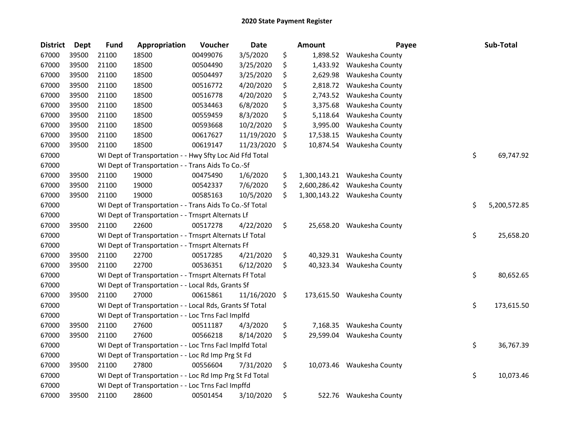| <b>District</b> | <b>Dept</b> | <b>Fund</b> | Appropriation                                            | Voucher  | <b>Date</b>     | <b>Amount</b>      | Payee                      | Sub-Total          |
|-----------------|-------------|-------------|----------------------------------------------------------|----------|-----------------|--------------------|----------------------------|--------------------|
| 67000           | 39500       | 21100       | 18500                                                    | 00499076 | 3/5/2020        | \$<br>1,898.52     | Waukesha County            |                    |
| 67000           | 39500       | 21100       | 18500                                                    | 00504490 | 3/25/2020       | \$<br>1,433.92     | Waukesha County            |                    |
| 67000           | 39500       | 21100       | 18500                                                    | 00504497 | 3/25/2020       | \$<br>2,629.98     | Waukesha County            |                    |
| 67000           | 39500       | 21100       | 18500                                                    | 00516772 | 4/20/2020       | \$<br>2,818.72     | Waukesha County            |                    |
| 67000           | 39500       | 21100       | 18500                                                    | 00516778 | 4/20/2020       | \$<br>2,743.52     | Waukesha County            |                    |
| 67000           | 39500       | 21100       | 18500                                                    | 00534463 | 6/8/2020        | \$<br>3,375.68     | Waukesha County            |                    |
| 67000           | 39500       | 21100       | 18500                                                    | 00559459 | 8/3/2020        | \$<br>5,118.64     | Waukesha County            |                    |
| 67000           | 39500       | 21100       | 18500                                                    | 00593668 | 10/2/2020       | \$<br>3,995.00     | Waukesha County            |                    |
| 67000           | 39500       | 21100       | 18500                                                    | 00617627 | 11/19/2020      | \$<br>17,538.15    | Waukesha County            |                    |
| 67000           | 39500       | 21100       | 18500                                                    | 00619147 | 11/23/2020      | \$<br>10,874.54    | Waukesha County            |                    |
| 67000           |             |             | WI Dept of Transportation - - Hwy Sfty Loc Aid Ffd Total |          |                 |                    |                            | \$<br>69,747.92    |
| 67000           |             |             | WI Dept of Transportation - - Trans Aids To Co.-Sf       |          |                 |                    |                            |                    |
| 67000           | 39500       | 21100       | 19000                                                    | 00475490 | 1/6/2020        | \$<br>1,300,143.21 | Waukesha County            |                    |
| 67000           | 39500       | 21100       | 19000                                                    | 00542337 | 7/6/2020        | \$<br>2,600,286.42 | Waukesha County            |                    |
| 67000           | 39500       | 21100       | 19000                                                    | 00585163 | 10/5/2020       | \$<br>1,300,143.22 | Waukesha County            |                    |
| 67000           |             |             | WI Dept of Transportation - - Trans Aids To Co.-Sf Total |          |                 |                    |                            | \$<br>5,200,572.85 |
| 67000           |             |             | WI Dept of Transportation - - Trnsprt Alternats Lf       |          |                 |                    |                            |                    |
| 67000           | 39500       | 21100       | 22600                                                    | 00517278 | 4/22/2020       | \$<br>25,658.20    | Waukesha County            |                    |
| 67000           |             |             | WI Dept of Transportation - - Trnsprt Alternats Lf Total |          |                 |                    |                            | \$<br>25,658.20    |
| 67000           |             |             | WI Dept of Transportation - - Trnsprt Alternats Ff       |          |                 |                    |                            |                    |
| 67000           | 39500       | 21100       | 22700                                                    | 00517285 | 4/21/2020       | \$<br>40,329.31    | Waukesha County            |                    |
| 67000           | 39500       | 21100       | 22700                                                    | 00536351 | 6/12/2020       | \$                 | 40,323.34 Waukesha County  |                    |
| 67000           |             |             | WI Dept of Transportation - - Trnsprt Alternats Ff Total |          |                 |                    |                            | \$<br>80,652.65    |
| 67000           |             |             | WI Dept of Transportation - - Local Rds, Grants Sf       |          |                 |                    |                            |                    |
| 67000           | 39500       | 21100       | 27000                                                    | 00615861 | $11/16/2020$ \$ |                    | 173,615.50 Waukesha County |                    |
| 67000           |             |             | WI Dept of Transportation - - Local Rds, Grants Sf Total |          |                 |                    |                            | \$<br>173,615.50   |
| 67000           |             |             | WI Dept of Transportation - - Loc Trns Facl Implfd       |          |                 |                    |                            |                    |
| 67000           | 39500       | 21100       | 27600                                                    | 00511187 | 4/3/2020        | \$<br>7,168.35     | Waukesha County            |                    |
| 67000           | 39500       | 21100       | 27600                                                    | 00566218 | 8/14/2020       | \$<br>29,599.04    | Waukesha County            |                    |
| 67000           |             |             | WI Dept of Transportation - - Loc Trns Facl Implfd Total |          |                 |                    |                            | \$<br>36,767.39    |
| 67000           |             |             | WI Dept of Transportation - - Loc Rd Imp Prg St Fd       |          |                 |                    |                            |                    |
| 67000           | 39500       | 21100       | 27800                                                    | 00556604 | 7/31/2020       | \$                 | 10,073.46 Waukesha County  |                    |
| 67000           |             |             | WI Dept of Transportation - - Loc Rd Imp Prg St Fd Total |          |                 |                    |                            | \$<br>10,073.46    |
| 67000           |             |             | WI Dept of Transportation - - Loc Trns Facl Impffd       |          |                 |                    |                            |                    |
| 67000           | 39500       | 21100       | 28600                                                    | 00501454 | 3/10/2020       | \$<br>522.76       | Waukesha County            |                    |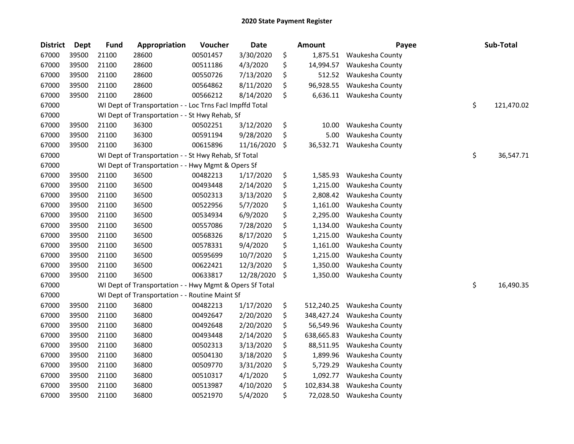| <b>District</b> | <b>Dept</b> | <b>Fund</b> | Appropriation                                            | Voucher  | <b>Date</b> | <b>Amount</b>    | Payee                    | Sub-Total        |
|-----------------|-------------|-------------|----------------------------------------------------------|----------|-------------|------------------|--------------------------|------------------|
| 67000           | 39500       | 21100       | 28600                                                    | 00501457 | 3/30/2020   | \$<br>1,875.51   | Waukesha County          |                  |
| 67000           | 39500       | 21100       | 28600                                                    | 00511186 | 4/3/2020    | \$<br>14,994.57  | Waukesha County          |                  |
| 67000           | 39500       | 21100       | 28600                                                    | 00550726 | 7/13/2020   | \$<br>512.52     | Waukesha County          |                  |
| 67000           | 39500       | 21100       | 28600                                                    | 00564862 | 8/11/2020   | \$<br>96,928.55  | Waukesha County          |                  |
| 67000           | 39500       | 21100       | 28600                                                    | 00566212 | 8/14/2020   | \$               | 6,636.11 Waukesha County |                  |
| 67000           |             |             | WI Dept of Transportation - - Loc Trns Facl Impffd Total |          |             |                  |                          | \$<br>121,470.02 |
| 67000           |             |             | WI Dept of Transportation - - St Hwy Rehab, Sf           |          |             |                  |                          |                  |
| 67000           | 39500       | 21100       | 36300                                                    | 00502251 | 3/12/2020   | \$<br>10.00      | Waukesha County          |                  |
| 67000           | 39500       | 21100       | 36300                                                    | 00591194 | 9/28/2020   | \$<br>5.00       | Waukesha County          |                  |
| 67000           | 39500       | 21100       | 36300                                                    | 00615896 | 11/16/2020  | \$<br>36,532.71  | Waukesha County          |                  |
| 67000           |             |             | WI Dept of Transportation - - St Hwy Rehab, Sf Total     |          |             |                  |                          | \$<br>36,547.71  |
| 67000           |             |             | WI Dept of Transportation - - Hwy Mgmt & Opers Sf        |          |             |                  |                          |                  |
| 67000           | 39500       | 21100       | 36500                                                    | 00482213 | 1/17/2020   | \$<br>1,585.93   | Waukesha County          |                  |
| 67000           | 39500       | 21100       | 36500                                                    | 00493448 | 2/14/2020   | \$<br>1,215.00   | Waukesha County          |                  |
| 67000           | 39500       | 21100       | 36500                                                    | 00502313 | 3/13/2020   | \$<br>2,808.42   | Waukesha County          |                  |
| 67000           | 39500       | 21100       | 36500                                                    | 00522956 | 5/7/2020    | \$<br>1,161.00   | Waukesha County          |                  |
| 67000           | 39500       | 21100       | 36500                                                    | 00534934 | 6/9/2020    | \$<br>2,295.00   | Waukesha County          |                  |
| 67000           | 39500       | 21100       | 36500                                                    | 00557086 | 7/28/2020   | \$<br>1,134.00   | Waukesha County          |                  |
| 67000           | 39500       | 21100       | 36500                                                    | 00568326 | 8/17/2020   | \$<br>1,215.00   | Waukesha County          |                  |
| 67000           | 39500       | 21100       | 36500                                                    | 00578331 | 9/4/2020    | \$<br>1,161.00   | Waukesha County          |                  |
| 67000           | 39500       | 21100       | 36500                                                    | 00595699 | 10/7/2020   | \$<br>1,215.00   | Waukesha County          |                  |
| 67000           | 39500       | 21100       | 36500                                                    | 00622421 | 12/3/2020   | \$<br>1,350.00   | Waukesha County          |                  |
| 67000           | 39500       | 21100       | 36500                                                    | 00633817 | 12/28/2020  | \$<br>1,350.00   | Waukesha County          |                  |
| 67000           |             |             | WI Dept of Transportation - - Hwy Mgmt & Opers Sf Total  |          |             |                  |                          | \$<br>16,490.35  |
| 67000           |             |             | WI Dept of Transportation - - Routine Maint Sf           |          |             |                  |                          |                  |
| 67000           | 39500       | 21100       | 36800                                                    | 00482213 | 1/17/2020   | \$<br>512,240.25 | Waukesha County          |                  |
| 67000           | 39500       | 21100       | 36800                                                    | 00492647 | 2/20/2020   | \$<br>348,427.24 | Waukesha County          |                  |
| 67000           | 39500       | 21100       | 36800                                                    | 00492648 | 2/20/2020   | \$<br>56,549.96  | Waukesha County          |                  |
| 67000           | 39500       | 21100       | 36800                                                    | 00493448 | 2/14/2020   | \$<br>638,665.83 | Waukesha County          |                  |
| 67000           | 39500       | 21100       | 36800                                                    | 00502313 | 3/13/2020   | \$<br>88,511.95  | Waukesha County          |                  |
| 67000           | 39500       | 21100       | 36800                                                    | 00504130 | 3/18/2020   | \$<br>1,899.96   | Waukesha County          |                  |
| 67000           | 39500       | 21100       | 36800                                                    | 00509770 | 3/31/2020   | \$<br>5,729.29   | Waukesha County          |                  |
| 67000           | 39500       | 21100       | 36800                                                    | 00510317 | 4/1/2020    | \$<br>1,092.77   | Waukesha County          |                  |
| 67000           | 39500       | 21100       | 36800                                                    | 00513987 | 4/10/2020   | \$<br>102,834.38 | Waukesha County          |                  |
| 67000           | 39500       | 21100       | 36800                                                    | 00521970 | 5/4/2020    | \$<br>72,028.50  | Waukesha County          |                  |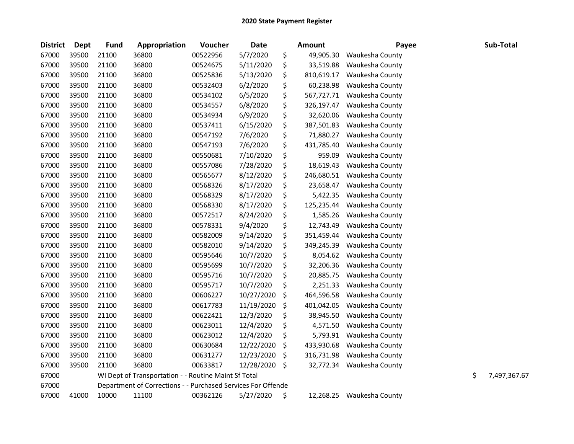| <b>District</b> | <b>Dept</b> | <b>Fund</b> | Appropriation                                                | Voucher  | Date       | <b>Amount</b>    | Payee           | Sub-Total          |
|-----------------|-------------|-------------|--------------------------------------------------------------|----------|------------|------------------|-----------------|--------------------|
| 67000           | 39500       | 21100       | 36800                                                        | 00522956 | 5/7/2020   | \$<br>49,905.30  | Waukesha County |                    |
| 67000           | 39500       | 21100       | 36800                                                        | 00524675 | 5/11/2020  | \$<br>33,519.88  | Waukesha County |                    |
| 67000           | 39500       | 21100       | 36800                                                        | 00525836 | 5/13/2020  | \$<br>810,619.17 | Waukesha County |                    |
| 67000           | 39500       | 21100       | 36800                                                        | 00532403 | 6/2/2020   | \$<br>60,238.98  | Waukesha County |                    |
| 67000           | 39500       | 21100       | 36800                                                        | 00534102 | 6/5/2020   | \$<br>567,727.71 | Waukesha County |                    |
| 67000           | 39500       | 21100       | 36800                                                        | 00534557 | 6/8/2020   | \$<br>326,197.47 | Waukesha County |                    |
| 67000           | 39500       | 21100       | 36800                                                        | 00534934 | 6/9/2020   | \$<br>32,620.06  | Waukesha County |                    |
| 67000           | 39500       | 21100       | 36800                                                        | 00537411 | 6/15/2020  | \$<br>387,501.83 | Waukesha County |                    |
| 67000           | 39500       | 21100       | 36800                                                        | 00547192 | 7/6/2020   | \$<br>71,880.27  | Waukesha County |                    |
| 67000           | 39500       | 21100       | 36800                                                        | 00547193 | 7/6/2020   | \$<br>431,785.40 | Waukesha County |                    |
| 67000           | 39500       | 21100       | 36800                                                        | 00550681 | 7/10/2020  | \$<br>959.09     | Waukesha County |                    |
| 67000           | 39500       | 21100       | 36800                                                        | 00557086 | 7/28/2020  | \$<br>18,619.43  | Waukesha County |                    |
| 67000           | 39500       | 21100       | 36800                                                        | 00565677 | 8/12/2020  | \$<br>246,680.51 | Waukesha County |                    |
| 67000           | 39500       | 21100       | 36800                                                        | 00568326 | 8/17/2020  | \$<br>23,658.47  | Waukesha County |                    |
| 67000           | 39500       | 21100       | 36800                                                        | 00568329 | 8/17/2020  | \$<br>5,422.35   | Waukesha County |                    |
| 67000           | 39500       | 21100       | 36800                                                        | 00568330 | 8/17/2020  | \$<br>125,235.44 | Waukesha County |                    |
| 67000           | 39500       | 21100       | 36800                                                        | 00572517 | 8/24/2020  | \$<br>1,585.26   | Waukesha County |                    |
| 67000           | 39500       | 21100       | 36800                                                        | 00578331 | 9/4/2020   | \$<br>12,743.49  | Waukesha County |                    |
| 67000           | 39500       | 21100       | 36800                                                        | 00582009 | 9/14/2020  | \$<br>351,459.44 | Waukesha County |                    |
| 67000           | 39500       | 21100       | 36800                                                        | 00582010 | 9/14/2020  | \$<br>349,245.39 | Waukesha County |                    |
| 67000           | 39500       | 21100       | 36800                                                        | 00595646 | 10/7/2020  | \$<br>8,054.62   | Waukesha County |                    |
| 67000           | 39500       | 21100       | 36800                                                        | 00595699 | 10/7/2020  | \$<br>32,206.36  | Waukesha County |                    |
| 67000           | 39500       | 21100       | 36800                                                        | 00595716 | 10/7/2020  | \$<br>20,885.75  | Waukesha County |                    |
| 67000           | 39500       | 21100       | 36800                                                        | 00595717 | 10/7/2020  | \$<br>2,251.33   | Waukesha County |                    |
| 67000           | 39500       | 21100       | 36800                                                        | 00606227 | 10/27/2020 | \$<br>464,596.58 | Waukesha County |                    |
| 67000           | 39500       | 21100       | 36800                                                        | 00617783 | 11/19/2020 | \$<br>401,042.05 | Waukesha County |                    |
| 67000           | 39500       | 21100       | 36800                                                        | 00622421 | 12/3/2020  | \$<br>38,945.50  | Waukesha County |                    |
| 67000           | 39500       | 21100       | 36800                                                        | 00623011 | 12/4/2020  | \$<br>4,571.50   | Waukesha County |                    |
| 67000           | 39500       | 21100       | 36800                                                        | 00623012 | 12/4/2020  | \$<br>5,793.91   | Waukesha County |                    |
| 67000           | 39500       | 21100       | 36800                                                        | 00630684 | 12/22/2020 | \$<br>433,930.68 | Waukesha County |                    |
| 67000           | 39500       | 21100       | 36800                                                        | 00631277 | 12/23/2020 | \$<br>316,731.98 | Waukesha County |                    |
| 67000           | 39500       | 21100       | 36800                                                        | 00633817 | 12/28/2020 | \$<br>32,772.34  | Waukesha County |                    |
| 67000           |             |             | WI Dept of Transportation - - Routine Maint Sf Total         |          |            |                  |                 | \$<br>7,497,367.67 |
| 67000           |             |             | Department of Corrections - - Purchased Services For Offende |          |            |                  |                 |                    |
| 67000           | 41000       | 10000       | 11100                                                        | 00362126 | 5/27/2020  | \$<br>12,268.25  | Waukesha County |                    |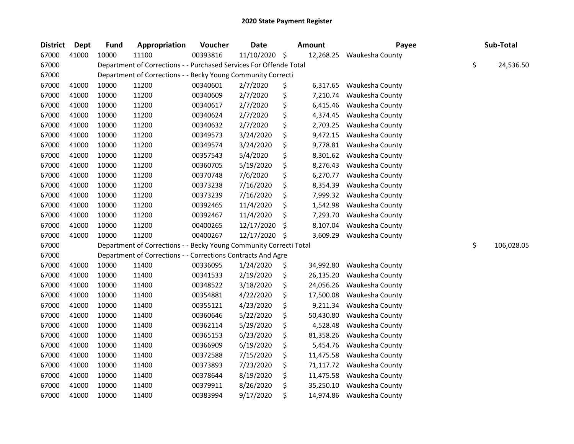| <b>District</b> | <b>Dept</b> | <b>Fund</b> | Appropriation                                                      | Voucher  | <b>Date</b> | Amount          | Payee           | Sub-Total        |
|-----------------|-------------|-------------|--------------------------------------------------------------------|----------|-------------|-----------------|-----------------|------------------|
| 67000           | 41000       | 10000       | 11100                                                              | 00393816 | 11/10/2020  | \$<br>12,268.25 | Waukesha County |                  |
| 67000           |             |             | Department of Corrections - - Purchased Services For Offende Total |          |             |                 |                 | \$<br>24,536.50  |
| 67000           |             |             | Department of Corrections - - Becky Young Community Correcti       |          |             |                 |                 |                  |
| 67000           | 41000       | 10000       | 11200                                                              | 00340601 | 2/7/2020    | \$<br>6,317.65  | Waukesha County |                  |
| 67000           | 41000       | 10000       | 11200                                                              | 00340609 | 2/7/2020    | \$<br>7,210.74  | Waukesha County |                  |
| 67000           | 41000       | 10000       | 11200                                                              | 00340617 | 2/7/2020    | \$<br>6,415.46  | Waukesha County |                  |
| 67000           | 41000       | 10000       | 11200                                                              | 00340624 | 2/7/2020    | \$<br>4,374.45  | Waukesha County |                  |
| 67000           | 41000       | 10000       | 11200                                                              | 00340632 | 2/7/2020    | \$<br>2,703.25  | Waukesha County |                  |
| 67000           | 41000       | 10000       | 11200                                                              | 00349573 | 3/24/2020   | \$<br>9,472.15  | Waukesha County |                  |
| 67000           | 41000       | 10000       | 11200                                                              | 00349574 | 3/24/2020   | \$<br>9,778.81  | Waukesha County |                  |
| 67000           | 41000       | 10000       | 11200                                                              | 00357543 | 5/4/2020    | \$<br>8,301.62  | Waukesha County |                  |
| 67000           | 41000       | 10000       | 11200                                                              | 00360705 | 5/19/2020   | \$<br>8,276.43  | Waukesha County |                  |
| 67000           | 41000       | 10000       | 11200                                                              | 00370748 | 7/6/2020    | \$<br>6,270.77  | Waukesha County |                  |
| 67000           | 41000       | 10000       | 11200                                                              | 00373238 | 7/16/2020   | \$<br>8,354.39  | Waukesha County |                  |
| 67000           | 41000       | 10000       | 11200                                                              | 00373239 | 7/16/2020   | \$<br>7,999.32  | Waukesha County |                  |
| 67000           | 41000       | 10000       | 11200                                                              | 00392465 | 11/4/2020   | \$<br>1,542.98  | Waukesha County |                  |
| 67000           | 41000       | 10000       | 11200                                                              | 00392467 | 11/4/2020   | \$<br>7,293.70  | Waukesha County |                  |
| 67000           | 41000       | 10000       | 11200                                                              | 00400265 | 12/17/2020  | \$<br>8,107.04  | Waukesha County |                  |
| 67000           | 41000       | 10000       | 11200                                                              | 00400267 | 12/17/2020  | \$<br>3,609.29  | Waukesha County |                  |
| 67000           |             |             | Department of Corrections - - Becky Young Community Correcti Total |          |             |                 |                 | \$<br>106,028.05 |
| 67000           |             |             | Department of Corrections - - Corrections Contracts And Agre       |          |             |                 |                 |                  |
| 67000           | 41000       | 10000       | 11400                                                              | 00336095 | 1/24/2020   | \$<br>34,992.80 | Waukesha County |                  |
| 67000           | 41000       | 10000       | 11400                                                              | 00341533 | 2/19/2020   | \$<br>26,135.20 | Waukesha County |                  |
| 67000           | 41000       | 10000       | 11400                                                              | 00348522 | 3/18/2020   | \$<br>24,056.26 | Waukesha County |                  |
| 67000           | 41000       | 10000       | 11400                                                              | 00354881 | 4/22/2020   | \$<br>17,500.08 | Waukesha County |                  |
| 67000           | 41000       | 10000       | 11400                                                              | 00355121 | 4/23/2020   | \$<br>9,211.34  | Waukesha County |                  |
| 67000           | 41000       | 10000       | 11400                                                              | 00360646 | 5/22/2020   | \$<br>50,430.80 | Waukesha County |                  |
| 67000           | 41000       | 10000       | 11400                                                              | 00362114 | 5/29/2020   | \$<br>4,528.48  | Waukesha County |                  |
| 67000           | 41000       | 10000       | 11400                                                              | 00365153 | 6/23/2020   | \$<br>81,358.26 | Waukesha County |                  |
| 67000           | 41000       | 10000       | 11400                                                              | 00366909 | 6/19/2020   | \$<br>5,454.76  | Waukesha County |                  |
| 67000           | 41000       | 10000       | 11400                                                              | 00372588 | 7/15/2020   | \$<br>11,475.58 | Waukesha County |                  |
| 67000           | 41000       | 10000       | 11400                                                              | 00373893 | 7/23/2020   | \$<br>71,117.72 | Waukesha County |                  |
| 67000           | 41000       | 10000       | 11400                                                              | 00378644 | 8/19/2020   | \$<br>11,475.58 | Waukesha County |                  |
| 67000           | 41000       | 10000       | 11400                                                              | 00379911 | 8/26/2020   | \$<br>35,250.10 | Waukesha County |                  |
| 67000           | 41000       | 10000       | 11400                                                              | 00383994 | 9/17/2020   | \$<br>14,974.86 | Waukesha County |                  |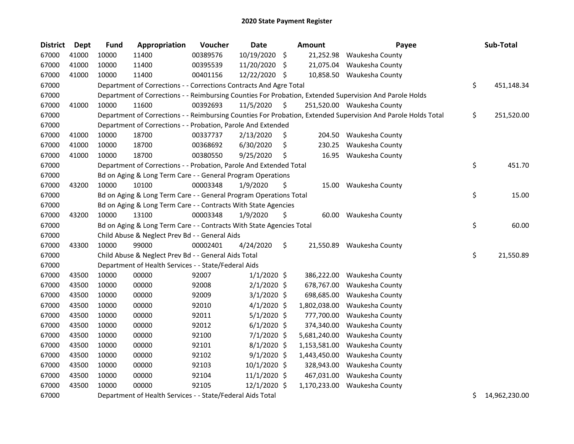| <b>District</b> | <b>Dept</b> | <b>Fund</b> | Appropriation                                                        | Voucher  | Date           | Amount          | Payee                                                                                                         | Sub-Total           |
|-----------------|-------------|-------------|----------------------------------------------------------------------|----------|----------------|-----------------|---------------------------------------------------------------------------------------------------------------|---------------------|
| 67000           | 41000       | 10000       | 11400                                                                | 00389576 | 10/19/2020     | \$              | 21,252.98 Waukesha County                                                                                     |                     |
| 67000           | 41000       | 10000       | 11400                                                                | 00395539 | 11/20/2020     | \$              | 21,075.04 Waukesha County                                                                                     |                     |
| 67000           | 41000       | 10000       | 11400                                                                | 00401156 | 12/22/2020 \$  |                 | 10,858.50 Waukesha County                                                                                     |                     |
| 67000           |             |             | Department of Corrections - - Corrections Contracts And Agre Total   |          |                |                 |                                                                                                               | \$<br>451,148.34    |
| 67000           |             |             |                                                                      |          |                |                 | Department of Corrections - - Reimbursing Counties For Probation, Extended Supervision And Parole Holds       |                     |
| 67000           | 41000       | 10000       | 11600                                                                | 00392693 | 11/5/2020      | \$              | 251,520.00 Waukesha County                                                                                    |                     |
| 67000           |             |             |                                                                      |          |                |                 | Department of Corrections - - Reimbursing Counties For Probation, Extended Supervision And Parole Holds Total | \$<br>251,520.00    |
| 67000           |             |             | Department of Corrections - - Probation, Parole And Extended         |          |                |                 |                                                                                                               |                     |
| 67000           | 41000       | 10000       | 18700                                                                | 00337737 | 2/13/2020      | \$              | 204.50 Waukesha County                                                                                        |                     |
| 67000           | 41000       | 10000       | 18700                                                                | 00368692 | 6/30/2020      | \$<br>230.25    | Waukesha County                                                                                               |                     |
| 67000           | 41000       | 10000       | 18700                                                                | 00380550 | 9/25/2020      | \$              | 16.95 Waukesha County                                                                                         |                     |
| 67000           |             |             | Department of Corrections - - Probation, Parole And Extended Total   |          |                |                 |                                                                                                               | \$<br>451.70        |
| 67000           |             |             | Bd on Aging & Long Term Care - - General Program Operations          |          |                |                 |                                                                                                               |                     |
| 67000           | 43200       | 10000       | 10100                                                                | 00003348 | 1/9/2020       | \$<br>15.00     | Waukesha County                                                                                               |                     |
| 67000           |             |             | Bd on Aging & Long Term Care - - General Program Operations Total    |          |                |                 |                                                                                                               | \$<br>15.00         |
| 67000           |             |             | Bd on Aging & Long Term Care - - Contracts With State Agencies       |          |                |                 |                                                                                                               |                     |
| 67000           | 43200       | 10000       | 13100                                                                | 00003348 | 1/9/2020       | \$<br>60.00     | Waukesha County                                                                                               |                     |
| 67000           |             |             | Bd on Aging & Long Term Care - - Contracts With State Agencies Total |          |                |                 |                                                                                                               | \$<br>60.00         |
| 67000           |             |             | Child Abuse & Neglect Prev Bd - - General Aids                       |          |                |                 |                                                                                                               |                     |
| 67000           | 43300       | 10000       | 99000                                                                | 00002401 | 4/24/2020      | \$<br>21,550.89 | Waukesha County                                                                                               |                     |
| 67000           |             |             | Child Abuse & Neglect Prev Bd - - General Aids Total                 |          |                |                 |                                                                                                               | \$<br>21,550.89     |
| 67000           |             |             | Department of Health Services - - State/Federal Aids                 |          |                |                 |                                                                                                               |                     |
| 67000           | 43500       | 10000       | 00000                                                                | 92007    | $1/1/2020$ \$  | 386,222.00      | Waukesha County                                                                                               |                     |
| 67000           | 43500       | 10000       | 00000                                                                | 92008    | $2/1/2020$ \$  | 678,767.00      | Waukesha County                                                                                               |                     |
| 67000           | 43500       | 10000       | 00000                                                                | 92009    | $3/1/2020$ \$  | 698,685.00      | Waukesha County                                                                                               |                     |
| 67000           | 43500       | 10000       | 00000                                                                | 92010    | $4/1/2020$ \$  | 1,802,038.00    | Waukesha County                                                                                               |                     |
| 67000           | 43500       | 10000       | 00000                                                                | 92011    | $5/1/2020$ \$  | 777,700.00      | Waukesha County                                                                                               |                     |
| 67000           | 43500       | 10000       | 00000                                                                | 92012    | $6/1/2020$ \$  | 374,340.00      | Waukesha County                                                                                               |                     |
| 67000           | 43500       | 10000       | 00000                                                                | 92100    | 7/1/2020 \$    | 5,681,240.00    | Waukesha County                                                                                               |                     |
| 67000           | 43500       | 10000       | 00000                                                                | 92101    | 8/1/2020 \$    | 1,153,581.00    | Waukesha County                                                                                               |                     |
| 67000           | 43500       | 10000       | 00000                                                                | 92102    | 9/1/2020 \$    | 1,443,450.00    | Waukesha County                                                                                               |                     |
| 67000           | 43500       | 10000       | 00000                                                                | 92103    | $10/1/2020$ \$ | 328,943.00      | Waukesha County                                                                                               |                     |
| 67000           | 43500       | 10000       | 00000                                                                | 92104    | 11/1/2020 \$   | 467,031.00      | Waukesha County                                                                                               |                     |
| 67000           | 43500       | 10000       | 00000                                                                | 92105    | 12/1/2020 \$   | 1,170,233.00    | Waukesha County                                                                                               |                     |
| 67000           |             |             | Department of Health Services - - State/Federal Aids Total           |          |                |                 |                                                                                                               | \$<br>14,962,230.00 |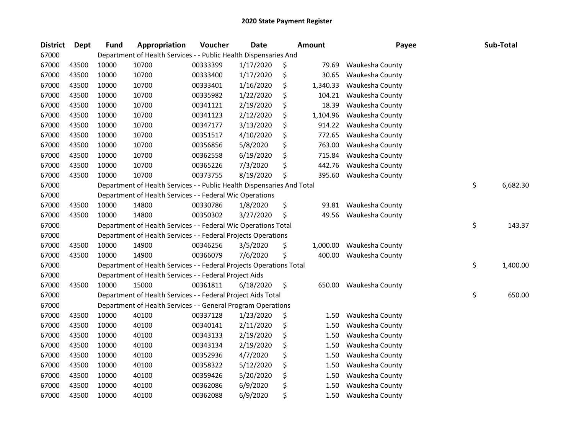| <b>District</b> | <b>Dept</b> | <b>Fund</b> | Appropriation                                                          | Voucher  | <b>Date</b> | <b>Amount</b>  | Payee           | Sub-Total      |
|-----------------|-------------|-------------|------------------------------------------------------------------------|----------|-------------|----------------|-----------------|----------------|
| 67000           |             |             | Department of Health Services - - Public Health Dispensaries And       |          |             |                |                 |                |
| 67000           | 43500       | 10000       | 10700                                                                  | 00333399 | 1/17/2020   | \$<br>79.69    | Waukesha County |                |
| 67000           | 43500       | 10000       | 10700                                                                  | 00333400 | 1/17/2020   | \$<br>30.65    | Waukesha County |                |
| 67000           | 43500       | 10000       | 10700                                                                  | 00333401 | 1/16/2020   | \$<br>1,340.33 | Waukesha County |                |
| 67000           | 43500       | 10000       | 10700                                                                  | 00335982 | 1/22/2020   | \$<br>104.21   | Waukesha County |                |
| 67000           | 43500       | 10000       | 10700                                                                  | 00341121 | 2/19/2020   | \$<br>18.39    | Waukesha County |                |
| 67000           | 43500       | 10000       | 10700                                                                  | 00341123 | 2/12/2020   | \$<br>1,104.96 | Waukesha County |                |
| 67000           | 43500       | 10000       | 10700                                                                  | 00347177 | 3/13/2020   | \$<br>914.22   | Waukesha County |                |
| 67000           | 43500       | 10000       | 10700                                                                  | 00351517 | 4/10/2020   | \$<br>772.65   | Waukesha County |                |
| 67000           | 43500       | 10000       | 10700                                                                  | 00356856 | 5/8/2020    | \$<br>763.00   | Waukesha County |                |
| 67000           | 43500       | 10000       | 10700                                                                  | 00362558 | 6/19/2020   | \$<br>715.84   | Waukesha County |                |
| 67000           | 43500       | 10000       | 10700                                                                  | 00365226 | 7/3/2020    | \$<br>442.76   | Waukesha County |                |
| 67000           | 43500       | 10000       | 10700                                                                  | 00373755 | 8/19/2020   | \$<br>395.60   | Waukesha County |                |
| 67000           |             |             | Department of Health Services - - Public Health Dispensaries And Total |          |             |                |                 | \$<br>6,682.30 |
| 67000           |             |             | Department of Health Services - - Federal Wic Operations               |          |             |                |                 |                |
| 67000           | 43500       | 10000       | 14800                                                                  | 00330786 | 1/8/2020    | \$<br>93.81    | Waukesha County |                |
| 67000           | 43500       | 10000       | 14800                                                                  | 00350302 | 3/27/2020   | \$<br>49.56    | Waukesha County |                |
| 67000           |             |             | Department of Health Services - - Federal Wic Operations Total         |          |             |                |                 | \$<br>143.37   |
| 67000           |             |             | Department of Health Services - - Federal Projects Operations          |          |             |                |                 |                |
| 67000           | 43500       | 10000       | 14900                                                                  | 00346256 | 3/5/2020    | \$<br>1,000.00 | Waukesha County |                |
| 67000           | 43500       | 10000       | 14900                                                                  | 00366079 | 7/6/2020    | \$<br>400.00   | Waukesha County |                |
| 67000           |             |             | Department of Health Services - - Federal Projects Operations Total    |          |             |                |                 | \$<br>1,400.00 |
| 67000           |             |             | Department of Health Services - - Federal Project Aids                 |          |             |                |                 |                |
| 67000           | 43500       | 10000       | 15000                                                                  | 00361811 | 6/18/2020   | \$<br>650.00   | Waukesha County |                |
| 67000           |             |             | Department of Health Services - - Federal Project Aids Total           |          |             |                |                 | \$<br>650.00   |
| 67000           |             |             | Department of Health Services - - General Program Operations           |          |             |                |                 |                |
| 67000           | 43500       | 10000       | 40100                                                                  | 00337128 | 1/23/2020   | \$<br>1.50     | Waukesha County |                |
| 67000           | 43500       | 10000       | 40100                                                                  | 00340141 | 2/11/2020   | \$<br>1.50     | Waukesha County |                |
| 67000           | 43500       | 10000       | 40100                                                                  | 00343133 | 2/19/2020   | \$<br>1.50     | Waukesha County |                |
| 67000           | 43500       | 10000       | 40100                                                                  | 00343134 | 2/19/2020   | \$<br>1.50     | Waukesha County |                |
| 67000           | 43500       | 10000       | 40100                                                                  | 00352936 | 4/7/2020    | \$<br>1.50     | Waukesha County |                |
| 67000           | 43500       | 10000       | 40100                                                                  | 00358322 | 5/12/2020   | \$<br>1.50     | Waukesha County |                |
| 67000           | 43500       | 10000       | 40100                                                                  | 00359426 | 5/20/2020   | \$<br>1.50     | Waukesha County |                |
| 67000           | 43500       | 10000       | 40100                                                                  | 00362086 | 6/9/2020    | \$<br>1.50     | Waukesha County |                |
| 67000           | 43500       | 10000       | 40100                                                                  | 00362088 | 6/9/2020    | \$<br>1.50     | Waukesha County |                |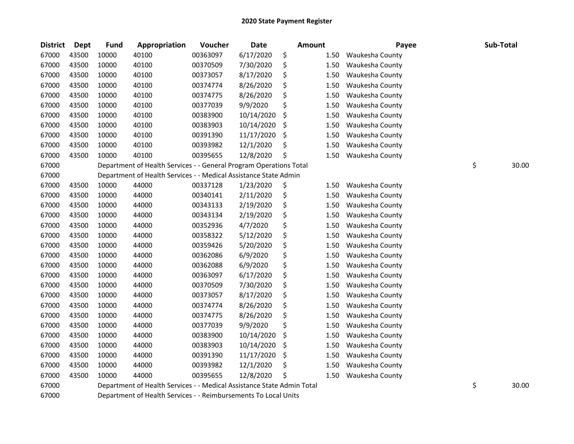| <b>District</b> | Dept  | <b>Fund</b> | Appropriation                                                          | Voucher  | Date       | Amount |      | Payee           | Sub-Total   |
|-----------------|-------|-------------|------------------------------------------------------------------------|----------|------------|--------|------|-----------------|-------------|
| 67000           | 43500 | 10000       | 40100                                                                  | 00363097 | 6/17/2020  | \$     | 1.50 | Waukesha County |             |
| 67000           | 43500 | 10000       | 40100                                                                  | 00370509 | 7/30/2020  | \$     | 1.50 | Waukesha County |             |
| 67000           | 43500 | 10000       | 40100                                                                  | 00373057 | 8/17/2020  | \$     | 1.50 | Waukesha County |             |
| 67000           | 43500 | 10000       | 40100                                                                  | 00374774 | 8/26/2020  | \$     | 1.50 | Waukesha County |             |
| 67000           | 43500 | 10000       | 40100                                                                  | 00374775 | 8/26/2020  | \$     | 1.50 | Waukesha County |             |
| 67000           | 43500 | 10000       | 40100                                                                  | 00377039 | 9/9/2020   | \$     | 1.50 | Waukesha County |             |
| 67000           | 43500 | 10000       | 40100                                                                  | 00383900 | 10/14/2020 | \$     | 1.50 | Waukesha County |             |
| 67000           | 43500 | 10000       | 40100                                                                  | 00383903 | 10/14/2020 | \$     | 1.50 | Waukesha County |             |
| 67000           | 43500 | 10000       | 40100                                                                  | 00391390 | 11/17/2020 | \$     | 1.50 | Waukesha County |             |
| 67000           | 43500 | 10000       | 40100                                                                  | 00393982 | 12/1/2020  | \$     | 1.50 | Waukesha County |             |
| 67000           | 43500 | 10000       | 40100                                                                  | 00395655 | 12/8/2020  | \$     | 1.50 | Waukesha County |             |
| 67000           |       |             | Department of Health Services - - General Program Operations Total     |          |            |        |      |                 | \$<br>30.00 |
| 67000           |       |             | Department of Health Services - - Medical Assistance State Admin       |          |            |        |      |                 |             |
| 67000           | 43500 | 10000       | 44000                                                                  | 00337128 | 1/23/2020  | \$     | 1.50 | Waukesha County |             |
| 67000           | 43500 | 10000       | 44000                                                                  | 00340141 | 2/11/2020  | \$     | 1.50 | Waukesha County |             |
| 67000           | 43500 | 10000       | 44000                                                                  | 00343133 | 2/19/2020  | \$     | 1.50 | Waukesha County |             |
| 67000           | 43500 | 10000       | 44000                                                                  | 00343134 | 2/19/2020  | \$     | 1.50 | Waukesha County |             |
| 67000           | 43500 | 10000       | 44000                                                                  | 00352936 | 4/7/2020   | \$     | 1.50 | Waukesha County |             |
| 67000           | 43500 | 10000       | 44000                                                                  | 00358322 | 5/12/2020  | \$     | 1.50 | Waukesha County |             |
| 67000           | 43500 | 10000       | 44000                                                                  | 00359426 | 5/20/2020  | \$     | 1.50 | Waukesha County |             |
| 67000           | 43500 | 10000       | 44000                                                                  | 00362086 | 6/9/2020   | \$     | 1.50 | Waukesha County |             |
| 67000           | 43500 | 10000       | 44000                                                                  | 00362088 | 6/9/2020   | \$     | 1.50 | Waukesha County |             |
| 67000           | 43500 | 10000       | 44000                                                                  | 00363097 | 6/17/2020  | \$     | 1.50 | Waukesha County |             |
| 67000           | 43500 | 10000       | 44000                                                                  | 00370509 | 7/30/2020  | \$     | 1.50 | Waukesha County |             |
| 67000           | 43500 | 10000       | 44000                                                                  | 00373057 | 8/17/2020  | \$     | 1.50 | Waukesha County |             |
| 67000           | 43500 | 10000       | 44000                                                                  | 00374774 | 8/26/2020  | \$     | 1.50 | Waukesha County |             |
| 67000           | 43500 | 10000       | 44000                                                                  | 00374775 | 8/26/2020  | \$     | 1.50 | Waukesha County |             |
| 67000           | 43500 | 10000       | 44000                                                                  | 00377039 | 9/9/2020   | \$     | 1.50 | Waukesha County |             |
| 67000           | 43500 | 10000       | 44000                                                                  | 00383900 | 10/14/2020 | \$     | 1.50 | Waukesha County |             |
| 67000           | 43500 | 10000       | 44000                                                                  | 00383903 | 10/14/2020 | \$     | 1.50 | Waukesha County |             |
| 67000           | 43500 | 10000       | 44000                                                                  | 00391390 | 11/17/2020 | \$     | 1.50 | Waukesha County |             |
| 67000           | 43500 | 10000       | 44000                                                                  | 00393982 | 12/1/2020  | \$     | 1.50 | Waukesha County |             |
| 67000           | 43500 | 10000       | 44000                                                                  | 00395655 | 12/8/2020  | \$     | 1.50 | Waukesha County |             |
| 67000           |       |             | Department of Health Services - - Medical Assistance State Admin Total |          |            |        |      |                 | \$<br>30.00 |

67000 Department of Health Services - - Reimbursements To Local Units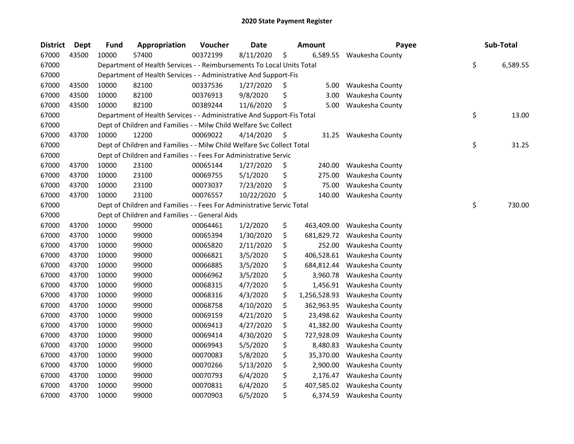| <b>District</b> | Dept  | <b>Fund</b> | Appropriation                                                          | Voucher  | <b>Date</b> |     | <b>Amount</b> | Payee                    | Sub-Total      |
|-----------------|-------|-------------|------------------------------------------------------------------------|----------|-------------|-----|---------------|--------------------------|----------------|
| 67000           | 43500 | 10000       | 57400                                                                  | 00372199 | 8/11/2020   | \$  | 6,589.55      | Waukesha County          |                |
| 67000           |       |             | Department of Health Services - - Reimbursements To Local Units Total  |          |             |     |               |                          | \$<br>6,589.55 |
| 67000           |       |             | Department of Health Services - - Administrative And Support-Fis       |          |             |     |               |                          |                |
| 67000           | 43500 | 10000       | 82100                                                                  | 00337536 | 1/27/2020   | \$, | 5.00          | Waukesha County          |                |
| 67000           | 43500 | 10000       | 82100                                                                  | 00376913 | 9/8/2020    | \$  | 3.00          | Waukesha County          |                |
| 67000           | 43500 | 10000       | 82100                                                                  | 00389244 | 11/6/2020   | \$  | 5.00          | Waukesha County          |                |
| 67000           |       |             | Department of Health Services - - Administrative And Support-Fis Total |          |             |     |               |                          | \$<br>13.00    |
| 67000           |       |             | Dept of Children and Families - - Milw Child Welfare Svc Collect       |          |             |     |               |                          |                |
| 67000           | 43700 | 10000       | 12200                                                                  | 00069022 | 4/14/2020   | \$. | 31.25         | Waukesha County          |                |
| 67000           |       |             | Dept of Children and Families - - Milw Child Welfare Svc Collect Total |          |             |     |               |                          | \$<br>31.25    |
| 67000           |       |             | Dept of Children and Families - - Fees For Administrative Servic       |          |             |     |               |                          |                |
| 67000           | 43700 | 10000       | 23100                                                                  | 00065144 | 1/27/2020   | \$  | 240.00        | Waukesha County          |                |
| 67000           | 43700 | 10000       | 23100                                                                  | 00069755 | 5/1/2020    | \$  | 275.00        | Waukesha County          |                |
| 67000           | 43700 | 10000       | 23100                                                                  | 00073037 | 7/23/2020   | \$  | 75.00         | Waukesha County          |                |
| 67000           | 43700 | 10000       | 23100                                                                  | 00076557 | 10/22/2020  | \$  | 140.00        | Waukesha County          |                |
| 67000           |       |             | Dept of Children and Families - - Fees For Administrative Servic Total |          |             |     |               |                          | \$<br>730.00   |
| 67000           |       |             | Dept of Children and Families - - General Aids                         |          |             |     |               |                          |                |
| 67000           | 43700 | 10000       | 99000                                                                  | 00064461 | 1/2/2020    | \$  | 463,409.00    | Waukesha County          |                |
| 67000           | 43700 | 10000       | 99000                                                                  | 00065394 | 1/30/2020   | \$  | 681,829.72    | Waukesha County          |                |
| 67000           | 43700 | 10000       | 99000                                                                  | 00065820 | 2/11/2020   | \$  | 252.00        | Waukesha County          |                |
| 67000           | 43700 | 10000       | 99000                                                                  | 00066821 | 3/5/2020    | \$  | 406,528.61    | Waukesha County          |                |
| 67000           | 43700 | 10000       | 99000                                                                  | 00066885 | 3/5/2020    | \$  | 684,812.44    | Waukesha County          |                |
| 67000           | 43700 | 10000       | 99000                                                                  | 00066962 | 3/5/2020    | \$  | 3,960.78      | Waukesha County          |                |
| 67000           | 43700 | 10000       | 99000                                                                  | 00068315 | 4/7/2020    | \$  | 1,456.91      | Waukesha County          |                |
| 67000           | 43700 | 10000       | 99000                                                                  | 00068316 | 4/3/2020    | \$  | 1,256,528.93  | Waukesha County          |                |
| 67000           | 43700 | 10000       | 99000                                                                  | 00068758 | 4/10/2020   | \$  | 362,963.95    | Waukesha County          |                |
| 67000           | 43700 | 10000       | 99000                                                                  | 00069159 | 4/21/2020   | \$  | 23,498.62     | Waukesha County          |                |
| 67000           | 43700 | 10000       | 99000                                                                  | 00069413 | 4/27/2020   | \$  | 41,382.00     | Waukesha County          |                |
| 67000           | 43700 | 10000       | 99000                                                                  | 00069414 | 4/30/2020   | \$  | 727,928.09    | Waukesha County          |                |
| 67000           | 43700 | 10000       | 99000                                                                  | 00069943 | 5/5/2020    | \$  | 8,480.83      | Waukesha County          |                |
| 67000           | 43700 | 10000       | 99000                                                                  | 00070083 | 5/8/2020    | \$  | 35,370.00     | Waukesha County          |                |
| 67000           | 43700 | 10000       | 99000                                                                  | 00070266 | 5/13/2020   | \$  | 2,900.00      | Waukesha County          |                |
| 67000           | 43700 | 10000       | 99000                                                                  | 00070793 | 6/4/2020    | \$  | 2,176.47      | Waukesha County          |                |
| 67000           | 43700 | 10000       | 99000                                                                  | 00070831 | 6/4/2020    | \$  | 407,585.02    | Waukesha County          |                |
| 67000           | 43700 | 10000       | 99000                                                                  | 00070903 | 6/5/2020    | \$  |               | 6,374.59 Waukesha County |                |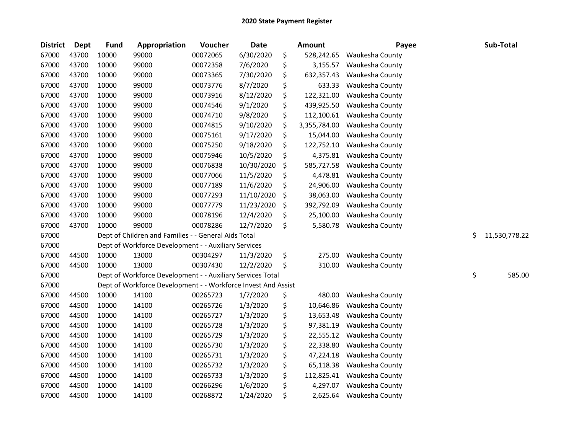| <b>District</b> | <b>Dept</b> | <b>Fund</b> | Appropriation                                                 | Voucher  | Date       | Amount             | Payee           |    | Sub-Total     |
|-----------------|-------------|-------------|---------------------------------------------------------------|----------|------------|--------------------|-----------------|----|---------------|
| 67000           | 43700       | 10000       | 99000                                                         | 00072065 | 6/30/2020  | \$<br>528,242.65   | Waukesha County |    |               |
| 67000           | 43700       | 10000       | 99000                                                         | 00072358 | 7/6/2020   | \$<br>3,155.57     | Waukesha County |    |               |
| 67000           | 43700       | 10000       | 99000                                                         | 00073365 | 7/30/2020  | \$<br>632,357.43   | Waukesha County |    |               |
| 67000           | 43700       | 10000       | 99000                                                         | 00073776 | 8/7/2020   | \$<br>633.33       | Waukesha County |    |               |
| 67000           | 43700       | 10000       | 99000                                                         | 00073916 | 8/12/2020  | \$<br>122,321.00   | Waukesha County |    |               |
| 67000           | 43700       | 10000       | 99000                                                         | 00074546 | 9/1/2020   | \$<br>439,925.50   | Waukesha County |    |               |
| 67000           | 43700       | 10000       | 99000                                                         | 00074710 | 9/8/2020   | \$<br>112,100.61   | Waukesha County |    |               |
| 67000           | 43700       | 10000       | 99000                                                         | 00074815 | 9/10/2020  | \$<br>3,355,784.00 | Waukesha County |    |               |
| 67000           | 43700       | 10000       | 99000                                                         | 00075161 | 9/17/2020  | \$<br>15,044.00    | Waukesha County |    |               |
| 67000           | 43700       | 10000       | 99000                                                         | 00075250 | 9/18/2020  | \$<br>122,752.10   | Waukesha County |    |               |
| 67000           | 43700       | 10000       | 99000                                                         | 00075946 | 10/5/2020  | \$<br>4,375.81     | Waukesha County |    |               |
| 67000           | 43700       | 10000       | 99000                                                         | 00076838 | 10/30/2020 | \$<br>585,727.58   | Waukesha County |    |               |
| 67000           | 43700       | 10000       | 99000                                                         | 00077066 | 11/5/2020  | \$<br>4,478.81     | Waukesha County |    |               |
| 67000           | 43700       | 10000       | 99000                                                         | 00077189 | 11/6/2020  | \$<br>24,906.00    | Waukesha County |    |               |
| 67000           | 43700       | 10000       | 99000                                                         | 00077293 | 11/10/2020 | \$<br>38,063.00    | Waukesha County |    |               |
| 67000           | 43700       | 10000       | 99000                                                         | 00077779 | 11/23/2020 | \$<br>392,792.09   | Waukesha County |    |               |
| 67000           | 43700       | 10000       | 99000                                                         | 00078196 | 12/4/2020  | \$<br>25,100.00    | Waukesha County |    |               |
| 67000           | 43700       | 10000       | 99000                                                         | 00078286 | 12/7/2020  | \$<br>5,580.78     | Waukesha County |    |               |
| 67000           |             |             | Dept of Children and Families - - General Aids Total          |          |            |                    |                 | Ś. | 11,530,778.22 |
| 67000           |             |             | Dept of Workforce Development - - Auxiliary Services          |          |            |                    |                 |    |               |
| 67000           | 44500       | 10000       | 13000                                                         | 00304297 | 11/3/2020  | \$<br>275.00       | Waukesha County |    |               |
| 67000           | 44500       | 10000       | 13000                                                         | 00307430 | 12/2/2020  | \$<br>310.00       | Waukesha County |    |               |
| 67000           |             |             | Dept of Workforce Development - - Auxiliary Services Total    |          |            |                    |                 | \$ | 585.00        |
| 67000           |             |             | Dept of Workforce Development - - Workforce Invest And Assist |          |            |                    |                 |    |               |
| 67000           | 44500       | 10000       | 14100                                                         | 00265723 | 1/7/2020   | \$<br>480.00       | Waukesha County |    |               |
| 67000           | 44500       | 10000       | 14100                                                         | 00265726 | 1/3/2020   | \$<br>10,646.86    | Waukesha County |    |               |
| 67000           | 44500       | 10000       | 14100                                                         | 00265727 | 1/3/2020   | \$<br>13,653.48    | Waukesha County |    |               |
| 67000           | 44500       | 10000       | 14100                                                         | 00265728 | 1/3/2020   | \$<br>97,381.19    | Waukesha County |    |               |
| 67000           | 44500       | 10000       | 14100                                                         | 00265729 | 1/3/2020   | \$<br>22,555.12    | Waukesha County |    |               |
| 67000           | 44500       | 10000       | 14100                                                         | 00265730 | 1/3/2020   | \$<br>22,338.80    | Waukesha County |    |               |
| 67000           | 44500       | 10000       | 14100                                                         | 00265731 | 1/3/2020   | \$<br>47,224.18    | Waukesha County |    |               |
| 67000           | 44500       | 10000       | 14100                                                         | 00265732 | 1/3/2020   | \$<br>65,118.38    | Waukesha County |    |               |
| 67000           | 44500       | 10000       | 14100                                                         | 00265733 | 1/3/2020   | \$<br>112,825.41   | Waukesha County |    |               |
| 67000           | 44500       | 10000       | 14100                                                         | 00266296 | 1/6/2020   | \$<br>4,297.07     | Waukesha County |    |               |
| 67000           | 44500       | 10000       | 14100                                                         | 00268872 | 1/24/2020  | \$<br>2,625.64     | Waukesha County |    |               |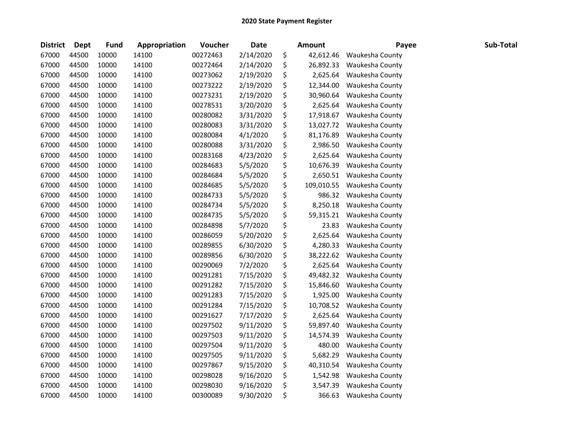| <b>District</b> | Dept  | Fund  | Appropriation | Voucher  | <b>Date</b> | <b>Amount</b>    | Payee                     | Sub-Total |
|-----------------|-------|-------|---------------|----------|-------------|------------------|---------------------------|-----------|
| 67000           | 44500 | 10000 | 14100         | 00272463 | 2/14/2020   | \$<br>42,612.46  | Waukesha County           |           |
| 67000           | 44500 | 10000 | 14100         | 00272464 | 2/14/2020   | \$<br>26,892.33  | Waukesha County           |           |
| 67000           | 44500 | 10000 | 14100         | 00273062 | 2/19/2020   | \$<br>2,625.64   | Waukesha County           |           |
| 67000           | 44500 | 10000 | 14100         | 00273222 | 2/19/2020   | \$<br>12,344.00  | Waukesha County           |           |
| 67000           | 44500 | 10000 | 14100         | 00273231 | 2/19/2020   | \$<br>30,960.64  | Waukesha County           |           |
| 67000           | 44500 | 10000 | 14100         | 00278531 | 3/20/2020   | \$<br>2,625.64   | Waukesha County           |           |
| 67000           | 44500 | 10000 | 14100         | 00280082 | 3/31/2020   | \$<br>17,918.67  | Waukesha County           |           |
| 67000           | 44500 | 10000 | 14100         | 00280083 | 3/31/2020   | \$<br>13,027.72  | Waukesha County           |           |
| 67000           | 44500 | 10000 | 14100         | 00280084 | 4/1/2020    | \$<br>81,176.89  | Waukesha County           |           |
| 67000           | 44500 | 10000 | 14100         | 00280088 | 3/31/2020   | \$<br>2,986.50   | Waukesha County           |           |
| 67000           | 44500 | 10000 | 14100         | 00283168 | 4/23/2020   | \$<br>2,625.64   | Waukesha County           |           |
| 67000           | 44500 | 10000 | 14100         | 00284683 | 5/5/2020    | \$<br>10,676.39  | Waukesha County           |           |
| 67000           | 44500 | 10000 | 14100         | 00284684 | 5/5/2020    | \$<br>2,650.51   | Waukesha County           |           |
| 67000           | 44500 | 10000 | 14100         | 00284685 | 5/5/2020    | \$<br>109,010.55 | Waukesha County           |           |
| 67000           | 44500 | 10000 | 14100         | 00284733 | 5/5/2020    | \$<br>986.32     | Waukesha County           |           |
| 67000           | 44500 | 10000 | 14100         | 00284734 | 5/5/2020    | \$<br>8,250.18   | Waukesha County           |           |
| 67000           | 44500 | 10000 | 14100         | 00284735 | 5/5/2020    | \$<br>59,315.21  | Waukesha County           |           |
| 67000           | 44500 | 10000 | 14100         | 00284898 | 5/7/2020    | \$<br>23.83      | Waukesha County           |           |
| 67000           | 44500 | 10000 | 14100         | 00286059 | 5/20/2020   | \$<br>2,625.64   | Waukesha County           |           |
| 67000           | 44500 | 10000 | 14100         | 00289855 | 6/30/2020   | \$<br>4,280.33   | Waukesha County           |           |
| 67000           | 44500 | 10000 | 14100         | 00289856 | 6/30/2020   | \$<br>38,222.62  | Waukesha County           |           |
| 67000           | 44500 | 10000 | 14100         | 00290069 | 7/2/2020    | \$               | 2,625.64 Waukesha County  |           |
| 67000           | 44500 | 10000 | 14100         | 00291281 | 7/15/2020   | \$               | 49,482.32 Waukesha County |           |
| 67000           | 44500 | 10000 | 14100         | 00291282 | 7/15/2020   | \$<br>15,846.60  | Waukesha County           |           |
| 67000           | 44500 | 10000 | 14100         | 00291283 | 7/15/2020   | \$<br>1,925.00   | Waukesha County           |           |
| 67000           | 44500 | 10000 | 14100         | 00291284 | 7/15/2020   | \$<br>10,708.52  | Waukesha County           |           |
| 67000           | 44500 | 10000 | 14100         | 00291627 | 7/17/2020   | \$<br>2,625.64   | Waukesha County           |           |
| 67000           | 44500 | 10000 | 14100         | 00297502 | 9/11/2020   | \$<br>59,897.40  | Waukesha County           |           |
| 67000           | 44500 | 10000 | 14100         | 00297503 | 9/11/2020   | \$<br>14,574.39  | Waukesha County           |           |
| 67000           | 44500 | 10000 | 14100         | 00297504 | 9/11/2020   | \$<br>480.00     | Waukesha County           |           |
| 67000           | 44500 | 10000 | 14100         | 00297505 | 9/11/2020   | \$<br>5,682.29   | Waukesha County           |           |
| 67000           | 44500 | 10000 | 14100         | 00297867 | 9/15/2020   | \$<br>40,310.54  | Waukesha County           |           |
| 67000           | 44500 | 10000 | 14100         | 00298028 | 9/16/2020   | \$<br>1,542.98   | Waukesha County           |           |
| 67000           | 44500 | 10000 | 14100         | 00298030 | 9/16/2020   | \$<br>3,547.39   | Waukesha County           |           |
| 67000           | 44500 | 10000 | 14100         | 00300089 | 9/30/2020   | \$<br>366.63     | Waukesha County           |           |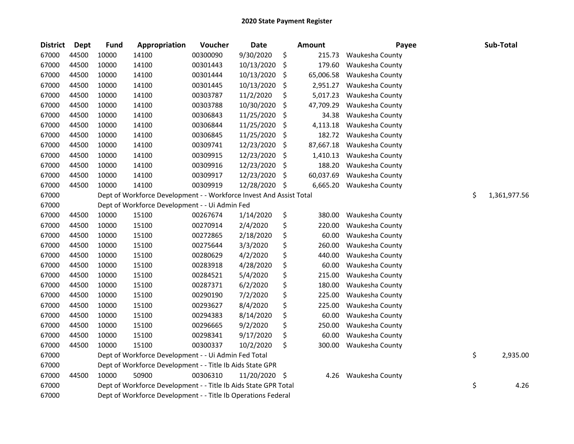| <b>District</b> | <b>Dept</b> | <b>Fund</b> | Appropriation                                                       | Voucher  | Date       |      | <b>Amount</b> | Payee           | Sub-Total          |
|-----------------|-------------|-------------|---------------------------------------------------------------------|----------|------------|------|---------------|-----------------|--------------------|
| 67000           | 44500       | 10000       | 14100                                                               | 00300090 | 9/30/2020  | \$   | 215.73        | Waukesha County |                    |
| 67000           | 44500       | 10000       | 14100                                                               | 00301443 | 10/13/2020 | \$   | 179.60        | Waukesha County |                    |
| 67000           | 44500       | 10000       | 14100                                                               | 00301444 | 10/13/2020 | \$,  | 65,006.58     | Waukesha County |                    |
| 67000           | 44500       | 10000       | 14100                                                               | 00301445 | 10/13/2020 | \$   | 2,951.27      | Waukesha County |                    |
| 67000           | 44500       | 10000       | 14100                                                               | 00303787 | 11/2/2020  | \$   | 5,017.23      | Waukesha County |                    |
| 67000           | 44500       | 10000       | 14100                                                               | 00303788 | 10/30/2020 | \$   | 47,709.29     | Waukesha County |                    |
| 67000           | 44500       | 10000       | 14100                                                               | 00306843 | 11/25/2020 | \$   | 34.38         | Waukesha County |                    |
| 67000           | 44500       | 10000       | 14100                                                               | 00306844 | 11/25/2020 | \$   | 4,113.18      | Waukesha County |                    |
| 67000           | 44500       | 10000       | 14100                                                               | 00306845 | 11/25/2020 | \$   | 182.72        | Waukesha County |                    |
| 67000           | 44500       | 10000       | 14100                                                               | 00309741 | 12/23/2020 | \$   | 87,667.18     | Waukesha County |                    |
| 67000           | 44500       | 10000       | 14100                                                               | 00309915 | 12/23/2020 | \$   | 1,410.13      | Waukesha County |                    |
| 67000           | 44500       | 10000       | 14100                                                               | 00309916 | 12/23/2020 | \$   | 188.20        | Waukesha County |                    |
| 67000           | 44500       | 10000       | 14100                                                               | 00309917 | 12/23/2020 | \$   | 60,037.69     | Waukesha County |                    |
| 67000           | 44500       | 10000       | 14100                                                               | 00309919 | 12/28/2020 | \$   | 6,665.20      | Waukesha County |                    |
| 67000           |             |             | Dept of Workforce Development - - Workforce Invest And Assist Total |          |            |      |               |                 | \$<br>1,361,977.56 |
| 67000           |             |             | Dept of Workforce Development - - Ui Admin Fed                      |          |            |      |               |                 |                    |
| 67000           | 44500       | 10000       | 15100                                                               | 00267674 | 1/14/2020  | \$   | 380.00        | Waukesha County |                    |
| 67000           | 44500       | 10000       | 15100                                                               | 00270914 | 2/4/2020   | \$   | 220.00        | Waukesha County |                    |
| 67000           | 44500       | 10000       | 15100                                                               | 00272865 | 2/18/2020  | \$   | 60.00         | Waukesha County |                    |
| 67000           | 44500       | 10000       | 15100                                                               | 00275644 | 3/3/2020   | \$   | 260.00        | Waukesha County |                    |
| 67000           | 44500       | 10000       | 15100                                                               | 00280629 | 4/2/2020   | \$   | 440.00        | Waukesha County |                    |
| 67000           | 44500       | 10000       | 15100                                                               | 00283918 | 4/28/2020  | \$   | 60.00         | Waukesha County |                    |
| 67000           | 44500       | 10000       | 15100                                                               | 00284521 | 5/4/2020   | \$   | 215.00        | Waukesha County |                    |
| 67000           | 44500       | 10000       | 15100                                                               | 00287371 | 6/2/2020   | \$   | 180.00        | Waukesha County |                    |
| 67000           | 44500       | 10000       | 15100                                                               | 00290190 | 7/2/2020   | \$   | 225.00        | Waukesha County |                    |
| 67000           | 44500       | 10000       | 15100                                                               | 00293627 | 8/4/2020   | \$   | 225.00        | Waukesha County |                    |
| 67000           | 44500       | 10000       | 15100                                                               | 00294383 | 8/14/2020  | \$   | 60.00         | Waukesha County |                    |
| 67000           | 44500       | 10000       | 15100                                                               | 00296665 | 9/2/2020   | \$   | 250.00        | Waukesha County |                    |
| 67000           | 44500       | 10000       | 15100                                                               | 00298341 | 9/17/2020  | \$   | 60.00         | Waukesha County |                    |
| 67000           | 44500       | 10000       | 15100                                                               | 00300337 | 10/2/2020  | \$   | 300.00        | Waukesha County |                    |
| 67000           |             |             | Dept of Workforce Development - - Ui Admin Fed Total                |          |            |      |               |                 | \$<br>2,935.00     |
| 67000           |             |             | Dept of Workforce Development - - Title Ib Aids State GPR           |          |            |      |               |                 |                    |
| 67000           | 44500       | 10000       | 50900                                                               | 00306310 | 11/20/2020 | - \$ | 4.26          | Waukesha County |                    |
| 67000           |             |             | Dept of Workforce Development - - Title Ib Aids State GPR Total     |          |            |      |               |                 | \$<br>4.26         |
| 67000           |             |             | Dept of Workforce Development - - Title Ib Operations Federal       |          |            |      |               |                 |                    |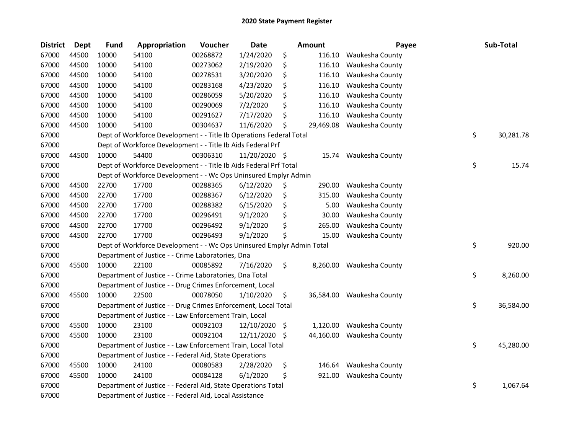| <b>District</b> | Dept  | <b>Fund</b> | Appropriation                                                         | Voucher  | <b>Date</b>   |     | Amount    | Payee                     | Sub-Total       |
|-----------------|-------|-------------|-----------------------------------------------------------------------|----------|---------------|-----|-----------|---------------------------|-----------------|
| 67000           | 44500 | 10000       | 54100                                                                 | 00268872 | 1/24/2020     | \$  | 116.10    | Waukesha County           |                 |
| 67000           | 44500 | 10000       | 54100                                                                 | 00273062 | 2/19/2020     | \$  | 116.10    | Waukesha County           |                 |
| 67000           | 44500 | 10000       | 54100                                                                 | 00278531 | 3/20/2020     | \$  | 116.10    | Waukesha County           |                 |
| 67000           | 44500 | 10000       | 54100                                                                 | 00283168 | 4/23/2020     | \$  | 116.10    | Waukesha County           |                 |
| 67000           | 44500 | 10000       | 54100                                                                 | 00286059 | 5/20/2020     | \$  | 116.10    | Waukesha County           |                 |
| 67000           | 44500 | 10000       | 54100                                                                 | 00290069 | 7/2/2020      | \$  | 116.10    | Waukesha County           |                 |
| 67000           | 44500 | 10000       | 54100                                                                 | 00291627 | 7/17/2020     | \$  | 116.10    | Waukesha County           |                 |
| 67000           | 44500 | 10000       | 54100                                                                 | 00304637 | 11/6/2020     | \$  | 29,469.08 | Waukesha County           |                 |
| 67000           |       |             | Dept of Workforce Development - - Title Ib Operations Federal Total   |          |               |     |           |                           | \$<br>30,281.78 |
| 67000           |       |             | Dept of Workforce Development - - Title Ib Aids Federal Prf           |          |               |     |           |                           |                 |
| 67000           | 44500 | 10000       | 54400                                                                 | 00306310 | 11/20/2020 \$ |     |           | 15.74 Waukesha County     |                 |
| 67000           |       |             | Dept of Workforce Development - - Title Ib Aids Federal Prf Total     |          |               |     |           |                           | \$<br>15.74     |
| 67000           |       |             | Dept of Workforce Development - - Wc Ops Uninsured Emplyr Admin       |          |               |     |           |                           |                 |
| 67000           | 44500 | 22700       | 17700                                                                 | 00288365 | 6/12/2020     | \$  | 290.00    | Waukesha County           |                 |
| 67000           | 44500 | 22700       | 17700                                                                 | 00288367 | 6/12/2020     | \$  | 315.00    | Waukesha County           |                 |
| 67000           | 44500 | 22700       | 17700                                                                 | 00288382 | 6/15/2020     | \$  | 5.00      | Waukesha County           |                 |
| 67000           | 44500 | 22700       | 17700                                                                 | 00296491 | 9/1/2020      | \$  | 30.00     | Waukesha County           |                 |
| 67000           | 44500 | 22700       | 17700                                                                 | 00296492 | 9/1/2020      | \$  | 265.00    | Waukesha County           |                 |
| 67000           | 44500 | 22700       | 17700                                                                 | 00296493 | 9/1/2020      | \$  | 15.00     | Waukesha County           |                 |
| 67000           |       |             | Dept of Workforce Development - - Wc Ops Uninsured Emplyr Admin Total |          |               |     |           |                           | \$<br>920.00    |
| 67000           |       |             | Department of Justice - - Crime Laboratories, Dna                     |          |               |     |           |                           |                 |
| 67000           | 45500 | 10000       | 22100                                                                 | 00085892 | 7/16/2020     | \$  | 8,260.00  | Waukesha County           |                 |
| 67000           |       |             | Department of Justice - - Crime Laboratories, Dna Total               |          |               |     |           |                           | \$<br>8,260.00  |
| 67000           |       |             | Department of Justice - - Drug Crimes Enforcement, Local              |          |               |     |           |                           |                 |
| 67000           | 45500 | 10000       | 22500                                                                 | 00078050 | 1/10/2020     | \$  |           | 36,584.00 Waukesha County |                 |
| 67000           |       |             | Department of Justice - - Drug Crimes Enforcement, Local Total        |          |               |     |           |                           | \$<br>36,584.00 |
| 67000           |       |             | Department of Justice - - Law Enforcement Train, Local                |          |               |     |           |                           |                 |
| 67000           | 45500 | 10000       | 23100                                                                 | 00092103 | 12/10/2020    | \$  | 1,120.00  | Waukesha County           |                 |
| 67000           | 45500 | 10000       | 23100                                                                 | 00092104 | 12/11/2020    | -\$ | 44,160.00 | Waukesha County           |                 |
| 67000           |       |             | Department of Justice - - Law Enforcement Train, Local Total          |          |               |     |           |                           | \$<br>45,280.00 |
| 67000           |       |             | Department of Justice - - Federal Aid, State Operations               |          |               |     |           |                           |                 |
| 67000           | 45500 | 10000       | 24100                                                                 | 00080583 | 2/28/2020     | \$  | 146.64    | Waukesha County           |                 |
| 67000           | 45500 | 10000       | 24100                                                                 | 00084128 | 6/1/2020      | \$  | 921.00    | Waukesha County           |                 |
| 67000           |       |             | Department of Justice - - Federal Aid, State Operations Total         |          |               |     |           |                           | \$<br>1,067.64  |
| 67000           |       |             | Department of Justice - - Federal Aid, Local Assistance               |          |               |     |           |                           |                 |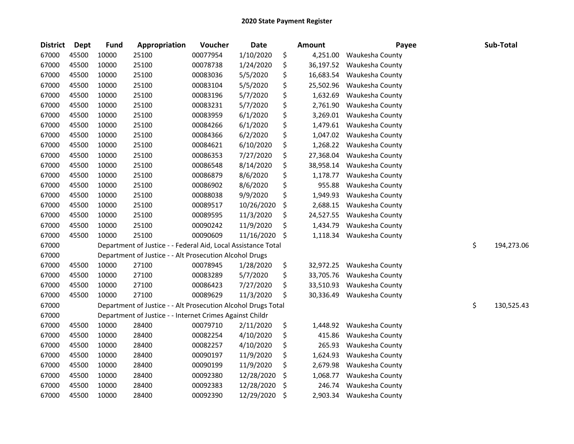| <b>District</b> | Dept  | <b>Fund</b> | Appropriation                                                 | Voucher  | Date       | <b>Amount</b>   | Payee           | Sub-Total        |
|-----------------|-------|-------------|---------------------------------------------------------------|----------|------------|-----------------|-----------------|------------------|
| 67000           | 45500 | 10000       | 25100                                                         | 00077954 | 1/10/2020  | \$<br>4,251.00  | Waukesha County |                  |
| 67000           | 45500 | 10000       | 25100                                                         | 00078738 | 1/24/2020  | \$<br>36,197.52 | Waukesha County |                  |
| 67000           | 45500 | 10000       | 25100                                                         | 00083036 | 5/5/2020   | \$<br>16,683.54 | Waukesha County |                  |
| 67000           | 45500 | 10000       | 25100                                                         | 00083104 | 5/5/2020   | \$<br>25,502.96 | Waukesha County |                  |
| 67000           | 45500 | 10000       | 25100                                                         | 00083196 | 5/7/2020   | \$<br>1,632.69  | Waukesha County |                  |
| 67000           | 45500 | 10000       | 25100                                                         | 00083231 | 5/7/2020   | \$<br>2,761.90  | Waukesha County |                  |
| 67000           | 45500 | 10000       | 25100                                                         | 00083959 | 6/1/2020   | \$<br>3,269.01  | Waukesha County |                  |
| 67000           | 45500 | 10000       | 25100                                                         | 00084266 | 6/1/2020   | \$<br>1,479.61  | Waukesha County |                  |
| 67000           | 45500 | 10000       | 25100                                                         | 00084366 | 6/2/2020   | \$<br>1,047.02  | Waukesha County |                  |
| 67000           | 45500 | 10000       | 25100                                                         | 00084621 | 6/10/2020  | \$<br>1,268.22  | Waukesha County |                  |
| 67000           | 45500 | 10000       | 25100                                                         | 00086353 | 7/27/2020  | \$<br>27,368.04 | Waukesha County |                  |
| 67000           | 45500 | 10000       | 25100                                                         | 00086548 | 8/14/2020  | \$<br>38,958.14 | Waukesha County |                  |
| 67000           | 45500 | 10000       | 25100                                                         | 00086879 | 8/6/2020   | \$<br>1,178.77  | Waukesha County |                  |
| 67000           | 45500 | 10000       | 25100                                                         | 00086902 | 8/6/2020   | \$<br>955.88    | Waukesha County |                  |
| 67000           | 45500 | 10000       | 25100                                                         | 00088038 | 9/9/2020   | \$<br>1,949.93  | Waukesha County |                  |
| 67000           | 45500 | 10000       | 25100                                                         | 00089517 | 10/26/2020 | \$<br>2,688.15  | Waukesha County |                  |
| 67000           | 45500 | 10000       | 25100                                                         | 00089595 | 11/3/2020  | \$<br>24,527.55 | Waukesha County |                  |
| 67000           | 45500 | 10000       | 25100                                                         | 00090242 | 11/9/2020  | \$<br>1,434.79  | Waukesha County |                  |
| 67000           | 45500 | 10000       | 25100                                                         | 00090609 | 11/16/2020 | \$<br>1,118.34  | Waukesha County |                  |
| 67000           |       |             | Department of Justice - - Federal Aid, Local Assistance Total |          |            |                 |                 | \$<br>194,273.06 |
| 67000           |       |             | Department of Justice - - Alt Prosecution Alcohol Drugs       |          |            |                 |                 |                  |
| 67000           | 45500 | 10000       | 27100                                                         | 00078945 | 1/28/2020  | \$<br>32,972.25 | Waukesha County |                  |
| 67000           | 45500 | 10000       | 27100                                                         | 00083289 | 5/7/2020   | \$<br>33,705.76 | Waukesha County |                  |
| 67000           | 45500 | 10000       | 27100                                                         | 00086423 | 7/27/2020  | \$<br>33,510.93 | Waukesha County |                  |
| 67000           | 45500 | 10000       | 27100                                                         | 00089629 | 11/3/2020  | \$<br>30,336.49 | Waukesha County |                  |
| 67000           |       |             | Department of Justice - - Alt Prosecution Alcohol Drugs Total |          |            |                 |                 | \$<br>130,525.43 |
| 67000           |       |             | Department of Justice - - Internet Crimes Against Childr      |          |            |                 |                 |                  |
| 67000           | 45500 | 10000       | 28400                                                         | 00079710 | 2/11/2020  | \$<br>1,448.92  | Waukesha County |                  |
| 67000           | 45500 | 10000       | 28400                                                         | 00082254 | 4/10/2020  | \$<br>415.86    | Waukesha County |                  |
| 67000           | 45500 | 10000       | 28400                                                         | 00082257 | 4/10/2020  | \$<br>265.93    | Waukesha County |                  |
| 67000           | 45500 | 10000       | 28400                                                         | 00090197 | 11/9/2020  | \$<br>1,624.93  | Waukesha County |                  |
| 67000           | 45500 | 10000       | 28400                                                         | 00090199 | 11/9/2020  | \$<br>2,679.98  | Waukesha County |                  |
| 67000           | 45500 | 10000       | 28400                                                         | 00092380 | 12/28/2020 | \$<br>1,068.77  | Waukesha County |                  |
| 67000           | 45500 | 10000       | 28400                                                         | 00092383 | 12/28/2020 | \$<br>246.74    | Waukesha County |                  |
| 67000           | 45500 | 10000       | 28400                                                         | 00092390 | 12/29/2020 | \$<br>2,903.34  | Waukesha County |                  |
|                 |       |             |                                                               |          |            |                 |                 |                  |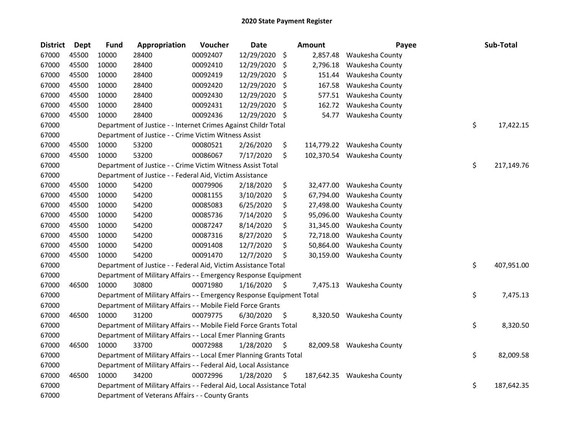| <b>District</b> | <b>Dept</b> | <b>Fund</b> | Appropriation                                                          | Voucher  | <b>Date</b> |     | <b>Amount</b> | Payee                      | Sub-Total        |
|-----------------|-------------|-------------|------------------------------------------------------------------------|----------|-------------|-----|---------------|----------------------------|------------------|
| 67000           | 45500       | 10000       | 28400                                                                  | 00092407 | 12/29/2020  | \$  | 2,857.48      | Waukesha County            |                  |
| 67000           | 45500       | 10000       | 28400                                                                  | 00092410 | 12/29/2020  | \$  | 2,796.18      | Waukesha County            |                  |
| 67000           | 45500       | 10000       | 28400                                                                  | 00092419 | 12/29/2020  | \$  | 151.44        | Waukesha County            |                  |
| 67000           | 45500       | 10000       | 28400                                                                  | 00092420 | 12/29/2020  | \$  | 167.58        | Waukesha County            |                  |
| 67000           | 45500       | 10000       | 28400                                                                  | 00092430 | 12/29/2020  | \$  | 577.51        | Waukesha County            |                  |
| 67000           | 45500       | 10000       | 28400                                                                  | 00092431 | 12/29/2020  | \$. | 162.72        | Waukesha County            |                  |
| 67000           | 45500       | 10000       | 28400                                                                  | 00092436 | 12/29/2020  | \$  | 54.77         | Waukesha County            |                  |
| 67000           |             |             | Department of Justice - - Internet Crimes Against Childr Total         |          |             |     |               |                            | \$<br>17,422.15  |
| 67000           |             |             | Department of Justice - - Crime Victim Witness Assist                  |          |             |     |               |                            |                  |
| 67000           | 45500       | 10000       | 53200                                                                  | 00080521 | 2/26/2020   | \$  | 114,779.22    | Waukesha County            |                  |
| 67000           | 45500       | 10000       | 53200                                                                  | 00086067 | 7/17/2020   | \$  | 102,370.54    | Waukesha County            |                  |
| 67000           |             |             | Department of Justice - - Crime Victim Witness Assist Total            |          |             |     |               |                            | \$<br>217,149.76 |
| 67000           |             |             | Department of Justice - - Federal Aid, Victim Assistance               |          |             |     |               |                            |                  |
| 67000           | 45500       | 10000       | 54200                                                                  | 00079906 | 2/18/2020   | \$  | 32,477.00     | Waukesha County            |                  |
| 67000           | 45500       | 10000       | 54200                                                                  | 00081155 | 3/10/2020   | \$  | 67,794.00     | Waukesha County            |                  |
| 67000           | 45500       | 10000       | 54200                                                                  | 00085083 | 6/25/2020   | \$  | 27,498.00     | Waukesha County            |                  |
| 67000           | 45500       | 10000       | 54200                                                                  | 00085736 | 7/14/2020   | \$  | 95,096.00     | Waukesha County            |                  |
| 67000           | 45500       | 10000       | 54200                                                                  | 00087247 | 8/14/2020   | \$  | 31,345.00     | Waukesha County            |                  |
| 67000           | 45500       | 10000       | 54200                                                                  | 00087316 | 8/27/2020   | \$  | 72,718.00     | Waukesha County            |                  |
| 67000           | 45500       | 10000       | 54200                                                                  | 00091408 | 12/7/2020   | \$  | 50,864.00     | Waukesha County            |                  |
| 67000           | 45500       | 10000       | 54200                                                                  | 00091470 | 12/7/2020   | \$  | 30,159.00     | Waukesha County            |                  |
| 67000           |             |             | Department of Justice - - Federal Aid, Victim Assistance Total         |          |             |     |               |                            | \$<br>407,951.00 |
| 67000           |             |             | Department of Military Affairs - - Emergency Response Equipment        |          |             |     |               |                            |                  |
| 67000           | 46500       | 10000       | 30800                                                                  | 00071980 | 1/16/2020   | \$  | 7,475.13      | Waukesha County            |                  |
| 67000           |             |             | Department of Military Affairs - - Emergency Response Equipment Total  |          |             |     |               |                            | \$<br>7,475.13   |
| 67000           |             |             | Department of Military Affairs - - Mobile Field Force Grants           |          |             |     |               |                            |                  |
| 67000           | 46500       | 10000       | 31200                                                                  | 00079775 | 6/30/2020   | \$  |               | 8,320.50 Waukesha County   |                  |
| 67000           |             |             | Department of Military Affairs - - Mobile Field Force Grants Total     |          |             |     |               |                            | \$<br>8,320.50   |
| 67000           |             |             | Department of Military Affairs - - Local Emer Planning Grants          |          |             |     |               |                            |                  |
| 67000           | 46500       | 10000       | 33700                                                                  | 00072988 | 1/28/2020   | S   |               | 82,009.58 Waukesha County  |                  |
| 67000           |             |             | Department of Military Affairs - - Local Emer Planning Grants Total    |          |             |     |               |                            | \$<br>82,009.58  |
| 67000           |             |             | Department of Military Affairs - - Federal Aid, Local Assistance       |          |             |     |               |                            |                  |
| 67000           | 46500       | 10000       | 34200                                                                  | 00072996 | 1/28/2020   | \$  |               | 187,642.35 Waukesha County |                  |
| 67000           |             |             | Department of Military Affairs - - Federal Aid, Local Assistance Total |          |             |     |               |                            | \$<br>187,642.35 |
| 67000           |             |             | Department of Veterans Affairs - - County Grants                       |          |             |     |               |                            |                  |
|                 |             |             |                                                                        |          |             |     |               |                            |                  |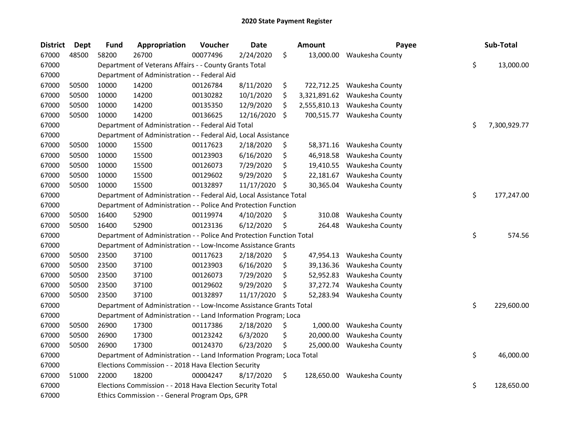| <b>District</b> | <b>Dept</b> | <b>Fund</b> | Appropriation                                                         | Voucher  | <b>Date</b> |     | <b>Amount</b> | Payee                      | Sub-Total          |
|-----------------|-------------|-------------|-----------------------------------------------------------------------|----------|-------------|-----|---------------|----------------------------|--------------------|
| 67000           | 48500       | 58200       | 26700                                                                 | 00077496 | 2/24/2020   | \$  | 13,000.00     | Waukesha County            |                    |
| 67000           |             |             | Department of Veterans Affairs - - County Grants Total                |          |             |     |               |                            | \$<br>13,000.00    |
| 67000           |             |             | Department of Administration - - Federal Aid                          |          |             |     |               |                            |                    |
| 67000           | 50500       | 10000       | 14200                                                                 | 00126784 | 8/11/2020   | \$  | 722,712.25    | Waukesha County            |                    |
| 67000           | 50500       | 10000       | 14200                                                                 | 00130282 | 10/1/2020   | \$  | 3,321,891.62  | Waukesha County            |                    |
| 67000           | 50500       | 10000       | 14200                                                                 | 00135350 | 12/9/2020   | \$  | 2,555,810.13  | Waukesha County            |                    |
| 67000           | 50500       | 10000       | 14200                                                                 | 00136625 | 12/16/2020  | \$. | 700,515.77    | Waukesha County            |                    |
| 67000           |             |             | Department of Administration - - Federal Aid Total                    |          |             |     |               |                            | \$<br>7,300,929.77 |
| 67000           |             |             | Department of Administration - - Federal Aid, Local Assistance        |          |             |     |               |                            |                    |
| 67000           | 50500       | 10000       | 15500                                                                 | 00117623 | 2/18/2020   | \$  |               | 58,371.16 Waukesha County  |                    |
| 67000           | 50500       | 10000       | 15500                                                                 | 00123903 | 6/16/2020   | \$  | 46,918.58     | Waukesha County            |                    |
| 67000           | 50500       | 10000       | 15500                                                                 | 00126073 | 7/29/2020   | \$  |               | 19,410.55 Waukesha County  |                    |
| 67000           | 50500       | 10000       | 15500                                                                 | 00129602 | 9/29/2020   | \$  | 22,181.67     | Waukesha County            |                    |
| 67000           | 50500       | 10000       | 15500                                                                 | 00132897 | 11/17/2020  | \$  | 30,365.04     | Waukesha County            |                    |
| 67000           |             |             | Department of Administration - - Federal Aid, Local Assistance Total  |          |             |     |               |                            | \$<br>177,247.00   |
| 67000           |             |             | Department of Administration - - Police And Protection Function       |          |             |     |               |                            |                    |
| 67000           | 50500       | 16400       | 52900                                                                 | 00119974 | 4/10/2020   | \$  | 310.08        | Waukesha County            |                    |
| 67000           | 50500       | 16400       | 52900                                                                 | 00123136 | 6/12/2020   | \$  | 264.48        | Waukesha County            |                    |
| 67000           |             |             | Department of Administration - - Police And Protection Function Total |          |             |     |               |                            | \$<br>574.56       |
| 67000           |             |             | Department of Administration - - Low-Income Assistance Grants         |          |             |     |               |                            |                    |
| 67000           | 50500       | 23500       | 37100                                                                 | 00117623 | 2/18/2020   | \$  |               | 47,954.13 Waukesha County  |                    |
| 67000           | 50500       | 23500       | 37100                                                                 | 00123903 | 6/16/2020   | \$  |               | 39,136.36 Waukesha County  |                    |
| 67000           | 50500       | 23500       | 37100                                                                 | 00126073 | 7/29/2020   | \$  |               | 52,952.83 Waukesha County  |                    |
| 67000           | 50500       | 23500       | 37100                                                                 | 00129602 | 9/29/2020   | \$  |               | 37,272.74 Waukesha County  |                    |
| 67000           | 50500       | 23500       | 37100                                                                 | 00132897 | 11/17/2020  | \$  |               | 52,283.94 Waukesha County  |                    |
| 67000           |             |             | Department of Administration - - Low-Income Assistance Grants Total   |          |             |     |               |                            | \$<br>229,600.00   |
| 67000           |             |             | Department of Administration - - Land Information Program; Loca       |          |             |     |               |                            |                    |
| 67000           | 50500       | 26900       | 17300                                                                 | 00117386 | 2/18/2020   | \$  | 1,000.00      | Waukesha County            |                    |
| 67000           | 50500       | 26900       | 17300                                                                 | 00123242 | 6/3/2020    | \$  | 20,000.00     | Waukesha County            |                    |
| 67000           | 50500       | 26900       | 17300                                                                 | 00124370 | 6/23/2020   | \$  | 25,000.00     | Waukesha County            |                    |
| 67000           |             |             | Department of Administration - - Land Information Program; Loca Total |          |             |     |               |                            | \$<br>46,000.00    |
| 67000           |             |             | Elections Commission - - 2018 Hava Election Security                  |          |             |     |               |                            |                    |
| 67000           | 51000       | 22000       | 18200                                                                 | 00004247 | 8/17/2020   | \$  |               | 128,650.00 Waukesha County |                    |
| 67000           |             |             | Elections Commission - - 2018 Hava Election Security Total            |          |             |     |               |                            | \$<br>128,650.00   |
| 67000           |             |             | Ethics Commission - - General Program Ops, GPR                        |          |             |     |               |                            |                    |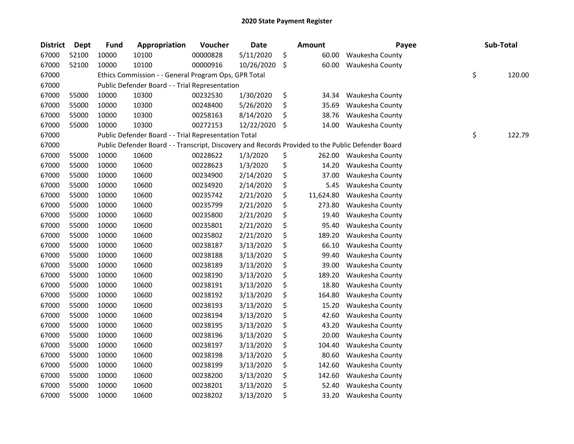| <b>District</b> | <b>Dept</b> | <b>Fund</b> | Appropriation                                                                                     | Voucher  | Date       | <b>Amount</b>   | Payee           | Sub-Total    |
|-----------------|-------------|-------------|---------------------------------------------------------------------------------------------------|----------|------------|-----------------|-----------------|--------------|
| 67000           | 52100       | 10000       | 10100                                                                                             | 00000828 | 5/11/2020  | \$<br>60.00     | Waukesha County |              |
| 67000           | 52100       | 10000       | 10100                                                                                             | 00000916 | 10/26/2020 | \$<br>60.00     | Waukesha County |              |
| 67000           |             |             | Ethics Commission - - General Program Ops, GPR Total                                              |          |            |                 |                 | \$<br>120.00 |
| 67000           |             |             | Public Defender Board - - Trial Representation                                                    |          |            |                 |                 |              |
| 67000           | 55000       | 10000       | 10300                                                                                             | 00232530 | 1/30/2020  | \$<br>34.34     | Waukesha County |              |
| 67000           | 55000       | 10000       | 10300                                                                                             | 00248400 | 5/26/2020  | \$<br>35.69     | Waukesha County |              |
| 67000           | 55000       | 10000       | 10300                                                                                             | 00258163 | 8/14/2020  | \$<br>38.76     | Waukesha County |              |
| 67000           | 55000       | 10000       | 10300                                                                                             | 00272153 | 12/22/2020 | \$<br>14.00     | Waukesha County |              |
| 67000           |             |             | Public Defender Board - - Trial Representation Total                                              |          |            |                 |                 | \$<br>122.79 |
| 67000           |             |             | Public Defender Board - - Transcript, Discovery and Records Provided to the Public Defender Board |          |            |                 |                 |              |
| 67000           | 55000       | 10000       | 10600                                                                                             | 00228622 | 1/3/2020   | \$<br>262.00    | Waukesha County |              |
| 67000           | 55000       | 10000       | 10600                                                                                             | 00228623 | 1/3/2020   | \$<br>14.20     | Waukesha County |              |
| 67000           | 55000       | 10000       | 10600                                                                                             | 00234900 | 2/14/2020  | \$<br>37.00     | Waukesha County |              |
| 67000           | 55000       | 10000       | 10600                                                                                             | 00234920 | 2/14/2020  | \$<br>5.45      | Waukesha County |              |
| 67000           | 55000       | 10000       | 10600                                                                                             | 00235742 | 2/21/2020  | \$<br>11,624.80 | Waukesha County |              |
| 67000           | 55000       | 10000       | 10600                                                                                             | 00235799 | 2/21/2020  | \$<br>273.80    | Waukesha County |              |
| 67000           | 55000       | 10000       | 10600                                                                                             | 00235800 | 2/21/2020  | \$<br>19.40     | Waukesha County |              |
| 67000           | 55000       | 10000       | 10600                                                                                             | 00235801 | 2/21/2020  | \$<br>95.40     | Waukesha County |              |
| 67000           | 55000       | 10000       | 10600                                                                                             | 00235802 | 2/21/2020  | \$<br>189.20    | Waukesha County |              |
| 67000           | 55000       | 10000       | 10600                                                                                             | 00238187 | 3/13/2020  | \$<br>66.10     | Waukesha County |              |
| 67000           | 55000       | 10000       | 10600                                                                                             | 00238188 | 3/13/2020  | \$<br>99.40     | Waukesha County |              |
| 67000           | 55000       | 10000       | 10600                                                                                             | 00238189 | 3/13/2020  | \$<br>39.00     | Waukesha County |              |
| 67000           | 55000       | 10000       | 10600                                                                                             | 00238190 | 3/13/2020  | \$<br>189.20    | Waukesha County |              |
| 67000           | 55000       | 10000       | 10600                                                                                             | 00238191 | 3/13/2020  | \$<br>18.80     | Waukesha County |              |
| 67000           | 55000       | 10000       | 10600                                                                                             | 00238192 | 3/13/2020  | \$<br>164.80    | Waukesha County |              |
| 67000           | 55000       | 10000       | 10600                                                                                             | 00238193 | 3/13/2020  | \$<br>15.20     | Waukesha County |              |
| 67000           | 55000       | 10000       | 10600                                                                                             | 00238194 | 3/13/2020  | \$<br>42.60     | Waukesha County |              |
| 67000           | 55000       | 10000       | 10600                                                                                             | 00238195 | 3/13/2020  | \$<br>43.20     | Waukesha County |              |
| 67000           | 55000       | 10000       | 10600                                                                                             | 00238196 | 3/13/2020  | \$<br>20.00     | Waukesha County |              |
| 67000           | 55000       | 10000       | 10600                                                                                             | 00238197 | 3/13/2020  | \$<br>104.40    | Waukesha County |              |
| 67000           | 55000       | 10000       | 10600                                                                                             | 00238198 | 3/13/2020  | \$<br>80.60     | Waukesha County |              |
| 67000           | 55000       | 10000       | 10600                                                                                             | 00238199 | 3/13/2020  | \$<br>142.60    | Waukesha County |              |
| 67000           | 55000       | 10000       | 10600                                                                                             | 00238200 | 3/13/2020  | \$<br>142.60    | Waukesha County |              |
| 67000           | 55000       | 10000       | 10600                                                                                             | 00238201 | 3/13/2020  | \$<br>52.40     | Waukesha County |              |
| 67000           | 55000       | 10000       | 10600                                                                                             | 00238202 | 3/13/2020  | \$<br>33.20     | Waukesha County |              |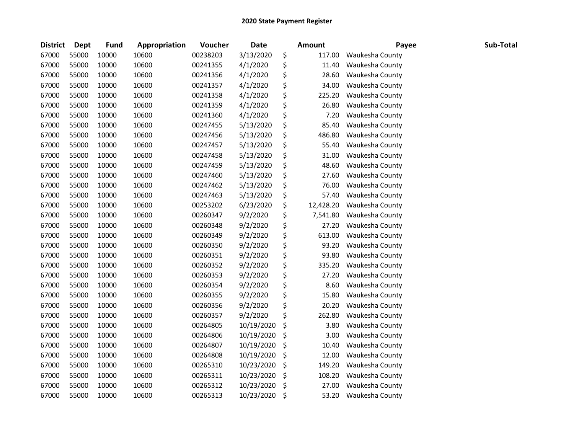| <b>District</b> | <b>Dept</b> | <b>Fund</b> | Appropriation | Voucher  | <b>Date</b> | <b>Amount</b>   | Payee           | Sub-Total |
|-----------------|-------------|-------------|---------------|----------|-------------|-----------------|-----------------|-----------|
| 67000           | 55000       | 10000       | 10600         | 00238203 | 3/13/2020   | \$<br>117.00    | Waukesha County |           |
| 67000           | 55000       | 10000       | 10600         | 00241355 | 4/1/2020    | \$<br>11.40     | Waukesha County |           |
| 67000           | 55000       | 10000       | 10600         | 00241356 | 4/1/2020    | \$<br>28.60     | Waukesha County |           |
| 67000           | 55000       | 10000       | 10600         | 00241357 | 4/1/2020    | \$<br>34.00     | Waukesha County |           |
| 67000           | 55000       | 10000       | 10600         | 00241358 | 4/1/2020    | \$<br>225.20    | Waukesha County |           |
| 67000           | 55000       | 10000       | 10600         | 00241359 | 4/1/2020    | \$<br>26.80     | Waukesha County |           |
| 67000           | 55000       | 10000       | 10600         | 00241360 | 4/1/2020    | \$<br>7.20      | Waukesha County |           |
| 67000           | 55000       | 10000       | 10600         | 00247455 | 5/13/2020   | \$<br>85.40     | Waukesha County |           |
| 67000           | 55000       | 10000       | 10600         | 00247456 | 5/13/2020   | \$<br>486.80    | Waukesha County |           |
| 67000           | 55000       | 10000       | 10600         | 00247457 | 5/13/2020   | \$<br>55.40     | Waukesha County |           |
| 67000           | 55000       | 10000       | 10600         | 00247458 | 5/13/2020   | \$<br>31.00     | Waukesha County |           |
| 67000           | 55000       | 10000       | 10600         | 00247459 | 5/13/2020   | \$<br>48.60     | Waukesha County |           |
| 67000           | 55000       | 10000       | 10600         | 00247460 | 5/13/2020   | \$<br>27.60     | Waukesha County |           |
| 67000           | 55000       | 10000       | 10600         | 00247462 | 5/13/2020   | \$<br>76.00     | Waukesha County |           |
| 67000           | 55000       | 10000       | 10600         | 00247463 | 5/13/2020   | \$<br>57.40     | Waukesha County |           |
| 67000           | 55000       | 10000       | 10600         | 00253202 | 6/23/2020   | \$<br>12,428.20 | Waukesha County |           |
| 67000           | 55000       | 10000       | 10600         | 00260347 | 9/2/2020    | \$<br>7,541.80  | Waukesha County |           |
| 67000           | 55000       | 10000       | 10600         | 00260348 | 9/2/2020    | \$<br>27.20     | Waukesha County |           |
| 67000           | 55000       | 10000       | 10600         | 00260349 | 9/2/2020    | \$<br>613.00    | Waukesha County |           |
| 67000           | 55000       | 10000       | 10600         | 00260350 | 9/2/2020    | \$<br>93.20     | Waukesha County |           |
| 67000           | 55000       | 10000       | 10600         | 00260351 | 9/2/2020    | \$<br>93.80     | Waukesha County |           |
| 67000           | 55000       | 10000       | 10600         | 00260352 | 9/2/2020    | \$<br>335.20    | Waukesha County |           |
| 67000           | 55000       | 10000       | 10600         | 00260353 | 9/2/2020    | \$<br>27.20     | Waukesha County |           |
| 67000           | 55000       | 10000       | 10600         | 00260354 | 9/2/2020    | \$<br>8.60      | Waukesha County |           |
| 67000           | 55000       | 10000       | 10600         | 00260355 | 9/2/2020    | \$<br>15.80     | Waukesha County |           |
| 67000           | 55000       | 10000       | 10600         | 00260356 | 9/2/2020    | \$<br>20.20     | Waukesha County |           |
| 67000           | 55000       | 10000       | 10600         | 00260357 | 9/2/2020    | \$<br>262.80    | Waukesha County |           |
| 67000           | 55000       | 10000       | 10600         | 00264805 | 10/19/2020  | \$<br>3.80      | Waukesha County |           |
| 67000           | 55000       | 10000       | 10600         | 00264806 | 10/19/2020  | \$<br>3.00      | Waukesha County |           |
| 67000           | 55000       | 10000       | 10600         | 00264807 | 10/19/2020  | \$<br>10.40     | Waukesha County |           |
| 67000           | 55000       | 10000       | 10600         | 00264808 | 10/19/2020  | \$<br>12.00     | Waukesha County |           |
| 67000           | 55000       | 10000       | 10600         | 00265310 | 10/23/2020  | \$<br>149.20    | Waukesha County |           |
| 67000           | 55000       | 10000       | 10600         | 00265311 | 10/23/2020  | \$<br>108.20    | Waukesha County |           |
| 67000           | 55000       | 10000       | 10600         | 00265312 | 10/23/2020  | \$<br>27.00     | Waukesha County |           |
| 67000           | 55000       | 10000       | 10600         | 00265313 | 10/23/2020  | \$<br>53.20     | Waukesha County |           |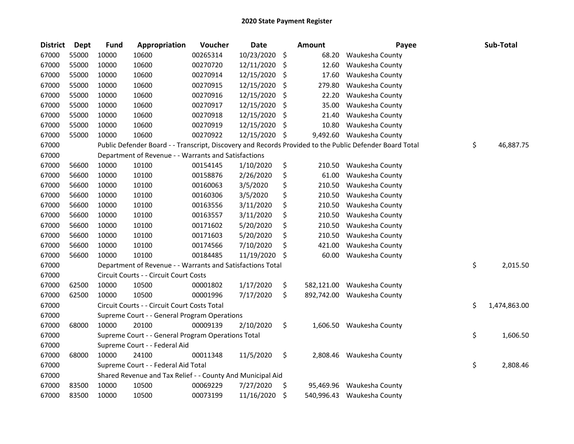| <b>District</b> | Dept  | <b>Fund</b> | Appropriation                                              | Voucher  | <b>Date</b> |     | <b>Amount</b> | Payee                                                                                                   | Sub-Total          |
|-----------------|-------|-------------|------------------------------------------------------------|----------|-------------|-----|---------------|---------------------------------------------------------------------------------------------------------|--------------------|
| 67000           | 55000 | 10000       | 10600                                                      | 00265314 | 10/23/2020  | \$  | 68.20         | Waukesha County                                                                                         |                    |
| 67000           | 55000 | 10000       | 10600                                                      | 00270720 | 12/11/2020  | \$  | 12.60         | Waukesha County                                                                                         |                    |
| 67000           | 55000 | 10000       | 10600                                                      | 00270914 | 12/15/2020  | \$  | 17.60         | Waukesha County                                                                                         |                    |
| 67000           | 55000 | 10000       | 10600                                                      | 00270915 | 12/15/2020  | \$  | 279.80        | Waukesha County                                                                                         |                    |
| 67000           | 55000 | 10000       | 10600                                                      | 00270916 | 12/15/2020  | \$  | 22.20         | Waukesha County                                                                                         |                    |
| 67000           | 55000 | 10000       | 10600                                                      | 00270917 | 12/15/2020  | \$  | 35.00         | Waukesha County                                                                                         |                    |
| 67000           | 55000 | 10000       | 10600                                                      | 00270918 | 12/15/2020  | \$  | 21.40         | Waukesha County                                                                                         |                    |
| 67000           | 55000 | 10000       | 10600                                                      | 00270919 | 12/15/2020  | \$  | 10.80         | Waukesha County                                                                                         |                    |
| 67000           | 55000 | 10000       | 10600                                                      | 00270922 | 12/15/2020  | \$  |               | 9,492.60 Waukesha County                                                                                |                    |
| 67000           |       |             |                                                            |          |             |     |               | Public Defender Board - - Transcript, Discovery and Records Provided to the Public Defender Board Total | \$<br>46,887.75    |
| 67000           |       |             | Department of Revenue - - Warrants and Satisfactions       |          |             |     |               |                                                                                                         |                    |
| 67000           | 56600 | 10000       | 10100                                                      | 00154145 | 1/10/2020   | \$  | 210.50        | Waukesha County                                                                                         |                    |
| 67000           | 56600 | 10000       | 10100                                                      | 00158876 | 2/26/2020   | \$  | 61.00         | Waukesha County                                                                                         |                    |
| 67000           | 56600 | 10000       | 10100                                                      | 00160063 | 3/5/2020    | \$  | 210.50        | Waukesha County                                                                                         |                    |
| 67000           | 56600 | 10000       | 10100                                                      | 00160306 | 3/5/2020    | \$  | 210.50        | Waukesha County                                                                                         |                    |
| 67000           | 56600 | 10000       | 10100                                                      | 00163556 | 3/11/2020   | \$  | 210.50        | Waukesha County                                                                                         |                    |
| 67000           | 56600 | 10000       | 10100                                                      | 00163557 | 3/11/2020   | \$  | 210.50        | Waukesha County                                                                                         |                    |
| 67000           | 56600 | 10000       | 10100                                                      | 00171602 | 5/20/2020   | \$  | 210.50        | Waukesha County                                                                                         |                    |
| 67000           | 56600 | 10000       | 10100                                                      | 00171603 | 5/20/2020   | \$  | 210.50        | Waukesha County                                                                                         |                    |
| 67000           | 56600 | 10000       | 10100                                                      | 00174566 | 7/10/2020   | \$  | 421.00        | Waukesha County                                                                                         |                    |
| 67000           | 56600 | 10000       | 10100                                                      | 00184485 | 11/19/2020  | Ŝ.  | 60.00         | Waukesha County                                                                                         |                    |
| 67000           |       |             | Department of Revenue - - Warrants and Satisfactions Total |          |             |     |               |                                                                                                         | \$<br>2,015.50     |
| 67000           |       |             | Circuit Courts - - Circuit Court Costs                     |          |             |     |               |                                                                                                         |                    |
| 67000           | 62500 | 10000       | 10500                                                      | 00001802 | 1/17/2020   | \$  | 582,121.00    | Waukesha County                                                                                         |                    |
| 67000           | 62500 | 10000       | 10500                                                      | 00001996 | 7/17/2020   | \$  | 892,742.00    | Waukesha County                                                                                         |                    |
| 67000           |       |             | Circuit Courts - - Circuit Court Costs Total               |          |             |     |               |                                                                                                         | \$<br>1,474,863.00 |
| 67000           |       |             | Supreme Court - - General Program Operations               |          |             |     |               |                                                                                                         |                    |
| 67000           | 68000 | 10000       | 20100                                                      | 00009139 | 2/10/2020   | \$  |               | 1,606.50 Waukesha County                                                                                |                    |
| 67000           |       |             | Supreme Court - - General Program Operations Total         |          |             |     |               |                                                                                                         | \$<br>1,606.50     |
| 67000           |       |             | Supreme Court - - Federal Aid                              |          |             |     |               |                                                                                                         |                    |
| 67000           | 68000 | 10000       | 24100                                                      | 00011348 | 11/5/2020   | \$  |               | 2,808.46 Waukesha County                                                                                |                    |
| 67000           |       |             | Supreme Court - - Federal Aid Total                        |          |             |     |               |                                                                                                         | \$<br>2,808.46     |
| 67000           |       |             | Shared Revenue and Tax Relief - - County And Municipal Aid |          |             |     |               |                                                                                                         |                    |
| 67000           | 83500 | 10000       | 10500                                                      | 00069229 | 7/27/2020   | \$. | 95,469.96     | Waukesha County                                                                                         |                    |
| 67000           | 83500 | 10000       | 10500                                                      | 00073199 | 11/16/2020  | \$  |               | 540,996.43 Waukesha County                                                                              |                    |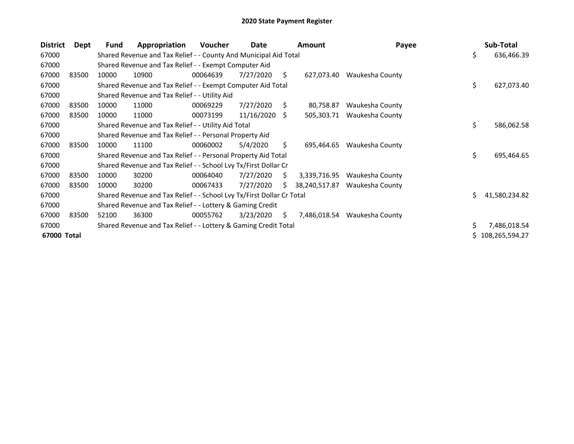| <b>District</b> | Dept  | Fund  | Appropriation                                                         | <b>Voucher</b> | Date       |    | <b>Amount</b> | Payee           |    | Sub-Total        |
|-----------------|-------|-------|-----------------------------------------------------------------------|----------------|------------|----|---------------|-----------------|----|------------------|
| 67000           |       |       | Shared Revenue and Tax Relief - - County And Municipal Aid Total      |                |            |    |               |                 | \$ | 636,466.39       |
| 67000           |       |       | Shared Revenue and Tax Relief - - Exempt Computer Aid                 |                |            |    |               |                 |    |                  |
| 67000           | 83500 | 10000 | 10900                                                                 | 00064639       | 7/27/2020  | S. | 627,073.40    | Waukesha County |    |                  |
| 67000           |       |       | Shared Revenue and Tax Relief - - Exempt Computer Aid Total           |                |            |    |               |                 | \$ | 627,073.40       |
| 67000           |       |       | Shared Revenue and Tax Relief - - Utility Aid                         |                |            |    |               |                 |    |                  |
| 67000           | 83500 | 10000 | 11000                                                                 | 00069229       | 7/27/2020  | S. | 80,758.87     | Waukesha County |    |                  |
| 67000           | 83500 | 10000 | 11000                                                                 | 00073199       | 11/16/2020 | S. | 505,303.71    | Waukesha County |    |                  |
| 67000           |       |       | Shared Revenue and Tax Relief - - Utility Aid Total                   |                |            |    |               |                 | \$ | 586,062.58       |
| 67000           |       |       | Shared Revenue and Tax Relief - - Personal Property Aid               |                |            |    |               |                 |    |                  |
| 67000           | 83500 | 10000 | 11100                                                                 | 00060002       | 5/4/2020   | S. | 695,464.65    | Waukesha County |    |                  |
| 67000           |       |       | Shared Revenue and Tax Relief - - Personal Property Aid Total         |                |            |    |               |                 | \$ | 695,464.65       |
| 67000           |       |       | Shared Revenue and Tax Relief - - School Lvy Tx/First Dollar Cr       |                |            |    |               |                 |    |                  |
| 67000           | 83500 | 10000 | 30200                                                                 | 00064040       | 7/27/2020  | S  | 3,339,716.95  | Waukesha County |    |                  |
| 67000           | 83500 | 10000 | 30200                                                                 | 00067433       | 7/27/2020  | S. | 38,240,517.87 | Waukesha County |    |                  |
| 67000           |       |       | Shared Revenue and Tax Relief - - School Lvy Tx/First Dollar Cr Total |                |            |    |               |                 | Ś. | 41,580,234.82    |
| 67000           |       |       | Shared Revenue and Tax Relief - - Lottery & Gaming Credit             |                |            |    |               |                 |    |                  |
| 67000           | 83500 | 52100 | 36300                                                                 | 00055762       | 3/23/2020  | S. | 7,486,018.54  | Waukesha County |    |                  |
| 67000           |       |       | Shared Revenue and Tax Relief - - Lottery & Gaming Credit Total       |                |            |    |               |                 |    | 7,486,018.54     |
| 67000 Total     |       |       |                                                                       |                |            |    |               |                 |    | \$108,265,594.27 |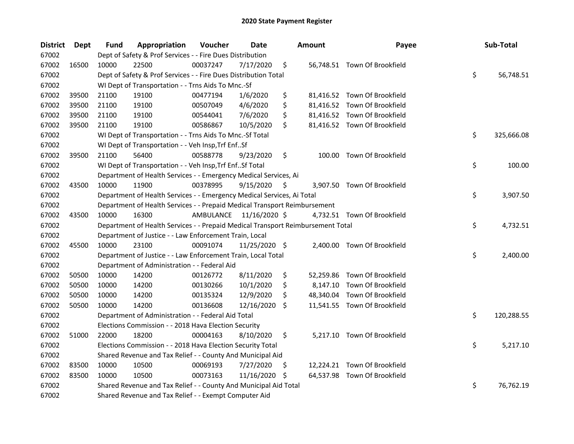| <b>District</b> | <b>Dept</b> | Fund  | Appropriation                                                                   | Voucher   | <b>Date</b>   |     | <b>Amount</b> | Payee                        | Sub-Total        |
|-----------------|-------------|-------|---------------------------------------------------------------------------------|-----------|---------------|-----|---------------|------------------------------|------------------|
| 67002           |             |       | Dept of Safety & Prof Services - - Fire Dues Distribution                       |           |               |     |               |                              |                  |
| 67002           | 16500       | 10000 | 22500                                                                           | 00037247  | 7/17/2020     | \$  |               | 56,748.51 Town Of Brookfield |                  |
| 67002           |             |       | Dept of Safety & Prof Services - - Fire Dues Distribution Total                 |           |               |     |               |                              | \$<br>56,748.51  |
| 67002           |             |       | WI Dept of Transportation - - Trns Aids To Mnc.-Sf                              |           |               |     |               |                              |                  |
| 67002           | 39500       | 21100 | 19100                                                                           | 00477194  | 1/6/2020      | \$  |               | 81,416.52 Town Of Brookfield |                  |
| 67002           | 39500       | 21100 | 19100                                                                           | 00507049  | 4/6/2020      | \$  |               | 81,416.52 Town Of Brookfield |                  |
| 67002           | 39500       | 21100 | 19100                                                                           | 00544041  | 7/6/2020      | \$  |               | 81,416.52 Town Of Brookfield |                  |
| 67002           | 39500       | 21100 | 19100                                                                           | 00586867  | 10/5/2020     | \$  |               | 81,416.52 Town Of Brookfield |                  |
| 67002           |             |       | WI Dept of Transportation - - Trns Aids To Mnc.-Sf Total                        |           |               |     |               |                              | \$<br>325,666.08 |
| 67002           |             |       | WI Dept of Transportation - - Veh Insp, Trf EnfSf                               |           |               |     |               |                              |                  |
| 67002           | 39500       | 21100 | 56400                                                                           | 00588778  | 9/23/2020     | \$  |               | 100.00 Town Of Brookfield    |                  |
| 67002           |             |       | WI Dept of Transportation - - Veh Insp, Trf Enf Sf Total                        |           |               |     |               |                              | \$<br>100.00     |
| 67002           |             |       | Department of Health Services - - Emergency Medical Services, Ai                |           |               |     |               |                              |                  |
| 67002           | 43500       | 10000 | 11900                                                                           | 00378995  | 9/15/2020     | \$  |               | 3,907.50 Town Of Brookfield  |                  |
| 67002           |             |       | Department of Health Services - - Emergency Medical Services, Ai Total          |           |               |     |               |                              | \$<br>3,907.50   |
| 67002           |             |       | Department of Health Services - - Prepaid Medical Transport Reimbursement       |           |               |     |               |                              |                  |
| 67002           | 43500       | 10000 | 16300                                                                           | AMBULANCE | 11/16/2020 \$ |     |               | 4,732.51 Town Of Brookfield  |                  |
| 67002           |             |       | Department of Health Services - - Prepaid Medical Transport Reimbursement Total |           |               |     |               |                              | \$<br>4,732.51   |
| 67002           |             |       | Department of Justice - - Law Enforcement Train, Local                          |           |               |     |               |                              |                  |
| 67002           | 45500       | 10000 | 23100                                                                           | 00091074  | 11/25/2020 \$ |     |               | 2,400.00 Town Of Brookfield  |                  |
| 67002           |             |       | Department of Justice - - Law Enforcement Train, Local Total                    |           |               |     |               |                              | \$<br>2,400.00   |
| 67002           |             |       | Department of Administration - - Federal Aid                                    |           |               |     |               |                              |                  |
| 67002           | 50500       | 10000 | 14200                                                                           | 00126772  | 8/11/2020     | \$  |               | 52,259.86 Town Of Brookfield |                  |
| 67002           | 50500       | 10000 | 14200                                                                           | 00130266  | 10/1/2020     | \$  |               | 8,147.10 Town Of Brookfield  |                  |
| 67002           | 50500       | 10000 | 14200                                                                           | 00135324  | 12/9/2020     | \$  |               | 48,340.04 Town Of Brookfield |                  |
| 67002           | 50500       | 10000 | 14200                                                                           | 00136608  | 12/16/2020    | S.  |               | 11,541.55 Town Of Brookfield |                  |
| 67002           |             |       | Department of Administration - - Federal Aid Total                              |           |               |     |               |                              | \$<br>120,288.55 |
| 67002           |             |       | Elections Commission - - 2018 Hava Election Security                            |           |               |     |               |                              |                  |
| 67002           | 51000       | 22000 | 18200                                                                           | 00004163  | 8/10/2020     | \$  |               | 5,217.10 Town Of Brookfield  |                  |
| 67002           |             |       | Elections Commission - - 2018 Hava Election Security Total                      |           |               |     |               |                              | \$<br>5,217.10   |
| 67002           |             |       | Shared Revenue and Tax Relief - - County And Municipal Aid                      |           |               |     |               |                              |                  |
| 67002           | 83500       | 10000 | 10500                                                                           | 00069193  | 7/27/2020     | \$. |               | 12,224.21 Town Of Brookfield |                  |
| 67002           | 83500       | 10000 | 10500                                                                           | 00073163  | 11/16/2020    | -S  |               | 64,537.98 Town Of Brookfield |                  |
| 67002           |             |       | Shared Revenue and Tax Relief - - County And Municipal Aid Total                |           |               |     |               |                              | \$<br>76,762.19  |
| 67002           |             |       | Shared Revenue and Tax Relief - - Exempt Computer Aid                           |           |               |     |               |                              |                  |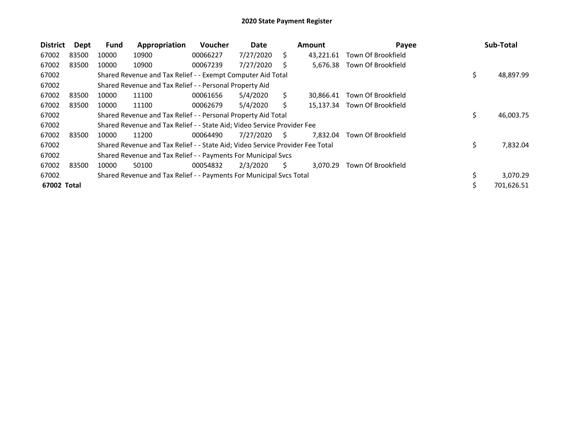| <b>District</b> | Dept  | <b>Fund</b> | Appropriation                                                                 | <b>Voucher</b> | Date      |    | <b>Amount</b> | Payee              |    | Sub-Total  |
|-----------------|-------|-------------|-------------------------------------------------------------------------------|----------------|-----------|----|---------------|--------------------|----|------------|
| 67002           | 83500 | 10000       | 10900                                                                         | 00066227       | 7/27/2020 | S. | 43,221.61     | Town Of Brookfield |    |            |
| 67002           | 83500 | 10000       | 10900                                                                         | 00067239       | 7/27/2020 | S  | 5,676.38      | Town Of Brookfield |    |            |
| 67002           |       |             | Shared Revenue and Tax Relief - - Exempt Computer Aid Total                   |                |           |    |               |                    | \$ | 48,897.99  |
| 67002           |       |             | Shared Revenue and Tax Relief - - Personal Property Aid                       |                |           |    |               |                    |    |            |
| 67002           | 83500 | 10000       | 11100                                                                         | 00061656       | 5/4/2020  | Ś. | 30.866.41     | Town Of Brookfield |    |            |
| 67002           | 83500 | 10000       | 11100                                                                         | 00062679       | 5/4/2020  | Ś. | 15.137.34     | Town Of Brookfield |    |            |
| 67002           |       |             | Shared Revenue and Tax Relief - - Personal Property Aid Total                 |                |           |    |               |                    | \$ | 46,003.75  |
| 67002           |       |             | Shared Revenue and Tax Relief - - State Aid; Video Service Provider Fee       |                |           |    |               |                    |    |            |
| 67002           | 83500 | 10000       | 11200                                                                         | 00064490       | 7/27/2020 | S  | 7.832.04      | Town Of Brookfield |    |            |
| 67002           |       |             | Shared Revenue and Tax Relief - - State Aid; Video Service Provider Fee Total |                |           |    |               |                    | \$ | 7,832.04   |
| 67002           |       |             | Shared Revenue and Tax Relief - - Payments For Municipal Svcs                 |                |           |    |               |                    |    |            |
| 67002           | 83500 | 10000       | 50100                                                                         | 00054832       | 2/3/2020  | S  | 3,070.29      | Town Of Brookfield |    |            |
| 67002           |       |             | Shared Revenue and Tax Relief - - Payments For Municipal Svcs Total           |                |           |    |               |                    | \$ | 3,070.29   |
| 67002 Total     |       |             |                                                                               |                |           |    |               |                    | Ś  | 701,626.51 |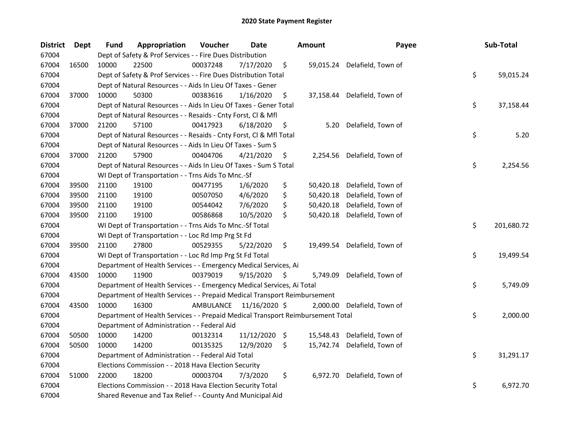| <b>District</b> | <b>Dept</b> | Fund  | Appropriation                                                                   | Voucher                 | <b>Date</b> | <b>Amount</b>   | Payee              | Sub-Total        |
|-----------------|-------------|-------|---------------------------------------------------------------------------------|-------------------------|-------------|-----------------|--------------------|------------------|
| 67004           |             |       | Dept of Safety & Prof Services - - Fire Dues Distribution                       |                         |             |                 |                    |                  |
| 67004           | 16500       | 10000 | 22500                                                                           | 00037248                | 7/17/2020   | \$<br>59,015.24 | Delafield, Town of |                  |
| 67004           |             |       | Dept of Safety & Prof Services - - Fire Dues Distribution Total                 |                         |             |                 |                    | \$<br>59,015.24  |
| 67004           |             |       | Dept of Natural Resources - - Aids In Lieu Of Taxes - Gener                     |                         |             |                 |                    |                  |
| 67004           | 37000       | 10000 | 50300                                                                           | 00383616                | 1/16/2020   | \$<br>37,158.44 | Delafield, Town of |                  |
| 67004           |             |       | Dept of Natural Resources - - Aids In Lieu Of Taxes - Gener Total               |                         |             |                 |                    | \$<br>37,158.44  |
| 67004           |             |       | Dept of Natural Resources - - Resaids - Cnty Forst, Cl & Mfl                    |                         |             |                 |                    |                  |
| 67004           | 37000       | 21200 | 57100                                                                           | 00417923                | 6/18/2020   | \$<br>5.20      | Delafield, Town of |                  |
| 67004           |             |       | Dept of Natural Resources - - Resaids - Cnty Forst, Cl & Mfl Total              |                         |             |                 |                    | \$<br>5.20       |
| 67004           |             |       | Dept of Natural Resources - - Aids In Lieu Of Taxes - Sum S                     |                         |             |                 |                    |                  |
| 67004           | 37000       | 21200 | 57900                                                                           | 00404706                | 4/21/2020   | \$<br>2,254.56  | Delafield, Town of |                  |
| 67004           |             |       | Dept of Natural Resources - - Aids In Lieu Of Taxes - Sum S Total               |                         |             |                 |                    | \$<br>2,254.56   |
| 67004           |             |       | WI Dept of Transportation - - Trns Aids To Mnc.-Sf                              |                         |             |                 |                    |                  |
| 67004           | 39500       | 21100 | 19100                                                                           | 00477195                | 1/6/2020    | \$<br>50,420.18 | Delafield, Town of |                  |
| 67004           | 39500       | 21100 | 19100                                                                           | 00507050                | 4/6/2020    | \$<br>50,420.18 | Delafield, Town of |                  |
| 67004           | 39500       | 21100 | 19100                                                                           | 00544042                | 7/6/2020    | \$<br>50,420.18 | Delafield, Town of |                  |
| 67004           | 39500       | 21100 | 19100                                                                           | 00586868                | 10/5/2020   | \$<br>50,420.18 | Delafield, Town of |                  |
| 67004           |             |       | WI Dept of Transportation - - Trns Aids To Mnc.-Sf Total                        |                         |             |                 |                    | \$<br>201,680.72 |
| 67004           |             |       | WI Dept of Transportation - - Loc Rd Imp Prg St Fd                              |                         |             |                 |                    |                  |
| 67004           | 39500       | 21100 | 27800                                                                           | 00529355                | 5/22/2020   | \$<br>19,499.54 | Delafield, Town of |                  |
| 67004           |             |       | WI Dept of Transportation - - Loc Rd Imp Prg St Fd Total                        |                         |             |                 |                    | \$<br>19,499.54  |
| 67004           |             |       | Department of Health Services - - Emergency Medical Services, Ai                |                         |             |                 |                    |                  |
| 67004           | 43500       | 10000 | 11900                                                                           | 00379019                | 9/15/2020   | \$<br>5,749.09  | Delafield, Town of |                  |
| 67004           |             |       | Department of Health Services - - Emergency Medical Services, Ai Total          |                         |             |                 |                    | \$<br>5,749.09   |
| 67004           |             |       | Department of Health Services - - Prepaid Medical Transport Reimbursement       |                         |             |                 |                    |                  |
| 67004           | 43500       | 10000 | 16300                                                                           | AMBULANCE 11/16/2020 \$ |             | 2,000.00        | Delafield, Town of |                  |
| 67004           |             |       | Department of Health Services - - Prepaid Medical Transport Reimbursement Total |                         |             |                 |                    | \$<br>2,000.00   |
| 67004           |             |       | Department of Administration - - Federal Aid                                    |                         |             |                 |                    |                  |
| 67004           | 50500       | 10000 | 14200                                                                           | 00132314                | 11/12/2020  | \$<br>15,548.43 | Delafield, Town of |                  |
| 67004           | 50500       | 10000 | 14200                                                                           | 00135325                | 12/9/2020   | \$<br>15,742.74 | Delafield, Town of |                  |
| 67004           |             |       | Department of Administration - - Federal Aid Total                              |                         |             |                 |                    | \$<br>31,291.17  |
| 67004           |             |       | Elections Commission - - 2018 Hava Election Security                            |                         |             |                 |                    |                  |
| 67004           | 51000       | 22000 | 18200                                                                           | 00003704                | 7/3/2020    | \$<br>6,972.70  | Delafield, Town of |                  |
| 67004           |             |       | Elections Commission - - 2018 Hava Election Security Total                      |                         |             |                 |                    | \$<br>6,972.70   |
| 67004           |             |       | Shared Revenue and Tax Relief - - County And Municipal Aid                      |                         |             |                 |                    |                  |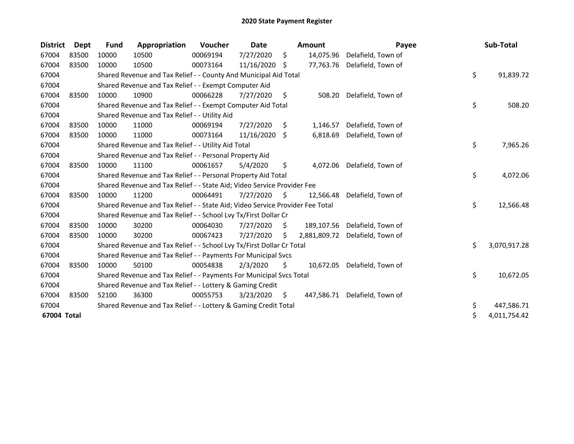| <b>District</b> | <b>Dept</b> | <b>Fund</b> | Appropriation                                                                 | Voucher  | Date       |     | <b>Amount</b> | Payee              | Sub-Total          |
|-----------------|-------------|-------------|-------------------------------------------------------------------------------|----------|------------|-----|---------------|--------------------|--------------------|
| 67004           | 83500       | 10000       | 10500                                                                         | 00069194 | 7/27/2020  | \$  | 14,075.96     | Delafield, Town of |                    |
| 67004           | 83500       | 10000       | 10500                                                                         | 00073164 | 11/16/2020 | \$. | 77,763.76     | Delafield, Town of |                    |
| 67004           |             |             | Shared Revenue and Tax Relief - - County And Municipal Aid Total              |          |            |     |               |                    | \$<br>91,839.72    |
| 67004           |             |             | Shared Revenue and Tax Relief - - Exempt Computer Aid                         |          |            |     |               |                    |                    |
| 67004           | 83500       | 10000       | 10900                                                                         | 00066228 | 7/27/2020  | \$  | 508.20        | Delafield, Town of |                    |
| 67004           |             |             | Shared Revenue and Tax Relief - - Exempt Computer Aid Total                   |          |            |     |               |                    | \$<br>508.20       |
| 67004           |             |             | Shared Revenue and Tax Relief - - Utility Aid                                 |          |            |     |               |                    |                    |
| 67004           | 83500       | 10000       | 11000                                                                         | 00069194 | 7/27/2020  | \$. | 1,146.57      | Delafield, Town of |                    |
| 67004           | 83500       | 10000       | 11000                                                                         | 00073164 | 11/16/2020 | -S  | 6,818.69      | Delafield, Town of |                    |
| 67004           |             |             | Shared Revenue and Tax Relief - - Utility Aid Total                           |          |            |     |               |                    | \$<br>7,965.26     |
| 67004           |             |             | Shared Revenue and Tax Relief - - Personal Property Aid                       |          |            |     |               |                    |                    |
| 67004           | 83500       | 10000       | 11100                                                                         | 00061657 | 5/4/2020   | \$  | 4,072.06      | Delafield, Town of |                    |
| 67004           |             |             | Shared Revenue and Tax Relief - - Personal Property Aid Total                 |          |            |     |               |                    | \$<br>4,072.06     |
| 67004           |             |             | Shared Revenue and Tax Relief - - State Aid; Video Service Provider Fee       |          |            |     |               |                    |                    |
| 67004           | 83500       | 10000       | 11200                                                                         | 00064491 | 7/27/2020  | S.  | 12,566.48     | Delafield, Town of |                    |
| 67004           |             |             | Shared Revenue and Tax Relief - - State Aid; Video Service Provider Fee Total |          |            |     |               |                    | \$<br>12,566.48    |
| 67004           |             |             | Shared Revenue and Tax Relief - - School Lvy Tx/First Dollar Cr               |          |            |     |               |                    |                    |
| 67004           | 83500       | 10000       | 30200                                                                         | 00064030 | 7/27/2020  | S.  | 189,107.56    | Delafield, Town of |                    |
| 67004           | 83500       | 10000       | 30200                                                                         | 00067423 | 7/27/2020  | \$  | 2,881,809.72  | Delafield, Town of |                    |
| 67004           |             |             | Shared Revenue and Tax Relief - - School Lvy Tx/First Dollar Cr Total         |          |            |     |               |                    | \$<br>3,070,917.28 |
| 67004           |             |             | Shared Revenue and Tax Relief - - Payments For Municipal Svcs                 |          |            |     |               |                    |                    |
| 67004           | 83500       | 10000       | 50100                                                                         | 00054838 | 2/3/2020   | \$  | 10,672.05     | Delafield, Town of |                    |
| 67004           |             |             | Shared Revenue and Tax Relief - - Payments For Municipal Svcs Total           |          |            |     |               |                    | \$<br>10,672.05    |
| 67004           |             |             | Shared Revenue and Tax Relief - - Lottery & Gaming Credit                     |          |            |     |               |                    |                    |
| 67004           | 83500       | 52100       | 36300                                                                         | 00055753 | 3/23/2020  | \$. | 447,586.71    | Delafield, Town of |                    |
| 67004           |             |             | Shared Revenue and Tax Relief - - Lottery & Gaming Credit Total               |          |            |     |               |                    | \$<br>447,586.71   |
| 67004 Total     |             |             |                                                                               |          |            |     |               |                    | \$<br>4,011,754.42 |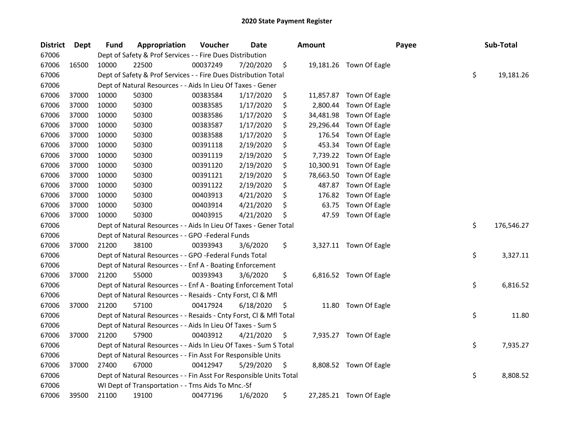| <b>District</b> | <b>Dept</b> | <b>Fund</b> | Appropriation                                                      | Voucher  | Date      | <b>Amount</b>   |                         | Payee | Sub-Total        |
|-----------------|-------------|-------------|--------------------------------------------------------------------|----------|-----------|-----------------|-------------------------|-------|------------------|
| 67006           |             |             | Dept of Safety & Prof Services - - Fire Dues Distribution          |          |           |                 |                         |       |                  |
| 67006           | 16500       | 10000       | 22500                                                              | 00037249 | 7/20/2020 | \$              | 19,181.26 Town Of Eagle |       |                  |
| 67006           |             |             | Dept of Safety & Prof Services - - Fire Dues Distribution Total    |          |           |                 |                         |       | \$<br>19,181.26  |
| 67006           |             |             | Dept of Natural Resources - - Aids In Lieu Of Taxes - Gener        |          |           |                 |                         |       |                  |
| 67006           | 37000       | 10000       | 50300                                                              | 00383584 | 1/17/2020 | \$              | 11,857.87 Town Of Eagle |       |                  |
| 67006           | 37000       | 10000       | 50300                                                              | 00383585 | 1/17/2020 | \$<br>2,800.44  | Town Of Eagle           |       |                  |
| 67006           | 37000       | 10000       | 50300                                                              | 00383586 | 1/17/2020 | \$              | 34,481.98 Town Of Eagle |       |                  |
| 67006           | 37000       | 10000       | 50300                                                              | 00383587 | 1/17/2020 | \$<br>29,296.44 | Town Of Eagle           |       |                  |
| 67006           | 37000       | 10000       | 50300                                                              | 00383588 | 1/17/2020 | \$<br>176.54    | Town Of Eagle           |       |                  |
| 67006           | 37000       | 10000       | 50300                                                              | 00391118 | 2/19/2020 | \$<br>453.34    | Town Of Eagle           |       |                  |
| 67006           | 37000       | 10000       | 50300                                                              | 00391119 | 2/19/2020 | \$<br>7,739.22  | Town Of Eagle           |       |                  |
| 67006           | 37000       | 10000       | 50300                                                              | 00391120 | 2/19/2020 | \$<br>10,300.91 | Town Of Eagle           |       |                  |
| 67006           | 37000       | 10000       | 50300                                                              | 00391121 | 2/19/2020 | \$<br>78,663.50 | Town Of Eagle           |       |                  |
| 67006           | 37000       | 10000       | 50300                                                              | 00391122 | 2/19/2020 | \$<br>487.87    | Town Of Eagle           |       |                  |
| 67006           | 37000       | 10000       | 50300                                                              | 00403913 | 4/21/2020 | \$<br>176.82    | Town Of Eagle           |       |                  |
| 67006           | 37000       | 10000       | 50300                                                              | 00403914 | 4/21/2020 | \$<br>63.75     | Town Of Eagle           |       |                  |
| 67006           | 37000       | 10000       | 50300                                                              | 00403915 | 4/21/2020 | \$<br>47.59     | Town Of Eagle           |       |                  |
| 67006           |             |             | Dept of Natural Resources - - Aids In Lieu Of Taxes - Gener Total  |          |           |                 |                         |       | \$<br>176,546.27 |
| 67006           |             |             | Dept of Natural Resources - - GPO -Federal Funds                   |          |           |                 |                         |       |                  |
| 67006           | 37000       | 21200       | 38100                                                              | 00393943 | 3/6/2020  | \$              | 3,327.11 Town Of Eagle  |       |                  |
| 67006           |             |             | Dept of Natural Resources - - GPO -Federal Funds Total             |          |           |                 |                         |       | \$<br>3,327.11   |
| 67006           |             |             | Dept of Natural Resources - - Enf A - Boating Enforcement          |          |           |                 |                         |       |                  |
| 67006           | 37000       | 21200       | 55000                                                              | 00393943 | 3/6/2020  | \$              | 6,816.52 Town Of Eagle  |       |                  |
| 67006           |             |             | Dept of Natural Resources - - Enf A - Boating Enforcement Total    |          |           |                 |                         |       | \$<br>6,816.52   |
| 67006           |             |             | Dept of Natural Resources - - Resaids - Cnty Forst, Cl & Mfl       |          |           |                 |                         |       |                  |
| 67006           | 37000       | 21200       | 57100                                                              | 00417924 | 6/18/2020 | \$<br>11.80     | Town Of Eagle           |       |                  |
| 67006           |             |             | Dept of Natural Resources - - Resaids - Cnty Forst, Cl & Mfl Total |          |           |                 |                         |       | \$<br>11.80      |
| 67006           |             |             | Dept of Natural Resources - - Aids In Lieu Of Taxes - Sum S        |          |           |                 |                         |       |                  |
| 67006           | 37000       | 21200       | 57900                                                              | 00403912 | 4/21/2020 | \$              | 7,935.27 Town Of Eagle  |       |                  |
| 67006           |             |             | Dept of Natural Resources - - Aids In Lieu Of Taxes - Sum S Total  |          |           |                 |                         |       | \$<br>7,935.27   |
| 67006           |             |             | Dept of Natural Resources - - Fin Asst For Responsible Units       |          |           |                 |                         |       |                  |
| 67006           | 37000       | 27400       | 67000                                                              | 00412947 | 5/29/2020 | \$              | 8,808.52 Town Of Eagle  |       |                  |
| 67006           |             |             | Dept of Natural Resources - - Fin Asst For Responsible Units Total |          |           |                 |                         |       | \$<br>8,808.52   |
| 67006           |             |             | WI Dept of Transportation - - Trns Aids To Mnc.-Sf                 |          |           |                 |                         |       |                  |
| 67006           | 39500       | 21100       | 19100                                                              | 00477196 | 1/6/2020  | \$              | 27,285.21 Town Of Eagle |       |                  |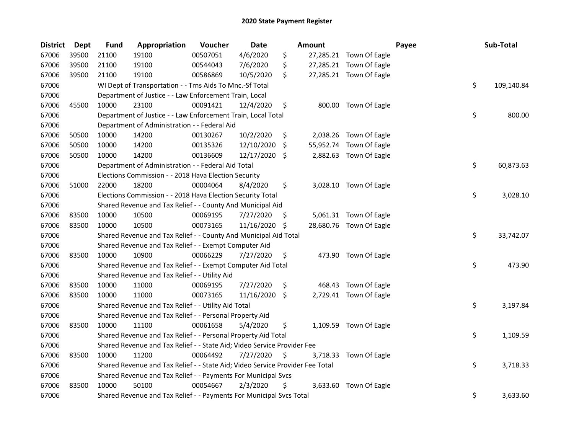| <b>District</b> | <b>Dept</b> | <b>Fund</b> | Appropriation                                                                 | Voucher  | Date          |     | <b>Amount</b> |                         | Payee | Sub-Total        |
|-----------------|-------------|-------------|-------------------------------------------------------------------------------|----------|---------------|-----|---------------|-------------------------|-------|------------------|
| 67006           | 39500       | 21100       | 19100                                                                         | 00507051 | 4/6/2020      | \$  |               | 27,285.21 Town Of Eagle |       |                  |
| 67006           | 39500       | 21100       | 19100                                                                         | 00544043 | 7/6/2020      | \$  |               | 27,285.21 Town Of Eagle |       |                  |
| 67006           | 39500       | 21100       | 19100                                                                         | 00586869 | 10/5/2020     | \$  |               | 27,285.21 Town Of Eagle |       |                  |
| 67006           |             |             | WI Dept of Transportation - - Trns Aids To Mnc.-Sf Total                      |          |               |     |               |                         |       | \$<br>109,140.84 |
| 67006           |             |             | Department of Justice - - Law Enforcement Train, Local                        |          |               |     |               |                         |       |                  |
| 67006           | 45500       | 10000       | 23100                                                                         | 00091421 | 12/4/2020     | \$  |               | 800.00 Town Of Eagle    |       |                  |
| 67006           |             |             | Department of Justice - - Law Enforcement Train, Local Total                  |          |               |     |               |                         |       | \$<br>800.00     |
| 67006           |             |             | Department of Administration - - Federal Aid                                  |          |               |     |               |                         |       |                  |
| 67006           | 50500       | 10000       | 14200                                                                         | 00130267 | 10/2/2020     | \$  |               | 2,038.26 Town Of Eagle  |       |                  |
| 67006           | 50500       | 10000       | 14200                                                                         | 00135326 | 12/10/2020    | \$  |               | 55,952.74 Town Of Eagle |       |                  |
| 67006           | 50500       | 10000       | 14200                                                                         | 00136609 | 12/17/2020 \$ |     |               | 2,882.63 Town Of Eagle  |       |                  |
| 67006           |             |             | Department of Administration - - Federal Aid Total                            |          |               |     |               |                         |       | \$<br>60,873.63  |
| 67006           |             |             | Elections Commission - - 2018 Hava Election Security                          |          |               |     |               |                         |       |                  |
| 67006           | 51000       | 22000       | 18200                                                                         | 00004064 | 8/4/2020      | \$  |               | 3,028.10 Town Of Eagle  |       |                  |
| 67006           |             |             | Elections Commission - - 2018 Hava Election Security Total                    |          |               |     |               |                         |       | \$<br>3,028.10   |
| 67006           |             |             | Shared Revenue and Tax Relief - - County And Municipal Aid                    |          |               |     |               |                         |       |                  |
| 67006           | 83500       | 10000       | 10500                                                                         | 00069195 | 7/27/2020     | \$. |               | 5,061.31 Town Of Eagle  |       |                  |
| 67006           | 83500       | 10000       | 10500                                                                         | 00073165 | 11/16/2020    | \$  |               | 28,680.76 Town Of Eagle |       |                  |
| 67006           |             |             | Shared Revenue and Tax Relief - - County And Municipal Aid Total              |          |               |     |               |                         |       | \$<br>33,742.07  |
| 67006           |             |             | Shared Revenue and Tax Relief - - Exempt Computer Aid                         |          |               |     |               |                         |       |                  |
| 67006           | 83500       | 10000       | 10900                                                                         | 00066229 | 7/27/2020     | \$  |               | 473.90 Town Of Eagle    |       |                  |
| 67006           |             |             | Shared Revenue and Tax Relief - - Exempt Computer Aid Total                   |          |               |     |               |                         |       | \$<br>473.90     |
| 67006           |             |             | Shared Revenue and Tax Relief - - Utility Aid                                 |          |               |     |               |                         |       |                  |
| 67006           | 83500       | 10000       | 11000                                                                         | 00069195 | 7/27/2020     | \$  |               | 468.43 Town Of Eagle    |       |                  |
| 67006           | 83500       | 10000       | 11000                                                                         | 00073165 | 11/16/2020 \$ |     |               | 2,729.41 Town Of Eagle  |       |                  |
| 67006           |             |             | Shared Revenue and Tax Relief - - Utility Aid Total                           |          |               |     |               |                         |       | \$<br>3,197.84   |
| 67006           |             |             | Shared Revenue and Tax Relief - - Personal Property Aid                       |          |               |     |               |                         |       |                  |
| 67006           | 83500       | 10000       | 11100                                                                         | 00061658 | 5/4/2020      | \$  |               | 1,109.59 Town Of Eagle  |       |                  |
| 67006           |             |             | Shared Revenue and Tax Relief - - Personal Property Aid Total                 |          |               |     |               |                         |       | \$<br>1,109.59   |
| 67006           |             |             | Shared Revenue and Tax Relief - - State Aid; Video Service Provider Fee       |          |               |     |               |                         |       |                  |
| 67006           | 83500       | 10000       | 11200                                                                         | 00064492 | 7/27/2020     | \$  |               | 3,718.33 Town Of Eagle  |       |                  |
| 67006           |             |             | Shared Revenue and Tax Relief - - State Aid; Video Service Provider Fee Total |          |               |     |               |                         |       | \$<br>3,718.33   |
| 67006           |             |             | Shared Revenue and Tax Relief - - Payments For Municipal Svcs                 |          |               |     |               |                         |       |                  |
| 67006           | 83500       | 10000       | 50100                                                                         | 00054667 | 2/3/2020      | \$  |               | 3,633.60 Town Of Eagle  |       |                  |
| 67006           |             |             | Shared Revenue and Tax Relief - - Payments For Municipal Svcs Total           |          |               |     |               |                         |       | \$<br>3,633.60   |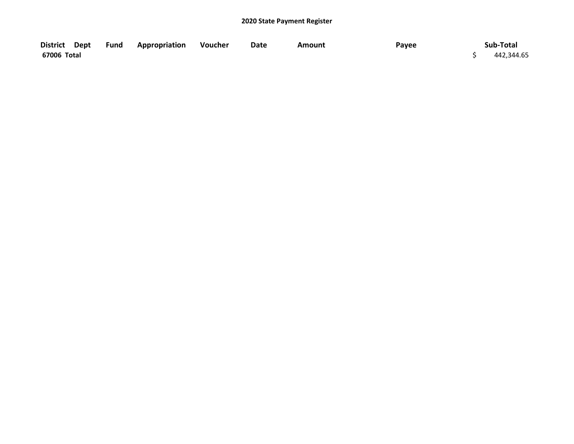| District Dept | <b>Fund Appropriation</b> | Voucher | Date | Amount | Payee | Sub-Total  |
|---------------|---------------------------|---------|------|--------|-------|------------|
| 67006 Total   |                           |         |      |        |       | 442,344.65 |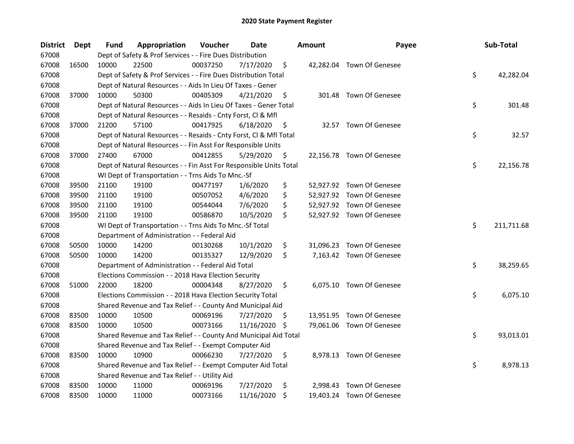| <b>District</b> | Dept  | Fund  | Appropriation                                                      | Voucher  | <b>Date</b> |     | <b>Amount</b> | Payee                     | Sub-Total        |
|-----------------|-------|-------|--------------------------------------------------------------------|----------|-------------|-----|---------------|---------------------------|------------------|
| 67008           |       |       | Dept of Safety & Prof Services - - Fire Dues Distribution          |          |             |     |               |                           |                  |
| 67008           | 16500 | 10000 | 22500                                                              | 00037250 | 7/17/2020   | \$  |               | 42,282.04 Town Of Genesee |                  |
| 67008           |       |       | Dept of Safety & Prof Services - - Fire Dues Distribution Total    |          |             |     |               |                           | \$<br>42,282.04  |
| 67008           |       |       | Dept of Natural Resources - - Aids In Lieu Of Taxes - Gener        |          |             |     |               |                           |                  |
| 67008           | 37000 | 10000 | 50300                                                              | 00405309 | 4/21/2020   | \$  |               | 301.48 Town Of Genesee    |                  |
| 67008           |       |       | Dept of Natural Resources - - Aids In Lieu Of Taxes - Gener Total  |          |             |     |               |                           | \$<br>301.48     |
| 67008           |       |       | Dept of Natural Resources - - Resaids - Cnty Forst, Cl & Mfl       |          |             |     |               |                           |                  |
| 67008           | 37000 | 21200 | 57100                                                              | 00417925 | 6/18/2020   | \$  |               | 32.57 Town Of Genesee     |                  |
| 67008           |       |       | Dept of Natural Resources - - Resaids - Cnty Forst, CI & Mfl Total |          |             |     |               |                           | \$<br>32.57      |
| 67008           |       |       | Dept of Natural Resources - - Fin Asst For Responsible Units       |          |             |     |               |                           |                  |
| 67008           | 37000 | 27400 | 67000                                                              | 00412855 | 5/29/2020   | Ş   |               | 22,156.78 Town Of Genesee |                  |
| 67008           |       |       | Dept of Natural Resources - - Fin Asst For Responsible Units Total |          |             |     |               |                           | \$<br>22,156.78  |
| 67008           |       |       | WI Dept of Transportation - - Trns Aids To Mnc.-Sf                 |          |             |     |               |                           |                  |
| 67008           | 39500 | 21100 | 19100                                                              | 00477197 | 1/6/2020    | \$  |               | 52,927.92 Town Of Genesee |                  |
| 67008           | 39500 | 21100 | 19100                                                              | 00507052 | 4/6/2020    | \$  |               | 52,927.92 Town Of Genesee |                  |
| 67008           | 39500 | 21100 | 19100                                                              | 00544044 | 7/6/2020    | \$  |               | 52,927.92 Town Of Genesee |                  |
| 67008           | 39500 | 21100 | 19100                                                              | 00586870 | 10/5/2020   | \$  |               | 52,927.92 Town Of Genesee |                  |
| 67008           |       |       | WI Dept of Transportation - - Trns Aids To Mnc.-Sf Total           |          |             |     |               |                           | \$<br>211,711.68 |
| 67008           |       |       | Department of Administration - - Federal Aid                       |          |             |     |               |                           |                  |
| 67008           | 50500 | 10000 | 14200                                                              | 00130268 | 10/1/2020   | \$  |               | 31,096.23 Town Of Genesee |                  |
| 67008           | 50500 | 10000 | 14200                                                              | 00135327 | 12/9/2020   | \$  |               | 7,163.42 Town Of Genesee  |                  |
| 67008           |       |       | Department of Administration - - Federal Aid Total                 |          |             |     |               |                           | \$<br>38,259.65  |
| 67008           |       |       | Elections Commission - - 2018 Hava Election Security               |          |             |     |               |                           |                  |
| 67008           | 51000 | 22000 | 18200                                                              | 00004348 | 8/27/2020   | \$  |               | 6,075.10 Town Of Genesee  |                  |
| 67008           |       |       | Elections Commission - - 2018 Hava Election Security Total         |          |             |     |               |                           | \$<br>6,075.10   |
| 67008           |       |       | Shared Revenue and Tax Relief - - County And Municipal Aid         |          |             |     |               |                           |                  |
| 67008           | 83500 | 10000 | 10500                                                              | 00069196 | 7/27/2020   | \$. |               | 13,951.95 Town Of Genesee |                  |
| 67008           | 83500 | 10000 | 10500                                                              | 00073166 | 11/16/2020  | \$, |               | 79,061.06 Town Of Genesee |                  |
| 67008           |       |       | Shared Revenue and Tax Relief - - County And Municipal Aid Total   |          |             |     |               |                           | \$<br>93,013.01  |
| 67008           |       |       | Shared Revenue and Tax Relief - - Exempt Computer Aid              |          |             |     |               |                           |                  |
| 67008           | 83500 | 10000 | 10900                                                              | 00066230 | 7/27/2020   | \$  |               | 8,978.13 Town Of Genesee  |                  |
| 67008           |       |       | Shared Revenue and Tax Relief - - Exempt Computer Aid Total        |          |             |     |               |                           | \$<br>8,978.13   |
| 67008           |       |       | Shared Revenue and Tax Relief - - Utility Aid                      |          |             |     |               |                           |                  |
| 67008           | 83500 | 10000 | 11000                                                              | 00069196 | 7/27/2020   | \$  |               | 2,998.43 Town Of Genesee  |                  |
| 67008           | 83500 | 10000 | 11000                                                              | 00073166 | 11/16/2020  | \$  |               | 19,403.24 Town Of Genesee |                  |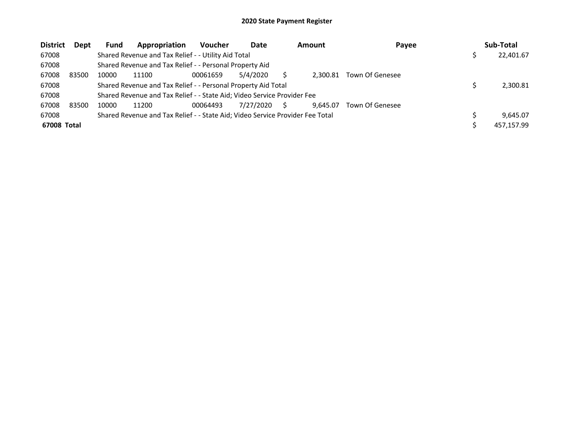| <b>District</b> | Dept  | <b>Fund</b> | Appropriation                                                                 | <b>Voucher</b> | Date      |   | <b>Amount</b> | Payee           | Sub-Total  |
|-----------------|-------|-------------|-------------------------------------------------------------------------------|----------------|-----------|---|---------------|-----------------|------------|
| 67008           |       |             | Shared Revenue and Tax Relief - - Utility Aid Total                           |                |           |   |               |                 | 22,401.67  |
| 67008           |       |             | Shared Revenue and Tax Relief - - Personal Property Aid                       |                |           |   |               |                 |            |
| 67008           | 83500 | 10000       | 11100                                                                         | 00061659       | 5/4/2020  |   | 2.300.81      | Town Of Genesee |            |
| 67008           |       |             | Shared Revenue and Tax Relief - - Personal Property Aid Total                 |                |           |   |               |                 | 2,300.81   |
| 67008           |       |             | Shared Revenue and Tax Relief - - State Aid; Video Service Provider Fee       |                |           |   |               |                 |            |
| 67008           | 83500 | 10000       | 11200                                                                         | 00064493       | 7/27/2020 | S | 9.645.07      | Town Of Genesee |            |
| 67008           |       |             | Shared Revenue and Tax Relief - - State Aid; Video Service Provider Fee Total |                |           |   |               |                 | 9.645.07   |
| 67008 Total     |       |             |                                                                               |                |           |   |               |                 | 457,157.99 |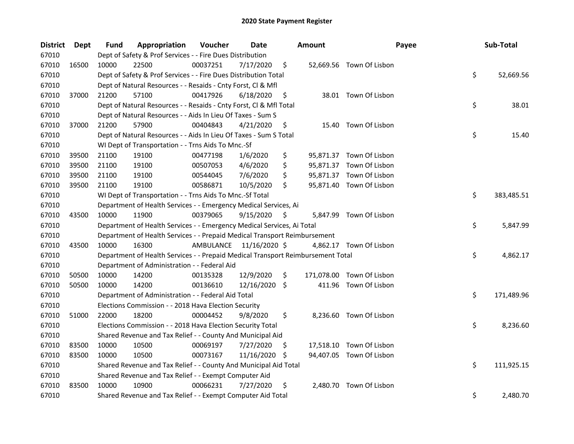| <b>District</b> | Dept  | Fund  | Appropriation                                                                   | Voucher   | Date          |     | <b>Amount</b> | Payee                     | Sub-Total        |
|-----------------|-------|-------|---------------------------------------------------------------------------------|-----------|---------------|-----|---------------|---------------------------|------------------|
| 67010           |       |       | Dept of Safety & Prof Services - - Fire Dues Distribution                       |           |               |     |               |                           |                  |
| 67010           | 16500 | 10000 | 22500                                                                           | 00037251  | 7/17/2020     | \$  |               | 52,669.56 Town Of Lisbon  |                  |
| 67010           |       |       | Dept of Safety & Prof Services - - Fire Dues Distribution Total                 |           |               |     |               |                           | \$<br>52,669.56  |
| 67010           |       |       | Dept of Natural Resources - - Resaids - Cnty Forst, Cl & Mfl                    |           |               |     |               |                           |                  |
| 67010           | 37000 | 21200 | 57100                                                                           | 00417926  | 6/18/2020     | \$  |               | 38.01 Town Of Lisbon      |                  |
| 67010           |       |       | Dept of Natural Resources - - Resaids - Cnty Forst, Cl & Mfl Total              |           |               |     |               |                           | \$<br>38.01      |
| 67010           |       |       | Dept of Natural Resources - - Aids In Lieu Of Taxes - Sum S                     |           |               |     |               |                           |                  |
| 67010           | 37000 | 21200 | 57900                                                                           | 00404843  | 4/21/2020     | \$  |               | 15.40 Town Of Lisbon      |                  |
| 67010           |       |       | Dept of Natural Resources - - Aids In Lieu Of Taxes - Sum S Total               |           |               |     |               |                           | \$<br>15.40      |
| 67010           |       |       | WI Dept of Transportation - - Trns Aids To Mnc.-Sf                              |           |               |     |               |                           |                  |
| 67010           | 39500 | 21100 | 19100                                                                           | 00477198  | 1/6/2020      | \$  |               | 95,871.37 Town Of Lisbon  |                  |
| 67010           | 39500 | 21100 | 19100                                                                           | 00507053  | 4/6/2020      | \$  |               | 95,871.37 Town Of Lisbon  |                  |
| 67010           | 39500 | 21100 | 19100                                                                           | 00544045  | 7/6/2020      | \$  |               | 95,871.37 Town Of Lisbon  |                  |
| 67010           | 39500 | 21100 | 19100                                                                           | 00586871  | 10/5/2020     | \$  |               | 95,871.40 Town Of Lisbon  |                  |
| 67010           |       |       | WI Dept of Transportation - - Trns Aids To Mnc.-Sf Total                        |           |               |     |               |                           | \$<br>383,485.51 |
| 67010           |       |       | Department of Health Services - - Emergency Medical Services, Ai                |           |               |     |               |                           |                  |
| 67010           | 43500 | 10000 | 11900                                                                           | 00379065  | 9/15/2020     | \$  |               | 5,847.99 Town Of Lisbon   |                  |
| 67010           |       |       | Department of Health Services - - Emergency Medical Services, Ai Total          |           |               |     |               |                           | \$<br>5,847.99   |
| 67010           |       |       | Department of Health Services - - Prepaid Medical Transport Reimbursement       |           |               |     |               |                           |                  |
| 67010           | 43500 | 10000 | 16300                                                                           | AMBULANCE | 11/16/2020 \$ |     |               | 4,862.17 Town Of Lisbon   |                  |
| 67010           |       |       | Department of Health Services - - Prepaid Medical Transport Reimbursement Total |           |               |     |               |                           | \$<br>4,862.17   |
| 67010           |       |       | Department of Administration - - Federal Aid                                    |           |               |     |               |                           |                  |
| 67010           | 50500 | 10000 | 14200                                                                           | 00135328  | 12/9/2020     | \$  |               | 171,078.00 Town Of Lisbon |                  |
| 67010           | 50500 | 10000 | 14200                                                                           | 00136610  | 12/16/2020    | \$  |               | 411.96 Town Of Lisbon     |                  |
| 67010           |       |       | Department of Administration - - Federal Aid Total                              |           |               |     |               |                           | \$<br>171,489.96 |
| 67010           |       |       | Elections Commission - - 2018 Hava Election Security                            |           |               |     |               |                           |                  |
| 67010           | 51000 | 22000 | 18200                                                                           | 00004452  | 9/8/2020      | \$  |               | 8,236.60 Town Of Lisbon   |                  |
| 67010           |       |       | Elections Commission - - 2018 Hava Election Security Total                      |           |               |     |               |                           | \$<br>8,236.60   |
| 67010           |       |       | Shared Revenue and Tax Relief - - County And Municipal Aid                      |           |               |     |               |                           |                  |
| 67010           | 83500 | 10000 | 10500                                                                           | 00069197  | 7/27/2020     | \$. |               | 17,518.10 Town Of Lisbon  |                  |
| 67010           | 83500 | 10000 | 10500                                                                           | 00073167  | 11/16/2020    | \$. |               | 94,407.05 Town Of Lisbon  |                  |
| 67010           |       |       | Shared Revenue and Tax Relief - - County And Municipal Aid Total                |           |               |     |               |                           | \$<br>111,925.15 |
| 67010           |       |       | Shared Revenue and Tax Relief - - Exempt Computer Aid                           |           |               |     |               |                           |                  |
| 67010           | 83500 | 10000 | 10900                                                                           | 00066231  | 7/27/2020     | \$  |               | 2,480.70 Town Of Lisbon   |                  |
| 67010           |       |       | Shared Revenue and Tax Relief - - Exempt Computer Aid Total                     |           |               |     |               |                           | \$<br>2,480.70   |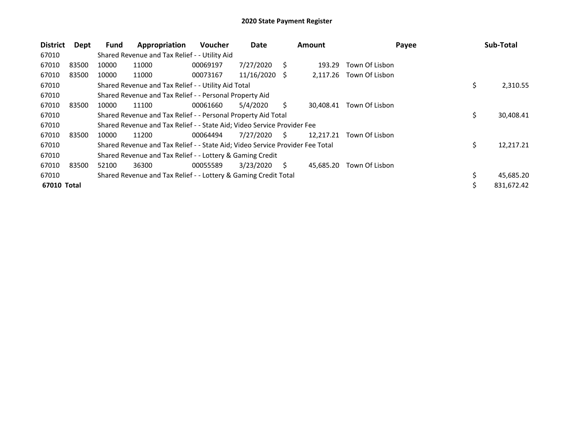| <b>District</b> | Dept  | <b>Fund</b> | Appropriation                                                                 | <b>Voucher</b> | Date       |     | <b>Amount</b> | Payee          |    | Sub-Total  |
|-----------------|-------|-------------|-------------------------------------------------------------------------------|----------------|------------|-----|---------------|----------------|----|------------|
| 67010           |       |             | Shared Revenue and Tax Relief - - Utility Aid                                 |                |            |     |               |                |    |            |
| 67010           | 83500 | 10000       | 11000                                                                         | 00069197       | 7/27/2020  | S   | 193.29        | Town Of Lisbon |    |            |
| 67010           | 83500 | 10000       | 11000                                                                         | 00073167       | 11/16/2020 | - S | 2,117.26      | Town Of Lisbon |    |            |
| 67010           |       |             | Shared Revenue and Tax Relief - - Utility Aid Total                           |                |            |     |               |                | \$ | 2,310.55   |
| 67010           |       |             | Shared Revenue and Tax Relief - - Personal Property Aid                       |                |            |     |               |                |    |            |
| 67010           | 83500 | 10000       | 11100                                                                         | 00061660       | 5/4/2020   | S.  | 30.408.41     | Town Of Lisbon |    |            |
| 67010           |       |             | Shared Revenue and Tax Relief - - Personal Property Aid Total                 |                |            |     |               |                | \$ | 30,408.41  |
| 67010           |       |             | Shared Revenue and Tax Relief - - State Aid; Video Service Provider Fee       |                |            |     |               |                |    |            |
| 67010           | 83500 | 10000       | 11200                                                                         | 00064494       | 7/27/2020  | S.  | 12.217.21     | Town Of Lisbon |    |            |
| 67010           |       |             | Shared Revenue and Tax Relief - - State Aid; Video Service Provider Fee Total |                |            |     |               |                | \$ | 12,217.21  |
| 67010           |       |             | Shared Revenue and Tax Relief - - Lottery & Gaming Credit                     |                |            |     |               |                |    |            |
| 67010           | 83500 | 52100       | 36300                                                                         | 00055589       | 3/23/2020  | S.  | 45,685.20     | Town Of Lisbon |    |            |
| 67010           |       |             | Shared Revenue and Tax Relief - - Lottery & Gaming Credit Total               |                |            |     |               |                |    | 45,685.20  |
| 67010 Total     |       |             |                                                                               |                |            |     |               |                | Ś  | 831,672.42 |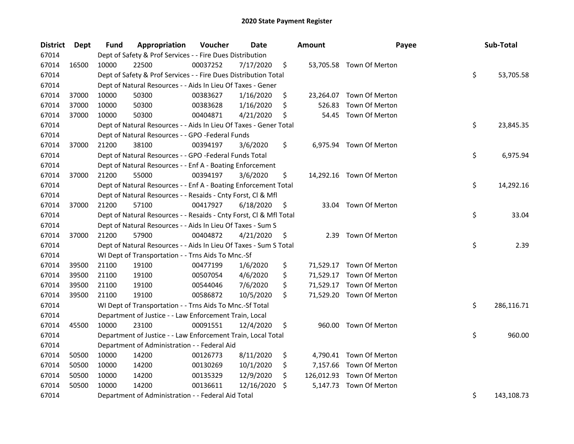| <b>District</b> | Dept  | Fund  | Appropriation                                                      | Voucher  | <b>Date</b> | <b>Amount</b>  | Payee                     | Sub-Total        |
|-----------------|-------|-------|--------------------------------------------------------------------|----------|-------------|----------------|---------------------------|------------------|
| 67014           |       |       | Dept of Safety & Prof Services - - Fire Dues Distribution          |          |             |                |                           |                  |
| 67014           | 16500 | 10000 | 22500                                                              | 00037252 | 7/17/2020   | \$             | 53,705.58 Town Of Merton  |                  |
| 67014           |       |       | Dept of Safety & Prof Services - - Fire Dues Distribution Total    |          |             |                |                           | \$<br>53,705.58  |
| 67014           |       |       | Dept of Natural Resources - - Aids In Lieu Of Taxes - Gener        |          |             |                |                           |                  |
| 67014           | 37000 | 10000 | 50300                                                              | 00383627 | 1/16/2020   | \$             | 23,264.07 Town Of Merton  |                  |
| 67014           | 37000 | 10000 | 50300                                                              | 00383628 | 1/16/2020   | \$<br>526.83   | Town Of Merton            |                  |
| 67014           | 37000 | 10000 | 50300                                                              | 00404871 | 4/21/2020   | \$             | 54.45 Town Of Merton      |                  |
| 67014           |       |       | Dept of Natural Resources - - Aids In Lieu Of Taxes - Gener Total  |          |             |                |                           | \$<br>23,845.35  |
| 67014           |       |       | Dept of Natural Resources - - GPO -Federal Funds                   |          |             |                |                           |                  |
| 67014           | 37000 | 21200 | 38100                                                              | 00394197 | 3/6/2020    | \$             | 6,975.94 Town Of Merton   |                  |
| 67014           |       |       | Dept of Natural Resources - - GPO -Federal Funds Total             |          |             |                |                           | \$<br>6,975.94   |
| 67014           |       |       | Dept of Natural Resources - - Enf A - Boating Enforcement          |          |             |                |                           |                  |
| 67014           | 37000 | 21200 | 55000                                                              | 00394197 | 3/6/2020    | \$             | 14,292.16 Town Of Merton  |                  |
| 67014           |       |       | Dept of Natural Resources - - Enf A - Boating Enforcement Total    |          |             |                |                           | \$<br>14,292.16  |
| 67014           |       |       | Dept of Natural Resources - - Resaids - Cnty Forst, Cl & Mfl       |          |             |                |                           |                  |
| 67014           | 37000 | 21200 | 57100                                                              | 00417927 | 6/18/2020   | \$<br>33.04    | Town Of Merton            |                  |
| 67014           |       |       | Dept of Natural Resources - - Resaids - Cnty Forst, Cl & Mfl Total |          |             |                |                           | \$<br>33.04      |
| 67014           |       |       | Dept of Natural Resources - - Aids In Lieu Of Taxes - Sum S        |          |             |                |                           |                  |
| 67014           | 37000 | 21200 | 57900                                                              | 00404872 | 4/21/2020   | \$<br>2.39     | Town Of Merton            |                  |
| 67014           |       |       | Dept of Natural Resources - - Aids In Lieu Of Taxes - Sum S Total  |          |             |                |                           | \$<br>2.39       |
| 67014           |       |       | WI Dept of Transportation - - Trns Aids To Mnc.-Sf                 |          |             |                |                           |                  |
| 67014           | 39500 | 21100 | 19100                                                              | 00477199 | 1/6/2020    | \$             | 71,529.17 Town Of Merton  |                  |
| 67014           | 39500 | 21100 | 19100                                                              | 00507054 | 4/6/2020    | \$             | 71,529.17 Town Of Merton  |                  |
| 67014           | 39500 | 21100 | 19100                                                              | 00544046 | 7/6/2020    | \$             | 71,529.17 Town Of Merton  |                  |
| 67014           | 39500 | 21100 | 19100                                                              | 00586872 | 10/5/2020   | \$             | 71,529.20 Town Of Merton  |                  |
| 67014           |       |       | WI Dept of Transportation - - Trns Aids To Mnc.-Sf Total           |          |             |                |                           | \$<br>286,116.71 |
| 67014           |       |       | Department of Justice - - Law Enforcement Train, Local             |          |             |                |                           |                  |
| 67014           | 45500 | 10000 | 23100                                                              | 00091551 | 12/4/2020   | \$             | 960.00 Town Of Merton     |                  |
| 67014           |       |       | Department of Justice - - Law Enforcement Train, Local Total       |          |             |                |                           | \$<br>960.00     |
| 67014           |       |       | Department of Administration - - Federal Aid                       |          |             |                |                           |                  |
| 67014           | 50500 | 10000 | 14200                                                              | 00126773 | 8/11/2020   | \$             | 4,790.41 Town Of Merton   |                  |
| 67014           | 50500 | 10000 | 14200                                                              | 00130269 | 10/1/2020   | \$<br>7,157.66 | Town Of Merton            |                  |
| 67014           | 50500 | 10000 | 14200                                                              | 00135329 | 12/9/2020   | \$             | 126,012.93 Town Of Merton |                  |
| 67014           | 50500 | 10000 | 14200                                                              | 00136611 | 12/16/2020  | \$<br>5,147.73 | Town Of Merton            |                  |
| 67014           |       |       | Department of Administration - - Federal Aid Total                 |          |             |                |                           | \$<br>143,108.73 |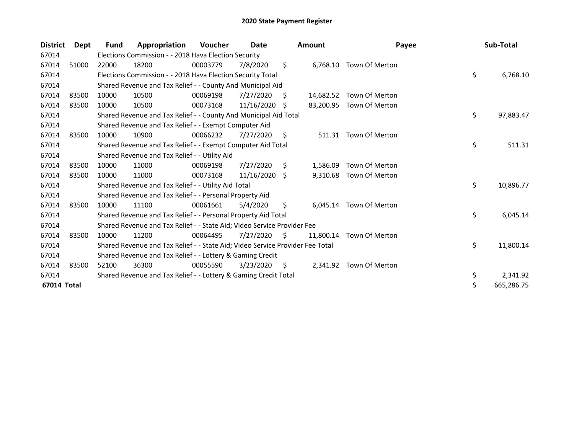| <b>District</b> | <b>Dept</b> | Fund  | Appropriation                                                                 | <b>Voucher</b> | Date       |    | <b>Amount</b> | Payee                    | Sub-Total        |
|-----------------|-------------|-------|-------------------------------------------------------------------------------|----------------|------------|----|---------------|--------------------------|------------------|
| 67014           |             |       | Elections Commission - - 2018 Hava Election Security                          |                |            |    |               |                          |                  |
| 67014           | 51000       | 22000 | 18200                                                                         | 00003779       | 7/8/2020   | \$ |               | 6,768.10 Town Of Merton  |                  |
| 67014           |             |       | Elections Commission - - 2018 Hava Election Security Total                    |                |            |    |               |                          | \$<br>6,768.10   |
| 67014           |             |       | Shared Revenue and Tax Relief - - County And Municipal Aid                    |                |            |    |               |                          |                  |
| 67014           | 83500       | 10000 | 10500                                                                         | 00069198       | 7/27/2020  | S. | 14,682.52     | Town Of Merton           |                  |
| 67014           | 83500       | 10000 | 10500                                                                         | 00073168       | 11/16/2020 | -S |               | 83,200.95 Town Of Merton |                  |
| 67014           |             |       | Shared Revenue and Tax Relief - - County And Municipal Aid Total              |                |            |    |               |                          | \$<br>97,883.47  |
| 67014           |             |       | Shared Revenue and Tax Relief - - Exempt Computer Aid                         |                |            |    |               |                          |                  |
| 67014           | 83500       | 10000 | 10900                                                                         | 00066232       | 7/27/2020  | \$ | 511.31        | Town Of Merton           |                  |
| 67014           |             |       | Shared Revenue and Tax Relief - - Exempt Computer Aid Total                   |                |            |    |               |                          | \$<br>511.31     |
| 67014           |             |       | Shared Revenue and Tax Relief - - Utility Aid                                 |                |            |    |               |                          |                  |
| 67014           | 83500       | 10000 | 11000                                                                         | 00069198       | 7/27/2020  | \$ | 1,586.09      | Town Of Merton           |                  |
| 67014           | 83500       | 10000 | 11000                                                                         | 00073168       | 11/16/2020 | Ŝ. | 9,310.68      | Town Of Merton           |                  |
| 67014           |             |       | Shared Revenue and Tax Relief - - Utility Aid Total                           |                |            |    |               |                          | \$<br>10,896.77  |
| 67014           |             |       | Shared Revenue and Tax Relief - - Personal Property Aid                       |                |            |    |               |                          |                  |
| 67014           | 83500       | 10000 | 11100                                                                         | 00061661       | 5/4/2020   | \$ | 6.045.14      | Town Of Merton           |                  |
| 67014           |             |       | Shared Revenue and Tax Relief - - Personal Property Aid Total                 |                |            |    |               |                          | \$<br>6,045.14   |
| 67014           |             |       | Shared Revenue and Tax Relief - - State Aid; Video Service Provider Fee       |                |            |    |               |                          |                  |
| 67014           | 83500       | 10000 | 11200                                                                         | 00064495       | 7/27/2020  | S. | 11,800.14     | Town Of Merton           |                  |
| 67014           |             |       | Shared Revenue and Tax Relief - - State Aid; Video Service Provider Fee Total |                |            |    |               |                          | \$<br>11,800.14  |
| 67014           |             |       | Shared Revenue and Tax Relief - - Lottery & Gaming Credit                     |                |            |    |               |                          |                  |
| 67014           | 83500       | 52100 | 36300                                                                         | 00055590       | 3/23/2020  | S  | 2,341.92      | Town Of Merton           |                  |
| 67014           |             |       | Shared Revenue and Tax Relief - - Lottery & Gaming Credit Total               |                |            |    |               |                          | \$<br>2,341.92   |
| 67014 Total     |             |       |                                                                               |                |            |    |               |                          | \$<br>665,286.75 |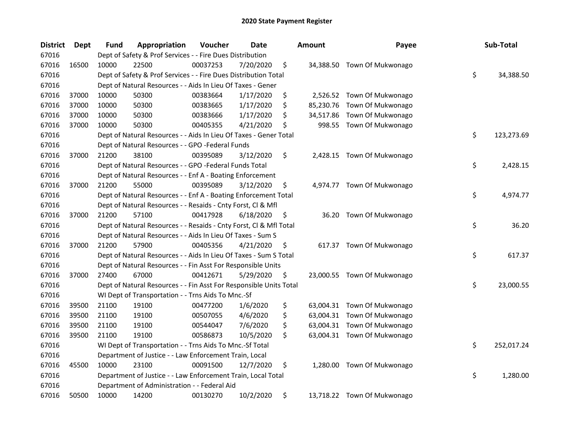| <b>District</b> | Dept  | <b>Fund</b> | Appropriation                                                      | Voucher  | Date      | <b>Amount</b> | Payee                       | Sub-Total        |
|-----------------|-------|-------------|--------------------------------------------------------------------|----------|-----------|---------------|-----------------------------|------------------|
| 67016           |       |             | Dept of Safety & Prof Services - - Fire Dues Distribution          |          |           |               |                             |                  |
| 67016           | 16500 | 10000       | 22500                                                              | 00037253 | 7/20/2020 | \$            | 34,388.50 Town Of Mukwonago |                  |
| 67016           |       |             | Dept of Safety & Prof Services - - Fire Dues Distribution Total    |          |           |               |                             | \$<br>34,388.50  |
| 67016           |       |             | Dept of Natural Resources - - Aids In Lieu Of Taxes - Gener        |          |           |               |                             |                  |
| 67016           | 37000 | 10000       | 50300                                                              | 00383664 | 1/17/2020 | \$            | 2,526.52 Town Of Mukwonago  |                  |
| 67016           | 37000 | 10000       | 50300                                                              | 00383665 | 1/17/2020 | \$            | 85,230.76 Town Of Mukwonago |                  |
| 67016           | 37000 | 10000       | 50300                                                              | 00383666 | 1/17/2020 | \$            | 34,517.86 Town Of Mukwonago |                  |
| 67016           | 37000 | 10000       | 50300                                                              | 00405355 | 4/21/2020 | \$            | 998.55 Town Of Mukwonago    |                  |
| 67016           |       |             | Dept of Natural Resources - - Aids In Lieu Of Taxes - Gener Total  |          |           |               |                             | \$<br>123,273.69 |
| 67016           |       |             | Dept of Natural Resources - - GPO -Federal Funds                   |          |           |               |                             |                  |
| 67016           | 37000 | 21200       | 38100                                                              | 00395089 | 3/12/2020 | \$            | 2,428.15 Town Of Mukwonago  |                  |
| 67016           |       |             | Dept of Natural Resources - - GPO -Federal Funds Total             |          |           |               |                             | \$<br>2,428.15   |
| 67016           |       |             | Dept of Natural Resources - - Enf A - Boating Enforcement          |          |           |               |                             |                  |
| 67016           | 37000 | 21200       | 55000                                                              | 00395089 | 3/12/2020 | \$            | 4,974.77 Town Of Mukwonago  |                  |
| 67016           |       |             | Dept of Natural Resources - - Enf A - Boating Enforcement Total    |          |           |               |                             | \$<br>4,974.77   |
| 67016           |       |             | Dept of Natural Resources - - Resaids - Cnty Forst, Cl & Mfl       |          |           |               |                             |                  |
| 67016           | 37000 | 21200       | 57100                                                              | 00417928 | 6/18/2020 | \$<br>36.20   | Town Of Mukwonago           |                  |
| 67016           |       |             | Dept of Natural Resources - - Resaids - Cnty Forst, Cl & Mfl Total |          |           |               |                             | \$<br>36.20      |
| 67016           |       |             | Dept of Natural Resources - - Aids In Lieu Of Taxes - Sum S        |          |           |               |                             |                  |
| 67016           | 37000 | 21200       | 57900                                                              | 00405356 | 4/21/2020 | \$            | 617.37 Town Of Mukwonago    |                  |
| 67016           |       |             | Dept of Natural Resources - - Aids In Lieu Of Taxes - Sum S Total  |          |           |               |                             | \$<br>617.37     |
| 67016           |       |             | Dept of Natural Resources - - Fin Asst For Responsible Units       |          |           |               |                             |                  |
| 67016           | 37000 | 27400       | 67000                                                              | 00412671 | 5/29/2020 | \$            | 23,000.55 Town Of Mukwonago |                  |
| 67016           |       |             | Dept of Natural Resources - - Fin Asst For Responsible Units Total |          |           |               |                             | \$<br>23,000.55  |
| 67016           |       |             | WI Dept of Transportation - - Trns Aids To Mnc.-Sf                 |          |           |               |                             |                  |
| 67016           | 39500 | 21100       | 19100                                                              | 00477200 | 1/6/2020  | \$            | 63,004.31 Town Of Mukwonago |                  |
| 67016           | 39500 | 21100       | 19100                                                              | 00507055 | 4/6/2020  | \$            | 63,004.31 Town Of Mukwonago |                  |
| 67016           | 39500 | 21100       | 19100                                                              | 00544047 | 7/6/2020  | \$            | 63,004.31 Town Of Mukwonago |                  |
| 67016           | 39500 | 21100       | 19100                                                              | 00586873 | 10/5/2020 | \$            | 63,004.31 Town Of Mukwonago |                  |
| 67016           |       |             | WI Dept of Transportation - - Trns Aids To Mnc.-Sf Total           |          |           |               |                             | \$<br>252,017.24 |
| 67016           |       |             | Department of Justice - - Law Enforcement Train, Local             |          |           |               |                             |                  |
| 67016           | 45500 | 10000       | 23100                                                              | 00091500 | 12/7/2020 | \$            | 1,280.00 Town Of Mukwonago  |                  |
| 67016           |       |             | Department of Justice - - Law Enforcement Train, Local Total       |          |           |               |                             | \$<br>1,280.00   |
| 67016           |       |             | Department of Administration - - Federal Aid                       |          |           |               |                             |                  |
| 67016           | 50500 | 10000       | 14200                                                              | 00130270 | 10/2/2020 | \$            | 13,718.22 Town Of Mukwonago |                  |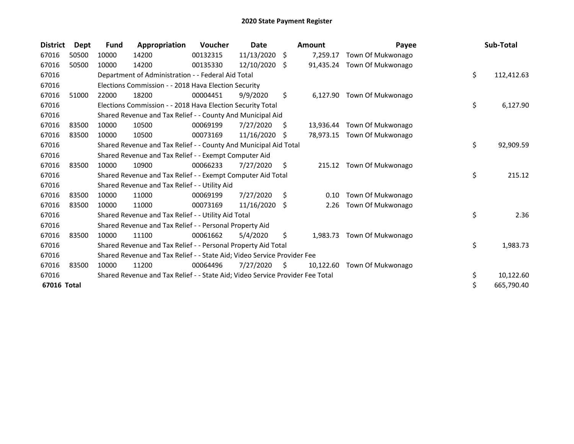| <b>District</b> | Dept  | <b>Fund</b> | Appropriation                                                                 | <b>Voucher</b> | Date       |    | <b>Amount</b> | Payee                       | Sub-Total        |
|-----------------|-------|-------------|-------------------------------------------------------------------------------|----------------|------------|----|---------------|-----------------------------|------------------|
| 67016           | 50500 | 10000       | 14200                                                                         | 00132315       | 11/13/2020 | \$ | 7,259.17      | Town Of Mukwonago           |                  |
| 67016           | 50500 | 10000       | 14200                                                                         | 00135330       | 12/10/2020 | Ŝ. |               | 91,435.24 Town Of Mukwonago |                  |
| 67016           |       |             | Department of Administration - - Federal Aid Total                            |                |            |    |               |                             | \$<br>112,412.63 |
| 67016           |       |             | Elections Commission - - 2018 Hava Election Security                          |                |            |    |               |                             |                  |
| 67016           | 51000 | 22000       | 18200                                                                         | 00004451       | 9/9/2020   | \$ | 6,127.90      | Town Of Mukwonago           |                  |
| 67016           |       |             | Elections Commission - - 2018 Hava Election Security Total                    |                |            |    |               |                             | \$<br>6,127.90   |
| 67016           |       |             | Shared Revenue and Tax Relief - - County And Municipal Aid                    |                |            |    |               |                             |                  |
| 67016           | 83500 | 10000       | 10500                                                                         | 00069199       | 7/27/2020  | S. |               | 13,936.44 Town Of Mukwonago |                  |
| 67016           | 83500 | 10000       | 10500                                                                         | 00073169       | 11/16/2020 | -S |               | 78,973.15 Town Of Mukwonago |                  |
| 67016           |       |             | Shared Revenue and Tax Relief - - County And Municipal Aid Total              |                |            |    |               |                             | \$<br>92,909.59  |
| 67016           |       |             | Shared Revenue and Tax Relief - - Exempt Computer Aid                         |                |            |    |               |                             |                  |
| 67016           | 83500 | 10000       | 10900                                                                         | 00066233       | 7/27/2020  | S. | 215.12        | Town Of Mukwonago           |                  |
| 67016           |       |             | Shared Revenue and Tax Relief - - Exempt Computer Aid Total                   |                |            |    |               |                             | \$<br>215.12     |
| 67016           |       |             | Shared Revenue and Tax Relief - - Utility Aid                                 |                |            |    |               |                             |                  |
| 67016           | 83500 | 10000       | 11000                                                                         | 00069199       | 7/27/2020  | \$ | 0.10          | Town Of Mukwonago           |                  |
| 67016           | 83500 | 10000       | 11000                                                                         | 00073169       | 11/16/2020 | -S | 2.26          | Town Of Mukwonago           |                  |
| 67016           |       |             | Shared Revenue and Tax Relief - - Utility Aid Total                           |                |            |    |               |                             | \$<br>2.36       |
| 67016           |       |             | Shared Revenue and Tax Relief - - Personal Property Aid                       |                |            |    |               |                             |                  |
| 67016           | 83500 | 10000       | 11100                                                                         | 00061662       | 5/4/2020   | \$ | 1,983.73      | Town Of Mukwonago           |                  |
| 67016           |       |             | Shared Revenue and Tax Relief - - Personal Property Aid Total                 |                |            |    |               |                             | \$<br>1,983.73   |
| 67016           |       |             | Shared Revenue and Tax Relief - - State Aid; Video Service Provider Fee       |                |            |    |               |                             |                  |
| 67016           | 83500 | 10000       | 11200                                                                         | 00064496       | 7/27/2020  | S. | 10,122.60     | Town Of Mukwonago           |                  |
| 67016           |       |             | Shared Revenue and Tax Relief - - State Aid; Video Service Provider Fee Total |                |            |    |               |                             | \$<br>10,122.60  |
| 67016 Total     |       |             |                                                                               |                |            |    |               |                             | \$<br>665,790.40 |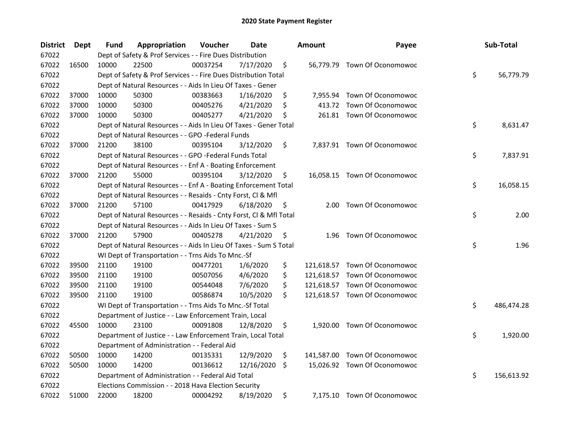| <b>District</b> | Dept  | Fund  | Appropriation                                                      | Voucher  | <b>Date</b> |     | <b>Amount</b> | Payee                         | Sub-Total        |
|-----------------|-------|-------|--------------------------------------------------------------------|----------|-------------|-----|---------------|-------------------------------|------------------|
| 67022           |       |       | Dept of Safety & Prof Services - - Fire Dues Distribution          |          |             |     |               |                               |                  |
| 67022           | 16500 | 10000 | 22500                                                              | 00037254 | 7/17/2020   | \$  |               | 56,779.79 Town Of Oconomowoc  |                  |
| 67022           |       |       | Dept of Safety & Prof Services - - Fire Dues Distribution Total    |          |             |     |               |                               | \$<br>56,779.79  |
| 67022           |       |       | Dept of Natural Resources - - Aids In Lieu Of Taxes - Gener        |          |             |     |               |                               |                  |
| 67022           | 37000 | 10000 | 50300                                                              | 00383663 | 1/16/2020   | \$  |               | 7,955.94 Town Of Oconomowoc   |                  |
| 67022           | 37000 | 10000 | 50300                                                              | 00405276 | 4/21/2020   | \$  | 413.72        | Town Of Oconomowoc            |                  |
| 67022           | 37000 | 10000 | 50300                                                              | 00405277 | 4/21/2020   | \$  |               | 261.81 Town Of Oconomowoc     |                  |
| 67022           |       |       | Dept of Natural Resources - - Aids In Lieu Of Taxes - Gener Total  |          |             |     |               |                               | \$<br>8,631.47   |
| 67022           |       |       | Dept of Natural Resources - - GPO -Federal Funds                   |          |             |     |               |                               |                  |
| 67022           | 37000 | 21200 | 38100                                                              | 00395104 | 3/12/2020   | \$  |               | 7,837.91 Town Of Oconomowoc   |                  |
| 67022           |       |       | Dept of Natural Resources - - GPO -Federal Funds Total             |          |             |     |               |                               | \$<br>7,837.91   |
| 67022           |       |       | Dept of Natural Resources - - Enf A - Boating Enforcement          |          |             |     |               |                               |                  |
| 67022           | 37000 | 21200 | 55000                                                              | 00395104 | 3/12/2020   | \$. |               | 16,058.15 Town Of Oconomowoc  |                  |
| 67022           |       |       | Dept of Natural Resources - - Enf A - Boating Enforcement Total    |          |             |     |               |                               | \$<br>16,058.15  |
| 67022           |       |       | Dept of Natural Resources - - Resaids - Cnty Forst, Cl & Mfl       |          |             |     |               |                               |                  |
| 67022           | 37000 | 21200 | 57100                                                              | 00417929 | 6/18/2020   | \$  | 2.00          | Town Of Oconomowoc            |                  |
| 67022           |       |       | Dept of Natural Resources - - Resaids - Cnty Forst, Cl & Mfl Total |          |             |     |               |                               | \$<br>2.00       |
| 67022           |       |       | Dept of Natural Resources - - Aids In Lieu Of Taxes - Sum S        |          |             |     |               |                               |                  |
| 67022           | 37000 | 21200 | 57900                                                              | 00405278 | 4/21/2020   | \$  | 1.96          | <b>Town Of Oconomowoc</b>     |                  |
| 67022           |       |       | Dept of Natural Resources - - Aids In Lieu Of Taxes - Sum S Total  |          |             |     |               |                               | \$<br>1.96       |
| 67022           |       |       | WI Dept of Transportation - - Trns Aids To Mnc.-Sf                 |          |             |     |               |                               |                  |
| 67022           | 39500 | 21100 | 19100                                                              | 00477201 | 1/6/2020    | \$  |               | 121,618.57 Town Of Oconomowoc |                  |
| 67022           | 39500 | 21100 | 19100                                                              | 00507056 | 4/6/2020    | \$  |               | 121,618.57 Town Of Oconomowoc |                  |
| 67022           | 39500 | 21100 | 19100                                                              | 00544048 | 7/6/2020    | \$  | 121,618.57    | Town Of Oconomowoc            |                  |
| 67022           | 39500 | 21100 | 19100                                                              | 00586874 | 10/5/2020   | \$  |               | 121,618.57 Town Of Oconomowoc |                  |
| 67022           |       |       | WI Dept of Transportation - - Trns Aids To Mnc.-Sf Total           |          |             |     |               |                               | \$<br>486,474.28 |
| 67022           |       |       | Department of Justice - - Law Enforcement Train, Local             |          |             |     |               |                               |                  |
| 67022           | 45500 | 10000 | 23100                                                              | 00091808 | 12/8/2020   | \$  |               | 1,920.00 Town Of Oconomowoc   |                  |
| 67022           |       |       | Department of Justice - - Law Enforcement Train, Local Total       |          |             |     |               |                               | \$<br>1,920.00   |
| 67022           |       |       | Department of Administration - - Federal Aid                       |          |             |     |               |                               |                  |
| 67022           | 50500 | 10000 | 14200                                                              | 00135331 | 12/9/2020   | \$  |               | 141,587.00 Town Of Oconomowoc |                  |
| 67022           | 50500 | 10000 | 14200                                                              | 00136612 | 12/16/2020  | \$  |               | 15,026.92 Town Of Oconomowoc  |                  |
| 67022           |       |       | Department of Administration - - Federal Aid Total                 |          |             |     |               |                               | \$<br>156,613.92 |
| 67022           |       |       | Elections Commission - - 2018 Hava Election Security               |          |             |     |               |                               |                  |
| 67022           | 51000 | 22000 | 18200                                                              | 00004292 | 8/19/2020   | \$  |               | 7,175.10 Town Of Oconomowoc   |                  |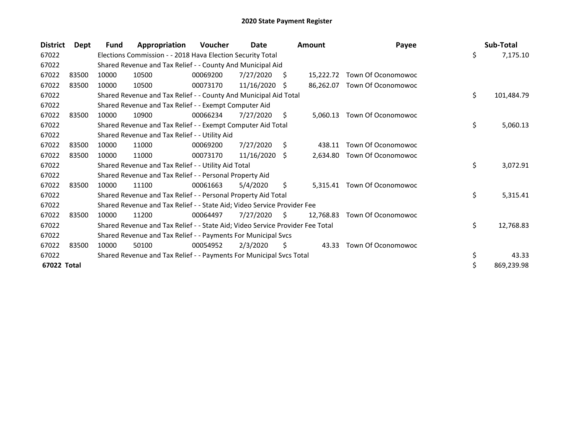| <b>District</b> | <b>Dept</b> | <b>Fund</b> | Appropriation                                                                 | Voucher  | Date       |    | <b>Amount</b> | Payee                       | Sub-Total        |
|-----------------|-------------|-------------|-------------------------------------------------------------------------------|----------|------------|----|---------------|-----------------------------|------------------|
| 67022           |             |             | Elections Commission - - 2018 Hava Election Security Total                    |          |            |    |               |                             | \$<br>7,175.10   |
| 67022           |             |             | Shared Revenue and Tax Relief - - County And Municipal Aid                    |          |            |    |               |                             |                  |
| 67022           | 83500       | 10000       | 10500                                                                         | 00069200 | 7/27/2020  | S  | 15.222.72     | Town Of Oconomowoc          |                  |
| 67022           | 83500       | 10000       | 10500                                                                         | 00073170 | 11/16/2020 | -S | 86,262.07     | Town Of Oconomowoc          |                  |
| 67022           |             |             | Shared Revenue and Tax Relief - - County And Municipal Aid Total              |          |            |    |               |                             | \$<br>101,484.79 |
| 67022           |             |             | Shared Revenue and Tax Relief - - Exempt Computer Aid                         |          |            |    |               |                             |                  |
| 67022           | 83500       | 10000       | 10900                                                                         | 00066234 | 7/27/2020  | S  | 5,060.13      | Town Of Oconomowoc          |                  |
| 67022           |             |             | Shared Revenue and Tax Relief - - Exempt Computer Aid Total                   |          |            |    |               |                             | \$<br>5,060.13   |
| 67022           |             |             | Shared Revenue and Tax Relief - - Utility Aid                                 |          |            |    |               |                             |                  |
| 67022           | 83500       | 10000       | 11000                                                                         | 00069200 | 7/27/2020  | \$ | 438.11        | Town Of Oconomowoc          |                  |
| 67022           | 83500       | 10000       | 11000                                                                         | 00073170 | 11/16/2020 | -S | 2,634.80      | Town Of Oconomowoc          |                  |
| 67022           |             |             | Shared Revenue and Tax Relief - - Utility Aid Total                           |          |            |    |               |                             | \$<br>3,072.91   |
| 67022           |             |             | Shared Revenue and Tax Relief - - Personal Property Aid                       |          |            |    |               |                             |                  |
| 67022           | 83500       | 10000       | 11100                                                                         | 00061663 | 5/4/2020   | \$ |               | 5,315.41 Town Of Oconomowoc |                  |
| 67022           |             |             | Shared Revenue and Tax Relief - - Personal Property Aid Total                 |          |            |    |               |                             | \$<br>5,315.41   |
| 67022           |             |             | Shared Revenue and Tax Relief - - State Aid; Video Service Provider Fee       |          |            |    |               |                             |                  |
| 67022           | 83500       | 10000       | 11200                                                                         | 00064497 | 7/27/2020  | S. | 12,768.83     | Town Of Oconomowoc          |                  |
| 67022           |             |             | Shared Revenue and Tax Relief - - State Aid; Video Service Provider Fee Total |          |            |    |               |                             | \$<br>12,768.83  |
| 67022           |             |             | Shared Revenue and Tax Relief - - Payments For Municipal Svcs                 |          |            |    |               |                             |                  |
| 67022           | 83500       | 10000       | 50100                                                                         | 00054952 | 2/3/2020   | \$ | 43.33         | Town Of Oconomowoc          |                  |
| 67022           |             |             | Shared Revenue and Tax Relief - - Payments For Municipal Svcs Total           |          |            |    |               |                             | \$<br>43.33      |
| 67022 Total     |             |             |                                                                               |          |            |    |               |                             | \$<br>869,239.98 |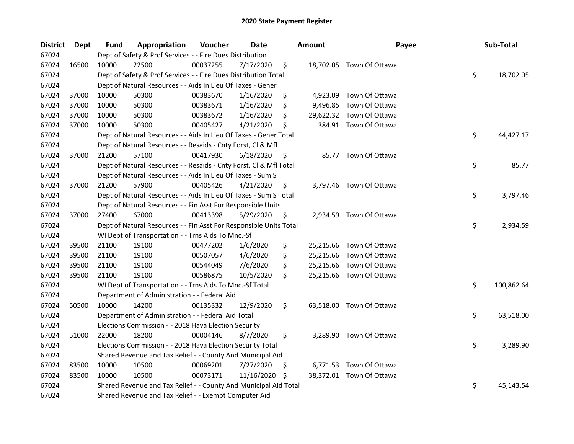| <b>District</b> | Dept  | <b>Fund</b> | Appropriation                                                      | Voucher  | <b>Date</b> |     | <b>Amount</b> | Payee                    | Sub-Total        |
|-----------------|-------|-------------|--------------------------------------------------------------------|----------|-------------|-----|---------------|--------------------------|------------------|
| 67024           |       |             | Dept of Safety & Prof Services - - Fire Dues Distribution          |          |             |     |               |                          |                  |
| 67024           | 16500 | 10000       | 22500                                                              | 00037255 | 7/17/2020   | \$  |               | 18,702.05 Town Of Ottawa |                  |
| 67024           |       |             | Dept of Safety & Prof Services - - Fire Dues Distribution Total    |          |             |     |               |                          | \$<br>18,702.05  |
| 67024           |       |             | Dept of Natural Resources - - Aids In Lieu Of Taxes - Gener        |          |             |     |               |                          |                  |
| 67024           | 37000 | 10000       | 50300                                                              | 00383670 | 1/16/2020   | \$  | 4,923.09      | Town Of Ottawa           |                  |
| 67024           | 37000 | 10000       | 50300                                                              | 00383671 | 1/16/2020   | \$  | 9,496.85      | Town Of Ottawa           |                  |
| 67024           | 37000 | 10000       | 50300                                                              | 00383672 | 1/16/2020   | \$  |               | 29,622.32 Town Of Ottawa |                  |
| 67024           | 37000 | 10000       | 50300                                                              | 00405427 | 4/21/2020   | \$  |               | 384.91 Town Of Ottawa    |                  |
| 67024           |       |             | Dept of Natural Resources - - Aids In Lieu Of Taxes - Gener Total  |          |             |     |               |                          | \$<br>44,427.17  |
| 67024           |       |             | Dept of Natural Resources - - Resaids - Cnty Forst, Cl & Mfl       |          |             |     |               |                          |                  |
| 67024           | 37000 | 21200       | 57100                                                              | 00417930 | 6/18/2020   | \$  |               | 85.77 Town Of Ottawa     |                  |
| 67024           |       |             | Dept of Natural Resources - - Resaids - Cnty Forst, Cl & Mfl Total |          |             |     |               |                          | \$<br>85.77      |
| 67024           |       |             | Dept of Natural Resources - - Aids In Lieu Of Taxes - Sum S        |          |             |     |               |                          |                  |
| 67024           | 37000 | 21200       | 57900                                                              | 00405426 | 4/21/2020   | \$, |               | 3,797.46 Town Of Ottawa  |                  |
| 67024           |       |             | Dept of Natural Resources - - Aids In Lieu Of Taxes - Sum S Total  |          |             |     |               |                          | \$<br>3,797.46   |
| 67024           |       |             | Dept of Natural Resources - - Fin Asst For Responsible Units       |          |             |     |               |                          |                  |
| 67024           | 37000 | 27400       | 67000                                                              | 00413398 | 5/29/2020   | \$, |               | 2,934.59 Town Of Ottawa  |                  |
| 67024           |       |             | Dept of Natural Resources - - Fin Asst For Responsible Units Total |          |             |     |               |                          | \$<br>2,934.59   |
| 67024           |       |             | WI Dept of Transportation - - Trns Aids To Mnc.-Sf                 |          |             |     |               |                          |                  |
| 67024           | 39500 | 21100       | 19100                                                              | 00477202 | 1/6/2020    | \$  |               | 25,215.66 Town Of Ottawa |                  |
| 67024           | 39500 | 21100       | 19100                                                              | 00507057 | 4/6/2020    | \$  |               | 25,215.66 Town Of Ottawa |                  |
| 67024           | 39500 | 21100       | 19100                                                              | 00544049 | 7/6/2020    | \$  |               | 25,215.66 Town Of Ottawa |                  |
| 67024           | 39500 | 21100       | 19100                                                              | 00586875 | 10/5/2020   | \$  |               | 25,215.66 Town Of Ottawa |                  |
| 67024           |       |             | WI Dept of Transportation - - Trns Aids To Mnc.-Sf Total           |          |             |     |               |                          | \$<br>100,862.64 |
| 67024           |       |             | Department of Administration - - Federal Aid                       |          |             |     |               |                          |                  |
| 67024           | 50500 | 10000       | 14200                                                              | 00135332 | 12/9/2020   | \$  |               | 63,518.00 Town Of Ottawa |                  |
| 67024           |       |             | Department of Administration - - Federal Aid Total                 |          |             |     |               |                          | \$<br>63,518.00  |
| 67024           |       |             | Elections Commission - - 2018 Hava Election Security               |          |             |     |               |                          |                  |
| 67024           | 51000 | 22000       | 18200                                                              | 00004146 | 8/7/2020    | \$  |               | 3,289.90 Town Of Ottawa  |                  |
| 67024           |       |             | Elections Commission - - 2018 Hava Election Security Total         |          |             |     |               |                          | \$<br>3,289.90   |
| 67024           |       |             | Shared Revenue and Tax Relief - - County And Municipal Aid         |          |             |     |               |                          |                  |
| 67024           | 83500 | 10000       | 10500                                                              | 00069201 | 7/27/2020   | \$. |               | 6,771.53 Town Of Ottawa  |                  |
| 67024           | 83500 | 10000       | 10500                                                              | 00073171 | 11/16/2020  | \$  |               | 38,372.01 Town Of Ottawa |                  |
| 67024           |       |             | Shared Revenue and Tax Relief - - County And Municipal Aid Total   |          |             |     |               |                          | \$<br>45,143.54  |
| 67024           |       |             | Shared Revenue and Tax Relief - - Exempt Computer Aid              |          |             |     |               |                          |                  |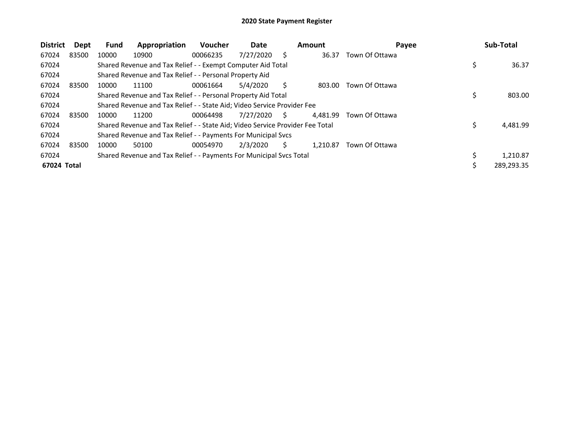| <b>District</b> | Dept  | <b>Fund</b> | Appropriation                                                                 | <b>Voucher</b> | Date      |    | <b>Amount</b> | Payee          | Sub-Total  |
|-----------------|-------|-------------|-------------------------------------------------------------------------------|----------------|-----------|----|---------------|----------------|------------|
| 67024           | 83500 | 10000       | 10900                                                                         | 00066235       | 7/27/2020 | S  | 36.37         | Town Of Ottawa |            |
| 67024           |       |             | Shared Revenue and Tax Relief - - Exempt Computer Aid Total                   |                |           |    |               |                | 36.37      |
| 67024           |       |             | Shared Revenue and Tax Relief - - Personal Property Aid                       |                |           |    |               |                |            |
| 67024           | 83500 | 10000       | 11100                                                                         | 00061664       | 5/4/2020  |    | 803.00        | Town Of Ottawa |            |
| 67024           |       |             | Shared Revenue and Tax Relief - - Personal Property Aid Total                 |                |           |    |               |                | 803.00     |
| 67024           |       |             | Shared Revenue and Tax Relief - - State Aid; Video Service Provider Fee       |                |           |    |               |                |            |
| 67024           | 83500 | 10000       | 11200                                                                         | 00064498       | 7/27/2020 | S. | 4.481.99      | Town Of Ottawa |            |
| 67024           |       |             | Shared Revenue and Tax Relief - - State Aid; Video Service Provider Fee Total |                |           |    |               |                | 4,481.99   |
| 67024           |       |             | Shared Revenue and Tax Relief - - Payments For Municipal Svcs                 |                |           |    |               |                |            |
| 67024           | 83500 | 10000       | 50100                                                                         | 00054970       | 2/3/2020  | S  | 1.210.87      | Town Of Ottawa |            |
| 67024           |       |             | Shared Revenue and Tax Relief - - Payments For Municipal Svcs Total           |                |           |    |               |                | 1.210.87   |
| 67024 Total     |       |             |                                                                               |                |           |    |               |                | 289,293.35 |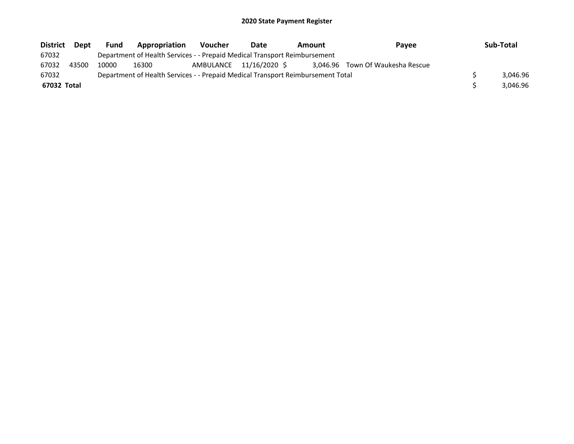| District    | Dept  | <b>Fund</b> | Appropriation                                                                   | <b>Voucher</b>          | Date | Amount | <b>Pavee</b>                     |  | Sub-Total |
|-------------|-------|-------------|---------------------------------------------------------------------------------|-------------------------|------|--------|----------------------------------|--|-----------|
| 67032       |       |             | Department of Health Services - - Prepaid Medical Transport Reimbursement       |                         |      |        |                                  |  |           |
| 67032       | 43500 | 10000       | 16300                                                                           | AMBULANCE 11/16/2020 \$ |      |        | 3.046.96 Town Of Waukesha Rescue |  |           |
| 67032       |       |             | Department of Health Services - - Prepaid Medical Transport Reimbursement Total |                         |      |        |                                  |  | 3.046.96  |
| 67032 Total |       |             |                                                                                 |                         |      |        |                                  |  | 3.046.96  |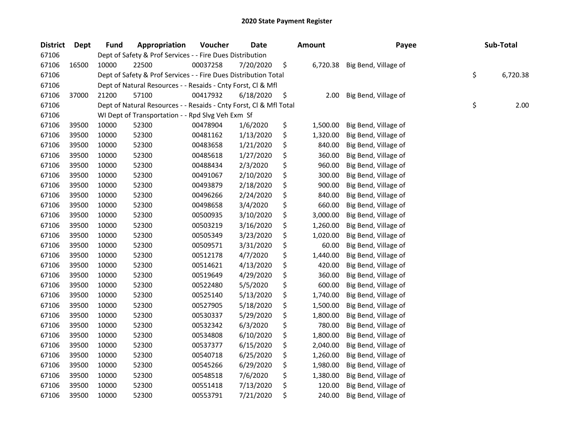| <b>District</b> | Dept  | <b>Fund</b> | Appropriation                                                      | Voucher  | <b>Date</b> | <b>Amount</b>  | Payee                | Sub-Total      |
|-----------------|-------|-------------|--------------------------------------------------------------------|----------|-------------|----------------|----------------------|----------------|
| 67106           |       |             | Dept of Safety & Prof Services - - Fire Dues Distribution          |          |             |                |                      |                |
| 67106           | 16500 | 10000       | 22500                                                              | 00037258 | 7/20/2020   | \$<br>6,720.38 | Big Bend, Village of |                |
| 67106           |       |             | Dept of Safety & Prof Services - - Fire Dues Distribution Total    |          |             |                |                      | \$<br>6,720.38 |
| 67106           |       |             | Dept of Natural Resources - - Resaids - Cnty Forst, Cl & Mfl       |          |             |                |                      |                |
| 67106           | 37000 | 21200       | 57100                                                              | 00417932 | 6/18/2020   | \$<br>2.00     | Big Bend, Village of |                |
| 67106           |       |             | Dept of Natural Resources - - Resaids - Cnty Forst, Cl & Mfl Total |          |             |                |                      | \$<br>2.00     |
| 67106           |       |             | WI Dept of Transportation - - Rpd Slvg Veh Exm Sf                  |          |             |                |                      |                |
| 67106           | 39500 | 10000       | 52300                                                              | 00478904 | 1/6/2020    | \$<br>1,500.00 | Big Bend, Village of |                |
| 67106           | 39500 | 10000       | 52300                                                              | 00481162 | 1/13/2020   | \$<br>1,320.00 | Big Bend, Village of |                |
| 67106           | 39500 | 10000       | 52300                                                              | 00483658 | 1/21/2020   | \$<br>840.00   | Big Bend, Village of |                |
| 67106           | 39500 | 10000       | 52300                                                              | 00485618 | 1/27/2020   | \$<br>360.00   | Big Bend, Village of |                |
| 67106           | 39500 | 10000       | 52300                                                              | 00488434 | 2/3/2020    | \$<br>960.00   | Big Bend, Village of |                |
| 67106           | 39500 | 10000       | 52300                                                              | 00491067 | 2/10/2020   | \$<br>300.00   | Big Bend, Village of |                |
| 67106           | 39500 | 10000       | 52300                                                              | 00493879 | 2/18/2020   | \$<br>900.00   | Big Bend, Village of |                |
| 67106           | 39500 | 10000       | 52300                                                              | 00496266 | 2/24/2020   | \$<br>840.00   | Big Bend, Village of |                |
| 67106           | 39500 | 10000       | 52300                                                              | 00498658 | 3/4/2020    | \$<br>660.00   | Big Bend, Village of |                |
| 67106           | 39500 | 10000       | 52300                                                              | 00500935 | 3/10/2020   | \$<br>3,000.00 | Big Bend, Village of |                |
| 67106           | 39500 | 10000       | 52300                                                              | 00503219 | 3/16/2020   | \$<br>1,260.00 | Big Bend, Village of |                |
| 67106           | 39500 | 10000       | 52300                                                              | 00505349 | 3/23/2020   | \$<br>1,020.00 | Big Bend, Village of |                |
| 67106           | 39500 | 10000       | 52300                                                              | 00509571 | 3/31/2020   | \$<br>60.00    | Big Bend, Village of |                |
| 67106           | 39500 | 10000       | 52300                                                              | 00512178 | 4/7/2020    | \$<br>1,440.00 | Big Bend, Village of |                |
| 67106           | 39500 | 10000       | 52300                                                              | 00514621 | 4/13/2020   | \$<br>420.00   | Big Bend, Village of |                |
| 67106           | 39500 | 10000       | 52300                                                              | 00519649 | 4/29/2020   | \$<br>360.00   | Big Bend, Village of |                |
| 67106           | 39500 | 10000       | 52300                                                              | 00522480 | 5/5/2020    | \$<br>600.00   | Big Bend, Village of |                |
| 67106           | 39500 | 10000       | 52300                                                              | 00525140 | 5/13/2020   | \$<br>1,740.00 | Big Bend, Village of |                |
| 67106           | 39500 | 10000       | 52300                                                              | 00527905 | 5/18/2020   | \$<br>1,500.00 | Big Bend, Village of |                |
| 67106           | 39500 | 10000       | 52300                                                              | 00530337 | 5/29/2020   | \$<br>1,800.00 | Big Bend, Village of |                |
| 67106           | 39500 | 10000       | 52300                                                              | 00532342 | 6/3/2020    | \$<br>780.00   | Big Bend, Village of |                |
| 67106           | 39500 | 10000       | 52300                                                              | 00534808 | 6/10/2020   | \$<br>1,800.00 | Big Bend, Village of |                |
| 67106           | 39500 | 10000       | 52300                                                              | 00537377 | 6/15/2020   | \$<br>2,040.00 | Big Bend, Village of |                |
| 67106           | 39500 | 10000       | 52300                                                              | 00540718 | 6/25/2020   | \$<br>1,260.00 | Big Bend, Village of |                |
| 67106           | 39500 | 10000       | 52300                                                              | 00545266 | 6/29/2020   | \$<br>1,980.00 | Big Bend, Village of |                |
| 67106           | 39500 | 10000       | 52300                                                              | 00548518 | 7/6/2020    | \$<br>1,380.00 | Big Bend, Village of |                |
| 67106           | 39500 | 10000       | 52300                                                              | 00551418 | 7/13/2020   | \$<br>120.00   | Big Bend, Village of |                |
| 67106           | 39500 | 10000       | 52300                                                              | 00553791 | 7/21/2020   | \$<br>240.00   | Big Bend, Village of |                |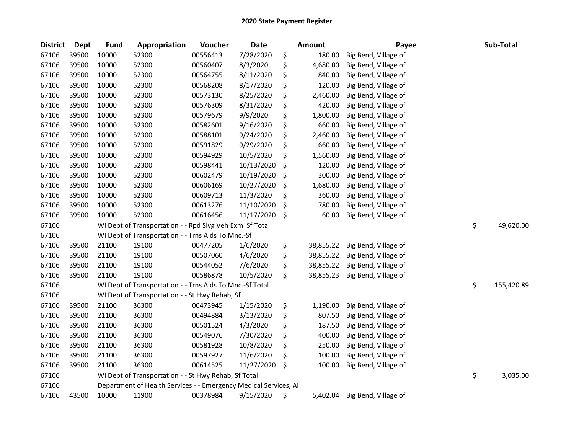| <b>District</b> | <b>Dept</b> | <b>Fund</b> | Appropriation                                                    | Voucher  | <b>Date</b> | Amount          | Payee                | Sub-Total        |
|-----------------|-------------|-------------|------------------------------------------------------------------|----------|-------------|-----------------|----------------------|------------------|
| 67106           | 39500       | 10000       | 52300                                                            | 00556413 | 7/28/2020   | \$<br>180.00    | Big Bend, Village of |                  |
| 67106           | 39500       | 10000       | 52300                                                            | 00560407 | 8/3/2020    | \$<br>4,680.00  | Big Bend, Village of |                  |
| 67106           | 39500       | 10000       | 52300                                                            | 00564755 | 8/11/2020   | \$<br>840.00    | Big Bend, Village of |                  |
| 67106           | 39500       | 10000       | 52300                                                            | 00568208 | 8/17/2020   | \$<br>120.00    | Big Bend, Village of |                  |
| 67106           | 39500       | 10000       | 52300                                                            | 00573130 | 8/25/2020   | \$<br>2,460.00  | Big Bend, Village of |                  |
| 67106           | 39500       | 10000       | 52300                                                            | 00576309 | 8/31/2020   | \$<br>420.00    | Big Bend, Village of |                  |
| 67106           | 39500       | 10000       | 52300                                                            | 00579679 | 9/9/2020    | \$<br>1,800.00  | Big Bend, Village of |                  |
| 67106           | 39500       | 10000       | 52300                                                            | 00582601 | 9/16/2020   | \$<br>660.00    | Big Bend, Village of |                  |
| 67106           | 39500       | 10000       | 52300                                                            | 00588101 | 9/24/2020   | \$<br>2,460.00  | Big Bend, Village of |                  |
| 67106           | 39500       | 10000       | 52300                                                            | 00591829 | 9/29/2020   | \$<br>660.00    | Big Bend, Village of |                  |
| 67106           | 39500       | 10000       | 52300                                                            | 00594929 | 10/5/2020   | \$<br>1,560.00  | Big Bend, Village of |                  |
| 67106           | 39500       | 10000       | 52300                                                            | 00598441 | 10/13/2020  | \$<br>120.00    | Big Bend, Village of |                  |
| 67106           | 39500       | 10000       | 52300                                                            | 00602479 | 10/19/2020  | \$<br>300.00    | Big Bend, Village of |                  |
| 67106           | 39500       | 10000       | 52300                                                            | 00606169 | 10/27/2020  | \$<br>1,680.00  | Big Bend, Village of |                  |
| 67106           | 39500       | 10000       | 52300                                                            | 00609713 | 11/3/2020   | \$<br>360.00    | Big Bend, Village of |                  |
| 67106           | 39500       | 10000       | 52300                                                            | 00613276 | 11/10/2020  | \$<br>780.00    | Big Bend, Village of |                  |
| 67106           | 39500       | 10000       | 52300                                                            | 00616456 | 11/17/2020  | \$<br>60.00     | Big Bend, Village of |                  |
| 67106           |             |             | WI Dept of Transportation - - Rpd Slvg Veh Exm Sf Total          |          |             |                 |                      | \$<br>49,620.00  |
| 67106           |             |             | WI Dept of Transportation - - Trns Aids To Mnc.-Sf               |          |             |                 |                      |                  |
| 67106           | 39500       | 21100       | 19100                                                            | 00477205 | 1/6/2020    | \$<br>38,855.22 | Big Bend, Village of |                  |
| 67106           | 39500       | 21100       | 19100                                                            | 00507060 | 4/6/2020    | \$<br>38,855.22 | Big Bend, Village of |                  |
| 67106           | 39500       | 21100       | 19100                                                            | 00544052 | 7/6/2020    | \$<br>38,855.22 | Big Bend, Village of |                  |
| 67106           | 39500       | 21100       | 19100                                                            | 00586878 | 10/5/2020   | \$<br>38,855.23 | Big Bend, Village of |                  |
| 67106           |             |             | WI Dept of Transportation - - Trns Aids To Mnc.-Sf Total         |          |             |                 |                      | \$<br>155,420.89 |
| 67106           |             |             | WI Dept of Transportation - - St Hwy Rehab, Sf                   |          |             |                 |                      |                  |
| 67106           | 39500       | 21100       | 36300                                                            | 00473945 | 1/15/2020   | \$<br>1,190.00  | Big Bend, Village of |                  |
| 67106           | 39500       | 21100       | 36300                                                            | 00494884 | 3/13/2020   | \$<br>807.50    | Big Bend, Village of |                  |
| 67106           | 39500       | 21100       | 36300                                                            | 00501524 | 4/3/2020    | \$<br>187.50    | Big Bend, Village of |                  |
| 67106           | 39500       | 21100       | 36300                                                            | 00549076 | 7/30/2020   | \$<br>400.00    | Big Bend, Village of |                  |
| 67106           | 39500       | 21100       | 36300                                                            | 00581928 | 10/8/2020   | \$<br>250.00    | Big Bend, Village of |                  |
| 67106           | 39500       | 21100       | 36300                                                            | 00597927 | 11/6/2020   | \$<br>100.00    | Big Bend, Village of |                  |
| 67106           | 39500       | 21100       | 36300                                                            | 00614525 | 11/27/2020  | \$<br>100.00    | Big Bend, Village of |                  |
| 67106           |             |             | WI Dept of Transportation - - St Hwy Rehab, Sf Total             |          |             |                 |                      | \$<br>3,035.00   |
| 67106           |             |             | Department of Health Services - - Emergency Medical Services, Ai |          |             |                 |                      |                  |
| 67106           | 43500       | 10000       | 11900                                                            | 00378984 | 9/15/2020   | \$<br>5,402.04  | Big Bend, Village of |                  |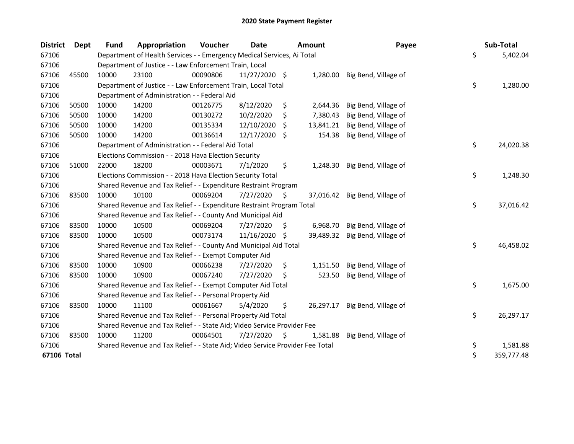| <b>District</b> | Dept  | <b>Fund</b> | Appropriation                                                                 | Voucher  | Date            |     | <b>Amount</b> | Payee                | Sub-Total        |
|-----------------|-------|-------------|-------------------------------------------------------------------------------|----------|-----------------|-----|---------------|----------------------|------------------|
| 67106           |       |             | Department of Health Services - - Emergency Medical Services, Ai Total        |          |                 |     |               |                      | \$<br>5,402.04   |
| 67106           |       |             | Department of Justice - - Law Enforcement Train, Local                        |          |                 |     |               |                      |                  |
| 67106           | 45500 | 10000       | 23100                                                                         | 00090806 | $11/27/2020$ \$ |     | 1,280.00      | Big Bend, Village of |                  |
| 67106           |       |             | Department of Justice - - Law Enforcement Train, Local Total                  |          |                 |     |               |                      | \$<br>1,280.00   |
| 67106           |       |             | Department of Administration - - Federal Aid                                  |          |                 |     |               |                      |                  |
| 67106           | 50500 | 10000       | 14200                                                                         | 00126775 | 8/12/2020       | \$  | 2,644.36      | Big Bend, Village of |                  |
| 67106           | 50500 | 10000       | 14200                                                                         | 00130272 | 10/2/2020       | \$  | 7,380.43      | Big Bend, Village of |                  |
| 67106           | 50500 | 10000       | 14200                                                                         | 00135334 | 12/10/2020      | \$  | 13,841.21     | Big Bend, Village of |                  |
| 67106           | 50500 | 10000       | 14200                                                                         | 00136614 | 12/17/2020      | -S  | 154.38        | Big Bend, Village of |                  |
| 67106           |       |             | Department of Administration - - Federal Aid Total                            |          |                 |     |               |                      | \$<br>24,020.38  |
| 67106           |       |             | Elections Commission - - 2018 Hava Election Security                          |          |                 |     |               |                      |                  |
| 67106           | 51000 | 22000       | 18200                                                                         | 00003671 | 7/1/2020        | \$  | 1,248.30      | Big Bend, Village of |                  |
| 67106           |       |             | Elections Commission - - 2018 Hava Election Security Total                    |          |                 |     |               |                      | \$<br>1,248.30   |
| 67106           |       |             | Shared Revenue and Tax Relief - - Expenditure Restraint Program               |          |                 |     |               |                      |                  |
| 67106           | 83500 | 10000       | 10100                                                                         | 00069204 | 7/27/2020       | \$  | 37,016.42     | Big Bend, Village of |                  |
| 67106           |       |             | Shared Revenue and Tax Relief - - Expenditure Restraint Program Total         |          |                 |     |               |                      | \$<br>37,016.42  |
| 67106           |       |             | Shared Revenue and Tax Relief - - County And Municipal Aid                    |          |                 |     |               |                      |                  |
| 67106           | 83500 | 10000       | 10500                                                                         | 00069204 | 7/27/2020       | \$. | 6,968.70      | Big Bend, Village of |                  |
| 67106           | 83500 | 10000       | 10500                                                                         | 00073174 | 11/16/2020      | -S  | 39,489.32     | Big Bend, Village of |                  |
| 67106           |       |             | Shared Revenue and Tax Relief - - County And Municipal Aid Total              |          |                 |     |               |                      | \$<br>46,458.02  |
| 67106           |       |             | Shared Revenue and Tax Relief - - Exempt Computer Aid                         |          |                 |     |               |                      |                  |
| 67106           | 83500 | 10000       | 10900                                                                         | 00066238 | 7/27/2020       | \$  | 1,151.50      | Big Bend, Village of |                  |
| 67106           | 83500 | 10000       | 10900                                                                         | 00067240 | 7/27/2020       | \$  | 523.50        | Big Bend, Village of |                  |
| 67106           |       |             | Shared Revenue and Tax Relief - - Exempt Computer Aid Total                   |          |                 |     |               |                      | \$<br>1,675.00   |
| 67106           |       |             | Shared Revenue and Tax Relief - - Personal Property Aid                       |          |                 |     |               |                      |                  |
| 67106           | 83500 | 10000       | 11100                                                                         | 00061667 | 5/4/2020        | \$  | 26,297.17     | Big Bend, Village of |                  |
| 67106           |       |             | Shared Revenue and Tax Relief - - Personal Property Aid Total                 |          |                 |     |               |                      | \$<br>26,297.17  |
| 67106           |       |             | Shared Revenue and Tax Relief - - State Aid; Video Service Provider Fee       |          |                 |     |               |                      |                  |
| 67106           | 83500 | 10000       | 11200                                                                         | 00064501 | 7/27/2020       | S   | 1,581.88      | Big Bend, Village of |                  |
| 67106           |       |             | Shared Revenue and Tax Relief - - State Aid; Video Service Provider Fee Total |          |                 |     |               |                      | \$<br>1,581.88   |
| 67106 Total     |       |             |                                                                               |          |                 |     |               |                      | \$<br>359,777.48 |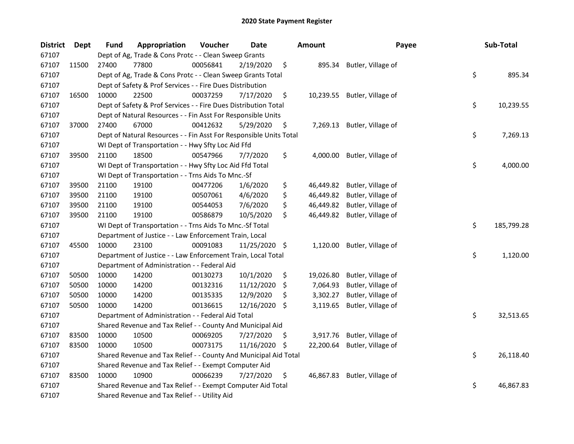| <b>District</b> | Dept  | Fund  | Appropriation                                                      | Voucher  | Date       |     | <b>Amount</b> | Payee                        | Sub-Total        |
|-----------------|-------|-------|--------------------------------------------------------------------|----------|------------|-----|---------------|------------------------------|------------------|
| 67107           |       |       | Dept of Ag, Trade & Cons Protc - - Clean Sweep Grants              |          |            |     |               |                              |                  |
| 67107           | 11500 | 27400 | 77800                                                              | 00056841 | 2/19/2020  | \$  | 895.34        | Butler, Village of           |                  |
| 67107           |       |       | Dept of Ag, Trade & Cons Protc - - Clean Sweep Grants Total        |          |            |     |               |                              | \$<br>895.34     |
| 67107           |       |       | Dept of Safety & Prof Services - - Fire Dues Distribution          |          |            |     |               |                              |                  |
| 67107           | 16500 | 10000 | 22500                                                              | 00037259 | 7/17/2020  | \$  |               | 10,239.55 Butler, Village of |                  |
| 67107           |       |       | Dept of Safety & Prof Services - - Fire Dues Distribution Total    |          |            |     |               |                              | \$<br>10,239.55  |
| 67107           |       |       | Dept of Natural Resources - - Fin Asst For Responsible Units       |          |            |     |               |                              |                  |
| 67107           | 37000 | 27400 | 67000                                                              | 00412632 | 5/29/2020  | \$  |               | 7,269.13 Butler, Village of  |                  |
| 67107           |       |       | Dept of Natural Resources - - Fin Asst For Responsible Units Total |          |            |     |               |                              | \$<br>7,269.13   |
| 67107           |       |       | WI Dept of Transportation - - Hwy Sfty Loc Aid Ffd                 |          |            |     |               |                              |                  |
| 67107           | 39500 | 21100 | 18500                                                              | 00547966 | 7/7/2020   | \$  |               | 4,000.00 Butler, Village of  |                  |
| 67107           |       |       | WI Dept of Transportation - - Hwy Sfty Loc Aid Ffd Total           |          |            |     |               |                              | \$<br>4,000.00   |
| 67107           |       |       | WI Dept of Transportation - - Trns Aids To Mnc.-Sf                 |          |            |     |               |                              |                  |
| 67107           | 39500 | 21100 | 19100                                                              | 00477206 | 1/6/2020   | \$  | 46,449.82     | Butler, Village of           |                  |
| 67107           | 39500 | 21100 | 19100                                                              | 00507061 | 4/6/2020   | \$  | 46,449.82     | Butler, Village of           |                  |
| 67107           | 39500 | 21100 | 19100                                                              | 00544053 | 7/6/2020   | \$  | 46,449.82     | Butler, Village of           |                  |
| 67107           | 39500 | 21100 | 19100                                                              | 00586879 | 10/5/2020  | \$  | 46,449.82     | Butler, Village of           |                  |
| 67107           |       |       | WI Dept of Transportation - - Trns Aids To Mnc.-Sf Total           |          |            |     |               |                              | \$<br>185,799.28 |
| 67107           |       |       | Department of Justice - - Law Enforcement Train, Local             |          |            |     |               |                              |                  |
| 67107           | 45500 | 10000 | 23100                                                              | 00091083 | 11/25/2020 | \$. | 1,120.00      | Butler, Village of           |                  |
| 67107           |       |       | Department of Justice - - Law Enforcement Train, Local Total       |          |            |     |               |                              | \$<br>1,120.00   |
| 67107           |       |       | Department of Administration - - Federal Aid                       |          |            |     |               |                              |                  |
| 67107           | 50500 | 10000 | 14200                                                              | 00130273 | 10/1/2020  | \$  | 19,026.80     | Butler, Village of           |                  |
| 67107           | 50500 | 10000 | 14200                                                              | 00132316 | 11/12/2020 | \$  | 7,064.93      | Butler, Village of           |                  |
| 67107           | 50500 | 10000 | 14200                                                              | 00135335 | 12/9/2020  | \$  | 3,302.27      | Butler, Village of           |                  |
| 67107           | 50500 | 10000 | 14200                                                              | 00136615 | 12/16/2020 | \$  | 3,119.65      | Butler, Village of           |                  |
| 67107           |       |       | Department of Administration - - Federal Aid Total                 |          |            |     |               |                              | \$<br>32,513.65  |
| 67107           |       |       | Shared Revenue and Tax Relief - - County And Municipal Aid         |          |            |     |               |                              |                  |
| 67107           | 83500 | 10000 | 10500                                                              | 00069205 | 7/27/2020  | \$  | 3,917.76      | Butler, Village of           |                  |
| 67107           | 83500 | 10000 | 10500                                                              | 00073175 | 11/16/2020 | \$. | 22,200.64     | Butler, Village of           |                  |
| 67107           |       |       | Shared Revenue and Tax Relief - - County And Municipal Aid Total   |          |            |     |               |                              | \$<br>26,118.40  |
| 67107           |       |       | Shared Revenue and Tax Relief - - Exempt Computer Aid              |          |            |     |               |                              |                  |
| 67107           | 83500 | 10000 | 10900                                                              | 00066239 | 7/27/2020  | \$  |               | 46,867.83 Butler, Village of |                  |
| 67107           |       |       | Shared Revenue and Tax Relief - - Exempt Computer Aid Total        |          |            |     |               |                              | \$<br>46,867.83  |
| 67107           |       |       | Shared Revenue and Tax Relief - - Utility Aid                      |          |            |     |               |                              |                  |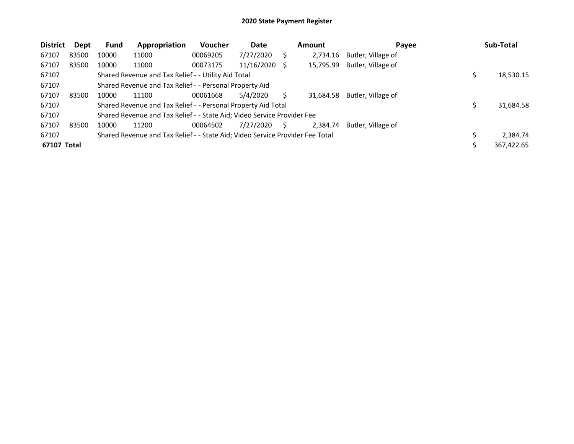| <b>District</b> | Dept  | Fund  | Appropriation                                                                 | Voucher  | Date          |   | <b>Amount</b> | Payee              | Sub-Total  |
|-----------------|-------|-------|-------------------------------------------------------------------------------|----------|---------------|---|---------------|--------------------|------------|
| 67107           | 83500 | 10000 | 11000                                                                         | 00069205 | 7/27/2020     | Ś | 2.734.16      | Butler, Village of |            |
| 67107           | 83500 | 10000 | 11000                                                                         | 00073175 | 11/16/2020 \$ |   | 15,795.99     | Butler, Village of |            |
| 67107           |       |       | Shared Revenue and Tax Relief - - Utility Aid Total                           |          |               |   |               |                    | 18,530.15  |
| 67107           |       |       | Shared Revenue and Tax Relief - - Personal Property Aid                       |          |               |   |               |                    |            |
| 67107           | 83500 | 10000 | 11100                                                                         | 00061668 | 5/4/2020      |   | 31,684.58     | Butler, Village of |            |
| 67107           |       |       | Shared Revenue and Tax Relief - - Personal Property Aid Total                 |          |               |   |               |                    | 31,684.58  |
| 67107           |       |       | Shared Revenue and Tax Relief - - State Aid; Video Service Provider Fee       |          |               |   |               |                    |            |
| 67107           | 83500 | 10000 | 11200                                                                         | 00064502 | 7/27/2020     | S | 2,384.74      | Butler, Village of |            |
| 67107           |       |       | Shared Revenue and Tax Relief - - State Aid; Video Service Provider Fee Total |          |               |   |               |                    | 2.384.74   |
| 67107 Total     |       |       |                                                                               |          |               |   |               |                    | 367,422.65 |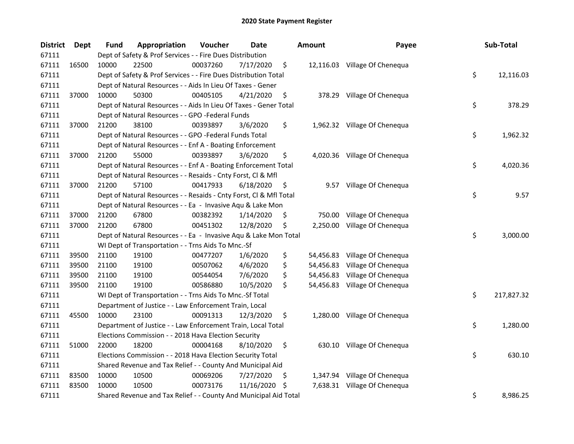| <b>District</b> | Dept  | Fund  | Appropriation                                                      | Voucher  | Date       |     | <b>Amount</b> | Payee                         | Sub-Total        |
|-----------------|-------|-------|--------------------------------------------------------------------|----------|------------|-----|---------------|-------------------------------|------------------|
| 67111           |       |       | Dept of Safety & Prof Services - - Fire Dues Distribution          |          |            |     |               |                               |                  |
| 67111           | 16500 | 10000 | 22500                                                              | 00037260 | 7/17/2020  | \$  |               | 12,116.03 Village Of Chenequa |                  |
| 67111           |       |       | Dept of Safety & Prof Services - - Fire Dues Distribution Total    |          |            |     |               |                               | \$<br>12,116.03  |
| 67111           |       |       | Dept of Natural Resources - - Aids In Lieu Of Taxes - Gener        |          |            |     |               |                               |                  |
| 67111           | 37000 | 10000 | 50300                                                              | 00405105 | 4/21/2020  | \$  |               | 378.29 Village Of Chenequa    |                  |
| 67111           |       |       | Dept of Natural Resources - - Aids In Lieu Of Taxes - Gener Total  |          |            |     |               |                               | \$<br>378.29     |
| 67111           |       |       | Dept of Natural Resources - - GPO -Federal Funds                   |          |            |     |               |                               |                  |
| 67111           | 37000 | 21200 | 38100                                                              | 00393897 | 3/6/2020   | \$  |               | 1,962.32 Village Of Chenequa  |                  |
| 67111           |       |       | Dept of Natural Resources - - GPO -Federal Funds Total             |          |            |     |               |                               | \$<br>1,962.32   |
| 67111           |       |       | Dept of Natural Resources - - Enf A - Boating Enforcement          |          |            |     |               |                               |                  |
| 67111           | 37000 | 21200 | 55000                                                              | 00393897 | 3/6/2020   | \$  |               | 4,020.36 Village Of Chenequa  |                  |
| 67111           |       |       | Dept of Natural Resources - - Enf A - Boating Enforcement Total    |          |            |     |               |                               | \$<br>4,020.36   |
| 67111           |       |       | Dept of Natural Resources - - Resaids - Cnty Forst, Cl & Mfl       |          |            |     |               |                               |                  |
| 67111           | 37000 | 21200 | 57100                                                              | 00417933 | 6/18/2020  | \$  |               | 9.57 Village Of Chenequa      |                  |
| 67111           |       |       | Dept of Natural Resources - - Resaids - Cnty Forst, Cl & Mfl Total |          |            |     |               |                               | \$<br>9.57       |
| 67111           |       |       | Dept of Natural Resources - - Ea - Invasive Aqu & Lake Mon         |          |            |     |               |                               |                  |
| 67111           | 37000 | 21200 | 67800                                                              | 00382392 | 1/14/2020  | \$  | 750.00        | Village Of Chenequa           |                  |
| 67111           | 37000 | 21200 | 67800                                                              | 00451302 | 12/8/2020  | \$. | 2,250.00      | Village Of Chenequa           |                  |
| 67111           |       |       | Dept of Natural Resources - - Ea - Invasive Aqu & Lake Mon Total   |          |            |     |               |                               | \$<br>3,000.00   |
| 67111           |       |       | WI Dept of Transportation - - Trns Aids To Mnc.-Sf                 |          |            |     |               |                               |                  |
| 67111           | 39500 | 21100 | 19100                                                              | 00477207 | 1/6/2020   | \$  |               | 54,456.83 Village Of Chenequa |                  |
| 67111           | 39500 | 21100 | 19100                                                              | 00507062 | 4/6/2020   | \$  |               | 54,456.83 Village Of Chenequa |                  |
| 67111           | 39500 | 21100 | 19100                                                              | 00544054 | 7/6/2020   | \$  |               | 54,456.83 Village Of Chenequa |                  |
| 67111           | 39500 | 21100 | 19100                                                              | 00586880 | 10/5/2020  | \$  |               | 54,456.83 Village Of Chenequa |                  |
| 67111           |       |       | WI Dept of Transportation - - Trns Aids To Mnc.-Sf Total           |          |            |     |               |                               | \$<br>217,827.32 |
| 67111           |       |       | Department of Justice - - Law Enforcement Train, Local             |          |            |     |               |                               |                  |
| 67111           | 45500 | 10000 | 23100                                                              | 00091313 | 12/3/2020  | \$  |               | 1,280.00 Village Of Chenequa  |                  |
| 67111           |       |       | Department of Justice - - Law Enforcement Train, Local Total       |          |            |     |               |                               | \$<br>1,280.00   |
| 67111           |       |       | Elections Commission - - 2018 Hava Election Security               |          |            |     |               |                               |                  |
| 67111           | 51000 | 22000 | 18200                                                              | 00004168 | 8/10/2020  | \$  |               | 630.10 Village Of Chenequa    |                  |
| 67111           |       |       | Elections Commission - - 2018 Hava Election Security Total         |          |            |     |               |                               | \$<br>630.10     |
| 67111           |       |       | Shared Revenue and Tax Relief - - County And Municipal Aid         |          |            |     |               |                               |                  |
| 67111           | 83500 | 10000 | 10500                                                              | 00069206 | 7/27/2020  | \$  |               | 1,347.94 Village Of Chenequa  |                  |
| 67111           | 83500 | 10000 | 10500                                                              | 00073176 | 11/16/2020 | S   |               | 7,638.31 Village Of Chenequa  |                  |
| 67111           |       |       | Shared Revenue and Tax Relief - - County And Municipal Aid Total   |          |            |     |               |                               | \$<br>8,986.25   |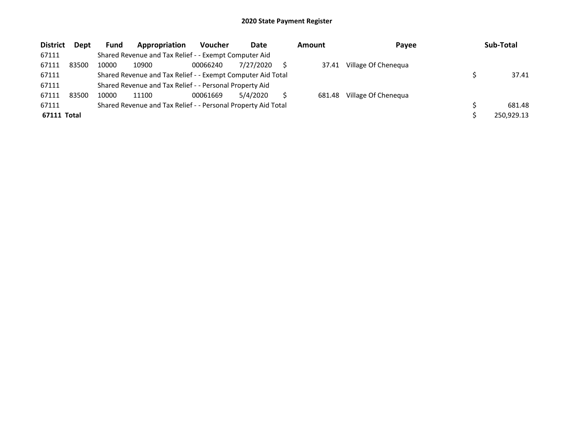| <b>District</b> | Dept  | <b>Fund</b> | Appropriation                                                 | <b>Voucher</b> | Date      | <b>Amount</b> | Payee               | Sub-Total  |
|-----------------|-------|-------------|---------------------------------------------------------------|----------------|-----------|---------------|---------------------|------------|
| 67111           |       |             | Shared Revenue and Tax Relief - - Exempt Computer Aid         |                |           |               |                     |            |
| 67111           | 83500 | 10000       | 10900                                                         | 00066240       | 7/27/2020 | 37.41         | Village Of Chenequa |            |
| 67111           |       |             | Shared Revenue and Tax Relief - - Exempt Computer Aid Total   |                |           |               |                     | 37.41      |
| 67111           |       |             | Shared Revenue and Tax Relief - - Personal Property Aid       |                |           |               |                     |            |
| 67111           | 83500 | 10000       | 11100                                                         | 00061669       | 5/4/2020  | 681.48        | Village Of Chenequa |            |
| 67111           |       |             | Shared Revenue and Tax Relief - - Personal Property Aid Total |                |           |               |                     | 681.48     |
| 67111 Total     |       |             |                                                               |                |           |               |                     | 250,929.13 |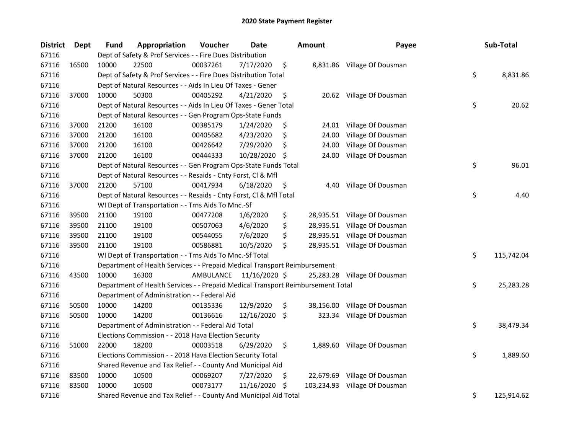| <b>District</b> | Dept  | Fund  | Appropriation                                                                   | Voucher   | <b>Date</b>   |     | Amount     | Payee                        | Sub-Total        |
|-----------------|-------|-------|---------------------------------------------------------------------------------|-----------|---------------|-----|------------|------------------------------|------------------|
| 67116           |       |       | Dept of Safety & Prof Services - - Fire Dues Distribution                       |           |               |     |            |                              |                  |
| 67116           | 16500 | 10000 | 22500                                                                           | 00037261  | 7/17/2020     | \$  |            | 8,831.86 Village Of Dousman  |                  |
| 67116           |       |       | Dept of Safety & Prof Services - - Fire Dues Distribution Total                 |           |               |     |            |                              | \$<br>8,831.86   |
| 67116           |       |       | Dept of Natural Resources - - Aids In Lieu Of Taxes - Gener                     |           |               |     |            |                              |                  |
| 67116           | 37000 | 10000 | 50300                                                                           | 00405292  | 4/21/2020     | \$  |            | 20.62 Village Of Dousman     |                  |
| 67116           |       |       | Dept of Natural Resources - - Aids In Lieu Of Taxes - Gener Total               |           |               |     |            |                              | \$<br>20.62      |
| 67116           |       |       | Dept of Natural Resources - - Gen Program Ops-State Funds                       |           |               |     |            |                              |                  |
| 67116           | 37000 | 21200 | 16100                                                                           | 00385179  | 1/24/2020     | \$  |            | 24.01 Village Of Dousman     |                  |
| 67116           | 37000 | 21200 | 16100                                                                           | 00405682  | 4/23/2020     | \$  | 24.00      | Village Of Dousman           |                  |
| 67116           | 37000 | 21200 | 16100                                                                           | 00426642  | 7/29/2020     | \$  | 24.00      | Village Of Dousman           |                  |
| 67116           | 37000 | 21200 | 16100                                                                           | 00444333  | 10/28/2020    | -Ş  | 24.00      | Village Of Dousman           |                  |
| 67116           |       |       | Dept of Natural Resources - - Gen Program Ops-State Funds Total                 |           |               |     |            |                              | \$<br>96.01      |
| 67116           |       |       | Dept of Natural Resources - - Resaids - Cnty Forst, Cl & Mfl                    |           |               |     |            |                              |                  |
| 67116           | 37000 | 21200 | 57100                                                                           | 00417934  | 6/18/2020     | \$  | 4.40       | Village Of Dousman           |                  |
| 67116           |       |       | Dept of Natural Resources - - Resaids - Cnty Forst, Cl & Mfl Total              |           |               |     |            |                              | \$<br>4.40       |
| 67116           |       |       | WI Dept of Transportation - - Trns Aids To Mnc.-Sf                              |           |               |     |            |                              |                  |
| 67116           | 39500 | 21100 | 19100                                                                           | 00477208  | 1/6/2020      | \$  |            | 28,935.51 Village Of Dousman |                  |
| 67116           | 39500 | 21100 | 19100                                                                           | 00507063  | 4/6/2020      | \$  |            | 28,935.51 Village Of Dousman |                  |
| 67116           | 39500 | 21100 | 19100                                                                           | 00544055  | 7/6/2020      | \$  |            | 28,935.51 Village Of Dousman |                  |
| 67116           | 39500 | 21100 | 19100                                                                           | 00586881  | 10/5/2020     | \$  |            | 28,935.51 Village Of Dousman |                  |
| 67116           |       |       | WI Dept of Transportation - - Trns Aids To Mnc.-Sf Total                        |           |               |     |            |                              | \$<br>115,742.04 |
| 67116           |       |       | Department of Health Services - - Prepaid Medical Transport Reimbursement       |           |               |     |            |                              |                  |
| 67116           | 43500 | 10000 | 16300                                                                           | AMBULANCE | 11/16/2020 \$ |     |            | 25,283.28 Village Of Dousman |                  |
| 67116           |       |       | Department of Health Services - - Prepaid Medical Transport Reimbursement Total |           |               |     |            |                              | \$<br>25,283.28  |
| 67116           |       |       | Department of Administration - - Federal Aid                                    |           |               |     |            |                              |                  |
| 67116           | 50500 | 10000 | 14200                                                                           | 00135336  | 12/9/2020     | \$  |            | 38,156.00 Village Of Dousman |                  |
| 67116           | 50500 | 10000 | 14200                                                                           | 00136616  | 12/16/2020    | \$  |            | 323.34 Village Of Dousman    |                  |
| 67116           |       |       | Department of Administration - - Federal Aid Total                              |           |               |     |            |                              | \$<br>38,479.34  |
| 67116           |       |       | Elections Commission - - 2018 Hava Election Security                            |           |               |     |            |                              |                  |
| 67116           | 51000 | 22000 | 18200                                                                           | 00003518  | 6/29/2020     | \$  |            | 1,889.60 Village Of Dousman  |                  |
| 67116           |       |       | Elections Commission - - 2018 Hava Election Security Total                      |           |               |     |            |                              | \$<br>1,889.60   |
| 67116           |       |       | Shared Revenue and Tax Relief - - County And Municipal Aid                      |           |               |     |            |                              |                  |
| 67116           | 83500 | 10000 | 10500                                                                           | 00069207  | 7/27/2020     | \$, | 22,679.69  | Village Of Dousman           |                  |
| 67116           | 83500 | 10000 | 10500                                                                           | 00073177  | 11/16/2020    | -\$ | 103,234.93 | Village Of Dousman           |                  |
| 67116           |       |       | Shared Revenue and Tax Relief - - County And Municipal Aid Total                |           |               |     |            |                              | \$<br>125,914.62 |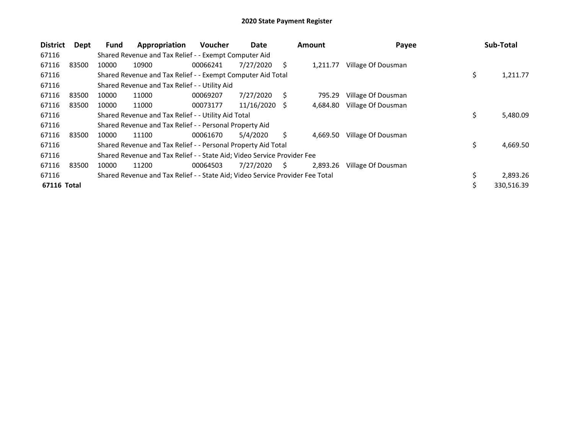| <b>District</b> | Dept  | <b>Fund</b> | Appropriation                                                                 | <b>Voucher</b> | Date       |     | <b>Amount</b> | Payee              | Sub-Total        |
|-----------------|-------|-------------|-------------------------------------------------------------------------------|----------------|------------|-----|---------------|--------------------|------------------|
| 67116           |       |             | Shared Revenue and Tax Relief - - Exempt Computer Aid                         |                |            |     |               |                    |                  |
| 67116           | 83500 | 10000       | 10900                                                                         | 00066241       | 7/27/2020  | S   | 1.211.77      | Village Of Dousman |                  |
| 67116           |       |             | Shared Revenue and Tax Relief - - Exempt Computer Aid Total                   |                |            |     |               |                    | \$<br>1,211.77   |
| 67116           |       |             | Shared Revenue and Tax Relief - - Utility Aid                                 |                |            |     |               |                    |                  |
| 67116           | 83500 | 10000       | 11000                                                                         | 00069207       | 7/27/2020  | S   | 795.29        | Village Of Dousman |                  |
| 67116           | 83500 | 10000       | 11000                                                                         | 00073177       | 11/16/2020 | - S | 4,684.80      | Village Of Dousman |                  |
| 67116           |       |             | Shared Revenue and Tax Relief - - Utility Aid Total                           |                |            |     |               |                    | \$<br>5,480.09   |
| 67116           |       |             | Shared Revenue and Tax Relief - - Personal Property Aid                       |                |            |     |               |                    |                  |
| 67116           | 83500 | 10000       | 11100                                                                         | 00061670       | 5/4/2020   | Ś   | 4,669.50      | Village Of Dousman |                  |
| 67116           |       |             | Shared Revenue and Tax Relief - - Personal Property Aid Total                 |                |            |     |               |                    | \$<br>4,669.50   |
| 67116           |       |             | Shared Revenue and Tax Relief - - State Aid; Video Service Provider Fee       |                |            |     |               |                    |                  |
| 67116           | 83500 | 10000       | 11200                                                                         | 00064503       | 7/27/2020  | S.  | 2,893.26      | Village Of Dousman |                  |
| 67116           |       |             | Shared Revenue and Tax Relief - - State Aid; Video Service Provider Fee Total |                |            |     |               |                    | \$<br>2,893.26   |
| 67116 Total     |       |             |                                                                               |                |            |     |               |                    | \$<br>330,516.39 |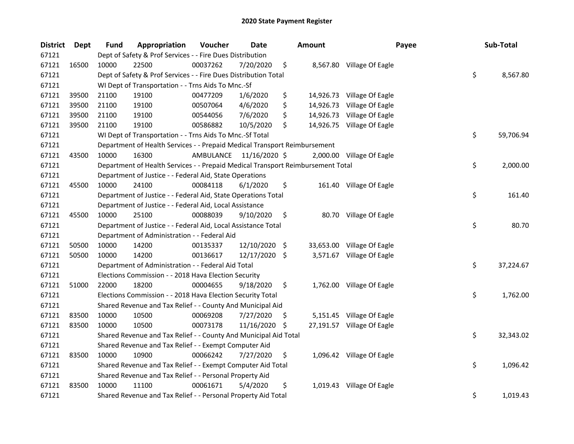| <b>District</b> | Dept  | <b>Fund</b> | Appropriation                                                                   | Voucher   | Date          |      | Amount    | Payee                      | Sub-Total       |
|-----------------|-------|-------------|---------------------------------------------------------------------------------|-----------|---------------|------|-----------|----------------------------|-----------------|
| 67121           |       |             | Dept of Safety & Prof Services - - Fire Dues Distribution                       |           |               |      |           |                            |                 |
| 67121           | 16500 | 10000       | 22500                                                                           | 00037262  | 7/20/2020     | \$   |           | 8,567.80 Village Of Eagle  |                 |
| 67121           |       |             | Dept of Safety & Prof Services - - Fire Dues Distribution Total                 |           |               |      |           |                            | \$<br>8,567.80  |
| 67121           |       |             | WI Dept of Transportation - - Trns Aids To Mnc.-Sf                              |           |               |      |           |                            |                 |
| 67121           | 39500 | 21100       | 19100                                                                           | 00477209  | 1/6/2020      | \$   |           | 14,926.73 Village Of Eagle |                 |
| 67121           | 39500 | 21100       | 19100                                                                           | 00507064  | 4/6/2020      | \$   | 14,926.73 | Village Of Eagle           |                 |
| 67121           | 39500 | 21100       | 19100                                                                           | 00544056  | 7/6/2020      | \$   | 14,926.73 | Village Of Eagle           |                 |
| 67121           | 39500 | 21100       | 19100                                                                           | 00586882  | 10/5/2020     | \$   |           | 14,926.75 Village Of Eagle |                 |
| 67121           |       |             | WI Dept of Transportation - - Trns Aids To Mnc.-Sf Total                        |           |               |      |           |                            | \$<br>59,706.94 |
| 67121           |       |             | Department of Health Services - - Prepaid Medical Transport Reimbursement       |           |               |      |           |                            |                 |
| 67121           | 43500 | 10000       | 16300                                                                           | AMBULANCE | 11/16/2020 \$ |      |           | 2,000.00 Village Of Eagle  |                 |
| 67121           |       |             | Department of Health Services - - Prepaid Medical Transport Reimbursement Total |           |               |      |           |                            | \$<br>2,000.00  |
| 67121           |       |             | Department of Justice - - Federal Aid, State Operations                         |           |               |      |           |                            |                 |
| 67121           | 45500 | 10000       | 24100                                                                           | 00084118  | 6/1/2020      | \$   |           | 161.40 Village Of Eagle    |                 |
| 67121           |       |             | Department of Justice - - Federal Aid, State Operations Total                   |           |               |      |           |                            | \$<br>161.40    |
| 67121           |       |             | Department of Justice - - Federal Aid, Local Assistance                         |           |               |      |           |                            |                 |
| 67121           | 45500 | 10000       | 25100                                                                           | 00088039  | 9/10/2020     | \$   |           | 80.70 Village Of Eagle     |                 |
| 67121           |       |             | Department of Justice - - Federal Aid, Local Assistance Total                   |           |               |      |           |                            | \$<br>80.70     |
| 67121           |       |             | Department of Administration - - Federal Aid                                    |           |               |      |           |                            |                 |
| 67121           | 50500 | 10000       | 14200                                                                           | 00135337  | 12/10/2020    | - \$ |           | 33,653.00 Village Of Eagle |                 |
| 67121           | 50500 | 10000       | 14200                                                                           | 00136617  | 12/17/2020 \$ |      |           | 3,571.67 Village Of Eagle  |                 |
| 67121           |       |             | Department of Administration - - Federal Aid Total                              |           |               |      |           |                            | \$<br>37,224.67 |
| 67121           |       |             | Elections Commission - - 2018 Hava Election Security                            |           |               |      |           |                            |                 |
| 67121           | 51000 | 22000       | 18200                                                                           | 00004655  | 9/18/2020     | \$   |           | 1,762.00 Village Of Eagle  |                 |
| 67121           |       |             | Elections Commission - - 2018 Hava Election Security Total                      |           |               |      |           |                            | \$<br>1,762.00  |
| 67121           |       |             | Shared Revenue and Tax Relief - - County And Municipal Aid                      |           |               |      |           |                            |                 |
| 67121           | 83500 | 10000       | 10500                                                                           | 00069208  | 7/27/2020     | S    |           | 5,151.45 Village Of Eagle  |                 |
| 67121           | 83500 | 10000       | 10500                                                                           | 00073178  | 11/16/2020    | \$   |           | 27,191.57 Village Of Eagle |                 |
| 67121           |       |             | Shared Revenue and Tax Relief - - County And Municipal Aid Total                |           |               |      |           |                            | \$<br>32,343.02 |
| 67121           |       |             | Shared Revenue and Tax Relief - - Exempt Computer Aid                           |           |               |      |           |                            |                 |
| 67121           | 83500 | 10000       | 10900                                                                           | 00066242  | 7/27/2020     | \$   |           | 1,096.42 Village Of Eagle  |                 |
| 67121           |       |             | Shared Revenue and Tax Relief - - Exempt Computer Aid Total                     |           |               |      |           |                            | \$<br>1,096.42  |
| 67121           |       |             | Shared Revenue and Tax Relief - - Personal Property Aid                         |           |               |      |           |                            |                 |
| 67121           | 83500 | 10000       | 11100                                                                           | 00061671  | 5/4/2020      | \$   |           | 1,019.43 Village Of Eagle  |                 |
| 67121           |       |             | Shared Revenue and Tax Relief - - Personal Property Aid Total                   |           |               |      |           |                            | \$<br>1,019.43  |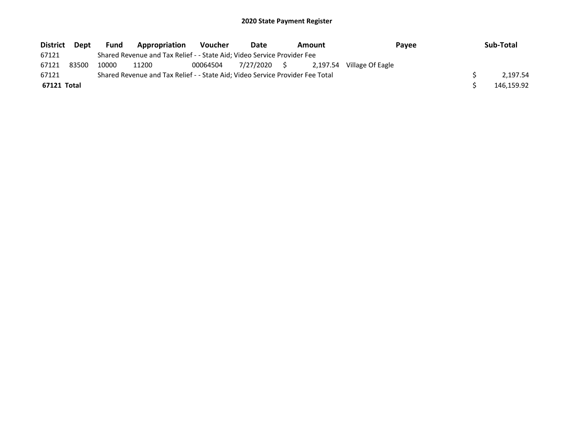| <b>District</b> | Dept  | <b>Fund</b> | Appropriation                                                                 | <b>Voucher</b> | Date         | Amount   | Pavee            | Sub-Total  |
|-----------------|-------|-------------|-------------------------------------------------------------------------------|----------------|--------------|----------|------------------|------------|
| 67121           |       |             | Shared Revenue and Tax Relief - - State Aid; Video Service Provider Fee       |                |              |          |                  |            |
| 67121           | 83500 | 10000       | 11200                                                                         | 00064504       | 7/27/2020 \$ | 2.197.54 | Village Of Eagle |            |
| 67121           |       |             | Shared Revenue and Tax Relief - - State Aid; Video Service Provider Fee Total |                |              |          |                  | 2.197.54   |
| 67121 Total     |       |             |                                                                               |                |              |          |                  | 146.159.92 |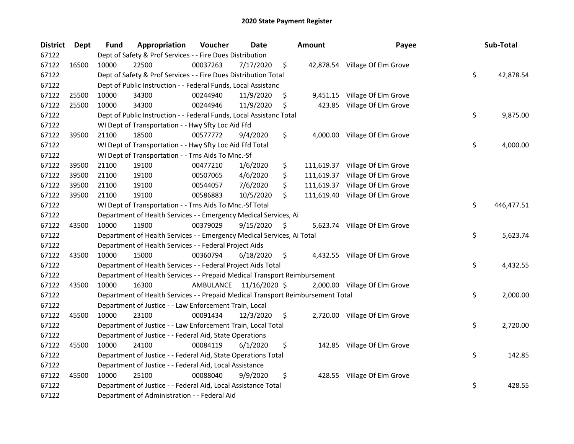| <b>District</b> | Dept  | <b>Fund</b> | Appropriation                                                                   | Voucher  | <b>Date</b>             | <b>Amount</b>    | Payee                           | Sub-Total        |
|-----------------|-------|-------------|---------------------------------------------------------------------------------|----------|-------------------------|------------------|---------------------------------|------------------|
| 67122           |       |             | Dept of Safety & Prof Services - - Fire Dues Distribution                       |          |                         |                  |                                 |                  |
| 67122           | 16500 | 10000       | 22500                                                                           | 00037263 | 7/17/2020               | \$               | 42,878.54 Village Of Elm Grove  |                  |
| 67122           |       |             | Dept of Safety & Prof Services - - Fire Dues Distribution Total                 |          |                         |                  |                                 | \$<br>42,878.54  |
| 67122           |       |             | Dept of Public Instruction - - Federal Funds, Local Assistanc                   |          |                         |                  |                                 |                  |
| 67122           | 25500 | 10000       | 34300                                                                           | 00244940 | 11/9/2020               | \$               | 9,451.15 Village Of Elm Grove   |                  |
| 67122           | 25500 | 10000       | 34300                                                                           | 00244946 | 11/9/2020               | \$<br>423.85     | Village Of Elm Grove            |                  |
| 67122           |       |             | Dept of Public Instruction - - Federal Funds, Local Assistanc Total             |          |                         |                  |                                 | \$<br>9,875.00   |
| 67122           |       |             | WI Dept of Transportation - - Hwy Sfty Loc Aid Ffd                              |          |                         |                  |                                 |                  |
| 67122           | 39500 | 21100       | 18500                                                                           | 00577772 | 9/4/2020                | \$               | 4,000.00 Village Of Elm Grove   |                  |
| 67122           |       |             | WI Dept of Transportation - - Hwy Sfty Loc Aid Ffd Total                        |          |                         |                  |                                 | \$<br>4,000.00   |
| 67122           |       |             | WI Dept of Transportation - - Trns Aids To Mnc.-Sf                              |          |                         |                  |                                 |                  |
| 67122           | 39500 | 21100       | 19100                                                                           | 00477210 | 1/6/2020                | \$               | 111,619.37 Village Of Elm Grove |                  |
| 67122           | 39500 | 21100       | 19100                                                                           | 00507065 | 4/6/2020                | \$               | 111,619.37 Village Of Elm Grove |                  |
| 67122           | 39500 | 21100       | 19100                                                                           | 00544057 | 7/6/2020                | \$<br>111,619.37 | Village Of Elm Grove            |                  |
| 67122           | 39500 | 21100       | 19100                                                                           | 00586883 | 10/5/2020               | \$               | 111,619.40 Village Of Elm Grove |                  |
| 67122           |       |             | WI Dept of Transportation - - Trns Aids To Mnc.-Sf Total                        |          |                         |                  |                                 | \$<br>446,477.51 |
| 67122           |       |             | Department of Health Services - - Emergency Medical Services, Ai                |          |                         |                  |                                 |                  |
| 67122           | 43500 | 10000       | 11900                                                                           | 00379029 | 9/15/2020               | \$               | 5,623.74 Village Of Elm Grove   |                  |
| 67122           |       |             | Department of Health Services - - Emergency Medical Services, Ai Total          |          |                         |                  |                                 | \$<br>5,623.74   |
| 67122           |       |             | Department of Health Services - - Federal Project Aids                          |          |                         |                  |                                 |                  |
| 67122           | 43500 | 10000       | 15000                                                                           | 00360794 | 6/18/2020               | \$               | 4,432.55 Village Of Elm Grove   |                  |
| 67122           |       |             | Department of Health Services - - Federal Project Aids Total                    |          |                         |                  |                                 | \$<br>4,432.55   |
| 67122           |       |             | Department of Health Services - - Prepaid Medical Transport Reimbursement       |          |                         |                  |                                 |                  |
| 67122           | 43500 | 10000       | 16300                                                                           |          | AMBULANCE 11/16/2020 \$ |                  | 2,000.00 Village Of Elm Grove   |                  |
| 67122           |       |             | Department of Health Services - - Prepaid Medical Transport Reimbursement Total |          |                         |                  |                                 | \$<br>2,000.00   |
| 67122           |       |             | Department of Justice - - Law Enforcement Train, Local                          |          |                         |                  |                                 |                  |
| 67122           | 45500 | 10000       | 23100                                                                           | 00091434 | 12/3/2020               | \$               | 2,720.00 Village Of Elm Grove   |                  |
| 67122           |       |             | Department of Justice - - Law Enforcement Train, Local Total                    |          |                         |                  |                                 | \$<br>2,720.00   |
| 67122           |       |             | Department of Justice - - Federal Aid, State Operations                         |          |                         |                  |                                 |                  |
| 67122           | 45500 | 10000       | 24100                                                                           | 00084119 | 6/1/2020                | \$               | 142.85 Village Of Elm Grove     |                  |
| 67122           |       |             | Department of Justice - - Federal Aid, State Operations Total                   |          |                         |                  |                                 | \$<br>142.85     |
| 67122           |       |             | Department of Justice - - Federal Aid, Local Assistance                         |          |                         |                  |                                 |                  |
| 67122           | 45500 | 10000       | 25100                                                                           | 00088040 | 9/9/2020                | \$               | 428.55 Village Of Elm Grove     |                  |
| 67122           |       |             | Department of Justice - - Federal Aid, Local Assistance Total                   |          |                         |                  |                                 | \$<br>428.55     |
| 67122           |       |             | Department of Administration - - Federal Aid                                    |          |                         |                  |                                 |                  |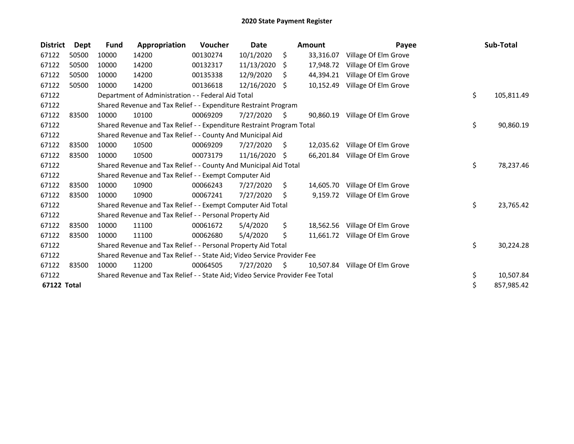| <b>District</b> | Dept  | <b>Fund</b> | Appropriation                                                                 | Voucher  | Date       |     | <b>Amount</b> | Payee                | Sub-Total        |
|-----------------|-------|-------------|-------------------------------------------------------------------------------|----------|------------|-----|---------------|----------------------|------------------|
| 67122           | 50500 | 10000       | 14200                                                                         | 00130274 | 10/1/2020  | \$  | 33,316.07     | Village Of Elm Grove |                  |
| 67122           | 50500 | 10000       | 14200                                                                         | 00132317 | 11/13/2020 | S   | 17,948.72     | Village Of Elm Grove |                  |
| 67122           | 50500 | 10000       | 14200                                                                         | 00135338 | 12/9/2020  | S   | 44,394.21     | Village Of Elm Grove |                  |
| 67122           | 50500 | 10000       | 14200                                                                         | 00136618 | 12/16/2020 | Ŝ.  | 10,152.49     | Village Of Elm Grove |                  |
| 67122           |       |             | Department of Administration - - Federal Aid Total                            |          |            |     |               |                      | \$<br>105,811.49 |
| 67122           |       |             | Shared Revenue and Tax Relief - - Expenditure Restraint Program               |          |            |     |               |                      |                  |
| 67122           | 83500 | 10000       | 10100                                                                         | 00069209 | 7/27/2020  | S   | 90,860.19     | Village Of Elm Grove |                  |
| 67122           |       |             | Shared Revenue and Tax Relief - - Expenditure Restraint Program Total         |          |            |     |               |                      | \$<br>90,860.19  |
| 67122           |       |             | Shared Revenue and Tax Relief - - County And Municipal Aid                    |          |            |     |               |                      |                  |
| 67122           | 83500 | 10000       | 10500                                                                         | 00069209 | 7/27/2020  | S   | 12,035.62     | Village Of Elm Grove |                  |
| 67122           | 83500 | 10000       | 10500                                                                         | 00073179 | 11/16/2020 | S   | 66,201.84     | Village Of Elm Grove |                  |
| 67122           |       |             | Shared Revenue and Tax Relief - - County And Municipal Aid Total              |          |            |     |               |                      | \$<br>78,237.46  |
| 67122           |       |             | Shared Revenue and Tax Relief - - Exempt Computer Aid                         |          |            |     |               |                      |                  |
| 67122           | 83500 | 10000       | 10900                                                                         | 00066243 | 7/27/2020  | \$. | 14,605.70     | Village Of Elm Grove |                  |
| 67122           | 83500 | 10000       | 10900                                                                         | 00067241 | 7/27/2020  | \$  | 9,159.72      | Village Of Elm Grove |                  |
| 67122           |       |             | Shared Revenue and Tax Relief - - Exempt Computer Aid Total                   |          |            |     |               |                      | \$<br>23,765.42  |
| 67122           |       |             | Shared Revenue and Tax Relief - - Personal Property Aid                       |          |            |     |               |                      |                  |
| 67122           | 83500 | 10000       | 11100                                                                         | 00061672 | 5/4/2020   | \$  | 18,562.56     | Village Of Elm Grove |                  |
| 67122           | 83500 | 10000       | 11100                                                                         | 00062680 | 5/4/2020   | \$  | 11,661.72     | Village Of Elm Grove |                  |
| 67122           |       |             | Shared Revenue and Tax Relief - - Personal Property Aid Total                 |          |            |     |               |                      | \$<br>30,224.28  |
| 67122           |       |             | Shared Revenue and Tax Relief - - State Aid; Video Service Provider Fee       |          |            |     |               |                      |                  |
| 67122           | 83500 | 10000       | 11200                                                                         | 00064505 | 7/27/2020  | S   | 10,507.84     | Village Of Elm Grove |                  |
| 67122           |       |             | Shared Revenue and Tax Relief - - State Aid; Video Service Provider Fee Total |          |            |     |               |                      | \$<br>10,507.84  |
| 67122 Total     |       |             |                                                                               |          |            |     |               |                      | \$<br>857,985.42 |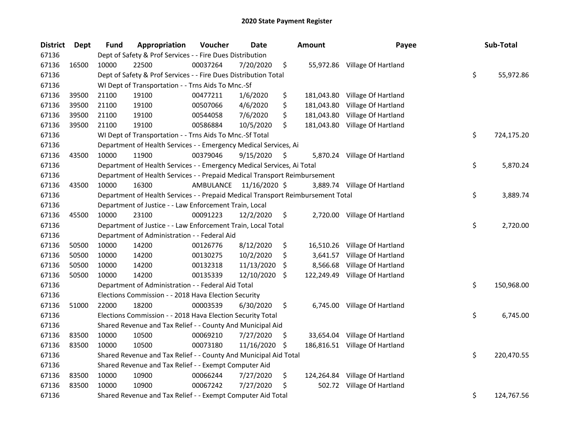| <b>District</b> | Dept  | <b>Fund</b> | Appropriation                                                                   | Voucher   | Date          |     | Amount     | Payee                          | Sub-Total        |
|-----------------|-------|-------------|---------------------------------------------------------------------------------|-----------|---------------|-----|------------|--------------------------------|------------------|
| 67136           |       |             | Dept of Safety & Prof Services - - Fire Dues Distribution                       |           |               |     |            |                                |                  |
| 67136           | 16500 | 10000       | 22500                                                                           | 00037264  | 7/20/2020     | \$  |            | 55,972.86 Village Of Hartland  |                  |
| 67136           |       |             | Dept of Safety & Prof Services - - Fire Dues Distribution Total                 |           |               |     |            |                                | \$<br>55,972.86  |
| 67136           |       |             | WI Dept of Transportation - - Trns Aids To Mnc.-Sf                              |           |               |     |            |                                |                  |
| 67136           | 39500 | 21100       | 19100                                                                           | 00477211  | 1/6/2020      | \$  | 181,043.80 | Village Of Hartland            |                  |
| 67136           | 39500 | 21100       | 19100                                                                           | 00507066  | 4/6/2020      | \$  | 181,043.80 | Village Of Hartland            |                  |
| 67136           | 39500 | 21100       | 19100                                                                           | 00544058  | 7/6/2020      | \$  | 181,043.80 | Village Of Hartland            |                  |
| 67136           | 39500 | 21100       | 19100                                                                           | 00586884  | 10/5/2020     | \$  | 181,043.80 | Village Of Hartland            |                  |
| 67136           |       |             | WI Dept of Transportation - - Trns Aids To Mnc.-Sf Total                        |           |               |     |            |                                | \$<br>724,175.20 |
| 67136           |       |             | Department of Health Services - - Emergency Medical Services, Ai                |           |               |     |            |                                |                  |
| 67136           | 43500 | 10000       | 11900                                                                           | 00379046  | 9/15/2020     | \$  |            | 5,870.24 Village Of Hartland   |                  |
| 67136           |       |             | Department of Health Services - - Emergency Medical Services, Ai Total          |           |               |     |            |                                | \$<br>5,870.24   |
| 67136           |       |             | Department of Health Services - - Prepaid Medical Transport Reimbursement       |           |               |     |            |                                |                  |
| 67136           | 43500 | 10000       | 16300                                                                           | AMBULANCE | 11/16/2020 \$ |     |            | 3,889.74 Village Of Hartland   |                  |
| 67136           |       |             | Department of Health Services - - Prepaid Medical Transport Reimbursement Total |           |               |     |            |                                | \$<br>3,889.74   |
| 67136           |       |             | Department of Justice - - Law Enforcement Train, Local                          |           |               |     |            |                                |                  |
| 67136           | 45500 | 10000       | 23100                                                                           | 00091223  | 12/2/2020     | \$  |            | 2,720.00 Village Of Hartland   |                  |
| 67136           |       |             | Department of Justice - - Law Enforcement Train, Local Total                    |           |               |     |            |                                | \$<br>2,720.00   |
| 67136           |       |             | Department of Administration - - Federal Aid                                    |           |               |     |            |                                |                  |
| 67136           | 50500 | 10000       | 14200                                                                           | 00126776  | 8/12/2020     | \$  | 16,510.26  | Village Of Hartland            |                  |
| 67136           | 50500 | 10000       | 14200                                                                           | 00130275  | 10/2/2020     | \$  | 3,641.57   | Village Of Hartland            |                  |
| 67136           | 50500 | 10000       | 14200                                                                           | 00132318  | 11/13/2020    | \$. | 8,566.68   | Village Of Hartland            |                  |
| 67136           | 50500 | 10000       | 14200                                                                           | 00135339  | 12/10/2020    | \$. |            | 122,249.49 Village Of Hartland |                  |
| 67136           |       |             | Department of Administration - - Federal Aid Total                              |           |               |     |            |                                | \$<br>150,968.00 |
| 67136           |       |             | Elections Commission - - 2018 Hava Election Security                            |           |               |     |            |                                |                  |
| 67136           | 51000 | 22000       | 18200                                                                           | 00003539  | 6/30/2020     | \$  |            | 6,745.00 Village Of Hartland   |                  |
| 67136           |       |             | Elections Commission - - 2018 Hava Election Security Total                      |           |               |     |            |                                | \$<br>6,745.00   |
| 67136           |       |             | Shared Revenue and Tax Relief - - County And Municipal Aid                      |           |               |     |            |                                |                  |
| 67136           | 83500 | 10000       | 10500                                                                           | 00069210  | 7/27/2020     | Ş   |            | 33,654.04 Village Of Hartland  |                  |
| 67136           | 83500 | 10000       | 10500                                                                           | 00073180  | 11/16/2020    | \$  |            | 186,816.51 Village Of Hartland |                  |
| 67136           |       |             | Shared Revenue and Tax Relief - - County And Municipal Aid Total                |           |               |     |            |                                | \$<br>220,470.55 |
| 67136           |       |             | Shared Revenue and Tax Relief - - Exempt Computer Aid                           |           |               |     |            |                                |                  |
| 67136           | 83500 | 10000       | 10900                                                                           | 00066244  | 7/27/2020     | \$  | 124,264.84 | Village Of Hartland            |                  |
| 67136           | 83500 | 10000       | 10900                                                                           | 00067242  | 7/27/2020     | \$  |            | 502.72 Village Of Hartland     |                  |
| 67136           |       |             | Shared Revenue and Tax Relief - - Exempt Computer Aid Total                     |           |               |     |            |                                | \$<br>124,767.56 |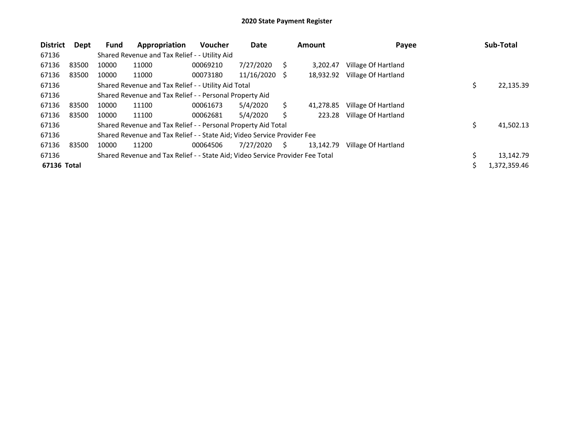| <b>District</b> | Dept  | <b>Fund</b> | Appropriation                                                                 | <b>Voucher</b> | Date            |    | <b>Amount</b> | Payee               | Sub-Total       |
|-----------------|-------|-------------|-------------------------------------------------------------------------------|----------------|-----------------|----|---------------|---------------------|-----------------|
| 67136           |       |             | Shared Revenue and Tax Relief - - Utility Aid                                 |                |                 |    |               |                     |                 |
| 67136           | 83500 | 10000       | 11000                                                                         | 00069210       | 7/27/2020       | S  | 3.202.47      | Village Of Hartland |                 |
| 67136           | 83500 | 10000       | 11000                                                                         | 00073180       | $11/16/2020$ \$ |    | 18,932.92     | Village Of Hartland |                 |
| 67136           |       |             | Shared Revenue and Tax Relief - - Utility Aid Total                           |                |                 |    |               |                     | \$<br>22,135.39 |
| 67136           |       |             | Shared Revenue and Tax Relief - - Personal Property Aid                       |                |                 |    |               |                     |                 |
| 67136           | 83500 | 10000       | 11100                                                                         | 00061673       | 5/4/2020        | S  | 41.278.85     | Village Of Hartland |                 |
| 67136           | 83500 | 10000       | 11100                                                                         | 00062681       | 5/4/2020        | S  | 223.28        | Village Of Hartland |                 |
| 67136           |       |             | Shared Revenue and Tax Relief - - Personal Property Aid Total                 |                |                 |    |               |                     | \$<br>41,502.13 |
| 67136           |       |             | Shared Revenue and Tax Relief - - State Aid; Video Service Provider Fee       |                |                 |    |               |                     |                 |
| 67136           | 83500 | 10000       | 11200                                                                         | 00064506       | 7/27/2020       | S. | 13.142.79     | Village Of Hartland |                 |
| 67136           |       |             | Shared Revenue and Tax Relief - - State Aid; Video Service Provider Fee Total |                |                 |    |               |                     | 13,142.79       |
| 67136 Total     |       |             |                                                                               |                |                 |    |               |                     | 1,372,359.46    |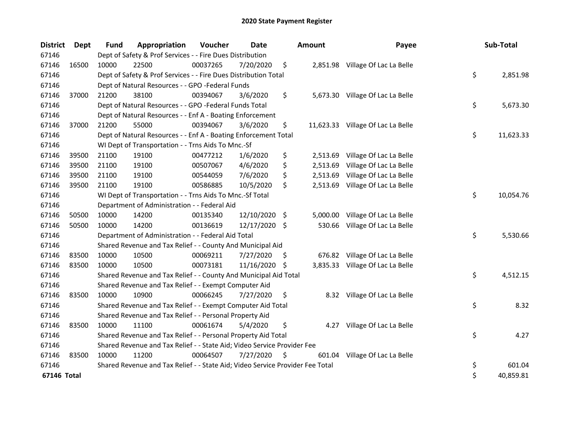| <b>District</b> | Dept  | <b>Fund</b> | Appropriation                                                                 | Voucher  | <b>Date</b>   |     | <b>Amount</b> | Payee                             | Sub-Total       |
|-----------------|-------|-------------|-------------------------------------------------------------------------------|----------|---------------|-----|---------------|-----------------------------------|-----------------|
| 67146           |       |             | Dept of Safety & Prof Services - - Fire Dues Distribution                     |          |               |     |               |                                   |                 |
| 67146           | 16500 | 10000       | 22500                                                                         | 00037265 | 7/20/2020     | \$  |               | 2,851.98 Village Of Lac La Belle  |                 |
| 67146           |       |             | Dept of Safety & Prof Services - - Fire Dues Distribution Total               |          |               |     |               |                                   | \$<br>2,851.98  |
| 67146           |       |             | Dept of Natural Resources - - GPO -Federal Funds                              |          |               |     |               |                                   |                 |
| 67146           | 37000 | 21200       | 38100                                                                         | 00394067 | 3/6/2020      | \$  |               | 5,673.30 Village Of Lac La Belle  |                 |
| 67146           |       |             | Dept of Natural Resources - - GPO -Federal Funds Total                        |          |               |     |               |                                   | \$<br>5,673.30  |
| 67146           |       |             | Dept of Natural Resources - - Enf A - Boating Enforcement                     |          |               |     |               |                                   |                 |
| 67146           | 37000 | 21200       | 55000                                                                         | 00394067 | 3/6/2020      | \$  |               | 11,623.33 Village Of Lac La Belle |                 |
| 67146           |       |             | Dept of Natural Resources - - Enf A - Boating Enforcement Total               |          |               |     |               |                                   | \$<br>11,623.33 |
| 67146           |       |             | WI Dept of Transportation - - Trns Aids To Mnc.-Sf                            |          |               |     |               |                                   |                 |
| 67146           | 39500 | 21100       | 19100                                                                         | 00477212 | 1/6/2020      | \$  | 2,513.69      | Village Of Lac La Belle           |                 |
| 67146           | 39500 | 21100       | 19100                                                                         | 00507067 | 4/6/2020      | \$  | 2,513.69      | Village Of Lac La Belle           |                 |
| 67146           | 39500 | 21100       | 19100                                                                         | 00544059 | 7/6/2020      | \$  |               | 2,513.69 Village Of Lac La Belle  |                 |
| 67146           | 39500 | 21100       | 19100                                                                         | 00586885 | 10/5/2020     | \$  |               | 2,513.69 Village Of Lac La Belle  |                 |
| 67146           |       |             | WI Dept of Transportation - - Trns Aids To Mnc.-Sf Total                      |          |               |     |               |                                   | \$<br>10,054.76 |
| 67146           |       |             | Department of Administration - - Federal Aid                                  |          |               |     |               |                                   |                 |
| 67146           | 50500 | 10000       | 14200                                                                         | 00135340 | 12/10/2020 \$ |     | 5,000.00      | Village Of Lac La Belle           |                 |
| 67146           | 50500 | 10000       | 14200                                                                         | 00136619 | 12/17/2020 \$ |     | 530.66        | Village Of Lac La Belle           |                 |
| 67146           |       |             | Department of Administration - - Federal Aid Total                            |          |               |     |               |                                   | \$<br>5,530.66  |
| 67146           |       |             | Shared Revenue and Tax Relief - - County And Municipal Aid                    |          |               |     |               |                                   |                 |
| 67146           | 83500 | 10000       | 10500                                                                         | 00069211 | 7/27/2020     | \$. |               | 676.82 Village Of Lac La Belle    |                 |
| 67146           | 83500 | 10000       | 10500                                                                         | 00073181 | 11/16/2020 \$ |     |               | 3,835.33 Village Of Lac La Belle  |                 |
| 67146           |       |             | Shared Revenue and Tax Relief - - County And Municipal Aid Total              |          |               |     |               |                                   | \$<br>4,512.15  |
| 67146           |       |             | Shared Revenue and Tax Relief - - Exempt Computer Aid                         |          |               |     |               |                                   |                 |
| 67146           | 83500 | 10000       | 10900                                                                         | 00066245 | 7/27/2020     | \$. |               | 8.32 Village Of Lac La Belle      |                 |
| 67146           |       |             | Shared Revenue and Tax Relief - - Exempt Computer Aid Total                   |          |               |     |               |                                   | \$<br>8.32      |
| 67146           |       |             | Shared Revenue and Tax Relief - - Personal Property Aid                       |          |               |     |               |                                   |                 |
| 67146           | 83500 | 10000       | 11100                                                                         | 00061674 | 5/4/2020      | \$  | 4.27          | Village Of Lac La Belle           |                 |
| 67146           |       |             | Shared Revenue and Tax Relief - - Personal Property Aid Total                 |          |               |     |               |                                   | \$<br>4.27      |
| 67146           |       |             | Shared Revenue and Tax Relief - - State Aid; Video Service Provider Fee       |          |               |     |               |                                   |                 |
| 67146           | 83500 | 10000       | 11200                                                                         | 00064507 | 7/27/2020     | \$  | 601.04        | Village Of Lac La Belle           |                 |
| 67146           |       |             | Shared Revenue and Tax Relief - - State Aid; Video Service Provider Fee Total |          |               |     |               |                                   | \$<br>601.04    |
| 67146 Total     |       |             |                                                                               |          |               |     |               |                                   | \$<br>40,859.81 |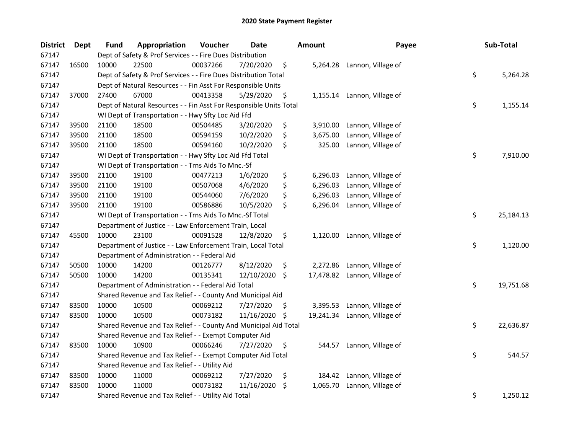| <b>District</b> | <b>Dept</b> | <b>Fund</b> | Appropriation                                                      | Voucher  | Date          |     | <b>Amount</b> | Payee                        | Sub-Total       |
|-----------------|-------------|-------------|--------------------------------------------------------------------|----------|---------------|-----|---------------|------------------------------|-----------------|
| 67147           |             |             | Dept of Safety & Prof Services - - Fire Dues Distribution          |          |               |     |               |                              |                 |
| 67147           | 16500       | 10000       | 22500                                                              | 00037266 | 7/20/2020     | \$  |               | 5,264.28 Lannon, Village of  |                 |
| 67147           |             |             | Dept of Safety & Prof Services - - Fire Dues Distribution Total    |          |               |     |               |                              | \$<br>5,264.28  |
| 67147           |             |             | Dept of Natural Resources - - Fin Asst For Responsible Units       |          |               |     |               |                              |                 |
| 67147           | 37000       | 27400       | 67000                                                              | 00413358 | 5/29/2020     | \$  |               | 1,155.14 Lannon, Village of  |                 |
| 67147           |             |             | Dept of Natural Resources - - Fin Asst For Responsible Units Total |          |               |     |               |                              | \$<br>1,155.14  |
| 67147           |             |             | WI Dept of Transportation - - Hwy Sfty Loc Aid Ffd                 |          |               |     |               |                              |                 |
| 67147           | 39500       | 21100       | 18500                                                              | 00504485 | 3/20/2020     | \$  | 3,910.00      | Lannon, Village of           |                 |
| 67147           | 39500       | 21100       | 18500                                                              | 00594159 | 10/2/2020     | \$  | 3,675.00      | Lannon, Village of           |                 |
| 67147           | 39500       | 21100       | 18500                                                              | 00594160 | 10/2/2020     | \$  | 325.00        | Lannon, Village of           |                 |
| 67147           |             |             | WI Dept of Transportation - - Hwy Sfty Loc Aid Ffd Total           |          |               |     |               |                              | \$<br>7,910.00  |
| 67147           |             |             | WI Dept of Transportation - - Trns Aids To Mnc.-Sf                 |          |               |     |               |                              |                 |
| 67147           | 39500       | 21100       | 19100                                                              | 00477213 | 1/6/2020      | \$  | 6,296.03      | Lannon, Village of           |                 |
| 67147           | 39500       | 21100       | 19100                                                              | 00507068 | 4/6/2020      | \$  | 6,296.03      | Lannon, Village of           |                 |
| 67147           | 39500       | 21100       | 19100                                                              | 00544060 | 7/6/2020      | \$  | 6,296.03      | Lannon, Village of           |                 |
| 67147           | 39500       | 21100       | 19100                                                              | 00586886 | 10/5/2020     | \$  | 6,296.04      | Lannon, Village of           |                 |
| 67147           |             |             | WI Dept of Transportation - - Trns Aids To Mnc.-Sf Total           |          |               |     |               |                              | \$<br>25,184.13 |
| 67147           |             |             | Department of Justice - - Law Enforcement Train, Local             |          |               |     |               |                              |                 |
| 67147           | 45500       | 10000       | 23100                                                              | 00091528 | 12/8/2020     | \$  | 1,120.00      | Lannon, Village of           |                 |
| 67147           |             |             | Department of Justice - - Law Enforcement Train, Local Total       |          |               |     |               |                              | \$<br>1,120.00  |
| 67147           |             |             | Department of Administration - - Federal Aid                       |          |               |     |               |                              |                 |
| 67147           | 50500       | 10000       | 14200                                                              | 00126777 | 8/12/2020     | \$  | 2,272.86      | Lannon, Village of           |                 |
| 67147           | 50500       | 10000       | 14200                                                              | 00135341 | 12/10/2020 \$ |     |               | 17,478.82 Lannon, Village of |                 |
| 67147           |             |             | Department of Administration - - Federal Aid Total                 |          |               |     |               |                              | \$<br>19,751.68 |
| 67147           |             |             | Shared Revenue and Tax Relief - - County And Municipal Aid         |          |               |     |               |                              |                 |
| 67147           | 83500       | 10000       | 10500                                                              | 00069212 | 7/27/2020     | S   | 3,395.53      | Lannon, Village of           |                 |
| 67147           | 83500       | 10000       | 10500                                                              | 00073182 | 11/16/2020    | \$  | 19,241.34     | Lannon, Village of           |                 |
| 67147           |             |             | Shared Revenue and Tax Relief - - County And Municipal Aid Total   |          |               |     |               |                              | \$<br>22,636.87 |
| 67147           |             |             | Shared Revenue and Tax Relief - - Exempt Computer Aid              |          |               |     |               |                              |                 |
| 67147           | 83500       | 10000       | 10900                                                              | 00066246 | 7/27/2020     | \$  | 544.57        | Lannon, Village of           |                 |
| 67147           |             |             | Shared Revenue and Tax Relief - - Exempt Computer Aid Total        |          |               |     |               |                              | \$<br>544.57    |
| 67147           |             |             | Shared Revenue and Tax Relief - - Utility Aid                      |          |               |     |               |                              |                 |
| 67147           | 83500       | 10000       | 11000                                                              | 00069212 | 7/27/2020     | \$  | 184.42        | Lannon, Village of           |                 |
| 67147           | 83500       | 10000       | 11000                                                              | 00073182 | 11/16/2020    | \$. | 1,065.70      | Lannon, Village of           |                 |
| 67147           |             |             | Shared Revenue and Tax Relief - - Utility Aid Total                |          |               |     |               |                              | \$<br>1,250.12  |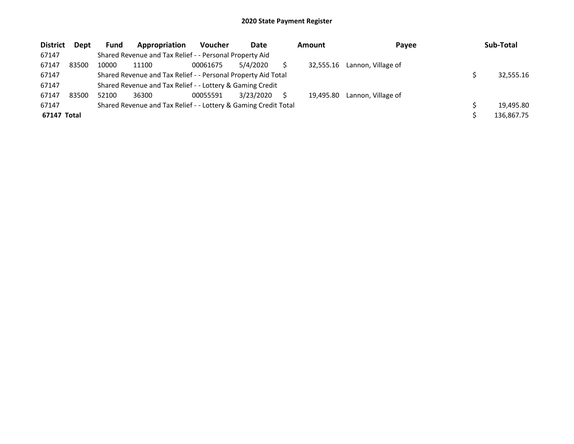| <b>District</b> | <b>Dept</b> | <b>Fund</b> | Appropriation                                                   | <b>Voucher</b> | Date      | Amount    | Payee              | Sub-Total  |
|-----------------|-------------|-------------|-----------------------------------------------------------------|----------------|-----------|-----------|--------------------|------------|
| 67147           |             |             | Shared Revenue and Tax Relief - - Personal Property Aid         |                |           |           |                    |            |
| 67147           | 83500       | 10000       | 11100                                                           | 00061675       | 5/4/2020  | 32,555.16 | Lannon, Village of |            |
| 67147           |             |             | Shared Revenue and Tax Relief - - Personal Property Aid Total   |                |           |           |                    | 32,555.16  |
| 67147           |             |             | Shared Revenue and Tax Relief - - Lottery & Gaming Credit       |                |           |           |                    |            |
| 67147           | 83500       | 52100       | 36300                                                           | 00055591       | 3/23/2020 | 19.495.80 | Lannon, Village of |            |
| 67147           |             |             | Shared Revenue and Tax Relief - - Lottery & Gaming Credit Total |                |           |           |                    | 19.495.80  |
| 67147 Total     |             |             |                                                                 |                |           |           |                    | 136,867.75 |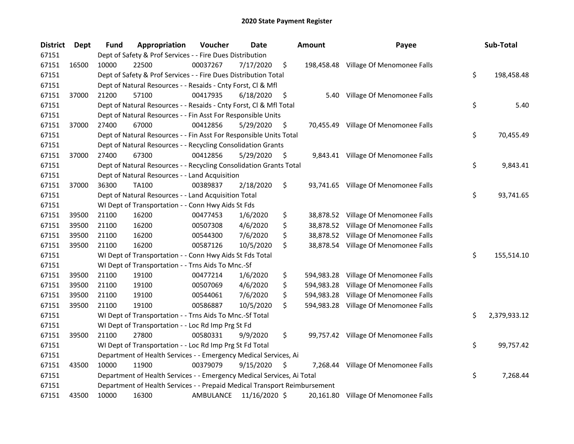| <b>District</b> | Dept  | <b>Fund</b> | Appropriation                                                             | Voucher   | Date          | <b>Amount</b>    | Payee                                 | Sub-Total          |
|-----------------|-------|-------------|---------------------------------------------------------------------------|-----------|---------------|------------------|---------------------------------------|--------------------|
| 67151           |       |             | Dept of Safety & Prof Services - - Fire Dues Distribution                 |           |               |                  |                                       |                    |
| 67151           | 16500 | 10000       | 22500                                                                     | 00037267  | 7/17/2020     | \$               | 198,458.48 Village Of Menomonee Falls |                    |
| 67151           |       |             | Dept of Safety & Prof Services - - Fire Dues Distribution Total           |           |               |                  |                                       | \$<br>198,458.48   |
| 67151           |       |             | Dept of Natural Resources - - Resaids - Cnty Forst, Cl & Mfl              |           |               |                  |                                       |                    |
| 67151           | 37000 | 21200       | 57100                                                                     | 00417935  | 6/18/2020     | \$               | 5.40 Village Of Menomonee Falls       |                    |
| 67151           |       |             | Dept of Natural Resources - - Resaids - Cnty Forst, Cl & Mfl Total        |           |               |                  |                                       | \$<br>5.40         |
| 67151           |       |             | Dept of Natural Resources - - Fin Asst For Responsible Units              |           |               |                  |                                       |                    |
| 67151           | 37000 | 27400       | 67000                                                                     | 00412856  | 5/29/2020     | \$               | 70,455.49 Village Of Menomonee Falls  |                    |
| 67151           |       |             | Dept of Natural Resources - - Fin Asst For Responsible Units Total        |           |               |                  |                                       | \$<br>70,455.49    |
| 67151           |       |             | Dept of Natural Resources - - Recycling Consolidation Grants              |           |               |                  |                                       |                    |
| 67151           | 37000 | 27400       | 67300                                                                     | 00412856  | 5/29/2020     | \$               | 9,843.41 Village Of Menomonee Falls   |                    |
| 67151           |       |             | Dept of Natural Resources - - Recycling Consolidation Grants Total        |           |               |                  |                                       | \$<br>9,843.41     |
| 67151           |       |             | Dept of Natural Resources - - Land Acquisition                            |           |               |                  |                                       |                    |
| 67151           | 37000 | 36300       | <b>TA100</b>                                                              | 00389837  | 2/18/2020     | \$               | 93,741.65 Village Of Menomonee Falls  |                    |
| 67151           |       |             | Dept of Natural Resources - - Land Acquisition Total                      |           |               |                  |                                       | \$<br>93,741.65    |
| 67151           |       |             | WI Dept of Transportation - - Conn Hwy Aids St Fds                        |           |               |                  |                                       |                    |
| 67151           | 39500 | 21100       | 16200                                                                     | 00477453  | 1/6/2020      | \$               | 38,878.52 Village Of Menomonee Falls  |                    |
| 67151           | 39500 | 21100       | 16200                                                                     | 00507308  | 4/6/2020      | \$<br>38,878.52  | Village Of Menomonee Falls            |                    |
| 67151           | 39500 | 21100       | 16200                                                                     | 00544300  | 7/6/2020      | \$               | 38,878.52 Village Of Menomonee Falls  |                    |
| 67151           | 39500 | 21100       | 16200                                                                     | 00587126  | 10/5/2020     | \$               | 38,878.54 Village Of Menomonee Falls  |                    |
| 67151           |       |             | WI Dept of Transportation - - Conn Hwy Aids St Fds Total                  |           |               |                  |                                       | \$<br>155,514.10   |
| 67151           |       |             | WI Dept of Transportation - - Trns Aids To Mnc.-Sf                        |           |               |                  |                                       |                    |
| 67151           | 39500 | 21100       | 19100                                                                     | 00477214  | 1/6/2020      | \$<br>594,983.28 | Village Of Menomonee Falls            |                    |
| 67151           | 39500 | 21100       | 19100                                                                     | 00507069  | 4/6/2020      | \$<br>594,983.28 | Village Of Menomonee Falls            |                    |
| 67151           | 39500 | 21100       | 19100                                                                     | 00544061  | 7/6/2020      | \$<br>594,983.28 | Village Of Menomonee Falls            |                    |
| 67151           | 39500 | 21100       | 19100                                                                     | 00586887  | 10/5/2020     | \$<br>594,983.28 | Village Of Menomonee Falls            |                    |
| 67151           |       |             | WI Dept of Transportation - - Trns Aids To Mnc.-Sf Total                  |           |               |                  |                                       | \$<br>2,379,933.12 |
| 67151           |       |             | WI Dept of Transportation - - Loc Rd Imp Prg St Fd                        |           |               |                  |                                       |                    |
| 67151           | 39500 | 21100       | 27800                                                                     | 00580331  | 9/9/2020      | \$               | 99,757.42 Village Of Menomonee Falls  |                    |
| 67151           |       |             | WI Dept of Transportation - - Loc Rd Imp Prg St Fd Total                  |           |               |                  |                                       | \$<br>99,757.42    |
| 67151           |       |             | Department of Health Services - - Emergency Medical Services, Ai          |           |               |                  |                                       |                    |
| 67151           | 43500 | 10000       | 11900                                                                     | 00379079  | 9/15/2020     | \$<br>7,268.44   | Village Of Menomonee Falls            |                    |
| 67151           |       |             | Department of Health Services - - Emergency Medical Services, Ai Total    |           |               |                  |                                       | \$<br>7,268.44     |
| 67151           |       |             | Department of Health Services - - Prepaid Medical Transport Reimbursement |           |               |                  |                                       |                    |
| 67151           | 43500 | 10000       | 16300                                                                     | AMBULANCE | 11/16/2020 \$ |                  | 20,161.80 Village Of Menomonee Falls  |                    |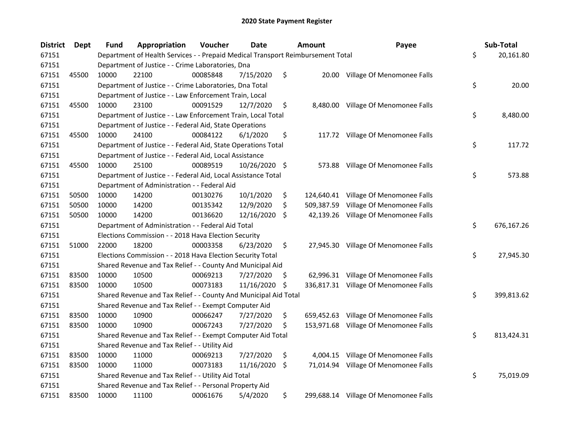| <b>District</b> | <b>Dept</b> | <b>Fund</b> | Appropriation                                                                   | Voucher  | Date          |     | <b>Amount</b> | Payee                                 | Sub-Total        |
|-----------------|-------------|-------------|---------------------------------------------------------------------------------|----------|---------------|-----|---------------|---------------------------------------|------------------|
| 67151           |             |             | Department of Health Services - - Prepaid Medical Transport Reimbursement Total |          |               |     |               |                                       | \$<br>20,161.80  |
| 67151           |             |             | Department of Justice - - Crime Laboratories, Dna                               |          |               |     |               |                                       |                  |
| 67151           | 45500       | 10000       | 22100                                                                           | 00085848 | 7/15/2020     | \$  |               | 20.00 Village Of Menomonee Falls      |                  |
| 67151           |             |             | Department of Justice - - Crime Laboratories, Dna Total                         |          |               |     |               |                                       | \$<br>20.00      |
| 67151           |             |             | Department of Justice - - Law Enforcement Train, Local                          |          |               |     |               |                                       |                  |
| 67151           | 45500       | 10000       | 23100                                                                           | 00091529 | 12/7/2020     | \$  |               | 8,480.00 Village Of Menomonee Falls   |                  |
| 67151           |             |             | Department of Justice - - Law Enforcement Train, Local Total                    |          |               |     |               |                                       | \$<br>8,480.00   |
| 67151           |             |             | Department of Justice - - Federal Aid, State Operations                         |          |               |     |               |                                       |                  |
| 67151           | 45500       | 10000       | 24100                                                                           | 00084122 | 6/1/2020      | \$  |               | 117.72 Village Of Menomonee Falls     |                  |
| 67151           |             |             | Department of Justice - - Federal Aid, State Operations Total                   |          |               |     |               |                                       | \$<br>117.72     |
| 67151           |             |             | Department of Justice - - Federal Aid, Local Assistance                         |          |               |     |               |                                       |                  |
| 67151           | 45500       | 10000       | 25100                                                                           | 00089519 | 10/26/2020 \$ |     |               | 573.88 Village Of Menomonee Falls     |                  |
| 67151           |             |             | Department of Justice - - Federal Aid, Local Assistance Total                   |          |               |     |               |                                       | \$<br>573.88     |
| 67151           |             |             | Department of Administration - - Federal Aid                                    |          |               |     |               |                                       |                  |
| 67151           | 50500       | 10000       | 14200                                                                           | 00130276 | 10/1/2020     | \$  |               | 124,640.41 Village Of Menomonee Falls |                  |
| 67151           | 50500       | 10000       | 14200                                                                           | 00135342 | 12/9/2020     | \$  | 509,387.59    | Village Of Menomonee Falls            |                  |
| 67151           | 50500       | 10000       | 14200                                                                           | 00136620 | 12/16/2020    | \$  |               | 42,139.26 Village Of Menomonee Falls  |                  |
| 67151           |             |             | Department of Administration - - Federal Aid Total                              |          |               |     |               |                                       | \$<br>676,167.26 |
| 67151           |             |             | Elections Commission - - 2018 Hava Election Security                            |          |               |     |               |                                       |                  |
| 67151           | 51000       | 22000       | 18200                                                                           | 00003358 | 6/23/2020     | \$  | 27,945.30     | Village Of Menomonee Falls            |                  |
| 67151           |             |             | Elections Commission - - 2018 Hava Election Security Total                      |          |               |     |               |                                       | \$<br>27,945.30  |
| 67151           |             |             | Shared Revenue and Tax Relief - - County And Municipal Aid                      |          |               |     |               |                                       |                  |
| 67151           | 83500       | 10000       | 10500                                                                           | 00069213 | 7/27/2020     | \$. |               | 62,996.31 Village Of Menomonee Falls  |                  |
| 67151           | 83500       | 10000       | 10500                                                                           | 00073183 | 11/16/2020 \$ |     |               | 336,817.31 Village Of Menomonee Falls |                  |
| 67151           |             |             | Shared Revenue and Tax Relief - - County And Municipal Aid Total                |          |               |     |               |                                       | \$<br>399,813.62 |
| 67151           |             |             | Shared Revenue and Tax Relief - - Exempt Computer Aid                           |          |               |     |               |                                       |                  |
| 67151           | 83500       | 10000       | 10900                                                                           | 00066247 | 7/27/2020     | \$  |               | 659,452.63 Village Of Menomonee Falls |                  |
| 67151           | 83500       | 10000       | 10900                                                                           | 00067243 | 7/27/2020     | \$  |               | 153,971.68 Village Of Menomonee Falls |                  |
| 67151           |             |             | Shared Revenue and Tax Relief - - Exempt Computer Aid Total                     |          |               |     |               |                                       | \$<br>813,424.31 |
| 67151           |             |             | Shared Revenue and Tax Relief - - Utility Aid                                   |          |               |     |               |                                       |                  |
| 67151           | 83500       | 10000       | 11000                                                                           | 00069213 | 7/27/2020     | \$  |               | 4,004.15 Village Of Menomonee Falls   |                  |
| 67151           | 83500       | 10000       | 11000                                                                           | 00073183 | 11/16/2020    | \$. |               | 71,014.94 Village Of Menomonee Falls  |                  |
| 67151           |             |             | Shared Revenue and Tax Relief - - Utility Aid Total                             |          |               |     |               |                                       | \$<br>75,019.09  |
| 67151           |             |             | Shared Revenue and Tax Relief - - Personal Property Aid                         |          |               |     |               |                                       |                  |
| 67151           | 83500       | 10000       | 11100                                                                           | 00061676 | 5/4/2020      | \$  |               | 299,688.14 Village Of Menomonee Falls |                  |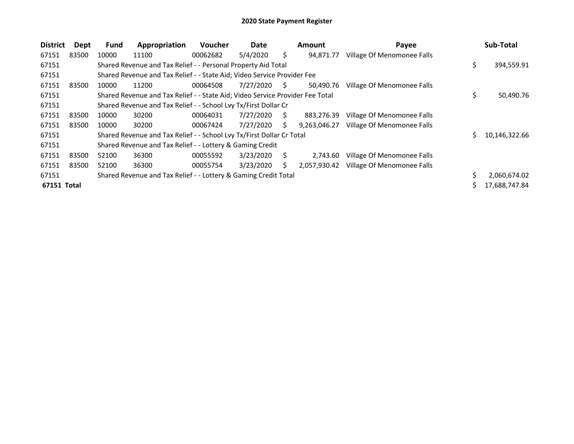| <b>District</b> | Dept  | <b>Fund</b> | Appropriation                                                                 | <b>Voucher</b> | Date      |    | <b>Amount</b> | Payee                      |     | Sub-Total     |
|-----------------|-------|-------------|-------------------------------------------------------------------------------|----------------|-----------|----|---------------|----------------------------|-----|---------------|
| 67151           | 83500 | 10000       | 11100                                                                         | 00062682       | 5/4/2020  | Ŝ. | 94.871.77     | Village Of Menomonee Falls |     |               |
| 67151           |       |             | Shared Revenue and Tax Relief - - Personal Property Aid Total                 |                |           |    |               |                            | \$. | 394,559.91    |
| 67151           |       |             | Shared Revenue and Tax Relief - - State Aid; Video Service Provider Fee       |                |           |    |               |                            |     |               |
| 67151           | 83500 | 10000       | 11200                                                                         | 00064508       | 7/27/2020 | S. | 50,490.76     | Village Of Menomonee Falls |     |               |
| 67151           |       |             | Shared Revenue and Tax Relief - - State Aid; Video Service Provider Fee Total |                |           |    |               |                            | \$  | 50,490.76     |
| 67151           |       |             | Shared Revenue and Tax Relief - - School Lvy Tx/First Dollar Cr               |                |           |    |               |                            |     |               |
| 67151           | 83500 | 10000       | 30200                                                                         | 00064031       | 7/27/2020 | S  | 883,276.39    | Village Of Menomonee Falls |     |               |
| 67151           | 83500 | 10000       | 30200                                                                         | 00067424       | 7/27/2020 | S. | 9.263.046.27  | Village Of Menomonee Falls |     |               |
| 67151           |       |             | Shared Revenue and Tax Relief - - School Lvy Tx/First Dollar Cr Total         |                |           |    |               |                            | S.  | 10,146,322.66 |
| 67151           |       |             | Shared Revenue and Tax Relief - - Lottery & Gaming Credit                     |                |           |    |               |                            |     |               |
| 67151           | 83500 | 52100       | 36300                                                                         | 00055592       | 3/23/2020 | S  | 2.743.60      | Village Of Menomonee Falls |     |               |
| 67151           | 83500 | 52100       | 36300                                                                         | 00055754       | 3/23/2020 | S  | 2,057,930.42  | Village Of Menomonee Falls |     |               |
| 67151           |       |             | Shared Revenue and Tax Relief - - Lottery & Gaming Credit Total               |                |           |    |               |                            |     | 2,060,674.02  |
| 67151 Total     |       |             |                                                                               |                |           |    |               |                            |     | 17,688,747.84 |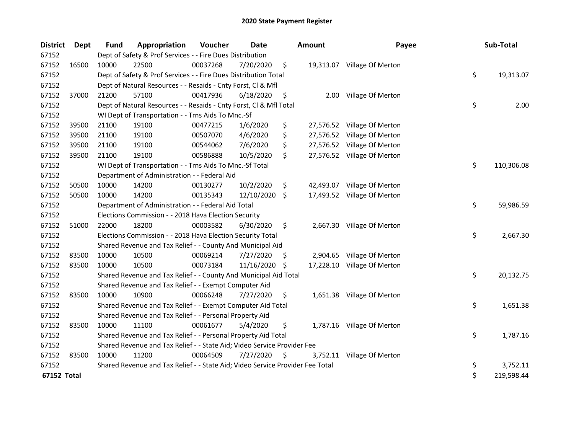| <b>District</b> | Dept  | <b>Fund</b> | Appropriation                                                                 | Voucher  | <b>Date</b> |     | <b>Amount</b> | Payee                       | Sub-Total        |
|-----------------|-------|-------------|-------------------------------------------------------------------------------|----------|-------------|-----|---------------|-----------------------------|------------------|
| 67152           |       |             | Dept of Safety & Prof Services - - Fire Dues Distribution                     |          |             |     |               |                             |                  |
| 67152           | 16500 | 10000       | 22500                                                                         | 00037268 | 7/20/2020   | \$  |               | 19,313.07 Village Of Merton |                  |
| 67152           |       |             | Dept of Safety & Prof Services - - Fire Dues Distribution Total               |          |             |     |               |                             | \$<br>19,313.07  |
| 67152           |       |             | Dept of Natural Resources - - Resaids - Cnty Forst, Cl & Mfl                  |          |             |     |               |                             |                  |
| 67152           | 37000 | 21200       | 57100                                                                         | 00417936 | 6/18/2020   | \$  |               | 2.00 Village Of Merton      |                  |
| 67152           |       |             | Dept of Natural Resources - - Resaids - Cnty Forst, Cl & Mfl Total            |          |             |     |               |                             | \$<br>2.00       |
| 67152           |       |             | WI Dept of Transportation - - Trns Aids To Mnc.-Sf                            |          |             |     |               |                             |                  |
| 67152           | 39500 | 21100       | 19100                                                                         | 00477215 | 1/6/2020    | \$  |               | 27,576.52 Village Of Merton |                  |
| 67152           | 39500 | 21100       | 19100                                                                         | 00507070 | 4/6/2020    | \$  |               | 27,576.52 Village Of Merton |                  |
| 67152           | 39500 | 21100       | 19100                                                                         | 00544062 | 7/6/2020    | \$  |               | 27,576.52 Village Of Merton |                  |
| 67152           | 39500 | 21100       | 19100                                                                         | 00586888 | 10/5/2020   | \$  |               | 27,576.52 Village Of Merton |                  |
| 67152           |       |             | WI Dept of Transportation - - Trns Aids To Mnc.-Sf Total                      |          |             |     |               |                             | \$<br>110,306.08 |
| 67152           |       |             | Department of Administration - - Federal Aid                                  |          |             |     |               |                             |                  |
| 67152           | 50500 | 10000       | 14200                                                                         | 00130277 | 10/2/2020   | \$  |               | 42,493.07 Village Of Merton |                  |
| 67152           | 50500 | 10000       | 14200                                                                         | 00135343 | 12/10/2020  | \$  |               | 17,493.52 Village Of Merton |                  |
| 67152           |       |             | Department of Administration - - Federal Aid Total                            |          |             |     |               |                             | \$<br>59,986.59  |
| 67152           |       |             | Elections Commission - - 2018 Hava Election Security                          |          |             |     |               |                             |                  |
| 67152           | 51000 | 22000       | 18200                                                                         | 00003582 | 6/30/2020   | \$  |               | 2,667.30 Village Of Merton  |                  |
| 67152           |       |             | Elections Commission - - 2018 Hava Election Security Total                    |          |             |     |               |                             | \$<br>2,667.30   |
| 67152           |       |             | Shared Revenue and Tax Relief - - County And Municipal Aid                    |          |             |     |               |                             |                  |
| 67152           | 83500 | 10000       | 10500                                                                         | 00069214 | 7/27/2020   | \$, | 2,904.65      | Village Of Merton           |                  |
| 67152           | 83500 | 10000       | 10500                                                                         | 00073184 | 11/16/2020  | -S  |               | 17,228.10 Village Of Merton |                  |
| 67152           |       |             | Shared Revenue and Tax Relief - - County And Municipal Aid Total              |          |             |     |               |                             | \$<br>20,132.75  |
| 67152           |       |             | Shared Revenue and Tax Relief - - Exempt Computer Aid                         |          |             |     |               |                             |                  |
| 67152           | 83500 | 10000       | 10900                                                                         | 00066248 | 7/27/2020   | \$  |               | 1,651.38 Village Of Merton  |                  |
| 67152           |       |             | Shared Revenue and Tax Relief - - Exempt Computer Aid Total                   |          |             |     |               |                             | \$<br>1,651.38   |
| 67152           |       |             | Shared Revenue and Tax Relief - - Personal Property Aid                       |          |             |     |               |                             |                  |
| 67152           | 83500 | 10000       | 11100                                                                         | 00061677 | 5/4/2020    | \$  |               | 1,787.16 Village Of Merton  |                  |
| 67152           |       |             | Shared Revenue and Tax Relief - - Personal Property Aid Total                 |          |             |     |               |                             | \$<br>1,787.16   |
| 67152           |       |             | Shared Revenue and Tax Relief - - State Aid; Video Service Provider Fee       |          |             |     |               |                             |                  |
| 67152           | 83500 | 10000       | 11200                                                                         | 00064509 | 7/27/2020   | \$  | 3,752.11      | Village Of Merton           |                  |
| 67152           |       |             | Shared Revenue and Tax Relief - - State Aid; Video Service Provider Fee Total |          |             |     |               |                             | \$<br>3,752.11   |
| 67152 Total     |       |             |                                                                               |          |             |     |               |                             | \$<br>219,598.44 |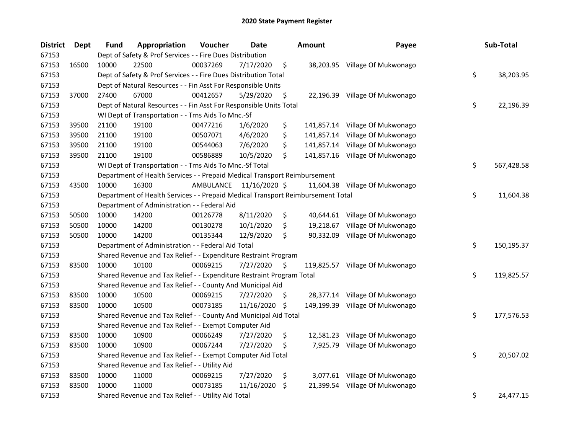| <b>District</b> | Dept  | <b>Fund</b> | Appropriation                                                                   | Voucher   | Date          |    | <b>Amount</b> | Payee                           | Sub-Total        |
|-----------------|-------|-------------|---------------------------------------------------------------------------------|-----------|---------------|----|---------------|---------------------------------|------------------|
| 67153           |       |             | Dept of Safety & Prof Services - - Fire Dues Distribution                       |           |               |    |               |                                 |                  |
| 67153           | 16500 | 10000       | 22500                                                                           | 00037269  | 7/17/2020     | \$ |               | 38,203.95 Village Of Mukwonago  |                  |
| 67153           |       |             | Dept of Safety & Prof Services - - Fire Dues Distribution Total                 |           |               |    |               |                                 | \$<br>38,203.95  |
| 67153           |       |             | Dept of Natural Resources - - Fin Asst For Responsible Units                    |           |               |    |               |                                 |                  |
| 67153           | 37000 | 27400       | 67000                                                                           | 00412657  | 5/29/2020     | \$ |               | 22,196.39 Village Of Mukwonago  |                  |
| 67153           |       |             | Dept of Natural Resources - - Fin Asst For Responsible Units Total              |           |               |    |               |                                 | \$<br>22,196.39  |
| 67153           |       |             | WI Dept of Transportation - - Trns Aids To Mnc.-Sf                              |           |               |    |               |                                 |                  |
| 67153           | 39500 | 21100       | 19100                                                                           | 00477216  | 1/6/2020      | \$ |               | 141,857.14 Village Of Mukwonago |                  |
| 67153           | 39500 | 21100       | 19100                                                                           | 00507071  | 4/6/2020      | \$ | 141,857.14    | Village Of Mukwonago            |                  |
| 67153           | 39500 | 21100       | 19100                                                                           | 00544063  | 7/6/2020      | \$ |               | 141,857.14 Village Of Mukwonago |                  |
| 67153           | 39500 | 21100       | 19100                                                                           | 00586889  | 10/5/2020     | \$ |               | 141,857.16 Village Of Mukwonago |                  |
| 67153           |       |             | WI Dept of Transportation - - Trns Aids To Mnc.-Sf Total                        |           |               |    |               |                                 | \$<br>567,428.58 |
| 67153           |       |             | Department of Health Services - - Prepaid Medical Transport Reimbursement       |           |               |    |               |                                 |                  |
| 67153           | 43500 | 10000       | 16300                                                                           | AMBULANCE | 11/16/2020 \$ |    |               | 11,604.38 Village Of Mukwonago  |                  |
| 67153           |       |             | Department of Health Services - - Prepaid Medical Transport Reimbursement Total |           |               |    |               |                                 | \$<br>11,604.38  |
| 67153           |       |             | Department of Administration - - Federal Aid                                    |           |               |    |               |                                 |                  |
| 67153           | 50500 | 10000       | 14200                                                                           | 00126778  | 8/11/2020     | \$ |               | 40,644.61 Village Of Mukwonago  |                  |
| 67153           | 50500 | 10000       | 14200                                                                           | 00130278  | 10/1/2020     | \$ | 19,218.67     | Village Of Mukwonago            |                  |
| 67153           | 50500 | 10000       | 14200                                                                           | 00135344  | 12/9/2020     | Ŝ. | 90,332.09     | Village Of Mukwonago            |                  |
| 67153           |       |             | Department of Administration - - Federal Aid Total                              |           |               |    |               |                                 | \$<br>150,195.37 |
| 67153           |       |             | Shared Revenue and Tax Relief - - Expenditure Restraint Program                 |           |               |    |               |                                 |                  |
| 67153           | 83500 | 10000       | 10100                                                                           | 00069215  | 7/27/2020     | \$ |               | 119,825.57 Village Of Mukwonago |                  |
| 67153           |       |             | Shared Revenue and Tax Relief - - Expenditure Restraint Program Total           |           |               |    |               |                                 | \$<br>119,825.57 |
| 67153           |       |             | Shared Revenue and Tax Relief - - County And Municipal Aid                      |           |               |    |               |                                 |                  |
| 67153           | 83500 | 10000       | 10500                                                                           | 00069215  | 7/27/2020     | \$ |               | 28,377.14 Village Of Mukwonago  |                  |
| 67153           | 83500 | 10000       | 10500                                                                           | 00073185  | 11/16/2020    | \$ |               | 149,199.39 Village Of Mukwonago |                  |
| 67153           |       |             | Shared Revenue and Tax Relief - - County And Municipal Aid Total                |           |               |    |               |                                 | \$<br>177,576.53 |
| 67153           |       |             | Shared Revenue and Tax Relief - - Exempt Computer Aid                           |           |               |    |               |                                 |                  |
| 67153           | 83500 | 10000       | 10900                                                                           | 00066249  | 7/27/2020     | \$ | 12,581.23     | Village Of Mukwonago            |                  |
| 67153           | 83500 | 10000       | 10900                                                                           | 00067244  | 7/27/2020     | \$ |               | 7,925.79 Village Of Mukwonago   |                  |
| 67153           |       |             | Shared Revenue and Tax Relief - - Exempt Computer Aid Total                     |           |               |    |               |                                 | \$<br>20,507.02  |
| 67153           |       |             | Shared Revenue and Tax Relief - - Utility Aid                                   |           |               |    |               |                                 |                  |
| 67153           | 83500 | 10000       | 11000                                                                           | 00069215  | 7/27/2020     | \$ |               | 3,077.61 Village Of Mukwonago   |                  |
| 67153           | 83500 | 10000       | 11000                                                                           | 00073185  | 11/16/2020    | \$ |               | 21,399.54 Village Of Mukwonago  |                  |
| 67153           |       |             | Shared Revenue and Tax Relief - - Utility Aid Total                             |           |               |    |               |                                 | \$<br>24,477.15  |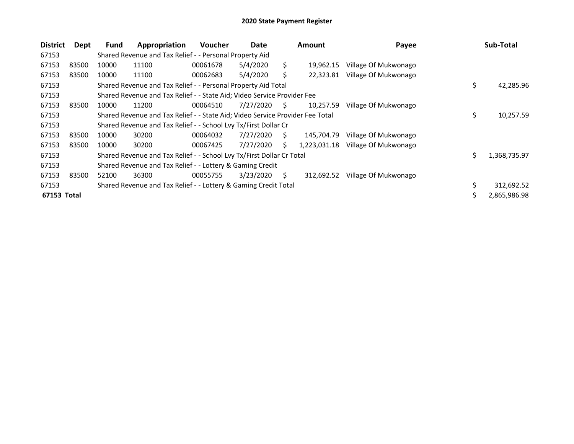| <b>District</b> | Dept  | Fund  | Appropriation                                                                 | <b>Voucher</b> | Date      |     | <b>Amount</b> | Payee                | Sub-Total          |
|-----------------|-------|-------|-------------------------------------------------------------------------------|----------------|-----------|-----|---------------|----------------------|--------------------|
| 67153           |       |       | Shared Revenue and Tax Relief - - Personal Property Aid                       |                |           |     |               |                      |                    |
| 67153           | 83500 | 10000 | 11100                                                                         | 00061678       | 5/4/2020  | \$. | 19.962.15     | Village Of Mukwonago |                    |
| 67153           | 83500 | 10000 | 11100                                                                         | 00062683       | 5/4/2020  | Ś.  | 22,323.81     | Village Of Mukwonago |                    |
| 67153           |       |       | Shared Revenue and Tax Relief - - Personal Property Aid Total                 |                |           |     |               |                      | \$<br>42,285.96    |
| 67153           |       |       | Shared Revenue and Tax Relief - - State Aid; Video Service Provider Fee       |                |           |     |               |                      |                    |
| 67153           | 83500 | 10000 | 11200                                                                         | 00064510       | 7/27/2020 | S.  | 10.257.59     | Village Of Mukwonago |                    |
| 67153           |       |       | Shared Revenue and Tax Relief - - State Aid; Video Service Provider Fee Total |                |           |     |               |                      | \$<br>10,257.59    |
| 67153           |       |       | Shared Revenue and Tax Relief - - School Lvy Tx/First Dollar Cr               |                |           |     |               |                      |                    |
| 67153           | 83500 | 10000 | 30200                                                                         | 00064032       | 7/27/2020 | S.  | 145.704.79    | Village Of Mukwonago |                    |
| 67153           | 83500 | 10000 | 30200                                                                         | 00067425       | 7/27/2020 | S.  | 1,223,031.18  | Village Of Mukwonago |                    |
| 67153           |       |       | Shared Revenue and Tax Relief - - School Lvy Tx/First Dollar Cr Total         |                |           |     |               |                      | \$<br>1,368,735.97 |
| 67153           |       |       | Shared Revenue and Tax Relief - - Lottery & Gaming Credit                     |                |           |     |               |                      |                    |
| 67153           | 83500 | 52100 | 36300                                                                         | 00055755       | 3/23/2020 | Ś.  | 312,692.52    | Village Of Mukwonago |                    |
| 67153           |       |       | Shared Revenue and Tax Relief - - Lottery & Gaming Credit Total               |                |           |     |               |                      | 312,692.52         |
| 67153 Total     |       |       |                                                                               |                |           |     |               |                      | \$<br>2,865,986.98 |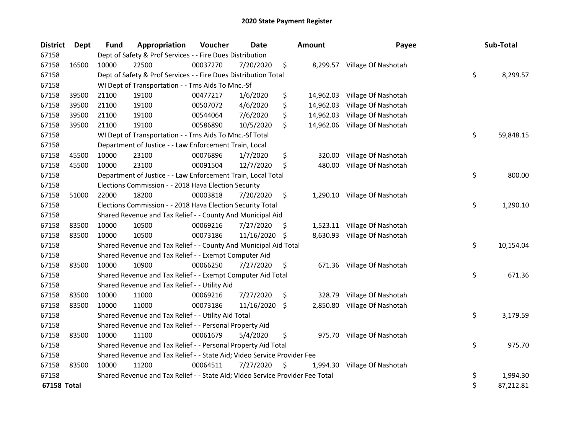| <b>District</b>    | Dept  | <b>Fund</b> | Appropriation                                                                 | Voucher  | <b>Date</b> |     | <b>Amount</b> | Payee                         | Sub-Total       |
|--------------------|-------|-------------|-------------------------------------------------------------------------------|----------|-------------|-----|---------------|-------------------------------|-----------------|
| 67158              |       |             | Dept of Safety & Prof Services - - Fire Dues Distribution                     |          |             |     |               |                               |                 |
| 67158              | 16500 | 10000       | 22500                                                                         | 00037270 | 7/20/2020   | \$  | 8,299.57      | Village Of Nashotah           |                 |
| 67158              |       |             | Dept of Safety & Prof Services - - Fire Dues Distribution Total               |          |             |     |               |                               | \$<br>8,299.57  |
| 67158              |       |             | WI Dept of Transportation - - Trns Aids To Mnc.-Sf                            |          |             |     |               |                               |                 |
| 67158              | 39500 | 21100       | 19100                                                                         | 00477217 | 1/6/2020    | \$  |               | 14,962.03 Village Of Nashotah |                 |
| 67158              | 39500 | 21100       | 19100                                                                         | 00507072 | 4/6/2020    | \$  | 14,962.03     | Village Of Nashotah           |                 |
| 67158              | 39500 | 21100       | 19100                                                                         | 00544064 | 7/6/2020    | \$  | 14,962.03     | Village Of Nashotah           |                 |
| 67158              | 39500 | 21100       | 19100                                                                         | 00586890 | 10/5/2020   | \$  | 14,962.06     | Village Of Nashotah           |                 |
| 67158              |       |             | WI Dept of Transportation - - Trns Aids To Mnc.-Sf Total                      |          |             |     |               |                               | \$<br>59,848.15 |
| 67158              |       |             | Department of Justice - - Law Enforcement Train, Local                        |          |             |     |               |                               |                 |
| 67158              | 45500 | 10000       | 23100                                                                         | 00076896 | 1/7/2020    | \$  | 320.00        | Village Of Nashotah           |                 |
| 67158              | 45500 | 10000       | 23100                                                                         | 00091504 | 12/7/2020   | \$  | 480.00        | Village Of Nashotah           |                 |
| 67158              |       |             | Department of Justice - - Law Enforcement Train, Local Total                  |          |             |     |               |                               | \$<br>800.00    |
| 67158              |       |             | Elections Commission - - 2018 Hava Election Security                          |          |             |     |               |                               |                 |
| 67158              | 51000 | 22000       | 18200                                                                         | 00003818 | 7/20/2020   | \$  |               | 1,290.10 Village Of Nashotah  |                 |
| 67158              |       |             | Elections Commission - - 2018 Hava Election Security Total                    |          |             |     |               |                               | \$<br>1,290.10  |
| 67158              |       |             | Shared Revenue and Tax Relief - - County And Municipal Aid                    |          |             |     |               |                               |                 |
| 67158              | 83500 | 10000       | 10500                                                                         | 00069216 | 7/27/2020   | \$. |               | 1,523.11 Village Of Nashotah  |                 |
| 67158              | 83500 | 10000       | 10500                                                                         | 00073186 | 11/16/2020  | -\$ |               | 8,630.93 Village Of Nashotah  |                 |
| 67158              |       |             | Shared Revenue and Tax Relief - - County And Municipal Aid Total              |          |             |     |               |                               | \$<br>10,154.04 |
| 67158              |       |             | Shared Revenue and Tax Relief - - Exempt Computer Aid                         |          |             |     |               |                               |                 |
| 67158              | 83500 | 10000       | 10900                                                                         | 00066250 | 7/27/2020   | \$  | 671.36        | Village Of Nashotah           |                 |
| 67158              |       |             | Shared Revenue and Tax Relief - - Exempt Computer Aid Total                   |          |             |     |               |                               | \$<br>671.36    |
| 67158              |       |             | Shared Revenue and Tax Relief - - Utility Aid                                 |          |             |     |               |                               |                 |
| 67158              | 83500 | 10000       | 11000                                                                         | 00069216 | 7/27/2020   | \$  | 328.79        | Village Of Nashotah           |                 |
| 67158              | 83500 | 10000       | 11000                                                                         | 00073186 | 11/16/2020  | \$  | 2,850.80      | Village Of Nashotah           |                 |
| 67158              |       |             | Shared Revenue and Tax Relief - - Utility Aid Total                           |          |             |     |               |                               | \$<br>3,179.59  |
| 67158              |       |             | Shared Revenue and Tax Relief - - Personal Property Aid                       |          |             |     |               |                               |                 |
| 67158              | 83500 | 10000       | 11100                                                                         | 00061679 | 5/4/2020    | \$  |               | 975.70 Village Of Nashotah    |                 |
| 67158              |       |             | Shared Revenue and Tax Relief - - Personal Property Aid Total                 |          |             |     |               |                               | \$<br>975.70    |
| 67158              |       |             | Shared Revenue and Tax Relief - - State Aid; Video Service Provider Fee       |          |             |     |               |                               |                 |
| 67158              | 83500 | 10000       | 11200                                                                         | 00064511 | 7/27/2020   | \$. | 1,994.30      | Village Of Nashotah           |                 |
| 67158              |       |             | Shared Revenue and Tax Relief - - State Aid; Video Service Provider Fee Total |          |             |     |               |                               | \$<br>1,994.30  |
| <b>67158 Total</b> |       |             |                                                                               |          |             |     |               |                               | \$<br>87,212.81 |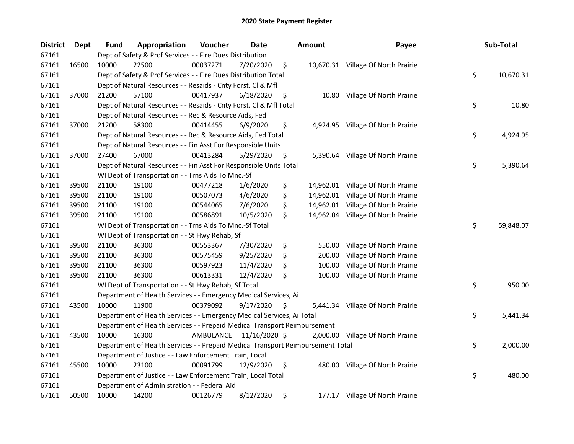| <b>District</b> | Dept  | Fund  | Appropriation                                                                   | Voucher   | Date          | <b>Amount</b> | Payee                              | Sub-Total       |
|-----------------|-------|-------|---------------------------------------------------------------------------------|-----------|---------------|---------------|------------------------------------|-----------------|
| 67161           |       |       | Dept of Safety & Prof Services - - Fire Dues Distribution                       |           |               |               |                                    |                 |
| 67161           | 16500 | 10000 | 22500                                                                           | 00037271  | 7/20/2020     | \$            | 10,670.31 Village Of North Prairie |                 |
| 67161           |       |       | Dept of Safety & Prof Services - - Fire Dues Distribution Total                 |           |               |               |                                    | \$<br>10,670.31 |
| 67161           |       |       | Dept of Natural Resources - - Resaids - Cnty Forst, Cl & Mfl                    |           |               |               |                                    |                 |
| 67161           | 37000 | 21200 | 57100                                                                           | 00417937  | 6/18/2020     | \$            | 10.80 Village Of North Prairie     |                 |
| 67161           |       |       | Dept of Natural Resources - - Resaids - Cnty Forst, Cl & Mfl Total              |           |               |               |                                    | \$<br>10.80     |
| 67161           |       |       | Dept of Natural Resources - - Rec & Resource Aids, Fed                          |           |               |               |                                    |                 |
| 67161           | 37000 | 21200 | 58300                                                                           | 00414455  | 6/9/2020      | \$            | 4,924.95 Village Of North Prairie  |                 |
| 67161           |       |       | Dept of Natural Resources - - Rec & Resource Aids, Fed Total                    |           |               |               |                                    | \$<br>4,924.95  |
| 67161           |       |       | Dept of Natural Resources - - Fin Asst For Responsible Units                    |           |               |               |                                    |                 |
| 67161           | 37000 | 27400 | 67000                                                                           | 00413284  | 5/29/2020     | \$            | 5,390.64 Village Of North Prairie  |                 |
| 67161           |       |       | Dept of Natural Resources - - Fin Asst For Responsible Units Total              |           |               |               |                                    | \$<br>5,390.64  |
| 67161           |       |       | WI Dept of Transportation - - Trns Aids To Mnc.-Sf                              |           |               |               |                                    |                 |
| 67161           | 39500 | 21100 | 19100                                                                           | 00477218  | 1/6/2020      | \$            | 14,962.01 Village Of North Prairie |                 |
| 67161           | 39500 | 21100 | 19100                                                                           | 00507073  | 4/6/2020      | \$            | 14,962.01 Village Of North Prairie |                 |
| 67161           | 39500 | 21100 | 19100                                                                           | 00544065  | 7/6/2020      | \$            | 14,962.01 Village Of North Prairie |                 |
| 67161           | 39500 | 21100 | 19100                                                                           | 00586891  | 10/5/2020     | \$            | 14,962.04 Village Of North Prairie |                 |
| 67161           |       |       | WI Dept of Transportation - - Trns Aids To Mnc.-Sf Total                        |           |               |               |                                    | \$<br>59,848.07 |
| 67161           |       |       | WI Dept of Transportation - - St Hwy Rehab, Sf                                  |           |               |               |                                    |                 |
| 67161           | 39500 | 21100 | 36300                                                                           | 00553367  | 7/30/2020     | \$<br>550.00  | Village Of North Prairie           |                 |
| 67161           | 39500 | 21100 | 36300                                                                           | 00575459  | 9/25/2020     | \$<br>200.00  | Village Of North Prairie           |                 |
| 67161           | 39500 | 21100 | 36300                                                                           | 00597923  | 11/4/2020     | \$<br>100.00  | Village Of North Prairie           |                 |
| 67161           | 39500 | 21100 | 36300                                                                           | 00613331  | 12/4/2020     | \$<br>100.00  | Village Of North Prairie           |                 |
| 67161           |       |       | WI Dept of Transportation - - St Hwy Rehab, Sf Total                            |           |               |               |                                    | \$<br>950.00    |
| 67161           |       |       | Department of Health Services - - Emergency Medical Services, Ai                |           |               |               |                                    |                 |
| 67161           | 43500 | 10000 | 11900                                                                           | 00379092  | 9/17/2020     | \$            | 5,441.34 Village Of North Prairie  |                 |
| 67161           |       |       | Department of Health Services - - Emergency Medical Services, Ai Total          |           |               |               |                                    | \$<br>5,441.34  |
| 67161           |       |       | Department of Health Services - - Prepaid Medical Transport Reimbursement       |           |               |               |                                    |                 |
| 67161           | 43500 | 10000 | 16300                                                                           | AMBULANCE | 11/16/2020 \$ |               | 2,000.00 Village Of North Prairie  |                 |
| 67161           |       |       | Department of Health Services - - Prepaid Medical Transport Reimbursement Total |           |               |               |                                    | \$<br>2,000.00  |
| 67161           |       |       | Department of Justice - - Law Enforcement Train, Local                          |           |               |               |                                    |                 |
| 67161           | 45500 | 10000 | 23100                                                                           | 00091799  | 12/9/2020     | \$            | 480.00 Village Of North Prairie    |                 |
| 67161           |       |       | Department of Justice - - Law Enforcement Train, Local Total                    |           |               |               |                                    | \$<br>480.00    |
| 67161           |       |       | Department of Administration - - Federal Aid                                    |           |               |               |                                    |                 |
| 67161           | 50500 | 10000 | 14200                                                                           | 00126779  | 8/12/2020     | \$            | 177.17 Village Of North Prairie    |                 |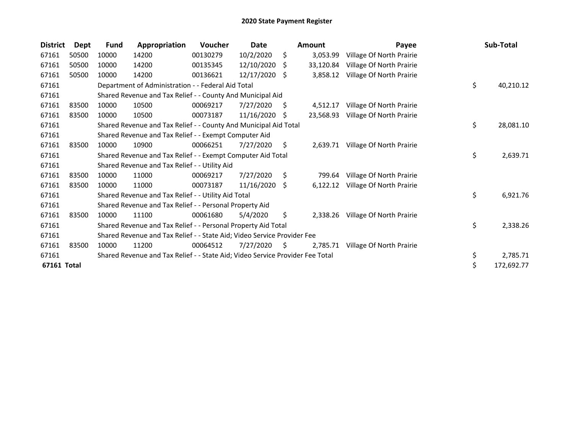| <b>District</b> | <b>Dept</b> | <b>Fund</b> | Appropriation                                                                 | <b>Voucher</b> | Date       |    | <b>Amount</b> | Payee                    | Sub-Total        |
|-----------------|-------------|-------------|-------------------------------------------------------------------------------|----------------|------------|----|---------------|--------------------------|------------------|
| 67161           | 50500       | 10000       | 14200                                                                         | 00130279       | 10/2/2020  | \$ | 3,053.99      | Village Of North Prairie |                  |
| 67161           | 50500       | 10000       | 14200                                                                         | 00135345       | 12/10/2020 | S  | 33,120.84     | Village Of North Prairie |                  |
| 67161           | 50500       | 10000       | 14200                                                                         | 00136621       | 12/17/2020 | Ŝ. | 3,858.12      | Village Of North Prairie |                  |
| 67161           |             |             | Department of Administration - - Federal Aid Total                            |                |            |    |               |                          | \$<br>40,210.12  |
| 67161           |             |             | Shared Revenue and Tax Relief - - County And Municipal Aid                    |                |            |    |               |                          |                  |
| 67161           | 83500       | 10000       | 10500                                                                         | 00069217       | 7/27/2020  | \$ | 4,512.17      | Village Of North Prairie |                  |
| 67161           | 83500       | 10000       | 10500                                                                         | 00073187       | 11/16/2020 | S  | 23,568.93     | Village Of North Prairie |                  |
| 67161           |             |             | Shared Revenue and Tax Relief - - County And Municipal Aid Total              |                |            |    |               |                          | \$<br>28,081.10  |
| 67161           |             |             | Shared Revenue and Tax Relief - - Exempt Computer Aid                         |                |            |    |               |                          |                  |
| 67161           | 83500       | 10000       | 10900                                                                         | 00066251       | 7/27/2020  | \$ | 2,639.71      | Village Of North Prairie |                  |
| 67161           |             |             | Shared Revenue and Tax Relief - - Exempt Computer Aid Total                   |                |            |    |               |                          | \$<br>2,639.71   |
| 67161           |             |             | Shared Revenue and Tax Relief - - Utility Aid                                 |                |            |    |               |                          |                  |
| 67161           | 83500       | 10000       | 11000                                                                         | 00069217       | 7/27/2020  | \$ | 799.64        | Village Of North Prairie |                  |
| 67161           | 83500       | 10000       | 11000                                                                         | 00073187       | 11/16/2020 | \$ | 6,122.12      | Village Of North Prairie |                  |
| 67161           |             |             | Shared Revenue and Tax Relief - - Utility Aid Total                           |                |            |    |               |                          | \$<br>6,921.76   |
| 67161           |             |             | Shared Revenue and Tax Relief - - Personal Property Aid                       |                |            |    |               |                          |                  |
| 67161           | 83500       | 10000       | 11100                                                                         | 00061680       | 5/4/2020   | Ŝ. | 2,338.26      | Village Of North Prairie |                  |
| 67161           |             |             | Shared Revenue and Tax Relief - - Personal Property Aid Total                 |                |            |    |               |                          | \$<br>2,338.26   |
| 67161           |             |             | Shared Revenue and Tax Relief - - State Aid; Video Service Provider Fee       |                |            |    |               |                          |                  |
| 67161           | 83500       | 10000       | 11200                                                                         | 00064512       | 7/27/2020  | S. | 2.785.71      | Village Of North Prairie |                  |
| 67161           |             |             | Shared Revenue and Tax Relief - - State Aid; Video Service Provider Fee Total |                |            |    |               |                          | \$<br>2,785.71   |
| 67161 Total     |             |             |                                                                               |                |            |    |               |                          | \$<br>172,692.77 |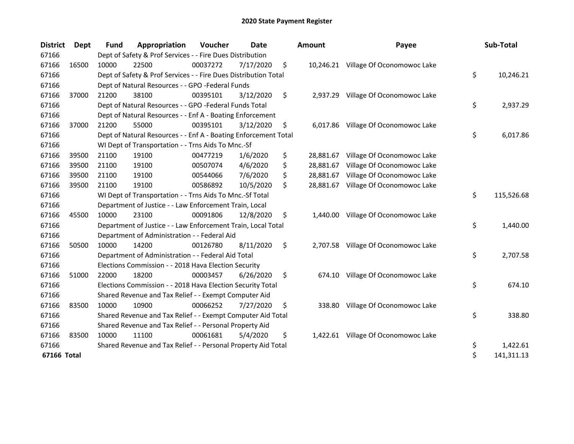| <b>District</b> | Dept  | <b>Fund</b> | Appropriation                                                   | Voucher  | Date      |    | <b>Amount</b> | Payee                                | Sub-Total        |
|-----------------|-------|-------------|-----------------------------------------------------------------|----------|-----------|----|---------------|--------------------------------------|------------------|
| 67166           |       |             | Dept of Safety & Prof Services - - Fire Dues Distribution       |          |           |    |               |                                      |                  |
| 67166           | 16500 | 10000       | 22500                                                           | 00037272 | 7/17/2020 | \$ |               | 10,246.21 Village Of Oconomowoc Lake |                  |
| 67166           |       |             | Dept of Safety & Prof Services - - Fire Dues Distribution Total |          |           |    |               |                                      | \$<br>10,246.21  |
| 67166           |       |             | Dept of Natural Resources - - GPO -Federal Funds                |          |           |    |               |                                      |                  |
| 67166           | 37000 | 21200       | 38100                                                           | 00395101 | 3/12/2020 | \$ | 2,937.29      | Village Of Oconomowoc Lake           |                  |
| 67166           |       |             | Dept of Natural Resources - - GPO -Federal Funds Total          |          |           |    |               |                                      | \$<br>2,937.29   |
| 67166           |       |             | Dept of Natural Resources - - Enf A - Boating Enforcement       |          |           |    |               |                                      |                  |
| 67166           | 37000 | 21200       | 55000                                                           | 00395101 | 3/12/2020 | \$ |               | 6,017.86 Village Of Oconomowoc Lake  |                  |
| 67166           |       |             | Dept of Natural Resources - - Enf A - Boating Enforcement Total |          |           |    |               |                                      | \$<br>6,017.86   |
| 67166           |       |             | WI Dept of Transportation - - Trns Aids To Mnc.-Sf              |          |           |    |               |                                      |                  |
| 67166           | 39500 | 21100       | 19100                                                           | 00477219 | 1/6/2020  | \$ | 28,881.67     | Village Of Oconomowoc Lake           |                  |
| 67166           | 39500 | 21100       | 19100                                                           | 00507074 | 4/6/2020  | \$ | 28,881.67     | Village Of Oconomowoc Lake           |                  |
| 67166           | 39500 | 21100       | 19100                                                           | 00544066 | 7/6/2020  | \$ | 28,881.67     | Village Of Oconomowoc Lake           |                  |
| 67166           | 39500 | 21100       | 19100                                                           | 00586892 | 10/5/2020 | Ś. | 28,881.67     | Village Of Oconomowoc Lake           |                  |
| 67166           |       |             | WI Dept of Transportation - - Trns Aids To Mnc.-Sf Total        |          |           |    |               |                                      | \$<br>115,526.68 |
| 67166           |       |             | Department of Justice - - Law Enforcement Train, Local          |          |           |    |               |                                      |                  |
| 67166           | 45500 | 10000       | 23100                                                           | 00091806 | 12/8/2020 | \$ | 1,440.00      | Village Of Oconomowoc Lake           |                  |
| 67166           |       |             | Department of Justice - - Law Enforcement Train, Local Total    |          |           |    |               |                                      | \$<br>1,440.00   |
| 67166           |       |             | Department of Administration - - Federal Aid                    |          |           |    |               |                                      |                  |
| 67166           | 50500 | 10000       | 14200                                                           | 00126780 | 8/11/2020 | \$ |               | 2,707.58 Village Of Oconomowoc Lake  |                  |
| 67166           |       |             | Department of Administration - - Federal Aid Total              |          |           |    |               |                                      | \$<br>2,707.58   |
| 67166           |       |             | Elections Commission - - 2018 Hava Election Security            |          |           |    |               |                                      |                  |
| 67166           | 51000 | 22000       | 18200                                                           | 00003457 | 6/26/2020 | \$ | 674.10        | Village Of Oconomowoc Lake           |                  |
| 67166           |       |             | Elections Commission - - 2018 Hava Election Security Total      |          |           |    |               |                                      | \$<br>674.10     |
| 67166           |       |             | Shared Revenue and Tax Relief - - Exempt Computer Aid           |          |           |    |               |                                      |                  |
| 67166           | 83500 | 10000       | 10900                                                           | 00066252 | 7/27/2020 | \$ | 338.80        | Village Of Oconomowoc Lake           |                  |
| 67166           |       |             | Shared Revenue and Tax Relief - - Exempt Computer Aid Total     |          |           |    |               |                                      | \$<br>338.80     |
| 67166           |       |             | Shared Revenue and Tax Relief - - Personal Property Aid         |          |           |    |               |                                      |                  |
| 67166           | 83500 | 10000       | 11100                                                           | 00061681 | 5/4/2020  | \$ |               | 1,422.61 Village Of Oconomowoc Lake  |                  |
| 67166           |       |             | Shared Revenue and Tax Relief - - Personal Property Aid Total   |          |           |    |               |                                      | \$<br>1,422.61   |
| 67166 Total     |       |             |                                                                 |          |           |    |               |                                      | \$<br>141,311.13 |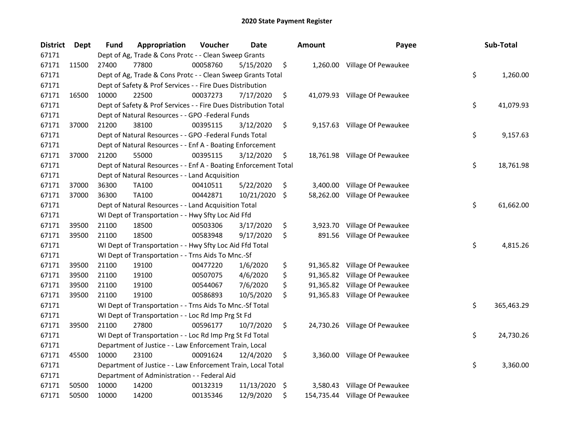| <b>District</b> | <b>Dept</b> | <b>Fund</b> | Appropriation                                                   | Voucher  | <b>Date</b> | <b>Amount</b>  | Payee                          | Sub-Total        |
|-----------------|-------------|-------------|-----------------------------------------------------------------|----------|-------------|----------------|--------------------------------|------------------|
| 67171           |             |             | Dept of Ag, Trade & Cons Protc - - Clean Sweep Grants           |          |             |                |                                |                  |
| 67171           | 11500       | 27400       | 77800                                                           | 00058760 | 5/15/2020   | \$             | 1,260.00 Village Of Pewaukee   |                  |
| 67171           |             |             | Dept of Ag, Trade & Cons Protc - - Clean Sweep Grants Total     |          |             |                |                                | \$<br>1,260.00   |
| 67171           |             |             | Dept of Safety & Prof Services - - Fire Dues Distribution       |          |             |                |                                |                  |
| 67171           | 16500       | 10000       | 22500                                                           | 00037273 | 7/17/2020   | \$             | 41,079.93 Village Of Pewaukee  |                  |
| 67171           |             |             | Dept of Safety & Prof Services - - Fire Dues Distribution Total |          |             |                |                                | \$<br>41,079.93  |
| 67171           |             |             | Dept of Natural Resources - - GPO -Federal Funds                |          |             |                |                                |                  |
| 67171           | 37000       | 21200       | 38100                                                           | 00395115 | 3/12/2020   | \$             | 9,157.63 Village Of Pewaukee   |                  |
| 67171           |             |             | Dept of Natural Resources - - GPO -Federal Funds Total          |          |             |                |                                | \$<br>9,157.63   |
| 67171           |             |             | Dept of Natural Resources - - Enf A - Boating Enforcement       |          |             |                |                                |                  |
| 67171           | 37000       | 21200       | 55000                                                           | 00395115 | 3/12/2020   | \$             | 18,761.98 Village Of Pewaukee  |                  |
| 67171           |             |             | Dept of Natural Resources - - Enf A - Boating Enforcement Total |          |             |                |                                | \$<br>18,761.98  |
| 67171           |             |             | Dept of Natural Resources - - Land Acquisition                  |          |             |                |                                |                  |
| 67171           | 37000       | 36300       | TA100                                                           | 00410511 | 5/22/2020   | \$             | 3,400.00 Village Of Pewaukee   |                  |
| 67171           | 37000       | 36300       | TA100                                                           | 00442871 | 10/21/2020  | \$             | 58,262.00 Village Of Pewaukee  |                  |
| 67171           |             |             | Dept of Natural Resources - - Land Acquisition Total            |          |             |                |                                | \$<br>61,662.00  |
| 67171           |             |             | WI Dept of Transportation - - Hwy Sfty Loc Aid Ffd              |          |             |                |                                |                  |
| 67171           | 39500       | 21100       | 18500                                                           | 00503306 | 3/17/2020   | \$<br>3,923.70 | Village Of Pewaukee            |                  |
| 67171           | 39500       | 21100       | 18500                                                           | 00583948 | 9/17/2020   | \$<br>891.56   | Village Of Pewaukee            |                  |
| 67171           |             |             | WI Dept of Transportation - - Hwy Sfty Loc Aid Ffd Total        |          |             |                |                                | \$<br>4,815.26   |
| 67171           |             |             | WI Dept of Transportation - - Trns Aids To Mnc.-Sf              |          |             |                |                                |                  |
| 67171           | 39500       | 21100       | 19100                                                           | 00477220 | 1/6/2020    | \$             | 91,365.82 Village Of Pewaukee  |                  |
| 67171           | 39500       | 21100       | 19100                                                           | 00507075 | 4/6/2020    | \$             | 91,365.82 Village Of Pewaukee  |                  |
| 67171           | 39500       | 21100       | 19100                                                           | 00544067 | 7/6/2020    | \$             | 91,365.82 Village Of Pewaukee  |                  |
| 67171           | 39500       | 21100       | 19100                                                           | 00586893 | 10/5/2020   | \$             | 91,365.83 Village Of Pewaukee  |                  |
| 67171           |             |             | WI Dept of Transportation - - Trns Aids To Mnc.-Sf Total        |          |             |                |                                | \$<br>365,463.29 |
| 67171           |             |             | WI Dept of Transportation - - Loc Rd Imp Prg St Fd              |          |             |                |                                |                  |
| 67171           | 39500       | 21100       | 27800                                                           | 00596177 | 10/7/2020   | \$             | 24,730.26 Village Of Pewaukee  |                  |
| 67171           |             |             | WI Dept of Transportation - - Loc Rd Imp Prg St Fd Total        |          |             |                |                                | \$<br>24,730.26  |
| 67171           |             |             | Department of Justice - - Law Enforcement Train, Local          |          |             |                |                                |                  |
| 67171           | 45500       | 10000       | 23100                                                           | 00091624 | 12/4/2020   | \$             | 3,360.00 Village Of Pewaukee   |                  |
| 67171           |             |             | Department of Justice - - Law Enforcement Train, Local Total    |          |             |                |                                | \$<br>3,360.00   |
| 67171           |             |             | Department of Administration - - Federal Aid                    |          |             |                |                                |                  |
| 67171           | 50500       | 10000       | 14200                                                           | 00132319 | 11/13/2020  | \$             | 3,580.43 Village Of Pewaukee   |                  |
| 67171           | 50500       | 10000       | 14200                                                           | 00135346 | 12/9/2020   | \$             | 154,735.44 Village Of Pewaukee |                  |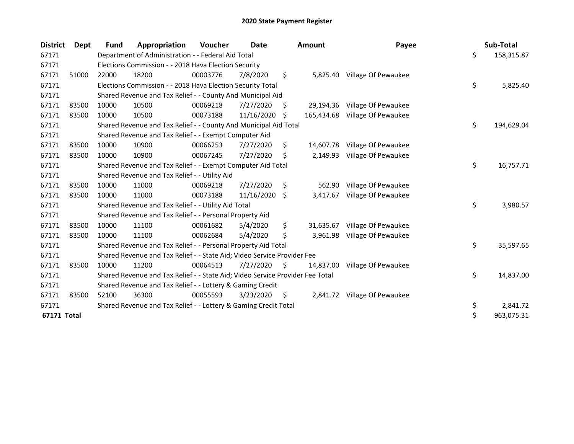| <b>District</b> | Dept  | Fund  | Appropriation                                                                 | Voucher  | Date       |    | <b>Amount</b> | Payee                        | Sub-Total        |
|-----------------|-------|-------|-------------------------------------------------------------------------------|----------|------------|----|---------------|------------------------------|------------------|
| 67171           |       |       | Department of Administration - - Federal Aid Total                            |          |            |    |               |                              | \$<br>158,315.87 |
| 67171           |       |       | Elections Commission - - 2018 Hava Election Security                          |          |            |    |               |                              |                  |
| 67171           | 51000 | 22000 | 18200                                                                         | 00003776 | 7/8/2020   | \$ |               | 5,825.40 Village Of Pewaukee |                  |
| 67171           |       |       | Elections Commission - - 2018 Hava Election Security Total                    |          |            |    |               |                              | \$<br>5,825.40   |
| 67171           |       |       | Shared Revenue and Tax Relief - - County And Municipal Aid                    |          |            |    |               |                              |                  |
| 67171           | 83500 | 10000 | 10500                                                                         | 00069218 | 7/27/2020  | S. | 29,194.36     | Village Of Pewaukee          |                  |
| 67171           | 83500 | 10000 | 10500                                                                         | 00073188 | 11/16/2020 | Ŝ. | 165.434.68    | Village Of Pewaukee          |                  |
| 67171           |       |       | Shared Revenue and Tax Relief - - County And Municipal Aid Total              |          |            |    |               |                              | \$<br>194,629.04 |
| 67171           |       |       | Shared Revenue and Tax Relief - - Exempt Computer Aid                         |          |            |    |               |                              |                  |
| 67171           | 83500 | 10000 | 10900                                                                         | 00066253 | 7/27/2020  | \$ | 14,607.78     | Village Of Pewaukee          |                  |
| 67171           | 83500 | 10000 | 10900                                                                         | 00067245 | 7/27/2020  | \$ | 2,149.93      | Village Of Pewaukee          |                  |
| 67171           |       |       | Shared Revenue and Tax Relief - - Exempt Computer Aid Total                   |          |            |    |               |                              | \$<br>16,757.71  |
| 67171           |       |       | Shared Revenue and Tax Relief - - Utility Aid                                 |          |            |    |               |                              |                  |
| 67171           | 83500 | 10000 | 11000                                                                         | 00069218 | 7/27/2020  | \$ | 562.90        | Village Of Pewaukee          |                  |
| 67171           | 83500 | 10000 | 11000                                                                         | 00073188 | 11/16/2020 | \$ | 3,417.67      | Village Of Pewaukee          |                  |
| 67171           |       |       | Shared Revenue and Tax Relief - - Utility Aid Total                           |          |            |    |               |                              | \$<br>3,980.57   |
| 67171           |       |       | Shared Revenue and Tax Relief - - Personal Property Aid                       |          |            |    |               |                              |                  |
| 67171           | 83500 | 10000 | 11100                                                                         | 00061682 | 5/4/2020   | \$ | 31,635.67     | Village Of Pewaukee          |                  |
| 67171           | 83500 | 10000 | 11100                                                                         | 00062684 | 5/4/2020   | \$ | 3.961.98      | Village Of Pewaukee          |                  |
| 67171           |       |       | Shared Revenue and Tax Relief - - Personal Property Aid Total                 |          |            |    |               |                              | \$<br>35,597.65  |
| 67171           |       |       | Shared Revenue and Tax Relief - - State Aid; Video Service Provider Fee       |          |            |    |               |                              |                  |
| 67171           | 83500 | 10000 | 11200                                                                         | 00064513 | 7/27/2020  | \$ | 14,837.00     | Village Of Pewaukee          |                  |
| 67171           |       |       | Shared Revenue and Tax Relief - - State Aid; Video Service Provider Fee Total |          |            |    |               |                              | \$<br>14,837.00  |
| 67171           |       |       | Shared Revenue and Tax Relief - - Lottery & Gaming Credit                     |          |            |    |               |                              |                  |
| 67171           | 83500 | 52100 | 36300                                                                         | 00055593 | 3/23/2020  | \$ |               | 2,841.72 Village Of Pewaukee |                  |
| 67171           |       |       | Shared Revenue and Tax Relief - - Lottery & Gaming Credit Total               |          |            |    |               |                              | \$<br>2,841.72   |
| 67171 Total     |       |       |                                                                               |          |            |    |               |                              | \$<br>963,075.31 |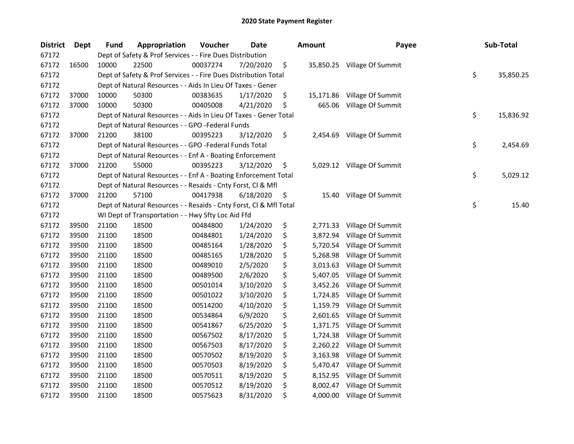| <b>District</b> | Dept  | <b>Fund</b> | Appropriation                                                      | Voucher  | Date      | <b>Amount</b>   | Payee                       | Sub-Total       |
|-----------------|-------|-------------|--------------------------------------------------------------------|----------|-----------|-----------------|-----------------------------|-----------------|
| 67172           |       |             | Dept of Safety & Prof Services - - Fire Dues Distribution          |          |           |                 |                             |                 |
| 67172           | 16500 | 10000       | 22500                                                              | 00037274 | 7/20/2020 | \$              | 35,850.25 Village Of Summit |                 |
| 67172           |       |             | Dept of Safety & Prof Services - - Fire Dues Distribution Total    |          |           |                 |                             | \$<br>35,850.25 |
| 67172           |       |             | Dept of Natural Resources - - Aids In Lieu Of Taxes - Gener        |          |           |                 |                             |                 |
| 67172           | 37000 | 10000       | 50300                                                              | 00383635 | 1/17/2020 | \$<br>15,171.86 | Village Of Summit           |                 |
| 67172           | 37000 | 10000       | 50300                                                              | 00405008 | 4/21/2020 | \$<br>665.06    | Village Of Summit           |                 |
| 67172           |       |             | Dept of Natural Resources - - Aids In Lieu Of Taxes - Gener Total  |          |           |                 |                             | \$<br>15,836.92 |
| 67172           |       |             | Dept of Natural Resources - - GPO -Federal Funds                   |          |           |                 |                             |                 |
| 67172           | 37000 | 21200       | 38100                                                              | 00395223 | 3/12/2020 | \$              | 2,454.69 Village Of Summit  |                 |
| 67172           |       |             | Dept of Natural Resources - - GPO -Federal Funds Total             |          |           |                 |                             | \$<br>2,454.69  |
| 67172           |       |             | Dept of Natural Resources - - Enf A - Boating Enforcement          |          |           |                 |                             |                 |
| 67172           | 37000 | 21200       | 55000                                                              | 00395223 | 3/12/2020 | \$              | 5,029.12 Village Of Summit  |                 |
| 67172           |       |             | Dept of Natural Resources - - Enf A - Boating Enforcement Total    |          |           |                 |                             | \$<br>5,029.12  |
| 67172           |       |             | Dept of Natural Resources - - Resaids - Cnty Forst, Cl & Mfl       |          |           |                 |                             |                 |
| 67172           | 37000 | 21200       | 57100                                                              | 00417938 | 6/18/2020 | \$<br>15.40     | Village Of Summit           |                 |
| 67172           |       |             | Dept of Natural Resources - - Resaids - Cnty Forst, Cl & Mfl Total |          |           |                 |                             | \$<br>15.40     |
| 67172           |       |             | WI Dept of Transportation - - Hwy Sfty Loc Aid Ffd                 |          |           |                 |                             |                 |
| 67172           | 39500 | 21100       | 18500                                                              | 00484800 | 1/24/2020 | \$<br>2,771.33  | Village Of Summit           |                 |
| 67172           | 39500 | 21100       | 18500                                                              | 00484801 | 1/24/2020 | \$<br>3,872.94  | Village Of Summit           |                 |
| 67172           | 39500 | 21100       | 18500                                                              | 00485164 | 1/28/2020 | \$<br>5,720.54  | Village Of Summit           |                 |
| 67172           | 39500 | 21100       | 18500                                                              | 00485165 | 1/28/2020 | \$<br>5,268.98  | Village Of Summit           |                 |
| 67172           | 39500 | 21100       | 18500                                                              | 00489010 | 2/5/2020  | \$<br>3,013.63  | Village Of Summit           |                 |
| 67172           | 39500 | 21100       | 18500                                                              | 00489500 | 2/6/2020  | \$<br>5,407.05  | Village Of Summit           |                 |
| 67172           | 39500 | 21100       | 18500                                                              | 00501014 | 3/10/2020 | \$<br>3,452.26  | Village Of Summit           |                 |
| 67172           | 39500 | 21100       | 18500                                                              | 00501022 | 3/10/2020 | \$<br>1,724.85  | Village Of Summit           |                 |
| 67172           | 39500 | 21100       | 18500                                                              | 00514200 | 4/10/2020 | \$<br>1,159.79  | Village Of Summit           |                 |
| 67172           | 39500 | 21100       | 18500                                                              | 00534864 | 6/9/2020  | \$<br>2,601.65  | Village Of Summit           |                 |
| 67172           | 39500 | 21100       | 18500                                                              | 00541867 | 6/25/2020 | \$<br>1,371.75  | Village Of Summit           |                 |
| 67172           | 39500 | 21100       | 18500                                                              | 00567502 | 8/17/2020 | \$<br>1,724.38  | Village Of Summit           |                 |
| 67172           | 39500 | 21100       | 18500                                                              | 00567503 | 8/17/2020 | \$<br>2,260.22  | Village Of Summit           |                 |
| 67172           | 39500 | 21100       | 18500                                                              | 00570502 | 8/19/2020 | \$<br>3,163.98  | Village Of Summit           |                 |
| 67172           | 39500 | 21100       | 18500                                                              | 00570503 | 8/19/2020 | \$<br>5,470.47  | Village Of Summit           |                 |
| 67172           | 39500 | 21100       | 18500                                                              | 00570511 | 8/19/2020 | \$              | 8,152.95 Village Of Summit  |                 |
| 67172           | 39500 | 21100       | 18500                                                              | 00570512 | 8/19/2020 | \$              | 8,002.47 Village Of Summit  |                 |
| 67172           | 39500 | 21100       | 18500                                                              | 00575623 | 8/31/2020 | \$              | 4,000.00 Village Of Summit  |                 |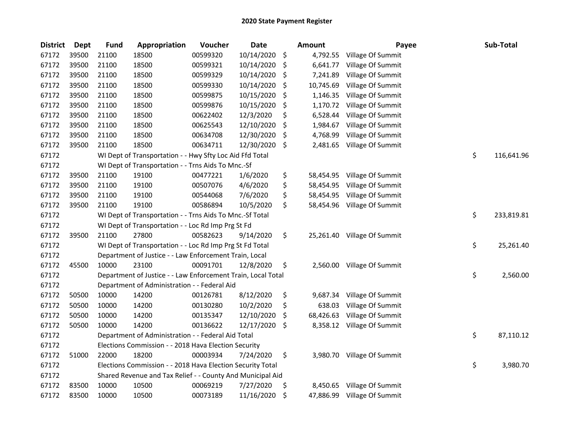| <b>District</b> | <b>Dept</b> | <b>Fund</b> | Appropriation                                                | Voucher  | <b>Date</b> | <b>Amount</b>   | Payee                       | Sub-Total        |
|-----------------|-------------|-------------|--------------------------------------------------------------|----------|-------------|-----------------|-----------------------------|------------------|
| 67172           | 39500       | 21100       | 18500                                                        | 00599320 | 10/14/2020  | \$<br>4,792.55  | Village Of Summit           |                  |
| 67172           | 39500       | 21100       | 18500                                                        | 00599321 | 10/14/2020  | \$<br>6,641.77  | Village Of Summit           |                  |
| 67172           | 39500       | 21100       | 18500                                                        | 00599329 | 10/14/2020  | \$<br>7,241.89  | Village Of Summit           |                  |
| 67172           | 39500       | 21100       | 18500                                                        | 00599330 | 10/14/2020  | \$<br>10,745.69 | Village Of Summit           |                  |
| 67172           | 39500       | 21100       | 18500                                                        | 00599875 | 10/15/2020  | \$<br>1,146.35  | Village Of Summit           |                  |
| 67172           | 39500       | 21100       | 18500                                                        | 00599876 | 10/15/2020  | \$<br>1,170.72  | Village Of Summit           |                  |
| 67172           | 39500       | 21100       | 18500                                                        | 00622402 | 12/3/2020   | \$<br>6,528.44  | Village Of Summit           |                  |
| 67172           | 39500       | 21100       | 18500                                                        | 00625543 | 12/10/2020  | \$<br>1,984.67  | Village Of Summit           |                  |
| 67172           | 39500       | 21100       | 18500                                                        | 00634708 | 12/30/2020  | \$<br>4,768.99  | Village Of Summit           |                  |
| 67172           | 39500       | 21100       | 18500                                                        | 00634711 | 12/30/2020  | \$<br>2,481.65  | Village Of Summit           |                  |
| 67172           |             |             | WI Dept of Transportation - - Hwy Sfty Loc Aid Ffd Total     |          |             |                 |                             | \$<br>116,641.96 |
| 67172           |             |             | WI Dept of Transportation - - Trns Aids To Mnc.-Sf           |          |             |                 |                             |                  |
| 67172           | 39500       | 21100       | 19100                                                        | 00477221 | 1/6/2020    | \$<br>58,454.95 | Village Of Summit           |                  |
| 67172           | 39500       | 21100       | 19100                                                        | 00507076 | 4/6/2020    | \$<br>58,454.95 | Village Of Summit           |                  |
| 67172           | 39500       | 21100       | 19100                                                        | 00544068 | 7/6/2020    | \$<br>58,454.95 | Village Of Summit           |                  |
| 67172           | 39500       | 21100       | 19100                                                        | 00586894 | 10/5/2020   | \$<br>58,454.96 | Village Of Summit           |                  |
| 67172           |             |             | WI Dept of Transportation - - Trns Aids To Mnc.-Sf Total     |          |             |                 |                             | \$<br>233,819.81 |
| 67172           |             |             | WI Dept of Transportation - - Loc Rd Imp Prg St Fd           |          |             |                 |                             |                  |
| 67172           | 39500       | 21100       | 27800                                                        | 00582623 | 9/14/2020   | \$<br>25,261.40 | Village Of Summit           |                  |
| 67172           |             |             | WI Dept of Transportation - - Loc Rd Imp Prg St Fd Total     |          |             |                 |                             | \$<br>25,261.40  |
| 67172           |             |             | Department of Justice - - Law Enforcement Train, Local       |          |             |                 |                             |                  |
| 67172           | 45500       | 10000       | 23100                                                        | 00091701 | 12/8/2020   | \$<br>2,560.00  | Village Of Summit           |                  |
| 67172           |             |             | Department of Justice - - Law Enforcement Train, Local Total |          |             |                 |                             | \$<br>2,560.00   |
| 67172           |             |             | Department of Administration - - Federal Aid                 |          |             |                 |                             |                  |
| 67172           | 50500       | 10000       | 14200                                                        | 00126781 | 8/12/2020   | \$<br>9,687.34  | Village Of Summit           |                  |
| 67172           | 50500       | 10000       | 14200                                                        | 00130280 | 10/2/2020   | \$<br>638.03    | Village Of Summit           |                  |
| 67172           | 50500       | 10000       | 14200                                                        | 00135347 | 12/10/2020  | \$<br>68,426.63 | Village Of Summit           |                  |
| 67172           | 50500       | 10000       | 14200                                                        | 00136622 | 12/17/2020  | \$<br>8,358.12  | Village Of Summit           |                  |
| 67172           |             |             | Department of Administration - - Federal Aid Total           |          |             |                 |                             | \$<br>87,110.12  |
| 67172           |             |             | Elections Commission - - 2018 Hava Election Security         |          |             |                 |                             |                  |
| 67172           | 51000       | 22000       | 18200                                                        | 00003934 | 7/24/2020   | \$              | 3,980.70 Village Of Summit  |                  |
| 67172           |             |             | Elections Commission - - 2018 Hava Election Security Total   |          |             |                 |                             | \$<br>3,980.70   |
| 67172           |             |             | Shared Revenue and Tax Relief - - County And Municipal Aid   |          |             |                 |                             |                  |
| 67172           | 83500       | 10000       | 10500                                                        | 00069219 | 7/27/2020   | \$<br>8,450.65  | Village Of Summit           |                  |
| 67172           | 83500       | 10000       | 10500                                                        | 00073189 | 11/16/2020  | \$              | 47,886.99 Village Of Summit |                  |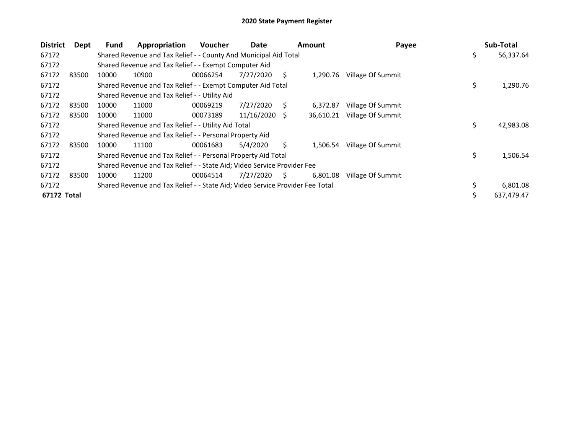| <b>District</b> | Dept  | <b>Fund</b> | Appropriation                                                                 | <b>Voucher</b> | Date       |    | Amount    | Payee             | Sub-Total        |
|-----------------|-------|-------------|-------------------------------------------------------------------------------|----------------|------------|----|-----------|-------------------|------------------|
| 67172           |       |             | Shared Revenue and Tax Relief - - County And Municipal Aid Total              |                |            |    |           |                   | \$<br>56,337.64  |
| 67172           |       |             | Shared Revenue and Tax Relief - - Exempt Computer Aid                         |                |            |    |           |                   |                  |
| 67172           | 83500 | 10000       | 10900                                                                         | 00066254       | 7/27/2020  | S. | 1,290.76  | Village Of Summit |                  |
| 67172           |       |             | Shared Revenue and Tax Relief - - Exempt Computer Aid Total                   |                |            |    |           |                   | \$<br>1,290.76   |
| 67172           |       |             | Shared Revenue and Tax Relief - - Utility Aid                                 |                |            |    |           |                   |                  |
| 67172           | 83500 | 10000       | 11000                                                                         | 00069219       | 7/27/2020  | S. | 6,372.87  | Village Of Summit |                  |
| 67172           | 83500 | 10000       | 11000                                                                         | 00073189       | 11/16/2020 | -S | 36,610.21 | Village Of Summit |                  |
| 67172           |       |             | Shared Revenue and Tax Relief - - Utility Aid Total                           |                |            |    |           |                   | \$<br>42,983.08  |
| 67172           |       |             | Shared Revenue and Tax Relief - - Personal Property Aid                       |                |            |    |           |                   |                  |
| 67172           | 83500 | 10000       | 11100                                                                         | 00061683       | 5/4/2020   | S  | 1,506.54  | Village Of Summit |                  |
| 67172           |       |             | Shared Revenue and Tax Relief - - Personal Property Aid Total                 |                |            |    |           |                   | \$<br>1,506.54   |
| 67172           |       |             | Shared Revenue and Tax Relief - - State Aid; Video Service Provider Fee       |                |            |    |           |                   |                  |
| 67172           | 83500 | 10000       | 11200                                                                         | 00064514       | 7/27/2020  | S. | 6,801.08  | Village Of Summit |                  |
| 67172           |       |             | Shared Revenue and Tax Relief - - State Aid; Video Service Provider Fee Total |                |            |    |           |                   | 6,801.08         |
| 67172 Total     |       |             |                                                                               |                |            |    |           |                   | \$<br>637,479.47 |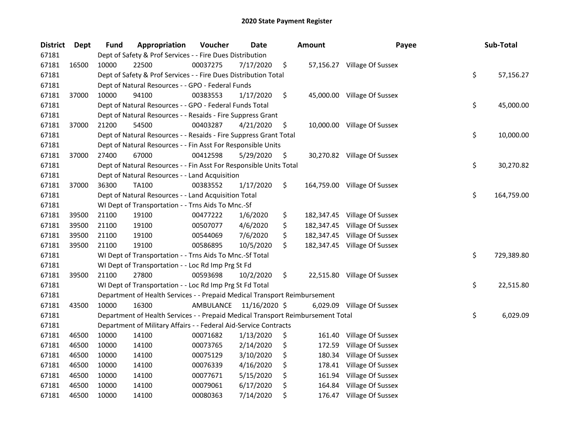| <b>District</b> | Dept  | <b>Fund</b> | Appropriation                                                                   | Voucher   | Date          | <b>Amount</b>    | Payee                        | Sub-Total        |
|-----------------|-------|-------------|---------------------------------------------------------------------------------|-----------|---------------|------------------|------------------------------|------------------|
| 67181           |       |             | Dept of Safety & Prof Services - - Fire Dues Distribution                       |           |               |                  |                              |                  |
| 67181           | 16500 | 10000       | 22500                                                                           | 00037275  | 7/17/2020     | \$               | 57,156.27 Village Of Sussex  |                  |
| 67181           |       |             | Dept of Safety & Prof Services - - Fire Dues Distribution Total                 |           |               |                  |                              | \$<br>57,156.27  |
| 67181           |       |             | Dept of Natural Resources - - GPO - Federal Funds                               |           |               |                  |                              |                  |
| 67181           | 37000 | 10000       | 94100                                                                           | 00383553  | 1/17/2020     | \$               | 45,000.00 Village Of Sussex  |                  |
| 67181           |       |             | Dept of Natural Resources - - GPO - Federal Funds Total                         |           |               |                  |                              | \$<br>45,000.00  |
| 67181           |       |             | Dept of Natural Resources - - Resaids - Fire Suppress Grant                     |           |               |                  |                              |                  |
| 67181           | 37000 | 21200       | 54500                                                                           | 00403287  | 4/21/2020     | \$               | 10,000.00 Village Of Sussex  |                  |
| 67181           |       |             | Dept of Natural Resources - - Resaids - Fire Suppress Grant Total               |           |               |                  |                              | \$<br>10,000.00  |
| 67181           |       |             | Dept of Natural Resources - - Fin Asst For Responsible Units                    |           |               |                  |                              |                  |
| 67181           | 37000 | 27400       | 67000                                                                           | 00412598  | 5/29/2020     | \$               | 30,270.82 Village Of Sussex  |                  |
| 67181           |       |             | Dept of Natural Resources - - Fin Asst For Responsible Units Total              |           |               |                  |                              | \$<br>30,270.82  |
| 67181           |       |             | Dept of Natural Resources - - Land Acquisition                                  |           |               |                  |                              |                  |
| 67181           | 37000 | 36300       | TA100                                                                           | 00383552  | 1/17/2020     | \$               | 164,759.00 Village Of Sussex |                  |
| 67181           |       |             | Dept of Natural Resources - - Land Acquisition Total                            |           |               |                  |                              | \$<br>164,759.00 |
| 67181           |       |             | WI Dept of Transportation - - Trns Aids To Mnc.-Sf                              |           |               |                  |                              |                  |
| 67181           | 39500 | 21100       | 19100                                                                           | 00477222  | 1/6/2020      | \$<br>182,347.45 | Village Of Sussex            |                  |
| 67181           | 39500 | 21100       | 19100                                                                           | 00507077  | 4/6/2020      | \$<br>182,347.45 | Village Of Sussex            |                  |
| 67181           | 39500 | 21100       | 19100                                                                           | 00544069  | 7/6/2020      | \$<br>182,347.45 | Village Of Sussex            |                  |
| 67181           | 39500 | 21100       | 19100                                                                           | 00586895  | 10/5/2020     | \$<br>182,347.45 | Village Of Sussex            |                  |
| 67181           |       |             | WI Dept of Transportation - - Trns Aids To Mnc.-Sf Total                        |           |               |                  |                              | \$<br>729,389.80 |
| 67181           |       |             | WI Dept of Transportation - - Loc Rd Imp Prg St Fd                              |           |               |                  |                              |                  |
| 67181           | 39500 | 21100       | 27800                                                                           | 00593698  | 10/2/2020     | \$               | 22,515.80 Village Of Sussex  |                  |
| 67181           |       |             | WI Dept of Transportation - - Loc Rd Imp Prg St Fd Total                        |           |               |                  |                              | \$<br>22,515.80  |
| 67181           |       |             | Department of Health Services - - Prepaid Medical Transport Reimbursement       |           |               |                  |                              |                  |
| 67181           | 43500 | 10000       | 16300                                                                           | AMBULANCE | 11/16/2020 \$ |                  | 6,029.09 Village Of Sussex   |                  |
| 67181           |       |             | Department of Health Services - - Prepaid Medical Transport Reimbursement Total |           |               |                  |                              | \$<br>6,029.09   |
| 67181           |       |             | Department of Military Affairs - - Federal Aid-Service Contracts                |           |               |                  |                              |                  |
| 67181           | 46500 | 10000       | 14100                                                                           | 00071682  | 1/13/2020     | \$<br>161.40     | Village Of Sussex            |                  |
| 67181           | 46500 | 10000       | 14100                                                                           | 00073765  | 2/14/2020     | \$<br>172.59     | Village Of Sussex            |                  |
| 67181           | 46500 | 10000       | 14100                                                                           | 00075129  | 3/10/2020     | \$<br>180.34     | Village Of Sussex            |                  |
| 67181           | 46500 | 10000       | 14100                                                                           | 00076339  | 4/16/2020     | \$<br>178.41     | Village Of Sussex            |                  |
| 67181           | 46500 | 10000       | 14100                                                                           | 00077671  | 5/15/2020     | \$<br>161.94     | Village Of Sussex            |                  |
| 67181           | 46500 | 10000       | 14100                                                                           | 00079061  | 6/17/2020     | \$<br>164.84     | Village Of Sussex            |                  |
| 67181           | 46500 | 10000       | 14100                                                                           | 00080363  | 7/14/2020     | \$               | 176.47 Village Of Sussex     |                  |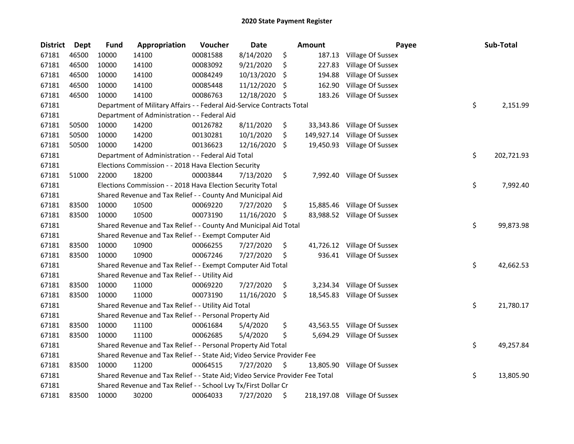| <b>District</b> | <b>Dept</b> | <b>Fund</b> | Appropriation                                                                 | Voucher  | Date       |     | Amount     | Payee                        | Sub-Total        |
|-----------------|-------------|-------------|-------------------------------------------------------------------------------|----------|------------|-----|------------|------------------------------|------------------|
| 67181           | 46500       | 10000       | 14100                                                                         | 00081588 | 8/14/2020  | \$  | 187.13     | Village Of Sussex            |                  |
| 67181           | 46500       | 10000       | 14100                                                                         | 00083092 | 9/21/2020  | \$  | 227.83     | Village Of Sussex            |                  |
| 67181           | 46500       | 10000       | 14100                                                                         | 00084249 | 10/13/2020 | \$  | 194.88     | Village Of Sussex            |                  |
| 67181           | 46500       | 10000       | 14100                                                                         | 00085448 | 11/12/2020 | \$  | 162.90     | Village Of Sussex            |                  |
| 67181           | 46500       | 10000       | 14100                                                                         | 00086763 | 12/18/2020 | \$  | 183.26     | Village Of Sussex            |                  |
| 67181           |             |             | Department of Military Affairs - - Federal Aid-Service Contracts Total        |          |            |     |            |                              | \$<br>2,151.99   |
| 67181           |             |             | Department of Administration - - Federal Aid                                  |          |            |     |            |                              |                  |
| 67181           | 50500       | 10000       | 14200                                                                         | 00126782 | 8/11/2020  | \$  | 33,343.86  | Village Of Sussex            |                  |
| 67181           | 50500       | 10000       | 14200                                                                         | 00130281 | 10/1/2020  | \$  | 149,927.14 | Village Of Sussex            |                  |
| 67181           | 50500       | 10000       | 14200                                                                         | 00136623 | 12/16/2020 | \$  |            | 19,450.93 Village Of Sussex  |                  |
| 67181           |             |             | Department of Administration - - Federal Aid Total                            |          |            |     |            |                              | \$<br>202,721.93 |
| 67181           |             |             | Elections Commission - - 2018 Hava Election Security                          |          |            |     |            |                              |                  |
| 67181           | 51000       | 22000       | 18200                                                                         | 00003844 | 7/13/2020  | \$  |            | 7,992.40 Village Of Sussex   |                  |
| 67181           |             |             | Elections Commission - - 2018 Hava Election Security Total                    |          |            |     |            |                              | \$<br>7,992.40   |
| 67181           |             |             | Shared Revenue and Tax Relief - - County And Municipal Aid                    |          |            |     |            |                              |                  |
| 67181           | 83500       | 10000       | 10500                                                                         | 00069220 | 7/27/2020  | \$. |            | 15,885.46 Village Of Sussex  |                  |
| 67181           | 83500       | 10000       | 10500                                                                         | 00073190 | 11/16/2020 | \$  |            | 83,988.52 Village Of Sussex  |                  |
| 67181           |             |             | Shared Revenue and Tax Relief - - County And Municipal Aid Total              |          |            |     |            |                              | \$<br>99,873.98  |
| 67181           |             |             | Shared Revenue and Tax Relief - - Exempt Computer Aid                         |          |            |     |            |                              |                  |
| 67181           | 83500       | 10000       | 10900                                                                         | 00066255 | 7/27/2020  | \$  |            | 41,726.12 Village Of Sussex  |                  |
| 67181           | 83500       | 10000       | 10900                                                                         | 00067246 | 7/27/2020  | \$  |            | 936.41 Village Of Sussex     |                  |
| 67181           |             |             | Shared Revenue and Tax Relief - - Exempt Computer Aid Total                   |          |            |     |            |                              | \$<br>42,662.53  |
| 67181           |             |             | Shared Revenue and Tax Relief - - Utility Aid                                 |          |            |     |            |                              |                  |
| 67181           | 83500       | 10000       | 11000                                                                         | 00069220 | 7/27/2020  | \$  | 3,234.34   | Village Of Sussex            |                  |
| 67181           | 83500       | 10000       | 11000                                                                         | 00073190 | 11/16/2020 | \$  |            | 18,545.83 Village Of Sussex  |                  |
| 67181           |             |             | Shared Revenue and Tax Relief - - Utility Aid Total                           |          |            |     |            |                              | \$<br>21,780.17  |
| 67181           |             |             | Shared Revenue and Tax Relief - - Personal Property Aid                       |          |            |     |            |                              |                  |
| 67181           | 83500       | 10000       | 11100                                                                         | 00061684 | 5/4/2020   | \$  | 43,563.55  | Village Of Sussex            |                  |
| 67181           | 83500       | 10000       | 11100                                                                         | 00062685 | 5/4/2020   | \$  | 5,694.29   | Village Of Sussex            |                  |
| 67181           |             |             | Shared Revenue and Tax Relief - - Personal Property Aid Total                 |          |            |     |            |                              | \$<br>49,257.84  |
| 67181           |             |             | Shared Revenue and Tax Relief - - State Aid; Video Service Provider Fee       |          |            |     |            |                              |                  |
| 67181           | 83500       | 10000       | 11200                                                                         | 00064515 | 7/27/2020  | \$  | 13,805.90  | Village Of Sussex            |                  |
| 67181           |             |             | Shared Revenue and Tax Relief - - State Aid; Video Service Provider Fee Total |          |            |     |            |                              | \$<br>13,805.90  |
| 67181           |             |             | Shared Revenue and Tax Relief - - School Lvy Tx/First Dollar Cr               |          |            |     |            |                              |                  |
| 67181           | 83500       | 10000       | 30200                                                                         | 00064033 | 7/27/2020  | \$  |            | 218,197.08 Village Of Sussex |                  |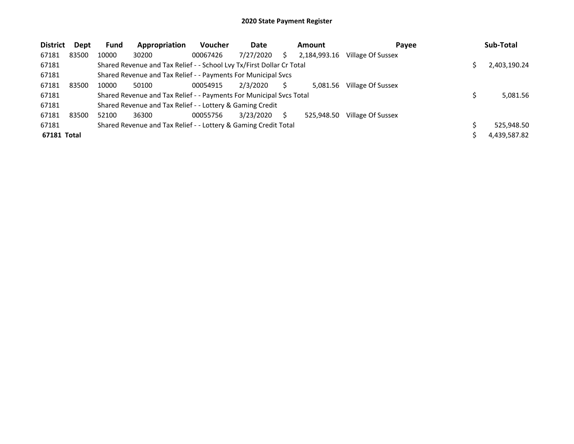| <b>District</b> | Dept  | <b>Fund</b> | Appropriation                                                         | <b>Voucher</b> | Date      | <b>Amount</b> | Payee             | Sub-Total    |
|-----------------|-------|-------------|-----------------------------------------------------------------------|----------------|-----------|---------------|-------------------|--------------|
| 67181           | 83500 | 10000       | 30200                                                                 | 00067426       | 7/27/2020 | 2.184.993.16  | Village Of Sussex |              |
| 67181           |       |             | Shared Revenue and Tax Relief - - School Lvy Tx/First Dollar Cr Total |                |           |               |                   | 2,403,190.24 |
| 67181           |       |             | Shared Revenue and Tax Relief - - Payments For Municipal Svcs         |                |           |               |                   |              |
| 67181           | 83500 | 10000       | 50100                                                                 | 00054915       | 2/3/2020  | 5.081.56      | Village Of Sussex |              |
| 67181           |       |             | Shared Revenue and Tax Relief - - Payments For Municipal Svcs Total   |                |           |               |                   | 5,081.56     |
| 67181           |       |             | Shared Revenue and Tax Relief - - Lottery & Gaming Credit             |                |           |               |                   |              |
| 67181           | 83500 | 52100       | 36300                                                                 | 00055756       | 3/23/2020 | 525.948.50    | Village Of Sussex |              |
| 67181           |       |             | Shared Revenue and Tax Relief - - Lottery & Gaming Credit Total       |                |           |               |                   | 525,948.50   |
| 67181 Total     |       |             |                                                                       |                |           |               |                   | 4,439,587.82 |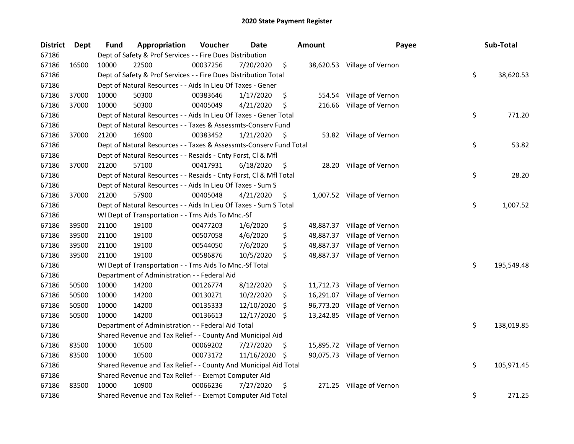| <b>District</b> | Dept  | <b>Fund</b> | Appropriation                                                      | Voucher  | <b>Date</b> |     | <b>Amount</b> | Payee                       | Sub-Total        |
|-----------------|-------|-------------|--------------------------------------------------------------------|----------|-------------|-----|---------------|-----------------------------|------------------|
| 67186           |       |             | Dept of Safety & Prof Services - - Fire Dues Distribution          |          |             |     |               |                             |                  |
| 67186           | 16500 | 10000       | 22500                                                              | 00037256 | 7/20/2020   | \$  |               | 38,620.53 Village of Vernon |                  |
| 67186           |       |             | Dept of Safety & Prof Services - - Fire Dues Distribution Total    |          |             |     |               |                             | \$<br>38,620.53  |
| 67186           |       |             | Dept of Natural Resources - - Aids In Lieu Of Taxes - Gener        |          |             |     |               |                             |                  |
| 67186           | 37000 | 10000       | 50300                                                              | 00383646 | 1/17/2020   | \$  | 554.54        | Village of Vernon           |                  |
| 67186           | 37000 | 10000       | 50300                                                              | 00405049 | 4/21/2020   | \$  | 216.66        | Village of Vernon           |                  |
| 67186           |       |             | Dept of Natural Resources - - Aids In Lieu Of Taxes - Gener Total  |          |             |     |               |                             | \$<br>771.20     |
| 67186           |       |             | Dept of Natural Resources - - Taxes & Assessmts-Conserv Fund       |          |             |     |               |                             |                  |
| 67186           | 37000 | 21200       | 16900                                                              | 00383452 | 1/21/2020   | \$  |               | 53.82 Village of Vernon     |                  |
| 67186           |       |             | Dept of Natural Resources - - Taxes & Assessmts-Conserv Fund Total |          |             |     |               |                             | \$<br>53.82      |
| 67186           |       |             | Dept of Natural Resources - - Resaids - Cnty Forst, Cl & Mfl       |          |             |     |               |                             |                  |
| 67186           | 37000 | 21200       | 57100                                                              | 00417931 | 6/18/2020   | \$. | 28.20         | Village of Vernon           |                  |
| 67186           |       |             | Dept of Natural Resources - - Resaids - Cnty Forst, Cl & Mfl Total |          |             |     |               |                             | \$<br>28.20      |
| 67186           |       |             | Dept of Natural Resources - - Aids In Lieu Of Taxes - Sum S        |          |             |     |               |                             |                  |
| 67186           | 37000 | 21200       | 57900                                                              | 00405048 | 4/21/2020   | \$  |               | 1,007.52 Village of Vernon  |                  |
| 67186           |       |             | Dept of Natural Resources - - Aids In Lieu Of Taxes - Sum S Total  |          |             |     |               |                             | \$<br>1,007.52   |
| 67186           |       |             | WI Dept of Transportation - - Trns Aids To Mnc.-Sf                 |          |             |     |               |                             |                  |
| 67186           | 39500 | 21100       | 19100                                                              | 00477203 | 1/6/2020    | \$  | 48,887.37     | Village of Vernon           |                  |
| 67186           | 39500 | 21100       | 19100                                                              | 00507058 | 4/6/2020    | \$  | 48,887.37     | Village of Vernon           |                  |
| 67186           | 39500 | 21100       | 19100                                                              | 00544050 | 7/6/2020    | \$  | 48,887.37     | Village of Vernon           |                  |
| 67186           | 39500 | 21100       | 19100                                                              | 00586876 | 10/5/2020   | \$  |               | 48,887.37 Village of Vernon |                  |
| 67186           |       |             | WI Dept of Transportation - - Trns Aids To Mnc.-Sf Total           |          |             |     |               |                             | \$<br>195,549.48 |
| 67186           |       |             | Department of Administration - - Federal Aid                       |          |             |     |               |                             |                  |
| 67186           | 50500 | 10000       | 14200                                                              | 00126774 | 8/12/2020   | \$  |               | 11,712.73 Village of Vernon |                  |
| 67186           | 50500 | 10000       | 14200                                                              | 00130271 | 10/2/2020   | \$  |               | 16,291.07 Village of Vernon |                  |
| 67186           | 50500 | 10000       | 14200                                                              | 00135333 | 12/10/2020  | \$  | 96,773.20     | Village of Vernon           |                  |
| 67186           | 50500 | 10000       | 14200                                                              | 00136613 | 12/17/2020  | -S  |               | 13,242.85 Village of Vernon |                  |
| 67186           |       |             | Department of Administration - - Federal Aid Total                 |          |             |     |               |                             | \$<br>138,019.85 |
| 67186           |       |             | Shared Revenue and Tax Relief - - County And Municipal Aid         |          |             |     |               |                             |                  |
| 67186           | 83500 | 10000       | 10500                                                              | 00069202 | 7/27/2020   | \$  |               | 15,895.72 Village of Vernon |                  |
| 67186           | 83500 | 10000       | 10500                                                              | 00073172 | 11/16/2020  | \$. |               | 90,075.73 Village of Vernon |                  |
| 67186           |       |             | Shared Revenue and Tax Relief - - County And Municipal Aid Total   |          |             |     |               |                             | \$<br>105,971.45 |
| 67186           |       |             | Shared Revenue and Tax Relief - - Exempt Computer Aid              |          |             |     |               |                             |                  |
| 67186           | 83500 | 10000       | 10900                                                              | 00066236 | 7/27/2020   | \$  | 271.25        | Village of Vernon           |                  |
| 67186           |       |             | Shared Revenue and Tax Relief - - Exempt Computer Aid Total        |          |             |     |               |                             | \$<br>271.25     |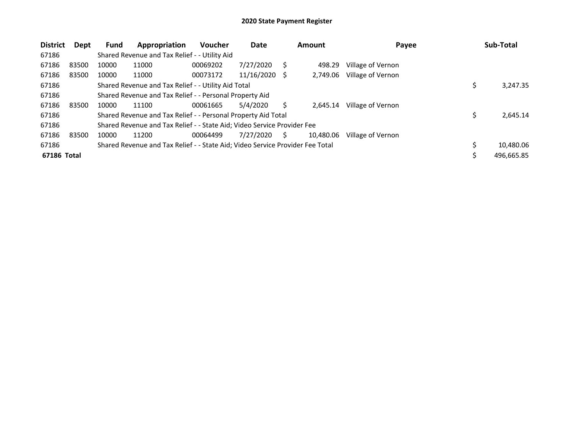| <b>District</b> | Dept  | <b>Fund</b> | Appropriation                                                                 | <b>Voucher</b> | Date       |     | Amount    | Payee             | Sub-Total  |
|-----------------|-------|-------------|-------------------------------------------------------------------------------|----------------|------------|-----|-----------|-------------------|------------|
| 67186           |       |             | Shared Revenue and Tax Relief - - Utility Aid                                 |                |            |     |           |                   |            |
| 67186           | 83500 | 10000       | 11000                                                                         | 00069202       | 7/27/2020  | S   | 498.29    | Village of Vernon |            |
| 67186           | 83500 | 10000       | 11000                                                                         | 00073172       | 11/16/2020 | - S | 2,749.06  | Village of Vernon |            |
| 67186           |       |             | Shared Revenue and Tax Relief - - Utility Aid Total                           |                |            |     |           |                   | 3,247.35   |
| 67186           |       |             | Shared Revenue and Tax Relief - - Personal Property Aid                       |                |            |     |           |                   |            |
| 67186           | 83500 | 10000       | 11100                                                                         | 00061665       | 5/4/2020   |     | 2.645.14  | Village of Vernon |            |
| 67186           |       |             | Shared Revenue and Tax Relief - - Personal Property Aid Total                 |                |            |     |           |                   | 2.645.14   |
| 67186           |       |             | Shared Revenue and Tax Relief - - State Aid; Video Service Provider Fee       |                |            |     |           |                   |            |
| 67186           | 83500 | 10000       | 11200                                                                         | 00064499       | 7/27/2020  | S   | 10.480.06 | Village of Vernon |            |
| 67186           |       |             | Shared Revenue and Tax Relief - - State Aid; Video Service Provider Fee Total |                |            |     |           |                   | 10,480.06  |
| 67186 Total     |       |             |                                                                               |                |            |     |           |                   | 496,665.85 |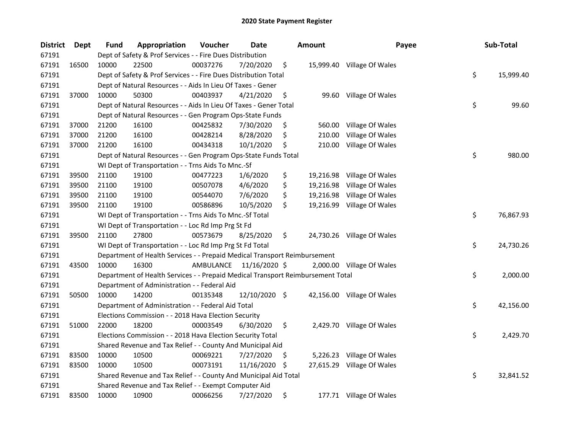| <b>District</b> | Dept  | <b>Fund</b> | Appropriation                                                                   | Voucher  | Date                    |    | <b>Amount</b> | Payee                      | Sub-Total       |
|-----------------|-------|-------------|---------------------------------------------------------------------------------|----------|-------------------------|----|---------------|----------------------------|-----------------|
| 67191           |       |             | Dept of Safety & Prof Services - - Fire Dues Distribution                       |          |                         |    |               |                            |                 |
| 67191           | 16500 | 10000       | 22500                                                                           | 00037276 | 7/20/2020               | \$ |               | 15,999.40 Village Of Wales |                 |
| 67191           |       |             | Dept of Safety & Prof Services - - Fire Dues Distribution Total                 |          |                         |    |               |                            | \$<br>15,999.40 |
| 67191           |       |             | Dept of Natural Resources - - Aids In Lieu Of Taxes - Gener                     |          |                         |    |               |                            |                 |
| 67191           | 37000 | 10000       | 50300                                                                           | 00403937 | 4/21/2020               | \$ |               | 99.60 Village Of Wales     |                 |
| 67191           |       |             | Dept of Natural Resources - - Aids In Lieu Of Taxes - Gener Total               |          |                         |    |               |                            | \$<br>99.60     |
| 67191           |       |             | Dept of Natural Resources - - Gen Program Ops-State Funds                       |          |                         |    |               |                            |                 |
| 67191           | 37000 | 21200       | 16100                                                                           | 00425832 | 7/30/2020               | \$ |               | 560.00 Village Of Wales    |                 |
| 67191           | 37000 | 21200       | 16100                                                                           | 00428214 | 8/28/2020               | \$ | 210.00        | Village Of Wales           |                 |
| 67191           | 37000 | 21200       | 16100                                                                           | 00434318 | 10/1/2020               | \$ |               | 210.00 Village Of Wales    |                 |
| 67191           |       |             | Dept of Natural Resources - - Gen Program Ops-State Funds Total                 |          |                         |    |               |                            | \$<br>980.00    |
| 67191           |       |             | WI Dept of Transportation - - Trns Aids To Mnc.-Sf                              |          |                         |    |               |                            |                 |
| 67191           | 39500 | 21100       | 19100                                                                           | 00477223 | 1/6/2020                | \$ |               | 19,216.98 Village Of Wales |                 |
| 67191           | 39500 | 21100       | 19100                                                                           | 00507078 | 4/6/2020                | \$ |               | 19,216.98 Village Of Wales |                 |
| 67191           | 39500 | 21100       | 19100                                                                           | 00544070 | 7/6/2020                | \$ |               | 19,216.98 Village Of Wales |                 |
| 67191           | 39500 | 21100       | 19100                                                                           | 00586896 | 10/5/2020               | \$ |               | 19,216.99 Village Of Wales |                 |
| 67191           |       |             | WI Dept of Transportation - - Trns Aids To Mnc.-Sf Total                        |          |                         |    |               |                            | \$<br>76,867.93 |
| 67191           |       |             | WI Dept of Transportation - - Loc Rd Imp Prg St Fd                              |          |                         |    |               |                            |                 |
| 67191           | 39500 | 21100       | 27800                                                                           | 00573679 | 8/25/2020               | \$ |               | 24,730.26 Village Of Wales |                 |
| 67191           |       |             | WI Dept of Transportation - - Loc Rd Imp Prg St Fd Total                        |          |                         |    |               |                            | \$<br>24,730.26 |
| 67191           |       |             | Department of Health Services - - Prepaid Medical Transport Reimbursement       |          |                         |    |               |                            |                 |
| 67191           | 43500 | 10000       | 16300                                                                           |          | AMBULANCE 11/16/2020 \$ |    |               | 2,000.00 Village Of Wales  |                 |
| 67191           |       |             | Department of Health Services - - Prepaid Medical Transport Reimbursement Total |          |                         |    |               |                            | \$<br>2,000.00  |
| 67191           |       |             | Department of Administration - - Federal Aid                                    |          |                         |    |               |                            |                 |
| 67191           | 50500 | 10000       | 14200                                                                           | 00135348 | 12/10/2020 \$           |    |               | 42,156.00 Village Of Wales |                 |
| 67191           |       |             | Department of Administration - - Federal Aid Total                              |          |                         |    |               |                            | \$<br>42,156.00 |
| 67191           |       |             | Elections Commission - - 2018 Hava Election Security                            |          |                         |    |               |                            |                 |
| 67191           | 51000 | 22000       | 18200                                                                           | 00003549 | 6/30/2020               | \$ |               | 2,429.70 Village Of Wales  |                 |
| 67191           |       |             | Elections Commission - - 2018 Hava Election Security Total                      |          |                         |    |               |                            | \$<br>2,429.70  |
| 67191           |       |             | Shared Revenue and Tax Relief - - County And Municipal Aid                      |          |                         |    |               |                            |                 |
| 67191           | 83500 | 10000       | 10500                                                                           | 00069221 | 7/27/2020               | \$ |               | 5,226.23 Village Of Wales  |                 |
| 67191           | 83500 | 10000       | 10500                                                                           | 00073191 | 11/16/2020              | -S |               | 27,615.29 Village Of Wales |                 |
| 67191           |       |             | Shared Revenue and Tax Relief - - County And Municipal Aid Total                |          |                         |    |               |                            | \$<br>32,841.52 |
| 67191           |       |             | Shared Revenue and Tax Relief - - Exempt Computer Aid                           |          |                         |    |               |                            |                 |
| 67191           | 83500 | 10000       | 10900                                                                           | 00066256 | 7/27/2020               | \$ |               | 177.71 Village Of Wales    |                 |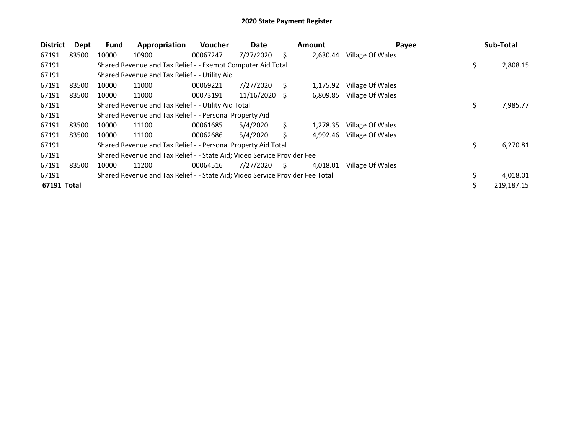| <b>District</b> | Dept  | <b>Fund</b> | Appropriation                                                                 | <b>Voucher</b> | Date       |     | Amount   | Payee            |    | Sub-Total  |
|-----------------|-------|-------------|-------------------------------------------------------------------------------|----------------|------------|-----|----------|------------------|----|------------|
| 67191           | 83500 | 10000       | 10900                                                                         | 00067247       | 7/27/2020  | Ś.  | 2,630.44 | Village Of Wales |    |            |
| 67191           |       |             | Shared Revenue and Tax Relief - - Exempt Computer Aid Total                   |                |            |     |          |                  | \$ | 2,808.15   |
| 67191           |       |             | Shared Revenue and Tax Relief - - Utility Aid                                 |                |            |     |          |                  |    |            |
| 67191           | 83500 | 10000       | 11000                                                                         | 00069221       | 7/27/2020  | S.  | 1,175.92 | Village Of Wales |    |            |
| 67191           | 83500 | 10000       | 11000                                                                         | 00073191       | 11/16/2020 | - S | 6,809.85 | Village Of Wales |    |            |
| 67191           |       |             | Shared Revenue and Tax Relief - - Utility Aid Total                           |                |            |     |          |                  | \$ | 7,985.77   |
| 67191           |       |             | Shared Revenue and Tax Relief - - Personal Property Aid                       |                |            |     |          |                  |    |            |
| 67191           | 83500 | 10000       | 11100                                                                         | 00061685       | 5/4/2020   | S   | 1.278.35 | Village Of Wales |    |            |
| 67191           | 83500 | 10000       | 11100                                                                         | 00062686       | 5/4/2020   | Ś   | 4.992.46 | Village Of Wales |    |            |
| 67191           |       |             | Shared Revenue and Tax Relief - - Personal Property Aid Total                 |                |            |     |          |                  | \$ | 6,270.81   |
| 67191           |       |             | Shared Revenue and Tax Relief - - State Aid; Video Service Provider Fee       |                |            |     |          |                  |    |            |
| 67191           | 83500 | 10000       | 11200                                                                         | 00064516       | 7/27/2020  | S   | 4,018.01 | Village Of Wales |    |            |
| 67191           |       |             | Shared Revenue and Tax Relief - - State Aid; Video Service Provider Fee Total |                |            |     |          |                  |    | 4,018.01   |
| 67191 Total     |       |             |                                                                               |                |            |     |          |                  | Ś  | 219,187.15 |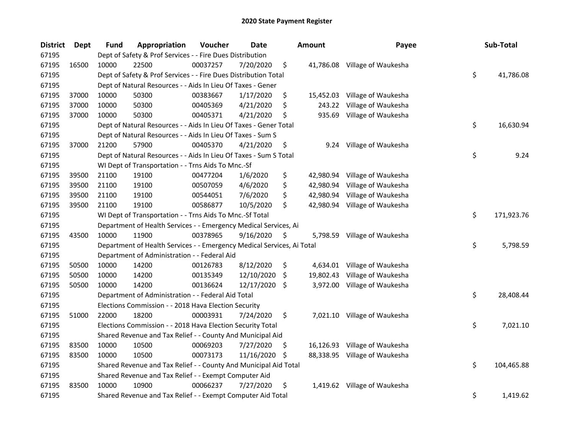| <b>District</b> | Dept  | <b>Fund</b> | Appropriation                                                          | Voucher  | <b>Date</b> |     | <b>Amount</b> | Payee                         | Sub-Total        |
|-----------------|-------|-------------|------------------------------------------------------------------------|----------|-------------|-----|---------------|-------------------------------|------------------|
| 67195           |       |             | Dept of Safety & Prof Services - - Fire Dues Distribution              |          |             |     |               |                               |                  |
| 67195           | 16500 | 10000       | 22500                                                                  | 00037257 | 7/20/2020   | \$  |               | 41,786.08 Village of Waukesha |                  |
| 67195           |       |             | Dept of Safety & Prof Services - - Fire Dues Distribution Total        |          |             |     |               |                               | \$<br>41,786.08  |
| 67195           |       |             | Dept of Natural Resources - - Aids In Lieu Of Taxes - Gener            |          |             |     |               |                               |                  |
| 67195           | 37000 | 10000       | 50300                                                                  | 00383667 | 1/17/2020   | \$  | 15,452.03     | Village of Waukesha           |                  |
| 67195           | 37000 | 10000       | 50300                                                                  | 00405369 | 4/21/2020   | \$  | 243.22        | Village of Waukesha           |                  |
| 67195           | 37000 | 10000       | 50300                                                                  | 00405371 | 4/21/2020   | \$  | 935.69        | Village of Waukesha           |                  |
| 67195           |       |             | Dept of Natural Resources - - Aids In Lieu Of Taxes - Gener Total      |          |             |     |               |                               | \$<br>16,630.94  |
| 67195           |       |             | Dept of Natural Resources - - Aids In Lieu Of Taxes - Sum S            |          |             |     |               |                               |                  |
| 67195           | 37000 | 21200       | 57900                                                                  | 00405370 | 4/21/2020   | \$  |               | 9.24 Village of Waukesha      |                  |
| 67195           |       |             | Dept of Natural Resources - - Aids In Lieu Of Taxes - Sum S Total      |          |             |     |               |                               | \$<br>9.24       |
| 67195           |       |             | WI Dept of Transportation - - Trns Aids To Mnc.-Sf                     |          |             |     |               |                               |                  |
| 67195           | 39500 | 21100       | 19100                                                                  | 00477204 | 1/6/2020    | \$  |               | 42,980.94 Village of Waukesha |                  |
| 67195           | 39500 | 21100       | 19100                                                                  | 00507059 | 4/6/2020    | \$  | 42,980.94     | Village of Waukesha           |                  |
| 67195           | 39500 | 21100       | 19100                                                                  | 00544051 | 7/6/2020    | \$  | 42,980.94     | Village of Waukesha           |                  |
| 67195           | 39500 | 21100       | 19100                                                                  | 00586877 | 10/5/2020   | \$  |               | 42,980.94 Village of Waukesha |                  |
| 67195           |       |             | WI Dept of Transportation - - Trns Aids To Mnc.-Sf Total               |          |             |     |               |                               | \$<br>171,923.76 |
| 67195           |       |             | Department of Health Services - - Emergency Medical Services, Ai       |          |             |     |               |                               |                  |
| 67195           | 43500 | 10000       | 11900                                                                  | 00378965 | 9/16/2020   | \$  | 5,798.59      | Village of Waukesha           |                  |
| 67195           |       |             | Department of Health Services - - Emergency Medical Services, Ai Total |          |             |     |               |                               | \$<br>5,798.59   |
| 67195           |       |             | Department of Administration - - Federal Aid                           |          |             |     |               |                               |                  |
| 67195           | 50500 | 10000       | 14200                                                                  | 00126783 | 8/12/2020   | \$  |               | 4,634.01 Village of Waukesha  |                  |
| 67195           | 50500 | 10000       | 14200                                                                  | 00135349 | 12/10/2020  | \$  |               | 19,802.43 Village of Waukesha |                  |
| 67195           | 50500 | 10000       | 14200                                                                  | 00136624 | 12/17/2020  | \$  |               | 3,972.00 Village of Waukesha  |                  |
| 67195           |       |             | Department of Administration - - Federal Aid Total                     |          |             |     |               |                               | \$<br>28,408.44  |
| 67195           |       |             | Elections Commission - - 2018 Hava Election Security                   |          |             |     |               |                               |                  |
| 67195           | 51000 | 22000       | 18200                                                                  | 00003931 | 7/24/2020   | \$  |               | 7,021.10 Village of Waukesha  |                  |
| 67195           |       |             | Elections Commission - - 2018 Hava Election Security Total             |          |             |     |               |                               | \$<br>7,021.10   |
| 67195           |       |             | Shared Revenue and Tax Relief - - County And Municipal Aid             |          |             |     |               |                               |                  |
| 67195           | 83500 | 10000       | 10500                                                                  | 00069203 | 7/27/2020   | \$  | 16,126.93     | Village of Waukesha           |                  |
| 67195           | 83500 | 10000       | 10500                                                                  | 00073173 | 11/16/2020  | -\$ | 88,338.95     | Village of Waukesha           |                  |
| 67195           |       |             | Shared Revenue and Tax Relief - - County And Municipal Aid Total       |          |             |     |               |                               | \$<br>104,465.88 |
| 67195           |       |             | Shared Revenue and Tax Relief - - Exempt Computer Aid                  |          |             |     |               |                               |                  |
| 67195           | 83500 | 10000       | 10900                                                                  | 00066237 | 7/27/2020   | \$  |               | 1,419.62 Village of Waukesha  |                  |
| 67195           |       |             | Shared Revenue and Tax Relief - - Exempt Computer Aid Total            |          |             |     |               |                               | \$<br>1,419.62   |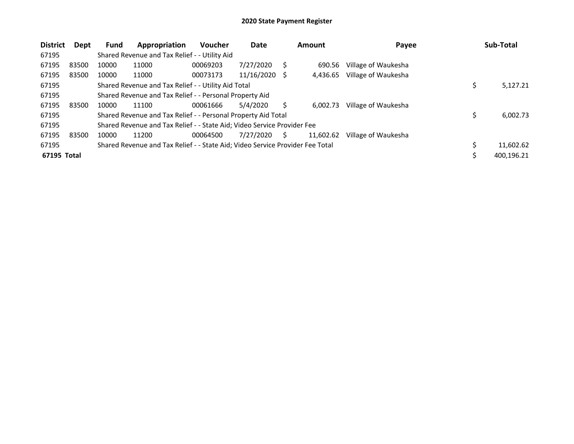| <b>District</b> | Dept  | <b>Fund</b> | Appropriation                                                                 | Voucher  | Date          |    | Amount    | Payee               | Sub-Total  |
|-----------------|-------|-------------|-------------------------------------------------------------------------------|----------|---------------|----|-----------|---------------------|------------|
| 67195           |       |             | Shared Revenue and Tax Relief - - Utility Aid                                 |          |               |    |           |                     |            |
| 67195           | 83500 | 10000       | 11000                                                                         | 00069203 | 7/27/2020     |    | 690.56    | Village of Waukesha |            |
| 67195           | 83500 | 10000       | 11000                                                                         | 00073173 | 11/16/2020 \$ |    | 4,436.65  | Village of Waukesha |            |
| 67195           |       |             | Shared Revenue and Tax Relief - - Utility Aid Total                           |          |               |    |           |                     | 5,127.21   |
| 67195           |       |             | Shared Revenue and Tax Relief - - Personal Property Aid                       |          |               |    |           |                     |            |
| 67195           | 83500 | 10000       | 11100                                                                         | 00061666 | 5/4/2020      | S  | 6.002.73  | Village of Waukesha |            |
| 67195           |       |             | Shared Revenue and Tax Relief - - Personal Property Aid Total                 |          |               |    |           |                     | 6,002.73   |
| 67195           |       |             | Shared Revenue and Tax Relief - - State Aid; Video Service Provider Fee       |          |               |    |           |                     |            |
| 67195           | 83500 | 10000       | 11200                                                                         | 00064500 | 7/27/2020     | S. | 11,602.62 | Village of Waukesha |            |
| 67195           |       |             | Shared Revenue and Tax Relief - - State Aid; Video Service Provider Fee Total |          |               |    |           |                     | 11,602.62  |
| 67195 Total     |       |             |                                                                               |          |               |    |           |                     | 400,196.21 |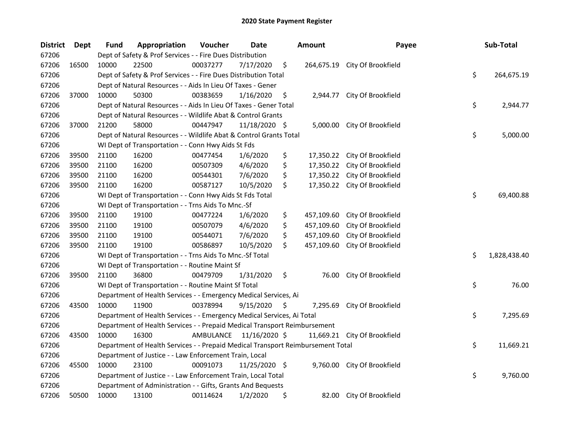| <b>District</b> | <b>Dept</b> | <b>Fund</b> | Appropriation                                                                   | Voucher   | Date          |    | <b>Amount</b> | Payee                         | Sub-Total          |
|-----------------|-------------|-------------|---------------------------------------------------------------------------------|-----------|---------------|----|---------------|-------------------------------|--------------------|
| 67206           |             |             | Dept of Safety & Prof Services - - Fire Dues Distribution                       |           |               |    |               |                               |                    |
| 67206           | 16500       | 10000       | 22500                                                                           | 00037277  | 7/17/2020     | \$ |               | 264,675.19 City Of Brookfield |                    |
| 67206           |             |             | Dept of Safety & Prof Services - - Fire Dues Distribution Total                 |           |               |    |               |                               | \$<br>264,675.19   |
| 67206           |             |             | Dept of Natural Resources - - Aids In Lieu Of Taxes - Gener                     |           |               |    |               |                               |                    |
| 67206           | 37000       | 10000       | 50300                                                                           | 00383659  | 1/16/2020     | \$ | 2,944.77      | City Of Brookfield            |                    |
| 67206           |             |             | Dept of Natural Resources - - Aids In Lieu Of Taxes - Gener Total               |           |               |    |               |                               | \$<br>2,944.77     |
| 67206           |             |             | Dept of Natural Resources - - Wildlife Abat & Control Grants                    |           |               |    |               |                               |                    |
| 67206           | 37000       | 21200       | 58000                                                                           | 00447947  | 11/18/2020 \$ |    |               | 5,000.00 City Of Brookfield   |                    |
| 67206           |             |             | Dept of Natural Resources - - Wildlife Abat & Control Grants Total              |           |               |    |               |                               | \$<br>5,000.00     |
| 67206           |             |             | WI Dept of Transportation - - Conn Hwy Aids St Fds                              |           |               |    |               |                               |                    |
| 67206           | 39500       | 21100       | 16200                                                                           | 00477454  | 1/6/2020      | \$ | 17,350.22     | City Of Brookfield            |                    |
| 67206           | 39500       | 21100       | 16200                                                                           | 00507309  | 4/6/2020      | \$ | 17,350.22     | City Of Brookfield            |                    |
| 67206           | 39500       | 21100       | 16200                                                                           | 00544301  | 7/6/2020      | \$ | 17,350.22     | City Of Brookfield            |                    |
| 67206           | 39500       | 21100       | 16200                                                                           | 00587127  | 10/5/2020     | \$ | 17,350.22     | City Of Brookfield            |                    |
| 67206           |             |             | WI Dept of Transportation - - Conn Hwy Aids St Fds Total                        |           |               |    |               |                               | \$<br>69,400.88    |
| 67206           |             |             | WI Dept of Transportation - - Trns Aids To Mnc.-Sf                              |           |               |    |               |                               |                    |
| 67206           | 39500       | 21100       | 19100                                                                           | 00477224  | 1/6/2020      | \$ | 457,109.60    | City Of Brookfield            |                    |
| 67206           | 39500       | 21100       | 19100                                                                           | 00507079  | 4/6/2020      | \$ | 457,109.60    | City Of Brookfield            |                    |
| 67206           | 39500       | 21100       | 19100                                                                           | 00544071  | 7/6/2020      | \$ | 457,109.60    | City Of Brookfield            |                    |
| 67206           | 39500       | 21100       | 19100                                                                           | 00586897  | 10/5/2020     | \$ | 457,109.60    | City Of Brookfield            |                    |
| 67206           |             |             | WI Dept of Transportation - - Trns Aids To Mnc.-Sf Total                        |           |               |    |               |                               | \$<br>1,828,438.40 |
| 67206           |             |             | WI Dept of Transportation - - Routine Maint Sf                                  |           |               |    |               |                               |                    |
| 67206           | 39500       | 21100       | 36800                                                                           | 00479709  | 1/31/2020     | \$ | 76.00         | City Of Brookfield            |                    |
| 67206           |             |             | WI Dept of Transportation - - Routine Maint Sf Total                            |           |               |    |               |                               | \$<br>76.00        |
| 67206           |             |             | Department of Health Services - - Emergency Medical Services, Ai                |           |               |    |               |                               |                    |
| 67206           | 43500       | 10000       | 11900                                                                           | 00378994  | 9/15/2020     | S  | 7,295.69      | City Of Brookfield            |                    |
| 67206           |             |             | Department of Health Services - - Emergency Medical Services, Ai Total          |           |               |    |               |                               | \$<br>7,295.69     |
| 67206           |             |             | Department of Health Services - - Prepaid Medical Transport Reimbursement       |           |               |    |               |                               |                    |
| 67206           | 43500       | 10000       | 16300                                                                           | AMBULANCE | 11/16/2020 \$ |    |               | 11,669.21 City Of Brookfield  |                    |
| 67206           |             |             | Department of Health Services - - Prepaid Medical Transport Reimbursement Total |           |               |    |               |                               | \$<br>11,669.21    |
| 67206           |             |             | Department of Justice - - Law Enforcement Train, Local                          |           |               |    |               |                               |                    |
| 67206           | 45500       | 10000       | 23100                                                                           | 00091073  | 11/25/2020 \$ |    |               | 9,760.00 City Of Brookfield   |                    |
| 67206           |             |             | Department of Justice - - Law Enforcement Train, Local Total                    |           |               |    |               |                               | \$<br>9,760.00     |
| 67206           |             |             | Department of Administration - - Gifts, Grants And Bequests                     |           |               |    |               |                               |                    |
| 67206           | 50500       | 10000       | 13100                                                                           | 00114624  | 1/2/2020      | \$ | 82.00         | City Of Brookfield            |                    |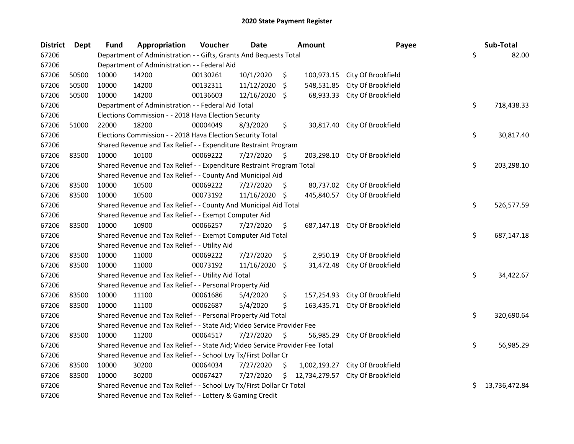| <b>District</b> | <b>Dept</b> | <b>Fund</b> | Appropriation                                                                 | Voucher  | Date          |     | <b>Amount</b> | Payee                        | Sub-Total           |
|-----------------|-------------|-------------|-------------------------------------------------------------------------------|----------|---------------|-----|---------------|------------------------------|---------------------|
| 67206           |             |             | Department of Administration - - Gifts, Grants And Bequests Total             |          |               |     |               |                              | \$<br>82.00         |
| 67206           |             |             | Department of Administration - - Federal Aid                                  |          |               |     |               |                              |                     |
| 67206           | 50500       | 10000       | 14200                                                                         | 00130261 | 10/1/2020     | \$  | 100,973.15    | City Of Brookfield           |                     |
| 67206           | 50500       | 10000       | 14200                                                                         | 00132311 | 11/12/2020    | S.  | 548,531.85    | City Of Brookfield           |                     |
| 67206           | 50500       | 10000       | 14200                                                                         | 00136603 | 12/16/2020    | S.  | 68,933.33     | City Of Brookfield           |                     |
| 67206           |             |             | Department of Administration - - Federal Aid Total                            |          |               |     |               |                              | \$<br>718,438.33    |
| 67206           |             |             | Elections Commission - - 2018 Hava Election Security                          |          |               |     |               |                              |                     |
| 67206           | 51000       | 22000       | 18200                                                                         | 00004049 | 8/3/2020      | \$  |               | 30,817.40 City Of Brookfield |                     |
| 67206           |             |             | Elections Commission - - 2018 Hava Election Security Total                    |          |               |     |               |                              | \$<br>30,817.40     |
| 67206           |             |             | Shared Revenue and Tax Relief - - Expenditure Restraint Program               |          |               |     |               |                              |                     |
| 67206           | 83500       | 10000       | 10100                                                                         | 00069222 | 7/27/2020     | \$. | 203,298.10    | City Of Brookfield           |                     |
| 67206           |             |             | Shared Revenue and Tax Relief - - Expenditure Restraint Program Total         |          |               |     |               |                              | \$<br>203,298.10    |
| 67206           |             |             | Shared Revenue and Tax Relief - - County And Municipal Aid                    |          |               |     |               |                              |                     |
| 67206           | 83500       | 10000       | 10500                                                                         | 00069222 | 7/27/2020     | S.  | 80,737.02     | City Of Brookfield           |                     |
| 67206           | 83500       | 10000       | 10500                                                                         | 00073192 | 11/16/2020 \$ |     | 445,840.57    | City Of Brookfield           |                     |
| 67206           |             |             | Shared Revenue and Tax Relief - - County And Municipal Aid Total              |          |               |     |               |                              | \$<br>526,577.59    |
| 67206           |             |             | Shared Revenue and Tax Relief - - Exempt Computer Aid                         |          |               |     |               |                              |                     |
| 67206           | 83500       | 10000       | 10900                                                                         | 00066257 | 7/27/2020     | \$  | 687,147.18    | City Of Brookfield           |                     |
| 67206           |             |             | Shared Revenue and Tax Relief - - Exempt Computer Aid Total                   |          |               |     |               |                              | \$<br>687,147.18    |
| 67206           |             |             | Shared Revenue and Tax Relief - - Utility Aid                                 |          |               |     |               |                              |                     |
| 67206           | 83500       | 10000       | 11000                                                                         | 00069222 | 7/27/2020     | \$  | 2,950.19      | City Of Brookfield           |                     |
| 67206           | 83500       | 10000       | 11000                                                                         | 00073192 | 11/16/2020 \$ |     | 31,472.48     | City Of Brookfield           |                     |
| 67206           |             |             | Shared Revenue and Tax Relief - - Utility Aid Total                           |          |               |     |               |                              | \$<br>34,422.67     |
| 67206           |             |             | Shared Revenue and Tax Relief - - Personal Property Aid                       |          |               |     |               |                              |                     |
| 67206           | 83500       | 10000       | 11100                                                                         | 00061686 | 5/4/2020      | \$  | 157,254.93    | City Of Brookfield           |                     |
| 67206           | 83500       | 10000       | 11100                                                                         | 00062687 | 5/4/2020      | \$  | 163,435.71    | City Of Brookfield           |                     |
| 67206           |             |             | Shared Revenue and Tax Relief - - Personal Property Aid Total                 |          |               |     |               |                              | \$<br>320,690.64    |
| 67206           |             |             | Shared Revenue and Tax Relief - - State Aid; Video Service Provider Fee       |          |               |     |               |                              |                     |
| 67206           | 83500       | 10000       | 11200                                                                         | 00064517 | 7/27/2020     | \$  | 56,985.29     | City Of Brookfield           |                     |
| 67206           |             |             | Shared Revenue and Tax Relief - - State Aid; Video Service Provider Fee Total |          |               |     |               |                              | \$<br>56,985.29     |
| 67206           |             |             | Shared Revenue and Tax Relief - - School Lvy Tx/First Dollar Cr               |          |               |     |               |                              |                     |
| 67206           | 83500       | 10000       | 30200                                                                         | 00064034 | 7/27/2020     | \$  | 1,002,193.27  | City Of Brookfield           |                     |
| 67206           | 83500       | 10000       | 30200                                                                         | 00067427 | 7/27/2020     | \$. | 12,734,279.57 | City Of Brookfield           |                     |
| 67206           |             |             | Shared Revenue and Tax Relief - - School Lvy Tx/First Dollar Cr Total         |          |               |     |               |                              | \$<br>13,736,472.84 |
| 67206           |             |             | Shared Revenue and Tax Relief - - Lottery & Gaming Credit                     |          |               |     |               |                              |                     |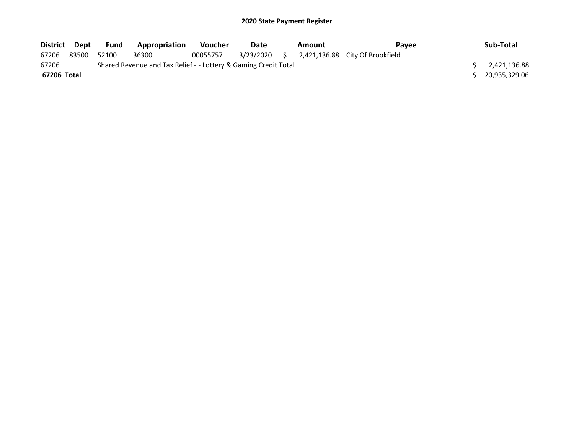| District Dept |       | Fund  | Appropriation                                                   | Voucher  | Date | Amount | <b>Pavee</b>                                 | Sub-Total     |
|---------------|-------|-------|-----------------------------------------------------------------|----------|------|--------|----------------------------------------------|---------------|
| 67206         | 83500 | 52100 | 36300                                                           | 00055757 |      |        | 3/23/2020 \$ 2,421,136.88 City Of Brookfield |               |
| 67206         |       |       | Shared Revenue and Tax Relief - - Lottery & Gaming Credit Total |          |      |        |                                              | 2,421,136.88  |
| 67206 Total   |       |       |                                                                 |          |      |        |                                              | 20,935,329.06 |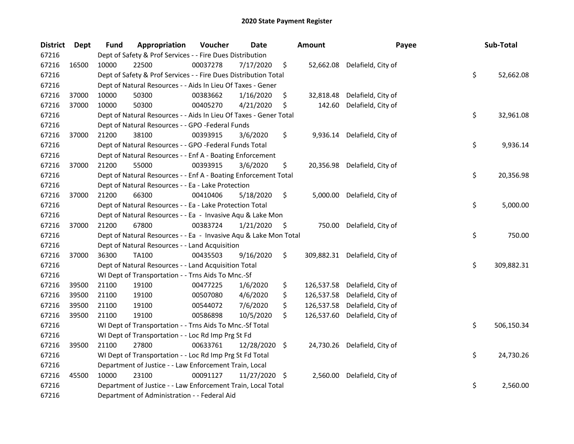| <b>District</b> | Dept  | <b>Fund</b> | Appropriation                                                     | Voucher  | <b>Date</b>   | <b>Amount</b>    | Payee                         | Sub-Total        |
|-----------------|-------|-------------|-------------------------------------------------------------------|----------|---------------|------------------|-------------------------------|------------------|
| 67216           |       |             | Dept of Safety & Prof Services - - Fire Dues Distribution         |          |               |                  |                               |                  |
| 67216           | 16500 | 10000       | 22500                                                             | 00037278 | 7/17/2020     | \$               | 52,662.08 Delafield, City of  |                  |
| 67216           |       |             | Dept of Safety & Prof Services - - Fire Dues Distribution Total   |          |               |                  |                               | \$<br>52,662.08  |
| 67216           |       |             | Dept of Natural Resources - - Aids In Lieu Of Taxes - Gener       |          |               |                  |                               |                  |
| 67216           | 37000 | 10000       | 50300                                                             | 00383662 | 1/16/2020     | \$<br>32,818.48  | Delafield, City of            |                  |
| 67216           | 37000 | 10000       | 50300                                                             | 00405270 | 4/21/2020     | \$<br>142.60     | Delafield, City of            |                  |
| 67216           |       |             | Dept of Natural Resources - - Aids In Lieu Of Taxes - Gener Total |          |               |                  |                               | \$<br>32,961.08  |
| 67216           |       |             | Dept of Natural Resources - - GPO -Federal Funds                  |          |               |                  |                               |                  |
| 67216           | 37000 | 21200       | 38100                                                             | 00393915 | 3/6/2020      | \$               | 9,936.14 Delafield, City of   |                  |
| 67216           |       |             | Dept of Natural Resources - - GPO -Federal Funds Total            |          |               |                  |                               | \$<br>9,936.14   |
| 67216           |       |             | Dept of Natural Resources - - Enf A - Boating Enforcement         |          |               |                  |                               |                  |
| 67216           | 37000 | 21200       | 55000                                                             | 00393915 | 3/6/2020      | \$               | 20,356.98 Delafield, City of  |                  |
| 67216           |       |             | Dept of Natural Resources - - Enf A - Boating Enforcement Total   |          |               |                  |                               | \$<br>20,356.98  |
| 67216           |       |             | Dept of Natural Resources - - Ea - Lake Protection                |          |               |                  |                               |                  |
| 67216           | 37000 | 21200       | 66300                                                             | 00410406 | 5/18/2020     | \$<br>5,000.00   | Delafield, City of            |                  |
| 67216           |       |             | Dept of Natural Resources - - Ea - Lake Protection Total          |          |               |                  |                               | \$<br>5,000.00   |
| 67216           |       |             | Dept of Natural Resources - - Ea - Invasive Aqu & Lake Mon        |          |               |                  |                               |                  |
| 67216           | 37000 | 21200       | 67800                                                             | 00383724 | 1/21/2020     | \$<br>750.00     | Delafield, City of            |                  |
| 67216           |       |             | Dept of Natural Resources - - Ea - Invasive Aqu & Lake Mon Total  |          |               |                  |                               | \$<br>750.00     |
| 67216           |       |             | Dept of Natural Resources - - Land Acquisition                    |          |               |                  |                               |                  |
| 67216           | 37000 | 36300       | TA100                                                             | 00435503 | 9/16/2020     | \$               | 309,882.31 Delafield, City of |                  |
| 67216           |       |             | Dept of Natural Resources - - Land Acquisition Total              |          |               |                  |                               | \$<br>309,882.31 |
| 67216           |       |             | WI Dept of Transportation - - Trns Aids To Mnc.-Sf                |          |               |                  |                               |                  |
| 67216           | 39500 | 21100       | 19100                                                             | 00477225 | 1/6/2020      | \$<br>126,537.58 | Delafield, City of            |                  |
| 67216           | 39500 | 21100       | 19100                                                             | 00507080 | 4/6/2020      | \$<br>126,537.58 | Delafield, City of            |                  |
| 67216           | 39500 | 21100       | 19100                                                             | 00544072 | 7/6/2020      | \$<br>126,537.58 | Delafield, City of            |                  |
| 67216           | 39500 | 21100       | 19100                                                             | 00586898 | 10/5/2020     | \$<br>126,537.60 | Delafield, City of            |                  |
| 67216           |       |             | WI Dept of Transportation - - Trns Aids To Mnc.-Sf Total          |          |               |                  |                               | \$<br>506,150.34 |
| 67216           |       |             | WI Dept of Transportation - - Loc Rd Imp Prg St Fd                |          |               |                  |                               |                  |
| 67216           | 39500 | 21100       | 27800                                                             | 00633761 | 12/28/2020 \$ |                  | 24,730.26 Delafield, City of  |                  |
| 67216           |       |             | WI Dept of Transportation - - Loc Rd Imp Prg St Fd Total          |          |               |                  |                               | \$<br>24,730.26  |
| 67216           |       |             | Department of Justice - - Law Enforcement Train, Local            |          |               |                  |                               |                  |
| 67216           | 45500 | 10000       | 23100                                                             | 00091127 | 11/27/2020 \$ | 2,560.00         | Delafield, City of            |                  |
| 67216           |       |             | Department of Justice - - Law Enforcement Train, Local Total      |          |               |                  |                               | \$<br>2,560.00   |
| 67216           |       |             | Department of Administration - - Federal Aid                      |          |               |                  |                               |                  |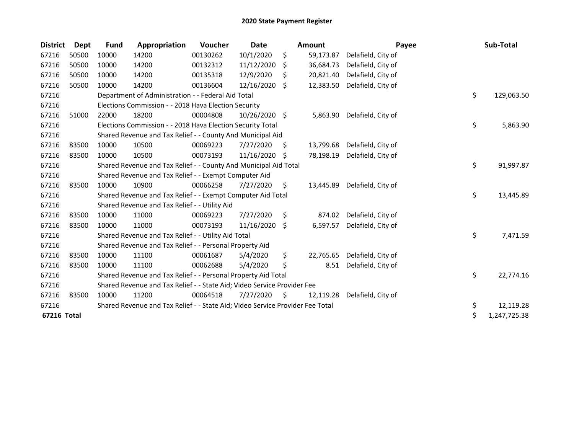| <b>District</b> | <b>Dept</b> | <b>Fund</b> | Appropriation                                                                 | Voucher  | Date          |     | <b>Amount</b> | Payee              | Sub-Total          |
|-----------------|-------------|-------------|-------------------------------------------------------------------------------|----------|---------------|-----|---------------|--------------------|--------------------|
| 67216           | 50500       | 10000       | 14200                                                                         | 00130262 | 10/1/2020     | \$  | 59,173.87     | Delafield, City of |                    |
| 67216           | 50500       | 10000       | 14200                                                                         | 00132312 | 11/12/2020    | Ŝ.  | 36,684.73     | Delafield, City of |                    |
| 67216           | 50500       | 10000       | 14200                                                                         | 00135318 | 12/9/2020     | S.  | 20,821.40     | Delafield, City of |                    |
| 67216           | 50500       | 10000       | 14200                                                                         | 00136604 | 12/16/2020    | -S  | 12,383.50     | Delafield, City of |                    |
| 67216           |             |             | Department of Administration - - Federal Aid Total                            |          |               |     |               |                    | \$<br>129,063.50   |
| 67216           |             |             | Elections Commission - - 2018 Hava Election Security                          |          |               |     |               |                    |                    |
| 67216           | 51000       | 22000       | 18200                                                                         | 00004808 | 10/26/2020 \$ |     | 5,863.90      | Delafield, City of |                    |
| 67216           |             |             | Elections Commission - - 2018 Hava Election Security Total                    |          |               |     |               |                    | \$<br>5,863.90     |
| 67216           |             |             | Shared Revenue and Tax Relief - - County And Municipal Aid                    |          |               |     |               |                    |                    |
| 67216           | 83500       | 10000       | 10500                                                                         | 00069223 | 7/27/2020     | \$. | 13,799.68     | Delafield, City of |                    |
| 67216           | 83500       | 10000       | 10500                                                                         | 00073193 | 11/16/2020    | -S  | 78,198.19     | Delafield, City of |                    |
| 67216           |             |             | Shared Revenue and Tax Relief - - County And Municipal Aid Total              |          |               |     |               |                    | \$<br>91,997.87    |
| 67216           |             |             | Shared Revenue and Tax Relief - - Exempt Computer Aid                         |          |               |     |               |                    |                    |
| 67216           | 83500       | 10000       | 10900                                                                         | 00066258 | 7/27/2020     | \$. | 13,445.89     | Delafield, City of |                    |
| 67216           |             |             | Shared Revenue and Tax Relief - - Exempt Computer Aid Total                   |          |               |     |               |                    | \$<br>13,445.89    |
| 67216           |             |             | Shared Revenue and Tax Relief - - Utility Aid                                 |          |               |     |               |                    |                    |
| 67216           | 83500       | 10000       | 11000                                                                         | 00069223 | 7/27/2020     | \$  | 874.02        | Delafield, City of |                    |
| 67216           | 83500       | 10000       | 11000                                                                         | 00073193 | 11/16/2020    | -S  | 6,597.57      | Delafield, City of |                    |
| 67216           |             |             | Shared Revenue and Tax Relief - - Utility Aid Total                           |          |               |     |               |                    | \$<br>7,471.59     |
| 67216           |             |             | Shared Revenue and Tax Relief - - Personal Property Aid                       |          |               |     |               |                    |                    |
| 67216           | 83500       | 10000       | 11100                                                                         | 00061687 | 5/4/2020      | \$  | 22,765.65     | Delafield, City of |                    |
| 67216           | 83500       | 10000       | 11100                                                                         | 00062688 | 5/4/2020      | \$  | 8.51          | Delafield, City of |                    |
| 67216           |             |             | Shared Revenue and Tax Relief - - Personal Property Aid Total                 |          |               |     |               |                    | \$<br>22,774.16    |
| 67216           |             |             | Shared Revenue and Tax Relief - - State Aid; Video Service Provider Fee       |          |               |     |               |                    |                    |
| 67216           | 83500       | 10000       | 11200                                                                         | 00064518 | 7/27/2020     | \$  | 12,119.28     | Delafield, City of |                    |
| 67216           |             |             | Shared Revenue and Tax Relief - - State Aid; Video Service Provider Fee Total |          |               |     |               |                    | \$<br>12,119.28    |
| 67216 Total     |             |             |                                                                               |          |               |     |               |                    | \$<br>1,247,725.38 |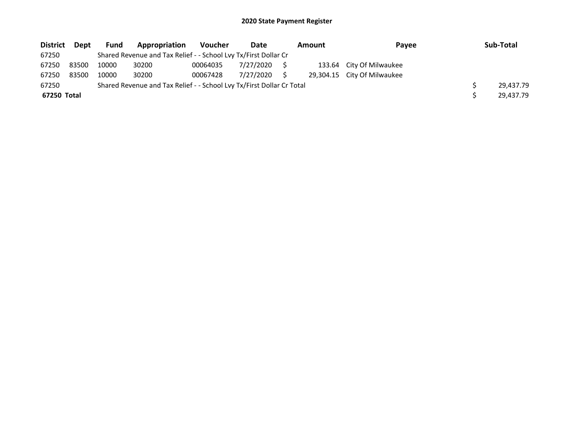| <b>District</b> | Dept  | <b>Fund</b> | Appropriation                                                         | Voucher  | Date      | Amount | Payee                       | Sub-Total |
|-----------------|-------|-------------|-----------------------------------------------------------------------|----------|-----------|--------|-----------------------------|-----------|
| 67250           |       |             | Shared Revenue and Tax Relief - - School Lvy Tx/First Dollar Cr       |          |           |        |                             |           |
| 67250           | 83500 | 10000       | 30200                                                                 | 00064035 | 7/27/2020 |        | 133.64 City Of Milwaukee    |           |
| 67250           | 83500 | 10000       | 30200                                                                 | 00067428 | 7/27/2020 |        | 29,304.15 City Of Milwaukee |           |
| 67250           |       |             | Shared Revenue and Tax Relief - - School Lvy Tx/First Dollar Cr Total |          |           |        |                             | 29.437.79 |
| 67250 Total     |       |             |                                                                       |          |           |        |                             | 29.437.79 |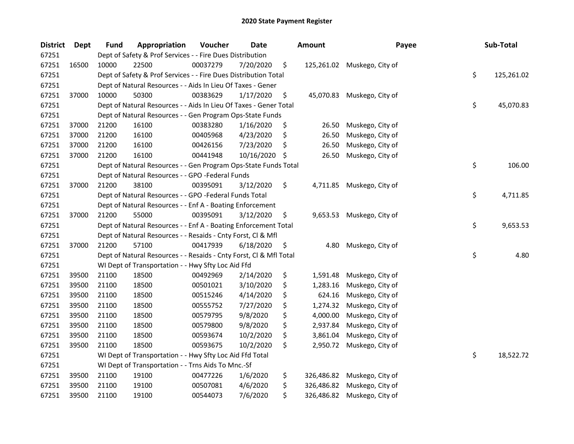| <b>District</b> | Dept  | <b>Fund</b> | Appropriation                                                      | Voucher  | <b>Date</b> | <b>Amount</b>    | Payee                       | Sub-Total        |
|-----------------|-------|-------------|--------------------------------------------------------------------|----------|-------------|------------------|-----------------------------|------------------|
| 67251           |       |             | Dept of Safety & Prof Services - - Fire Dues Distribution          |          |             |                  |                             |                  |
| 67251           | 16500 | 10000       | 22500                                                              | 00037279 | 7/20/2020   | \$               | 125,261.02 Muskego, City of |                  |
| 67251           |       |             | Dept of Safety & Prof Services - - Fire Dues Distribution Total    |          |             |                  |                             | \$<br>125,261.02 |
| 67251           |       |             | Dept of Natural Resources - - Aids In Lieu Of Taxes - Gener        |          |             |                  |                             |                  |
| 67251           | 37000 | 10000       | 50300                                                              | 00383629 | 1/17/2020   | \$<br>45,070.83  | Muskego, City of            |                  |
| 67251           |       |             | Dept of Natural Resources - - Aids In Lieu Of Taxes - Gener Total  |          |             |                  |                             | \$<br>45,070.83  |
| 67251           |       |             | Dept of Natural Resources - - Gen Program Ops-State Funds          |          |             |                  |                             |                  |
| 67251           | 37000 | 21200       | 16100                                                              | 00383280 | 1/16/2020   | \$<br>26.50      | Muskego, City of            |                  |
| 67251           | 37000 | 21200       | 16100                                                              | 00405968 | 4/23/2020   | \$<br>26.50      | Muskego, City of            |                  |
| 67251           | 37000 | 21200       | 16100                                                              | 00426156 | 7/23/2020   | \$<br>26.50      | Muskego, City of            |                  |
| 67251           | 37000 | 21200       | 16100                                                              | 00441948 | 10/16/2020  | \$<br>26.50      | Muskego, City of            |                  |
| 67251           |       |             | Dept of Natural Resources - - Gen Program Ops-State Funds Total    |          |             |                  |                             | \$<br>106.00     |
| 67251           |       |             | Dept of Natural Resources - - GPO -Federal Funds                   |          |             |                  |                             |                  |
| 67251           | 37000 | 21200       | 38100                                                              | 00395091 | 3/12/2020   | \$<br>4,711.85   | Muskego, City of            |                  |
| 67251           |       |             | Dept of Natural Resources - - GPO -Federal Funds Total             |          |             |                  |                             | \$<br>4,711.85   |
| 67251           |       |             | Dept of Natural Resources - - Enf A - Boating Enforcement          |          |             |                  |                             |                  |
| 67251           | 37000 | 21200       | 55000                                                              | 00395091 | 3/12/2020   | \$<br>9,653.53   | Muskego, City of            |                  |
| 67251           |       |             | Dept of Natural Resources - - Enf A - Boating Enforcement Total    |          |             |                  |                             | \$<br>9,653.53   |
| 67251           |       |             | Dept of Natural Resources - - Resaids - Cnty Forst, Cl & Mfl       |          |             |                  |                             |                  |
| 67251           | 37000 | 21200       | 57100                                                              | 00417939 | 6/18/2020   | \$<br>4.80       | Muskego, City of            |                  |
| 67251           |       |             | Dept of Natural Resources - - Resaids - Cnty Forst, CI & Mfl Total |          |             |                  |                             | \$<br>4.80       |
| 67251           |       |             | WI Dept of Transportation - - Hwy Sfty Loc Aid Ffd                 |          |             |                  |                             |                  |
| 67251           | 39500 | 21100       | 18500                                                              | 00492969 | 2/14/2020   | \$<br>1,591.48   | Muskego, City of            |                  |
| 67251           | 39500 | 21100       | 18500                                                              | 00501021 | 3/10/2020   | \$<br>1,283.16   | Muskego, City of            |                  |
| 67251           | 39500 | 21100       | 18500                                                              | 00515246 | 4/14/2020   | \$<br>624.16     | Muskego, City of            |                  |
| 67251           | 39500 | 21100       | 18500                                                              | 00555752 | 7/27/2020   | \$<br>1,274.32   | Muskego, City of            |                  |
| 67251           | 39500 | 21100       | 18500                                                              | 00579795 | 9/8/2020    | \$<br>4,000.00   | Muskego, City of            |                  |
| 67251           | 39500 | 21100       | 18500                                                              | 00579800 | 9/8/2020    | \$<br>2,937.84   | Muskego, City of            |                  |
| 67251           | 39500 | 21100       | 18500                                                              | 00593674 | 10/2/2020   | \$<br>3,861.04   | Muskego, City of            |                  |
| 67251           | 39500 | 21100       | 18500                                                              | 00593675 | 10/2/2020   | \$<br>2,950.72   | Muskego, City of            |                  |
| 67251           |       |             | WI Dept of Transportation - - Hwy Sfty Loc Aid Ffd Total           |          |             |                  |                             | \$<br>18,522.72  |
| 67251           |       |             | WI Dept of Transportation - - Trns Aids To Mnc.-Sf                 |          |             |                  |                             |                  |
| 67251           | 39500 | 21100       | 19100                                                              | 00477226 | 1/6/2020    | \$<br>326,486.82 | Muskego, City of            |                  |
| 67251           | 39500 | 21100       | 19100                                                              | 00507081 | 4/6/2020    | \$<br>326,486.82 | Muskego, City of            |                  |
| 67251           | 39500 | 21100       | 19100                                                              | 00544073 | 7/6/2020    | \$<br>326,486.82 | Muskego, City of            |                  |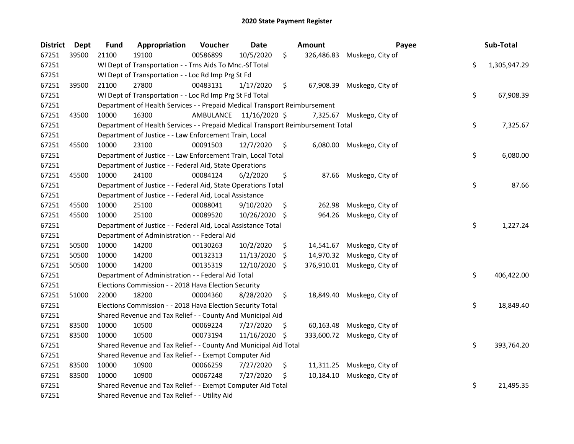| <b>District</b> | <b>Dept</b> | <b>Fund</b> | Appropriation                                                                   | Voucher                 | <b>Date</b>   | Amount           | Payee                       | Sub-Total          |
|-----------------|-------------|-------------|---------------------------------------------------------------------------------|-------------------------|---------------|------------------|-----------------------------|--------------------|
| 67251           | 39500       | 21100       | 19100                                                                           | 00586899                | 10/5/2020     | \$<br>326,486.83 | Muskego, City of            |                    |
| 67251           |             |             | WI Dept of Transportation - - Trns Aids To Mnc.-Sf Total                        |                         |               |                  |                             | \$<br>1,305,947.29 |
| 67251           |             |             | WI Dept of Transportation - - Loc Rd Imp Prg St Fd                              |                         |               |                  |                             |                    |
| 67251           | 39500       | 21100       | 27800                                                                           | 00483131                | 1/17/2020     | \$<br>67,908.39  | Muskego, City of            |                    |
| 67251           |             |             | WI Dept of Transportation - - Loc Rd Imp Prg St Fd Total                        |                         |               |                  |                             | \$<br>67,908.39    |
| 67251           |             |             | Department of Health Services - - Prepaid Medical Transport Reimbursement       |                         |               |                  |                             |                    |
| 67251           | 43500       | 10000       | 16300                                                                           | AMBULANCE 11/16/2020 \$ |               | 7,325.67         | Muskego, City of            |                    |
| 67251           |             |             | Department of Health Services - - Prepaid Medical Transport Reimbursement Total |                         |               |                  |                             | \$<br>7,325.67     |
| 67251           |             |             | Department of Justice - - Law Enforcement Train, Local                          |                         |               |                  |                             |                    |
| 67251           | 45500       | 10000       | 23100                                                                           | 00091503                | 12/7/2020     | \$<br>6,080.00   | Muskego, City of            |                    |
| 67251           |             |             | Department of Justice - - Law Enforcement Train, Local Total                    |                         |               |                  |                             | \$<br>6,080.00     |
| 67251           |             |             | Department of Justice - - Federal Aid, State Operations                         |                         |               |                  |                             |                    |
| 67251           | 45500       | 10000       | 24100                                                                           | 00084124                | 6/2/2020      | \$<br>87.66      | Muskego, City of            |                    |
| 67251           |             |             | Department of Justice - - Federal Aid, State Operations Total                   |                         |               |                  |                             | \$<br>87.66        |
| 67251           |             |             | Department of Justice - - Federal Aid, Local Assistance                         |                         |               |                  |                             |                    |
| 67251           | 45500       | 10000       | 25100                                                                           | 00088041                | 9/10/2020     | \$<br>262.98     | Muskego, City of            |                    |
| 67251           | 45500       | 10000       | 25100                                                                           | 00089520                | 10/26/2020 \$ | 964.26           | Muskego, City of            |                    |
| 67251           |             |             | Department of Justice - - Federal Aid, Local Assistance Total                   |                         |               |                  |                             | \$<br>1,227.24     |
| 67251           |             |             | Department of Administration - - Federal Aid                                    |                         |               |                  |                             |                    |
| 67251           | 50500       | 10000       | 14200                                                                           | 00130263                | 10/2/2020     | \$<br>14,541.67  | Muskego, City of            |                    |
| 67251           | 50500       | 10000       | 14200                                                                           | 00132313                | 11/13/2020    | \$<br>14,970.32  | Muskego, City of            |                    |
| 67251           | 50500       | 10000       | 14200                                                                           | 00135319                | 12/10/2020 \$ |                  | 376,910.01 Muskego, City of |                    |
| 67251           |             |             | Department of Administration - - Federal Aid Total                              |                         |               |                  |                             | \$<br>406,422.00   |
| 67251           |             |             | Elections Commission - - 2018 Hava Election Security                            |                         |               |                  |                             |                    |
| 67251           | 51000       | 22000       | 18200                                                                           | 00004360                | 8/28/2020     | \$<br>18,849.40  | Muskego, City of            |                    |
| 67251           |             |             | Elections Commission - - 2018 Hava Election Security Total                      |                         |               |                  |                             | \$<br>18,849.40    |
| 67251           |             |             | Shared Revenue and Tax Relief - - County And Municipal Aid                      |                         |               |                  |                             |                    |
| 67251           | 83500       | 10000       | 10500                                                                           | 00069224                | 7/27/2020     | \$<br>60,163.48  | Muskego, City of            |                    |
| 67251           | 83500       | 10000       | 10500                                                                           | 00073194                | 11/16/2020    | \$<br>333,600.72 | Muskego, City of            |                    |
| 67251           |             |             | Shared Revenue and Tax Relief - - County And Municipal Aid Total                |                         |               |                  |                             | \$<br>393,764.20   |
| 67251           |             |             | Shared Revenue and Tax Relief - - Exempt Computer Aid                           |                         |               |                  |                             |                    |
| 67251           | 83500       | 10000       | 10900                                                                           | 00066259                | 7/27/2020     | \$<br>11,311.25  | Muskego, City of            |                    |
| 67251           | 83500       | 10000       | 10900                                                                           | 00067248                | 7/27/2020     | \$<br>10,184.10  | Muskego, City of            |                    |
| 67251           |             |             | Shared Revenue and Tax Relief - - Exempt Computer Aid Total                     |                         |               |                  |                             | \$<br>21,495.35    |
| 67251           |             |             | Shared Revenue and Tax Relief - - Utility Aid                                   |                         |               |                  |                             |                    |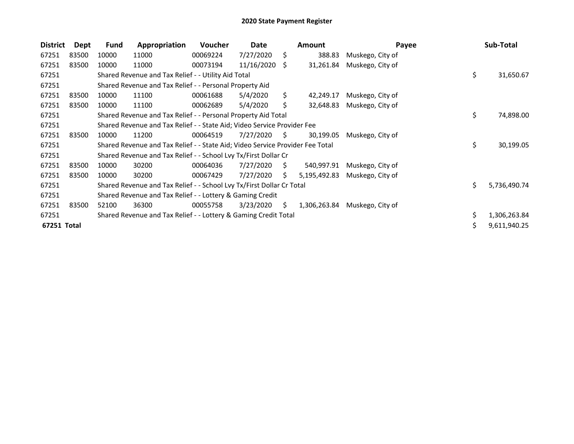| <b>District</b> | Dept  | <b>Fund</b> | Appropriation                                                                 | <b>Voucher</b> | Date       |    | <b>Amount</b> | Payee            |     | Sub-Total    |
|-----------------|-------|-------------|-------------------------------------------------------------------------------|----------------|------------|----|---------------|------------------|-----|--------------|
| 67251           | 83500 | 10000       | 11000                                                                         | 00069224       | 7/27/2020  | \$ | 388.83        | Muskego, City of |     |              |
| 67251           | 83500 | 10000       | 11000                                                                         | 00073194       | 11/16/2020 | -S | 31,261.84     | Muskego, City of |     |              |
| 67251           |       |             | Shared Revenue and Tax Relief - - Utility Aid Total                           |                |            |    |               |                  | \$  | 31,650.67    |
| 67251           |       |             | Shared Revenue and Tax Relief - - Personal Property Aid                       |                |            |    |               |                  |     |              |
| 67251           | 83500 | 10000       | 11100                                                                         | 00061688       | 5/4/2020   | S. | 42,249.17     | Muskego, City of |     |              |
| 67251           | 83500 | 10000       | 11100                                                                         | 00062689       | 5/4/2020   | S. | 32,648.83     | Muskego, City of |     |              |
| 67251           |       |             | Shared Revenue and Tax Relief - - Personal Property Aid Total                 |                |            |    |               |                  | \$  | 74,898.00    |
| 67251           |       |             | Shared Revenue and Tax Relief - - State Aid; Video Service Provider Fee       |                |            |    |               |                  |     |              |
| 67251           | 83500 | 10000       | 11200                                                                         | 00064519       | 7/27/2020  | S. | 30,199.05     | Muskego, City of |     |              |
| 67251           |       |             | Shared Revenue and Tax Relief - - State Aid; Video Service Provider Fee Total |                |            |    |               |                  | \$  | 30,199.05    |
| 67251           |       |             | Shared Revenue and Tax Relief - - School Lvy Tx/First Dollar Cr               |                |            |    |               |                  |     |              |
| 67251           | 83500 | 10000       | 30200                                                                         | 00064036       | 7/27/2020  | S. | 540,997.91    | Muskego, City of |     |              |
| 67251           | 83500 | 10000       | 30200                                                                         | 00067429       | 7/27/2020  | S  | 5,195,492.83  | Muskego, City of |     |              |
| 67251           |       |             | Shared Revenue and Tax Relief - - School Lvy Tx/First Dollar Cr Total         |                |            |    |               |                  | \$. | 5,736,490.74 |
| 67251           |       |             | Shared Revenue and Tax Relief - - Lottery & Gaming Credit                     |                |            |    |               |                  |     |              |
| 67251           | 83500 | 52100       | 36300                                                                         | 00055758       | 3/23/2020  | S. | 1,306,263.84  | Muskego, City of |     |              |
| 67251           |       |             | Shared Revenue and Tax Relief - - Lottery & Gaming Credit Total               |                |            |    |               |                  |     | 1,306,263.84 |
| 67251 Total     |       |             |                                                                               |                |            |    |               |                  | \$  | 9,611,940.25 |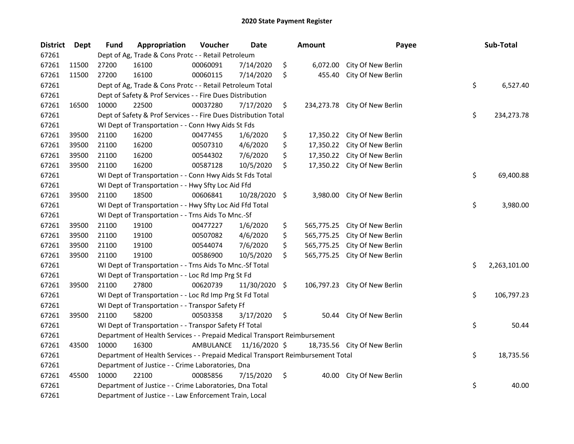| <b>District</b> | <b>Dept</b> | <b>Fund</b> | Appropriation                                                                   | Voucher   | <b>Date</b>   | <b>Amount</b>    | Payee                         | Sub-Total          |
|-----------------|-------------|-------------|---------------------------------------------------------------------------------|-----------|---------------|------------------|-------------------------------|--------------------|
| 67261           |             |             | Dept of Ag, Trade & Cons Protc - - Retail Petroleum                             |           |               |                  |                               |                    |
| 67261           | 11500       | 27200       | 16100                                                                           | 00060091  | 7/14/2020     | \$<br>6,072.00   | City Of New Berlin            |                    |
| 67261           | 11500       | 27200       | 16100                                                                           | 00060115  | 7/14/2020     | \$<br>455.40     | City Of New Berlin            |                    |
| 67261           |             |             | Dept of Ag, Trade & Cons Protc - - Retail Petroleum Total                       |           |               |                  |                               | \$<br>6,527.40     |
| 67261           |             |             | Dept of Safety & Prof Services - - Fire Dues Distribution                       |           |               |                  |                               |                    |
| 67261           | 16500       | 10000       | 22500                                                                           | 00037280  | 7/17/2020     | \$               | 234,273.78 City Of New Berlin |                    |
| 67261           |             |             | Dept of Safety & Prof Services - - Fire Dues Distribution Total                 |           |               |                  |                               | \$<br>234,273.78   |
| 67261           |             |             | WI Dept of Transportation - - Conn Hwy Aids St Fds                              |           |               |                  |                               |                    |
| 67261           | 39500       | 21100       | 16200                                                                           | 00477455  | 1/6/2020      | \$               | 17,350.22 City Of New Berlin  |                    |
| 67261           | 39500       | 21100       | 16200                                                                           | 00507310  | 4/6/2020      | \$<br>17,350.22  | City Of New Berlin            |                    |
| 67261           | 39500       | 21100       | 16200                                                                           | 00544302  | 7/6/2020      | \$<br>17,350.22  | City Of New Berlin            |                    |
| 67261           | 39500       | 21100       | 16200                                                                           | 00587128  | 10/5/2020     | \$<br>17,350.22  | City Of New Berlin            |                    |
| 67261           |             |             | WI Dept of Transportation - - Conn Hwy Aids St Fds Total                        |           |               |                  |                               | \$<br>69,400.88    |
| 67261           |             |             | WI Dept of Transportation - - Hwy Sfty Loc Aid Ffd                              |           |               |                  |                               |                    |
| 67261           | 39500       | 21100       | 18500                                                                           | 00606841  | 10/28/2020 \$ | 3,980.00         | City Of New Berlin            |                    |
| 67261           |             |             | WI Dept of Transportation - - Hwy Sfty Loc Aid Ffd Total                        |           |               |                  |                               | \$<br>3,980.00     |
| 67261           |             |             | WI Dept of Transportation - - Trns Aids To Mnc.-Sf                              |           |               |                  |                               |                    |
| 67261           | 39500       | 21100       | 19100                                                                           | 00477227  | 1/6/2020      | \$<br>565,775.25 | City Of New Berlin            |                    |
| 67261           | 39500       | 21100       | 19100                                                                           | 00507082  | 4/6/2020      | \$<br>565,775.25 | City Of New Berlin            |                    |
| 67261           | 39500       | 21100       | 19100                                                                           | 00544074  | 7/6/2020      | \$<br>565,775.25 | City Of New Berlin            |                    |
| 67261           | 39500       | 21100       | 19100                                                                           | 00586900  | 10/5/2020     | \$<br>565,775.25 | City Of New Berlin            |                    |
| 67261           |             |             | WI Dept of Transportation - - Trns Aids To Mnc.-Sf Total                        |           |               |                  |                               | \$<br>2,263,101.00 |
| 67261           |             |             | WI Dept of Transportation - - Loc Rd Imp Prg St Fd                              |           |               |                  |                               |                    |
| 67261           | 39500       | 21100       | 27800                                                                           | 00620739  | 11/30/2020 \$ |                  | 106,797.23 City Of New Berlin |                    |
| 67261           |             |             | WI Dept of Transportation - - Loc Rd Imp Prg St Fd Total                        |           |               |                  |                               | \$<br>106,797.23   |
| 67261           |             |             | WI Dept of Transportation - - Transpor Safety Ff                                |           |               |                  |                               |                    |
| 67261           | 39500       | 21100       | 58200                                                                           | 00503358  | 3/17/2020     | \$<br>50.44      | City Of New Berlin            |                    |
| 67261           |             |             | WI Dept of Transportation - - Transpor Safety Ff Total                          |           |               |                  |                               | \$<br>50.44        |
| 67261           |             |             | Department of Health Services - - Prepaid Medical Transport Reimbursement       |           |               |                  |                               |                    |
| 67261           | 43500       | 10000       | 16300                                                                           | AMBULANCE | 11/16/2020 \$ |                  | 18,735.56 City Of New Berlin  |                    |
| 67261           |             |             | Department of Health Services - - Prepaid Medical Transport Reimbursement Total |           |               |                  |                               | \$<br>18,735.56    |
| 67261           |             |             | Department of Justice - - Crime Laboratories, Dna                               |           |               |                  |                               |                    |
| 67261           | 45500       | 10000       | 22100                                                                           | 00085856  | 7/15/2020     | \$<br>40.00      | City Of New Berlin            |                    |
| 67261           |             |             | Department of Justice - - Crime Laboratories, Dna Total                         |           |               |                  |                               | \$<br>40.00        |
| 67261           |             |             | Department of Justice - - Law Enforcement Train, Local                          |           |               |                  |                               |                    |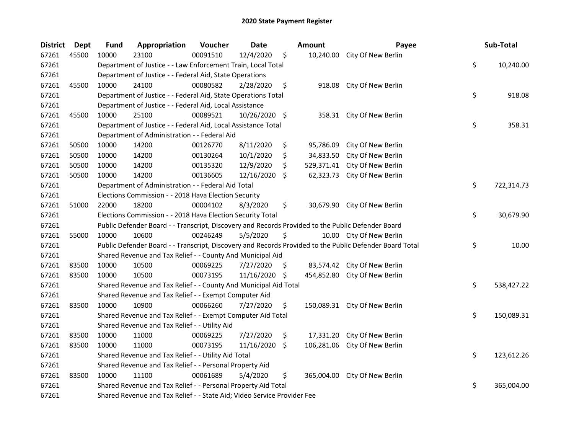| <b>District</b> | <b>Dept</b> | <b>Fund</b> | Appropriation                                                                                     | Voucher  | Date            |                    | <b>Amount</b> | Payee                                                                                                   | Sub-Total        |
|-----------------|-------------|-------------|---------------------------------------------------------------------------------------------------|----------|-----------------|--------------------|---------------|---------------------------------------------------------------------------------------------------------|------------------|
| 67261           | 45500       | 10000       | 23100                                                                                             | 00091510 | 12/4/2020       | \$                 | 10,240.00     | City Of New Berlin                                                                                      |                  |
| 67261           |             |             | Department of Justice - - Law Enforcement Train, Local Total                                      |          |                 |                    |               |                                                                                                         | \$<br>10,240.00  |
| 67261           |             |             | Department of Justice - - Federal Aid, State Operations                                           |          |                 |                    |               |                                                                                                         |                  |
| 67261           | 45500       | 10000       | 24100                                                                                             | 00080582 | 2/28/2020       | \$                 | 918.08        | City Of New Berlin                                                                                      |                  |
| 67261           |             |             | Department of Justice - - Federal Aid, State Operations Total                                     |          |                 |                    |               |                                                                                                         | \$<br>918.08     |
| 67261           |             |             | Department of Justice - - Federal Aid, Local Assistance                                           |          |                 |                    |               |                                                                                                         |                  |
| 67261           | 45500       | 10000       | 25100                                                                                             | 00089521 | 10/26/2020 \$   |                    |               | 358.31 City Of New Berlin                                                                               |                  |
| 67261           |             |             | Department of Justice - - Federal Aid, Local Assistance Total                                     |          |                 |                    |               |                                                                                                         | \$<br>358.31     |
| 67261           |             |             | Department of Administration - - Federal Aid                                                      |          |                 |                    |               |                                                                                                         |                  |
| 67261           | 50500       | 10000       | 14200                                                                                             | 00126770 | 8/11/2020       | \$                 | 95,786.09     | City Of New Berlin                                                                                      |                  |
| 67261           | 50500       | 10000       | 14200                                                                                             | 00130264 | 10/1/2020       | \$                 | 34,833.50     | City Of New Berlin                                                                                      |                  |
| 67261           | 50500       | 10000       | 14200                                                                                             | 00135320 | 12/9/2020       | \$                 | 529,371.41    | City Of New Berlin                                                                                      |                  |
| 67261           | 50500       | 10000       | 14200                                                                                             | 00136605 | 12/16/2020      | $\ddot{\varsigma}$ | 62,323.73     | City Of New Berlin                                                                                      |                  |
| 67261           |             |             | Department of Administration - - Federal Aid Total                                                |          |                 |                    |               |                                                                                                         | \$<br>722,314.73 |
| 67261           |             |             | Elections Commission - - 2018 Hava Election Security                                              |          |                 |                    |               |                                                                                                         |                  |
| 67261           | 51000       | 22000       | 18200                                                                                             | 00004102 | 8/3/2020        | \$                 |               | 30,679.90 City Of New Berlin                                                                            |                  |
| 67261           |             |             | Elections Commission - - 2018 Hava Election Security Total                                        |          |                 |                    |               |                                                                                                         | \$<br>30,679.90  |
| 67261           |             |             | Public Defender Board - - Transcript, Discovery and Records Provided to the Public Defender Board |          |                 |                    |               |                                                                                                         |                  |
| 67261           | 55000       | 10000       | 10600                                                                                             | 00246249 | 5/5/2020        | \$                 |               | 10.00 City Of New Berlin                                                                                |                  |
| 67261           |             |             |                                                                                                   |          |                 |                    |               | Public Defender Board - - Transcript, Discovery and Records Provided to the Public Defender Board Total | \$<br>10.00      |
| 67261           |             |             | Shared Revenue and Tax Relief - - County And Municipal Aid                                        |          |                 |                    |               |                                                                                                         |                  |
| 67261           | 83500       | 10000       | 10500                                                                                             | 00069225 | 7/27/2020       | -\$                |               | 83,574.42 City Of New Berlin                                                                            |                  |
| 67261           | 83500       | 10000       | 10500                                                                                             | 00073195 | $11/16/2020$ \$ |                    | 454,852.80    | City Of New Berlin                                                                                      |                  |
| 67261           |             |             | Shared Revenue and Tax Relief - - County And Municipal Aid Total                                  |          |                 |                    |               |                                                                                                         | \$<br>538,427.22 |
| 67261           |             |             | Shared Revenue and Tax Relief - - Exempt Computer Aid                                             |          |                 |                    |               |                                                                                                         |                  |
| 67261           | 83500       | 10000       | 10900                                                                                             | 00066260 | 7/27/2020       | \$                 |               | 150,089.31 City Of New Berlin                                                                           |                  |
| 67261           |             |             | Shared Revenue and Tax Relief - - Exempt Computer Aid Total                                       |          |                 |                    |               |                                                                                                         | \$<br>150,089.31 |
| 67261           |             |             | Shared Revenue and Tax Relief - - Utility Aid                                                     |          |                 |                    |               |                                                                                                         |                  |
| 67261           | 83500       | 10000       | 11000                                                                                             | 00069225 | 7/27/2020       | \$                 | 17,331.20     | City Of New Berlin                                                                                      |                  |
| 67261           | 83500       | 10000       | 11000                                                                                             | 00073195 | $11/16/2020$ \$ |                    | 106,281.06    | City Of New Berlin                                                                                      |                  |
| 67261           |             |             | Shared Revenue and Tax Relief - - Utility Aid Total                                               |          |                 |                    |               |                                                                                                         | \$<br>123,612.26 |
| 67261           |             |             | Shared Revenue and Tax Relief - - Personal Property Aid                                           |          |                 |                    |               |                                                                                                         |                  |
| 67261           | 83500       | 10000       | 11100                                                                                             | 00061689 | 5/4/2020        | \$                 | 365,004.00    | City Of New Berlin                                                                                      |                  |
| 67261           |             |             | Shared Revenue and Tax Relief - - Personal Property Aid Total                                     |          |                 |                    |               |                                                                                                         | \$<br>365,004.00 |
| 67261           |             |             | Shared Revenue and Tax Relief - - State Aid; Video Service Provider Fee                           |          |                 |                    |               |                                                                                                         |                  |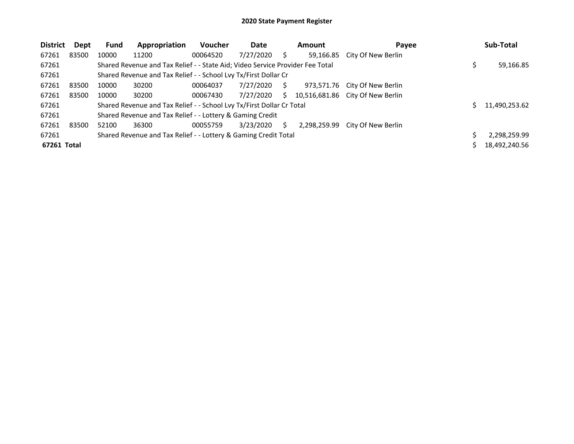| <b>District</b> | Dept  | <b>Fund</b> | Appropriation                                                                 | <b>Voucher</b> | Date      |    | Amount       | Payee                            | Sub-Total     |
|-----------------|-------|-------------|-------------------------------------------------------------------------------|----------------|-----------|----|--------------|----------------------------------|---------------|
| 67261           | 83500 | 10000       | 11200                                                                         | 00064520       | 7/27/2020 |    | 59,166.85    | City Of New Berlin               |               |
| 67261           |       |             | Shared Revenue and Tax Relief - - State Aid; Video Service Provider Fee Total |                |           |    |              |                                  | 59,166.85     |
| 67261           |       |             | Shared Revenue and Tax Relief - - School Lvy Tx/First Dollar Cr               |                |           |    |              |                                  |               |
| 67261           | 83500 | 10000       | 30200                                                                         | 00064037       | 7/27/2020 | S. | 973,571.76   | City Of New Berlin               |               |
| 67261           | 83500 | 10000       | 30200                                                                         | 00067430       | 7/27/2020 | S. |              | 10,516,681.86 City Of New Berlin |               |
| 67261           |       |             | Shared Revenue and Tax Relief - - School Lvy Tx/First Dollar Cr Total         |                |           |    |              |                                  | 11,490,253.62 |
| 67261           |       |             | Shared Revenue and Tax Relief - - Lottery & Gaming Credit                     |                |           |    |              |                                  |               |
| 67261           | 83500 | 52100       | 36300                                                                         | 00055759       | 3/23/2020 | S  | 2,298,259.99 | City Of New Berlin               |               |
| 67261           |       |             | Shared Revenue and Tax Relief - - Lottery & Gaming Credit Total               |                |           |    |              |                                  | 2,298,259.99  |
| 67261 Total     |       |             |                                                                               |                |           |    |              |                                  | 18,492,240.56 |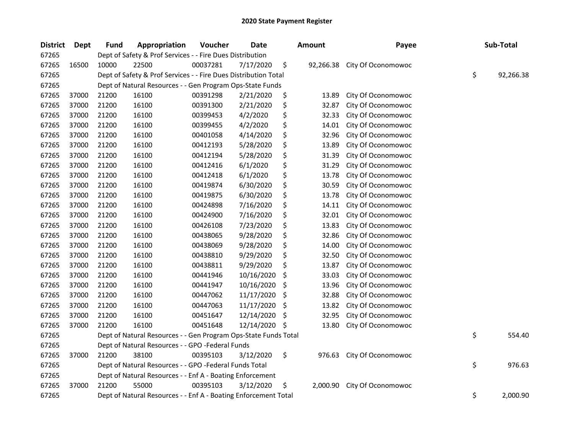| <b>District</b> | <b>Dept</b> | <b>Fund</b> | Appropriation                                                   | Voucher  | Date       |     | <b>Amount</b> | Payee              | Sub-Total       |
|-----------------|-------------|-------------|-----------------------------------------------------------------|----------|------------|-----|---------------|--------------------|-----------------|
| 67265           |             |             | Dept of Safety & Prof Services - - Fire Dues Distribution       |          |            |     |               |                    |                 |
| 67265           | 16500       | 10000       | 22500                                                           | 00037281 | 7/17/2020  | \$  | 92,266.38     | City Of Oconomowoc |                 |
| 67265           |             |             | Dept of Safety & Prof Services - - Fire Dues Distribution Total |          |            |     |               |                    | \$<br>92,266.38 |
| 67265           |             |             | Dept of Natural Resources - - Gen Program Ops-State Funds       |          |            |     |               |                    |                 |
| 67265           | 37000       | 21200       | 16100                                                           | 00391298 | 2/21/2020  | \$  | 13.89         | City Of Oconomowoc |                 |
| 67265           | 37000       | 21200       | 16100                                                           | 00391300 | 2/21/2020  | \$  | 32.87         | City Of Oconomowoc |                 |
| 67265           | 37000       | 21200       | 16100                                                           | 00399453 | 4/2/2020   | \$  | 32.33         | City Of Oconomowoc |                 |
| 67265           | 37000       | 21200       | 16100                                                           | 00399455 | 4/2/2020   | \$  | 14.01         | City Of Oconomowoc |                 |
| 67265           | 37000       | 21200       | 16100                                                           | 00401058 | 4/14/2020  | \$  | 32.96         | City Of Oconomowoc |                 |
| 67265           | 37000       | 21200       | 16100                                                           | 00412193 | 5/28/2020  | \$  | 13.89         | City Of Oconomowoc |                 |
| 67265           | 37000       | 21200       | 16100                                                           | 00412194 | 5/28/2020  | \$  | 31.39         | City Of Oconomowoc |                 |
| 67265           | 37000       | 21200       | 16100                                                           | 00412416 | 6/1/2020   | \$  | 31.29         | City Of Oconomowoc |                 |
| 67265           | 37000       | 21200       | 16100                                                           | 00412418 | 6/1/2020   | \$  | 13.78         | City Of Oconomowoc |                 |
| 67265           | 37000       | 21200       | 16100                                                           | 00419874 | 6/30/2020  | \$  | 30.59         | City Of Oconomowoc |                 |
| 67265           | 37000       | 21200       | 16100                                                           | 00419875 | 6/30/2020  | \$  | 13.78         | City Of Oconomowoc |                 |
| 67265           | 37000       | 21200       | 16100                                                           | 00424898 | 7/16/2020  | \$  | 14.11         | City Of Oconomowoc |                 |
| 67265           | 37000       | 21200       | 16100                                                           | 00424900 | 7/16/2020  | \$  | 32.01         | City Of Oconomowoc |                 |
| 67265           | 37000       | 21200       | 16100                                                           | 00426108 | 7/23/2020  | \$  | 13.83         | City Of Oconomowoc |                 |
| 67265           | 37000       | 21200       | 16100                                                           | 00438065 | 9/28/2020  | \$  | 32.86         | City Of Oconomowoc |                 |
| 67265           | 37000       | 21200       | 16100                                                           | 00438069 | 9/28/2020  | \$  | 14.00         | City Of Oconomowoc |                 |
| 67265           | 37000       | 21200       | 16100                                                           | 00438810 | 9/29/2020  | \$  | 32.50         | City Of Oconomowoc |                 |
| 67265           | 37000       | 21200       | 16100                                                           | 00438811 | 9/29/2020  | \$  | 13.87         | City Of Oconomowoc |                 |
| 67265           | 37000       | 21200       | 16100                                                           | 00441946 | 10/16/2020 | \$  | 33.03         | City Of Oconomowoc |                 |
| 67265           | 37000       | 21200       | 16100                                                           | 00441947 | 10/16/2020 | \$  | 13.96         | City Of Oconomowoc |                 |
| 67265           | 37000       | 21200       | 16100                                                           | 00447062 | 11/17/2020 | \$  | 32.88         | City Of Oconomowoc |                 |
| 67265           | 37000       | 21200       | 16100                                                           | 00447063 | 11/17/2020 | \$  | 13.82         | City Of Oconomowoc |                 |
| 67265           | 37000       | 21200       | 16100                                                           | 00451647 | 12/14/2020 | \$, | 32.95         | City Of Oconomowoc |                 |
| 67265           | 37000       | 21200       | 16100                                                           | 00451648 | 12/14/2020 | \$  | 13.80         | City Of Oconomowoc |                 |
| 67265           |             |             | Dept of Natural Resources - - Gen Program Ops-State Funds Total |          |            |     |               |                    | \$<br>554.40    |
| 67265           |             |             | Dept of Natural Resources - - GPO -Federal Funds                |          |            |     |               |                    |                 |
| 67265           | 37000       | 21200       | 38100                                                           | 00395103 | 3/12/2020  | \$  | 976.63        | City Of Oconomowoc |                 |
| 67265           |             |             | Dept of Natural Resources - - GPO -Federal Funds Total          |          |            |     |               |                    | \$<br>976.63    |
| 67265           |             |             | Dept of Natural Resources - - Enf A - Boating Enforcement       |          |            |     |               |                    |                 |
| 67265           | 37000       | 21200       | 55000                                                           | 00395103 | 3/12/2020  | \$  | 2,000.90      | City Of Oconomowoc |                 |
| 67265           |             |             | Dept of Natural Resources - - Enf A - Boating Enforcement Total |          |            |     |               |                    | \$<br>2,000.90  |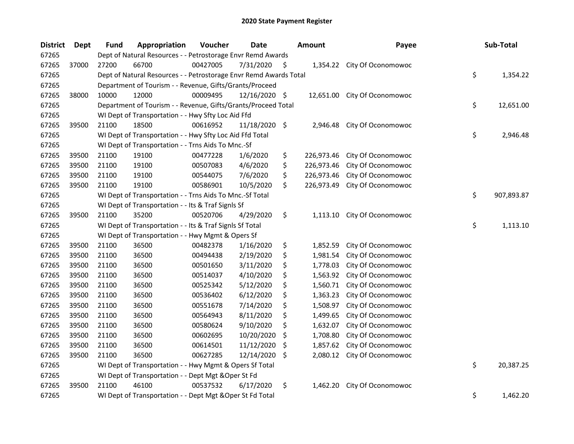| <b>District</b> | <b>Dept</b> | <b>Fund</b> | Appropriation                                                     | Voucher  | <b>Date</b>   |     | Amount     | Payee                       | Sub-Total        |
|-----------------|-------------|-------------|-------------------------------------------------------------------|----------|---------------|-----|------------|-----------------------------|------------------|
| 67265           |             |             | Dept of Natural Resources - - Petrostorage Envr Remd Awards       |          |               |     |            |                             |                  |
| 67265           | 37000       | 27200       | 66700                                                             | 00427005 | 7/31/2020     | \$. |            | 1,354.22 City Of Oconomowoc |                  |
| 67265           |             |             | Dept of Natural Resources - - Petrostorage Envr Remd Awards Total |          |               |     |            |                             | \$<br>1,354.22   |
| 67265           |             |             | Department of Tourism - - Revenue, Gifts/Grants/Proceed           |          |               |     |            |                             |                  |
| 67265           | 38000       | 10000       | 12000                                                             | 00009495 | 12/16/2020 \$ |     | 12,651.00  | City Of Oconomowoc          |                  |
| 67265           |             |             | Department of Tourism - - Revenue, Gifts/Grants/Proceed Total     |          |               |     |            |                             | \$<br>12,651.00  |
| 67265           |             |             | WI Dept of Transportation - - Hwy Sfty Loc Aid Ffd                |          |               |     |            |                             |                  |
| 67265           | 39500       | 21100       | 18500                                                             | 00616952 | 11/18/2020 \$ |     | 2,946.48   | City Of Oconomowoc          |                  |
| 67265           |             |             | WI Dept of Transportation - - Hwy Sfty Loc Aid Ffd Total          |          |               |     |            |                             | \$<br>2,946.48   |
| 67265           |             |             | WI Dept of Transportation - - Trns Aids To Mnc.-Sf                |          |               |     |            |                             |                  |
| 67265           | 39500       | 21100       | 19100                                                             | 00477228 | 1/6/2020      | \$  | 226,973.46 | City Of Oconomowoc          |                  |
| 67265           | 39500       | 21100       | 19100                                                             | 00507083 | 4/6/2020      | \$  | 226,973.46 | City Of Oconomowoc          |                  |
| 67265           | 39500       | 21100       | 19100                                                             | 00544075 | 7/6/2020      | \$  | 226,973.46 | City Of Oconomowoc          |                  |
| 67265           | 39500       | 21100       | 19100                                                             | 00586901 | 10/5/2020     | \$  | 226,973.49 | City Of Oconomowoc          |                  |
| 67265           |             |             | WI Dept of Transportation - - Trns Aids To Mnc.-Sf Total          |          |               |     |            |                             | \$<br>907,893.87 |
| 67265           |             |             | WI Dept of Transportation - - Its & Traf Signls Sf                |          |               |     |            |                             |                  |
| 67265           | 39500       | 21100       | 35200                                                             | 00520706 | 4/29/2020     | \$  | 1,113.10   | City Of Oconomowoc          |                  |
| 67265           |             |             | WI Dept of Transportation - - Its & Traf Signls Sf Total          |          |               |     |            |                             | \$<br>1,113.10   |
| 67265           |             |             | WI Dept of Transportation - - Hwy Mgmt & Opers Sf                 |          |               |     |            |                             |                  |
| 67265           | 39500       | 21100       | 36500                                                             | 00482378 | 1/16/2020     | \$  | 1,852.59   | City Of Oconomowoc          |                  |
| 67265           | 39500       | 21100       | 36500                                                             | 00494438 | 2/19/2020     | \$  | 1,981.54   | City Of Oconomowoc          |                  |
| 67265           | 39500       | 21100       | 36500                                                             | 00501650 | 3/11/2020     | \$  | 1,778.03   | City Of Oconomowoc          |                  |
| 67265           | 39500       | 21100       | 36500                                                             | 00514037 | 4/10/2020     | \$  | 1,563.92   | City Of Oconomowoc          |                  |
| 67265           | 39500       | 21100       | 36500                                                             | 00525342 | 5/12/2020     | \$  | 1,560.71   | City Of Oconomowoc          |                  |
| 67265           | 39500       | 21100       | 36500                                                             | 00536402 | 6/12/2020     | \$  | 1,363.23   | City Of Oconomowoc          |                  |
| 67265           | 39500       | 21100       | 36500                                                             | 00551678 | 7/14/2020     | \$  | 1,508.97   | City Of Oconomowoc          |                  |
| 67265           | 39500       | 21100       | 36500                                                             | 00564943 | 8/11/2020     | \$  | 1,499.65   | City Of Oconomowoc          |                  |
| 67265           | 39500       | 21100       | 36500                                                             | 00580624 | 9/10/2020     | \$  | 1,632.07   | City Of Oconomowoc          |                  |
| 67265           | 39500       | 21100       | 36500                                                             | 00602695 | 10/20/2020    | S   | 1,708.80   | City Of Oconomowoc          |                  |
| 67265           | 39500       | 21100       | 36500                                                             | 00614501 | 11/12/2020    | \$  | 1,857.62   | City Of Oconomowoc          |                  |
| 67265           | 39500       | 21100       | 36500                                                             | 00627285 | 12/14/2020    | \$  | 2,080.12   | City Of Oconomowoc          |                  |
| 67265           |             |             | WI Dept of Transportation - - Hwy Mgmt & Opers Sf Total           |          |               |     |            |                             | \$<br>20,387.25  |
| 67265           |             |             | WI Dept of Transportation - - Dept Mgt & Oper St Fd               |          |               |     |            |                             |                  |
| 67265           | 39500       | 21100       | 46100                                                             | 00537532 | 6/17/2020     | \$  | 1,462.20   | City Of Oconomowoc          |                  |
| 67265           |             |             | WI Dept of Transportation - - Dept Mgt & Oper St Fd Total         |          |               |     |            |                             | \$<br>1,462.20   |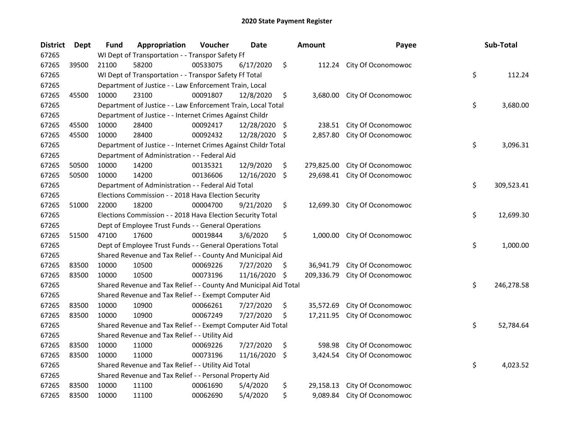| <b>District</b> | <b>Dept</b> | Fund  | Appropriation                                                    | Voucher  | <b>Date</b>   |    | <b>Amount</b> | Payee                     | Sub-Total        |
|-----------------|-------------|-------|------------------------------------------------------------------|----------|---------------|----|---------------|---------------------------|------------------|
| 67265           |             |       | WI Dept of Transportation - - Transpor Safety Ff                 |          |               |    |               |                           |                  |
| 67265           | 39500       | 21100 | 58200                                                            | 00533075 | 6/17/2020     | \$ |               | 112.24 City Of Oconomowoc |                  |
| 67265           |             |       | WI Dept of Transportation - - Transpor Safety Ff Total           |          |               |    |               |                           | \$<br>112.24     |
| 67265           |             |       | Department of Justice - - Law Enforcement Train, Local           |          |               |    |               |                           |                  |
| 67265           | 45500       | 10000 | 23100                                                            | 00091807 | 12/8/2020     | \$ | 3,680.00      | City Of Oconomowoc        |                  |
| 67265           |             |       | Department of Justice - - Law Enforcement Train, Local Total     |          |               |    |               |                           | \$<br>3,680.00   |
| 67265           |             |       | Department of Justice - - Internet Crimes Against Childr         |          |               |    |               |                           |                  |
| 67265           | 45500       | 10000 | 28400                                                            | 00092417 | 12/28/2020 \$ |    | 238.51        | City Of Oconomowoc        |                  |
| 67265           | 45500       | 10000 | 28400                                                            | 00092432 | 12/28/2020    | S. | 2,857.80      | City Of Oconomowoc        |                  |
| 67265           |             |       | Department of Justice - - Internet Crimes Against Childr Total   |          |               |    |               |                           | \$<br>3,096.31   |
| 67265           |             |       | Department of Administration - - Federal Aid                     |          |               |    |               |                           |                  |
| 67265           | 50500       | 10000 | 14200                                                            | 00135321 | 12/9/2020     | \$ | 279,825.00    | City Of Oconomowoc        |                  |
| 67265           | 50500       | 10000 | 14200                                                            | 00136606 | 12/16/2020    | \$ | 29,698.41     | City Of Oconomowoc        |                  |
| 67265           |             |       | Department of Administration - - Federal Aid Total               |          |               |    |               |                           | \$<br>309,523.41 |
| 67265           |             |       | Elections Commission - - 2018 Hava Election Security             |          |               |    |               |                           |                  |
| 67265           | 51000       | 22000 | 18200                                                            | 00004700 | 9/21/2020     | \$ | 12,699.30     | City Of Oconomowoc        |                  |
| 67265           |             |       | Elections Commission - - 2018 Hava Election Security Total       |          |               |    |               |                           | \$<br>12,699.30  |
| 67265           |             |       | Dept of Employee Trust Funds - - General Operations              |          |               |    |               |                           |                  |
| 67265           | 51500       | 47100 | 17600                                                            | 00019844 | 3/6/2020      | \$ | 1,000.00      | City Of Oconomowoc        |                  |
| 67265           |             |       | Dept of Employee Trust Funds - - General Operations Total        |          |               |    |               |                           | \$<br>1,000.00   |
| 67265           |             |       | Shared Revenue and Tax Relief - - County And Municipal Aid       |          |               |    |               |                           |                  |
| 67265           | 83500       | 10000 | 10500                                                            | 00069226 | 7/27/2020     | \$ | 36,941.79     | City Of Oconomowoc        |                  |
| 67265           | 83500       | 10000 | 10500                                                            | 00073196 | 11/16/2020    | \$ | 209,336.79    | City Of Oconomowoc        |                  |
| 67265           |             |       | Shared Revenue and Tax Relief - - County And Municipal Aid Total |          |               |    |               |                           | \$<br>246,278.58 |
| 67265           |             |       | Shared Revenue and Tax Relief - - Exempt Computer Aid            |          |               |    |               |                           |                  |
| 67265           | 83500       | 10000 | 10900                                                            | 00066261 | 7/27/2020     | \$ | 35,572.69     | City Of Oconomowoc        |                  |
| 67265           | 83500       | 10000 | 10900                                                            | 00067249 | 7/27/2020     | \$ | 17,211.95     | City Of Oconomowoc        |                  |
| 67265           |             |       | Shared Revenue and Tax Relief - - Exempt Computer Aid Total      |          |               |    |               |                           | \$<br>52,784.64  |
| 67265           |             |       | Shared Revenue and Tax Relief - - Utility Aid                    |          |               |    |               |                           |                  |
| 67265           | 83500       | 10000 | 11000                                                            | 00069226 | 7/27/2020     | \$ | 598.98        | City Of Oconomowoc        |                  |
| 67265           | 83500       | 10000 | 11000                                                            | 00073196 | 11/16/2020    | \$ | 3,424.54      | City Of Oconomowoc        |                  |
| 67265           |             |       | Shared Revenue and Tax Relief - - Utility Aid Total              |          |               |    |               |                           | \$<br>4,023.52   |
| 67265           |             |       | Shared Revenue and Tax Relief - - Personal Property Aid          |          |               |    |               |                           |                  |
| 67265           | 83500       | 10000 | 11100                                                            | 00061690 | 5/4/2020      | \$ | 29,158.13     | City Of Oconomowoc        |                  |
| 67265           | 83500       | 10000 | 11100                                                            | 00062690 | 5/4/2020      | \$ | 9,089.84      | City Of Oconomowoc        |                  |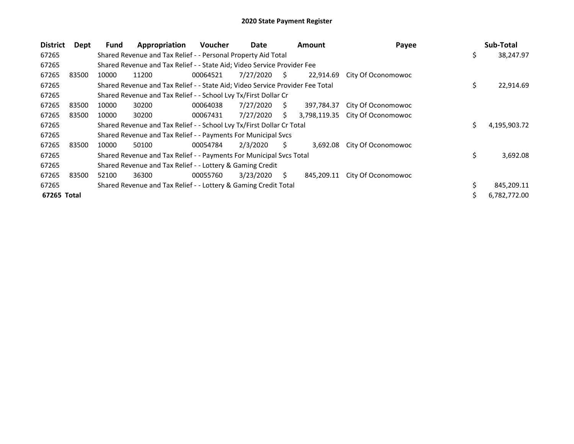| <b>District</b> | Dept  | <b>Fund</b> | Appropriation                                                                 | <b>Voucher</b> | Date      |    | <b>Amount</b> | Payee                           |     | Sub-Total    |
|-----------------|-------|-------------|-------------------------------------------------------------------------------|----------------|-----------|----|---------------|---------------------------------|-----|--------------|
| 67265           |       |             | Shared Revenue and Tax Relief - - Personal Property Aid Total                 |                |           |    |               |                                 | \$  | 38,247.97    |
| 67265           |       |             | Shared Revenue and Tax Relief - - State Aid; Video Service Provider Fee       |                |           |    |               |                                 |     |              |
| 67265           | 83500 | 10000       | 11200                                                                         | 00064521       | 7/27/2020 | S. | 22,914.69     | City Of Oconomowoc              |     |              |
| 67265           |       |             | Shared Revenue and Tax Relief - - State Aid; Video Service Provider Fee Total |                |           |    |               |                                 | \$. | 22,914.69    |
| 67265           |       |             | Shared Revenue and Tax Relief - - School Lvy Tx/First Dollar Cr               |                |           |    |               |                                 |     |              |
| 67265           | 83500 | 10000       | 30200                                                                         | 00064038       | 7/27/2020 | S. | 397,784.37    | City Of Oconomowoc              |     |              |
| 67265           | 83500 | 10000       | 30200                                                                         | 00067431       | 7/27/2020 | Ś. |               | 3,798,119.35 City Of Oconomowoc |     |              |
| 67265           |       |             | Shared Revenue and Tax Relief - - School Lvy Tx/First Dollar Cr Total         |                |           |    |               |                                 | Ś.  | 4,195,903.72 |
| 67265           |       |             | Shared Revenue and Tax Relief - - Payments For Municipal Svcs                 |                |           |    |               |                                 |     |              |
| 67265           | 83500 | 10000       | 50100                                                                         | 00054784       | 2/3/2020  | S. | 3,692.08      | City Of Oconomowoc              |     |              |
| 67265           |       |             | Shared Revenue and Tax Relief - - Payments For Municipal Svcs Total           |                |           |    |               |                                 | \$  | 3,692.08     |
| 67265           |       |             | Shared Revenue and Tax Relief - - Lottery & Gaming Credit                     |                |           |    |               |                                 |     |              |
| 67265           | 83500 | 52100       | 36300                                                                         | 00055760       | 3/23/2020 | S. | 845,209.11    | City Of Oconomowoc              |     |              |
| 67265           |       |             | Shared Revenue and Tax Relief - - Lottery & Gaming Credit Total               |                |           |    |               |                                 |     | 845,209.11   |
| 67265 Total     |       |             |                                                                               |                |           |    |               |                                 |     | 6,782,772.00 |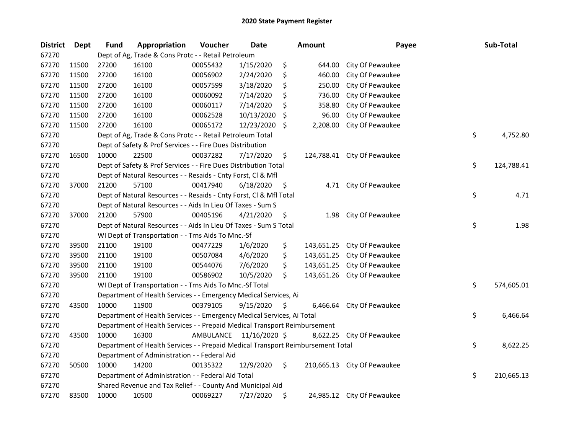| <b>District</b> | Dept  | <b>Fund</b> | Appropriation                                                                   | Voucher   | <b>Date</b>   |     | <b>Amount</b> | Payee                       | Sub-Total        |
|-----------------|-------|-------------|---------------------------------------------------------------------------------|-----------|---------------|-----|---------------|-----------------------------|------------------|
| 67270           |       |             | Dept of Ag, Trade & Cons Protc - - Retail Petroleum                             |           |               |     |               |                             |                  |
| 67270           | 11500 | 27200       | 16100                                                                           | 00055432  | 1/15/2020     | \$  | 644.00        | City Of Pewaukee            |                  |
| 67270           | 11500 | 27200       | 16100                                                                           | 00056902  | 2/24/2020     | \$  | 460.00        | City Of Pewaukee            |                  |
| 67270           | 11500 | 27200       | 16100                                                                           | 00057599  | 3/18/2020     | \$  | 250.00        | City Of Pewaukee            |                  |
| 67270           | 11500 | 27200       | 16100                                                                           | 00060092  | 7/14/2020     | \$  | 736.00        | City Of Pewaukee            |                  |
| 67270           | 11500 | 27200       | 16100                                                                           | 00060117  | 7/14/2020     | \$  | 358.80        | City Of Pewaukee            |                  |
| 67270           | 11500 | 27200       | 16100                                                                           | 00062528  | 10/13/2020    | \$, | 96.00         | City Of Pewaukee            |                  |
| 67270           | 11500 | 27200       | 16100                                                                           | 00065172  | 12/23/2020    | \$  | 2,208.00      | City Of Pewaukee            |                  |
| 67270           |       |             | Dept of Ag, Trade & Cons Protc - - Retail Petroleum Total                       |           |               |     |               |                             | \$<br>4,752.80   |
| 67270           |       |             | Dept of Safety & Prof Services - - Fire Dues Distribution                       |           |               |     |               |                             |                  |
| 67270           | 16500 | 10000       | 22500                                                                           | 00037282  | 7/17/2020     | \$  |               | 124,788.41 City Of Pewaukee |                  |
| 67270           |       |             | Dept of Safety & Prof Services - - Fire Dues Distribution Total                 |           |               |     |               |                             | \$<br>124,788.41 |
| 67270           |       |             | Dept of Natural Resources - - Resaids - Cnty Forst, Cl & Mfl                    |           |               |     |               |                             |                  |
| 67270           | 37000 | 21200       | 57100                                                                           | 00417940  | 6/18/2020     | \$  |               | 4.71 City Of Pewaukee       |                  |
| 67270           |       |             | Dept of Natural Resources - - Resaids - Cnty Forst, Cl & Mfl Total              |           |               |     |               |                             | \$<br>4.71       |
| 67270           |       |             | Dept of Natural Resources - - Aids In Lieu Of Taxes - Sum S                     |           |               |     |               |                             |                  |
| 67270           | 37000 | 21200       | 57900                                                                           | 00405196  | 4/21/2020     | \$  | 1.98          | City Of Pewaukee            |                  |
| 67270           |       |             | Dept of Natural Resources - - Aids In Lieu Of Taxes - Sum S Total               |           |               |     |               |                             | \$<br>1.98       |
| 67270           |       |             | WI Dept of Transportation - - Trns Aids To Mnc.-Sf                              |           |               |     |               |                             |                  |
| 67270           | 39500 | 21100       | 19100                                                                           | 00477229  | 1/6/2020      | \$  | 143,651.25    | City Of Pewaukee            |                  |
| 67270           | 39500 | 21100       | 19100                                                                           | 00507084  | 4/6/2020      | \$  | 143,651.25    | City Of Pewaukee            |                  |
| 67270           | 39500 | 21100       | 19100                                                                           | 00544076  | 7/6/2020      | \$  | 143,651.25    | City Of Pewaukee            |                  |
| 67270           | 39500 | 21100       | 19100                                                                           | 00586902  | 10/5/2020     | \$  | 143,651.26    | City Of Pewaukee            |                  |
| 67270           |       |             | WI Dept of Transportation - - Trns Aids To Mnc.-Sf Total                        |           |               |     |               |                             | \$<br>574,605.01 |
| 67270           |       |             | Department of Health Services - - Emergency Medical Services, Ai                |           |               |     |               |                             |                  |
| 67270           | 43500 | 10000       | 11900                                                                           | 00379105  | 9/15/2020     | \$. | 6,466.64      | City Of Pewaukee            |                  |
| 67270           |       |             | Department of Health Services - - Emergency Medical Services, Ai Total          |           |               |     |               |                             | \$<br>6,466.64   |
| 67270           |       |             | Department of Health Services - - Prepaid Medical Transport Reimbursement       |           |               |     |               |                             |                  |
| 67270           | 43500 | 10000       | 16300                                                                           | AMBULANCE | 11/16/2020 \$ |     |               | 8,622.25 City Of Pewaukee   |                  |
| 67270           |       |             | Department of Health Services - - Prepaid Medical Transport Reimbursement Total |           |               |     |               |                             | \$<br>8,622.25   |
| 67270           |       |             | Department of Administration - - Federal Aid                                    |           |               |     |               |                             |                  |
| 67270           | 50500 | 10000       | 14200                                                                           | 00135322  | 12/9/2020     | \$  |               | 210,665.13 City Of Pewaukee |                  |
| 67270           |       |             | Department of Administration - - Federal Aid Total                              |           |               |     |               |                             | \$<br>210,665.13 |
| 67270           |       |             | Shared Revenue and Tax Relief - - County And Municipal Aid                      |           |               |     |               |                             |                  |
| 67270           | 83500 | 10000       | 10500                                                                           | 00069227  | 7/27/2020     | \$  |               | 24,985.12 City Of Pewaukee  |                  |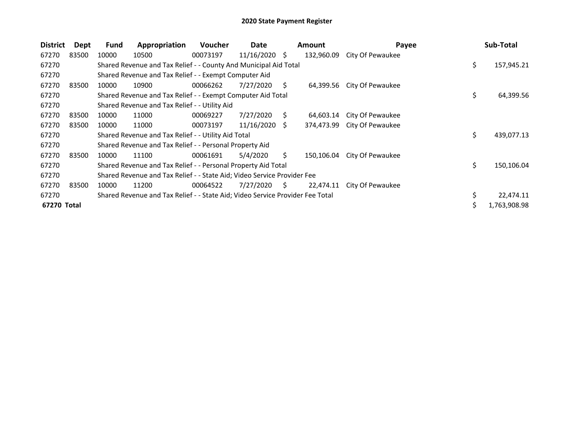| <b>District</b> | Dept  | <b>Fund</b> | Appropriation                                                                 | <b>Voucher</b> | Date       |    | <b>Amount</b> | Payee                       | Sub-Total        |
|-----------------|-------|-------------|-------------------------------------------------------------------------------|----------------|------------|----|---------------|-----------------------------|------------------|
| 67270           | 83500 | 10000       | 10500                                                                         | 00073197       | 11/16/2020 | \$ | 132,960.09    | City Of Pewaukee            |                  |
| 67270           |       |             | Shared Revenue and Tax Relief - - County And Municipal Aid Total              |                |            |    |               |                             | \$<br>157,945.21 |
| 67270           |       |             | Shared Revenue and Tax Relief - - Exempt Computer Aid                         |                |            |    |               |                             |                  |
| 67270           | 83500 | 10000       | 10900                                                                         | 00066262       | 7/27/2020  | S. | 64,399.56     | City Of Pewaukee            |                  |
| 67270           |       |             | Shared Revenue and Tax Relief - - Exempt Computer Aid Total                   |                |            |    |               |                             | \$<br>64,399.56  |
| 67270           |       |             | Shared Revenue and Tax Relief - - Utility Aid                                 |                |            |    |               |                             |                  |
| 67270           | 83500 | 10000       | 11000                                                                         | 00069227       | 7/27/2020  | S. | 64,603.14     | City Of Pewaukee            |                  |
| 67270           | 83500 | 10000       | 11000                                                                         | 00073197       | 11/16/2020 | -S |               | 374,473.99 City Of Pewaukee |                  |
| 67270           |       |             | Shared Revenue and Tax Relief - - Utility Aid Total                           |                |            |    |               |                             | \$<br>439,077.13 |
| 67270           |       |             | Shared Revenue and Tax Relief - - Personal Property Aid                       |                |            |    |               |                             |                  |
| 67270           | 83500 | 10000       | 11100                                                                         | 00061691       | 5/4/2020   | Ś. | 150,106.04    | City Of Pewaukee            |                  |
| 67270           |       |             | Shared Revenue and Tax Relief - - Personal Property Aid Total                 |                |            |    |               |                             | \$<br>150,106.04 |
| 67270           |       |             | Shared Revenue and Tax Relief - - State Aid; Video Service Provider Fee       |                |            |    |               |                             |                  |
| 67270           | 83500 | 10000       | 11200                                                                         | 00064522       | 7/27/2020  | S. | 22,474.11     | City Of Pewaukee            |                  |
| 67270           |       |             | Shared Revenue and Tax Relief - - State Aid; Video Service Provider Fee Total |                |            |    |               |                             | 22,474.11        |
| 67270 Total     |       |             |                                                                               |                |            |    |               |                             | 1,763,908.98     |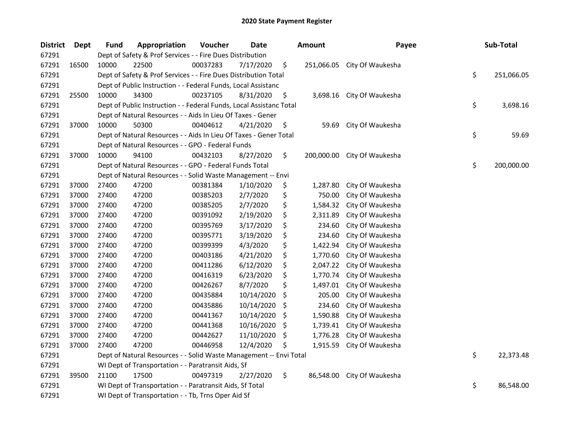| <b>District</b> | Dept  | <b>Fund</b> | Appropriation                                                       | Voucher  | Date       |     | <b>Amount</b> | Payee                       | Sub-Total        |
|-----------------|-------|-------------|---------------------------------------------------------------------|----------|------------|-----|---------------|-----------------------------|------------------|
| 67291           |       |             | Dept of Safety & Prof Services - - Fire Dues Distribution           |          |            |     |               |                             |                  |
| 67291           | 16500 | 10000       | 22500                                                               | 00037283 | 7/17/2020  | \$  |               | 251,066.05 City Of Waukesha |                  |
| 67291           |       |             | Dept of Safety & Prof Services - - Fire Dues Distribution Total     |          |            |     |               |                             | \$<br>251,066.05 |
| 67291           |       |             | Dept of Public Instruction - - Federal Funds, Local Assistanc       |          |            |     |               |                             |                  |
| 67291           | 25500 | 10000       | 34300                                                               | 00237105 | 8/31/2020  | \$  |               | 3,698.16 City Of Waukesha   |                  |
| 67291           |       |             | Dept of Public Instruction - - Federal Funds, Local Assistanc Total |          |            |     |               |                             | \$<br>3,698.16   |
| 67291           |       |             | Dept of Natural Resources - - Aids In Lieu Of Taxes - Gener         |          |            |     |               |                             |                  |
| 67291           | 37000 | 10000       | 50300                                                               | 00404612 | 4/21/2020  | \$  | 59.69         | City Of Waukesha            |                  |
| 67291           |       |             | Dept of Natural Resources - - Aids In Lieu Of Taxes - Gener Total   |          |            |     |               |                             | \$<br>59.69      |
| 67291           |       |             | Dept of Natural Resources - - GPO - Federal Funds                   |          |            |     |               |                             |                  |
| 67291           | 37000 | 10000       | 94100                                                               | 00432103 | 8/27/2020  | \$  | 200,000.00    | City Of Waukesha            |                  |
| 67291           |       |             | Dept of Natural Resources - - GPO - Federal Funds Total             |          |            |     |               |                             | \$<br>200,000.00 |
| 67291           |       |             | Dept of Natural Resources - - Solid Waste Management -- Envi        |          |            |     |               |                             |                  |
| 67291           | 37000 | 27400       | 47200                                                               | 00381384 | 1/10/2020  | \$  | 1,287.80      | City Of Waukesha            |                  |
| 67291           | 37000 | 27400       | 47200                                                               | 00385203 | 2/7/2020   | \$  | 750.00        | City Of Waukesha            |                  |
| 67291           | 37000 | 27400       | 47200                                                               | 00385205 | 2/7/2020   | \$  | 1,584.32      | City Of Waukesha            |                  |
| 67291           | 37000 | 27400       | 47200                                                               | 00391092 | 2/19/2020  | \$  | 2,311.89      | City Of Waukesha            |                  |
| 67291           | 37000 | 27400       | 47200                                                               | 00395769 | 3/17/2020  | \$  | 234.60        | City Of Waukesha            |                  |
| 67291           | 37000 | 27400       | 47200                                                               | 00395771 | 3/19/2020  | \$  | 234.60        | City Of Waukesha            |                  |
| 67291           | 37000 | 27400       | 47200                                                               | 00399399 | 4/3/2020   | \$  | 1,422.94      | City Of Waukesha            |                  |
| 67291           | 37000 | 27400       | 47200                                                               | 00403186 | 4/21/2020  | \$  | 1,770.60      | City Of Waukesha            |                  |
| 67291           | 37000 | 27400       | 47200                                                               | 00411286 | 6/12/2020  | \$  | 2,047.22      | City Of Waukesha            |                  |
| 67291           | 37000 | 27400       | 47200                                                               | 00416319 | 6/23/2020  | \$  | 1,770.74      | City Of Waukesha            |                  |
| 67291           | 37000 | 27400       | 47200                                                               | 00426267 | 8/7/2020   | \$  | 1,497.01      | City Of Waukesha            |                  |
| 67291           | 37000 | 27400       | 47200                                                               | 00435884 | 10/14/2020 | \$  | 205.00        | City Of Waukesha            |                  |
| 67291           | 37000 | 27400       | 47200                                                               | 00435886 | 10/14/2020 | \$  | 234.60        | City Of Waukesha            |                  |
| 67291           | 37000 | 27400       | 47200                                                               | 00441367 | 10/14/2020 | -\$ | 1,590.88      | City Of Waukesha            |                  |
| 67291           | 37000 | 27400       | 47200                                                               | 00441368 | 10/16/2020 | \$  | 1,739.41      | City Of Waukesha            |                  |
| 67291           | 37000 | 27400       | 47200                                                               | 00442627 | 11/10/2020 | \$  | 1,776.28      | City Of Waukesha            |                  |
| 67291           | 37000 | 27400       | 47200                                                               | 00446958 | 12/4/2020  | \$  | 1,915.59      | City Of Waukesha            |                  |
| 67291           |       |             | Dept of Natural Resources - - Solid Waste Management -- Envi Total  |          |            |     |               |                             | \$<br>22,373.48  |
| 67291           |       |             | WI Dept of Transportation - - Paratransit Aids, Sf                  |          |            |     |               |                             |                  |
| 67291           | 39500 | 21100       | 17500                                                               | 00497319 | 2/27/2020  | \$  | 86,548.00     | City Of Waukesha            |                  |
| 67291           |       |             | WI Dept of Transportation - - Paratransit Aids, Sf Total            |          |            |     |               |                             | \$<br>86,548.00  |
| 67291           |       |             | WI Dept of Transportation - - Tb, Trns Oper Aid Sf                  |          |            |     |               |                             |                  |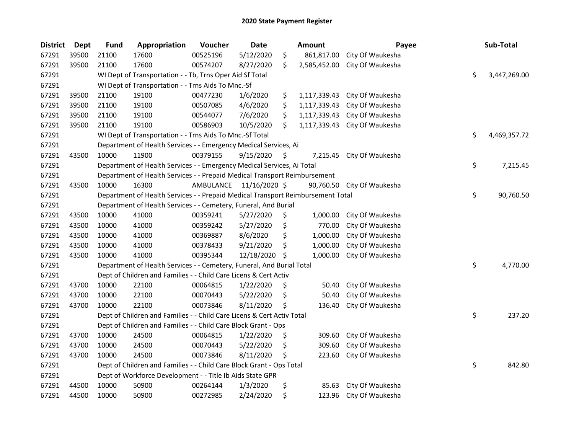| <b>District</b> | <b>Dept</b> | <b>Fund</b> | Appropriation                                                                   | Voucher   | <b>Date</b>   |     | Amount       | Payee            | Sub-Total          |
|-----------------|-------------|-------------|---------------------------------------------------------------------------------|-----------|---------------|-----|--------------|------------------|--------------------|
| 67291           | 39500       | 21100       | 17600                                                                           | 00525196  | 5/12/2020     | \$  | 861,817.00   | City Of Waukesha |                    |
| 67291           | 39500       | 21100       | 17600                                                                           | 00574207  | 8/27/2020     | \$  | 2,585,452.00 | City Of Waukesha |                    |
| 67291           |             |             | WI Dept of Transportation - - Tb, Trns Oper Aid Sf Total                        |           |               |     |              |                  | \$<br>3,447,269.00 |
| 67291           |             |             | WI Dept of Transportation - - Trns Aids To Mnc.-Sf                              |           |               |     |              |                  |                    |
| 67291           | 39500       | 21100       | 19100                                                                           | 00477230  | 1/6/2020      | \$  | 1,117,339.43 | City Of Waukesha |                    |
| 67291           | 39500       | 21100       | 19100                                                                           | 00507085  | 4/6/2020      | \$  | 1,117,339.43 | City Of Waukesha |                    |
| 67291           | 39500       | 21100       | 19100                                                                           | 00544077  | 7/6/2020      | \$  | 1,117,339.43 | City Of Waukesha |                    |
| 67291           | 39500       | 21100       | 19100                                                                           | 00586903  | 10/5/2020     | \$  | 1,117,339.43 | City Of Waukesha |                    |
| 67291           |             |             | WI Dept of Transportation - - Trns Aids To Mnc.-Sf Total                        |           |               |     |              |                  | \$<br>4,469,357.72 |
| 67291           |             |             | Department of Health Services - - Emergency Medical Services, Ai                |           |               |     |              |                  |                    |
| 67291           | 43500       | 10000       | 11900                                                                           | 00379155  | 9/15/2020     | \$  | 7,215.45     | City Of Waukesha |                    |
| 67291           |             |             | Department of Health Services - - Emergency Medical Services, Ai Total          |           |               |     |              |                  | \$<br>7,215.45     |
| 67291           |             |             | Department of Health Services - - Prepaid Medical Transport Reimbursement       |           |               |     |              |                  |                    |
| 67291           | 43500       | 10000       | 16300                                                                           | AMBULANCE | 11/16/2020 \$ |     | 90,760.50    | City Of Waukesha |                    |
| 67291           |             |             | Department of Health Services - - Prepaid Medical Transport Reimbursement Total |           |               |     |              |                  | \$<br>90,760.50    |
| 67291           |             |             | Department of Health Services - - Cemetery, Funeral, And Burial                 |           |               |     |              |                  |                    |
| 67291           | 43500       | 10000       | 41000                                                                           | 00359241  | 5/27/2020     | \$  | 1,000.00     | City Of Waukesha |                    |
| 67291           | 43500       | 10000       | 41000                                                                           | 00359242  | 5/27/2020     | \$  | 770.00       | City Of Waukesha |                    |
| 67291           | 43500       | 10000       | 41000                                                                           | 00369887  | 8/6/2020      | \$  | 1,000.00     | City Of Waukesha |                    |
| 67291           | 43500       | 10000       | 41000                                                                           | 00378433  | 9/21/2020     | \$  | 1,000.00     | City Of Waukesha |                    |
| 67291           | 43500       | 10000       | 41000                                                                           | 00395344  | 12/18/2020    | \$. | 1,000.00     | City Of Waukesha |                    |
| 67291           |             |             | Department of Health Services - - Cemetery, Funeral, And Burial Total           |           |               |     |              |                  | \$<br>4,770.00     |
| 67291           |             |             | Dept of Children and Families - - Child Care Licens & Cert Activ                |           |               |     |              |                  |                    |
| 67291           | 43700       | 10000       | 22100                                                                           | 00064815  | 1/22/2020     | \$  | 50.40        | City Of Waukesha |                    |
| 67291           | 43700       | 10000       | 22100                                                                           | 00070443  | 5/22/2020     | \$  | 50.40        | City Of Waukesha |                    |
| 67291           | 43700       | 10000       | 22100                                                                           | 00073846  | 8/11/2020     | \$  | 136.40       | City Of Waukesha |                    |
| 67291           |             |             | Dept of Children and Families - - Child Care Licens & Cert Activ Total          |           |               |     |              |                  | \$<br>237.20       |
| 67291           |             |             | Dept of Children and Families - - Child Care Block Grant - Ops                  |           |               |     |              |                  |                    |
| 67291           | 43700       | 10000       | 24500                                                                           | 00064815  | 1/22/2020     | \$  | 309.60       | City Of Waukesha |                    |
| 67291           | 43700       | 10000       | 24500                                                                           | 00070443  | 5/22/2020     | \$  | 309.60       | City Of Waukesha |                    |
| 67291           | 43700       | 10000       | 24500                                                                           | 00073846  | 8/11/2020     | \$  | 223.60       | City Of Waukesha |                    |
| 67291           |             |             | Dept of Children and Families - - Child Care Block Grant - Ops Total            |           |               |     |              |                  | \$<br>842.80       |
| 67291           |             |             | Dept of Workforce Development - - Title Ib Aids State GPR                       |           |               |     |              |                  |                    |
| 67291           | 44500       | 10000       | 50900                                                                           | 00264144  | 1/3/2020      | \$  | 85.63        | City Of Waukesha |                    |
| 67291           | 44500       | 10000       | 50900                                                                           | 00272985  | 2/24/2020     | \$  | 123.96       | City Of Waukesha |                    |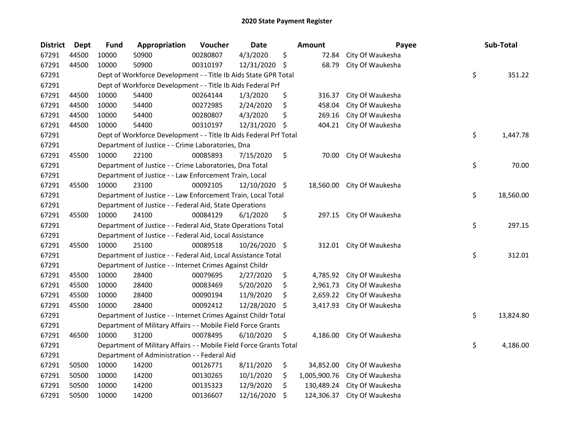| <b>District</b> | <b>Dept</b> | <b>Fund</b> | Appropriation                                                      | Voucher  | Date          |                    | <b>Amount</b> | Payee            | Sub-Total       |
|-----------------|-------------|-------------|--------------------------------------------------------------------|----------|---------------|--------------------|---------------|------------------|-----------------|
| 67291           | 44500       | 10000       | 50900                                                              | 00280807 | 4/3/2020      | \$                 | 72.84         | City Of Waukesha |                 |
| 67291           | 44500       | 10000       | 50900                                                              | 00310197 | 12/31/2020    | -\$                | 68.79         | City Of Waukesha |                 |
| 67291           |             |             | Dept of Workforce Development - - Title Ib Aids State GPR Total    |          |               |                    |               |                  | \$<br>351.22    |
| 67291           |             |             | Dept of Workforce Development - - Title Ib Aids Federal Prf        |          |               |                    |               |                  |                 |
| 67291           | 44500       | 10000       | 54400                                                              | 00264144 | 1/3/2020      | \$                 | 316.37        | City Of Waukesha |                 |
| 67291           | 44500       | 10000       | 54400                                                              | 00272985 | 2/24/2020     | \$                 | 458.04        | City Of Waukesha |                 |
| 67291           | 44500       | 10000       | 54400                                                              | 00280807 | 4/3/2020      | \$                 | 269.16        | City Of Waukesha |                 |
| 67291           | 44500       | 10000       | 54400                                                              | 00310197 | 12/31/2020    | -\$                | 404.21        | City Of Waukesha |                 |
| 67291           |             |             | Dept of Workforce Development - - Title Ib Aids Federal Prf Total  |          |               |                    |               |                  | \$<br>1,447.78  |
| 67291           |             |             | Department of Justice - - Crime Laboratories, Dna                  |          |               |                    |               |                  |                 |
| 67291           | 45500       | 10000       | 22100                                                              | 00085893 | 7/15/2020     | \$                 | 70.00         | City Of Waukesha |                 |
| 67291           |             |             | Department of Justice - - Crime Laboratories, Dna Total            |          |               |                    |               |                  | \$<br>70.00     |
| 67291           |             |             | Department of Justice - - Law Enforcement Train, Local             |          |               |                    |               |                  |                 |
| 67291           | 45500       | 10000       | 23100                                                              | 00092105 | 12/10/2020 \$ |                    | 18,560.00     | City Of Waukesha |                 |
| 67291           |             |             | Department of Justice - - Law Enforcement Train, Local Total       |          |               |                    |               |                  | \$<br>18,560.00 |
| 67291           |             |             | Department of Justice - - Federal Aid, State Operations            |          |               |                    |               |                  |                 |
| 67291           | 45500       | 10000       | 24100                                                              | 00084129 | 6/1/2020      | \$                 | 297.15        | City Of Waukesha |                 |
| 67291           |             |             | Department of Justice - - Federal Aid, State Operations Total      |          |               |                    |               |                  | \$<br>297.15    |
| 67291           |             |             | Department of Justice - - Federal Aid, Local Assistance            |          |               |                    |               |                  |                 |
| 67291           | 45500       | 10000       | 25100                                                              | 00089518 | 10/26/2020    | $\ddot{\varsigma}$ | 312.01        | City Of Waukesha |                 |
| 67291           |             |             | Department of Justice - - Federal Aid, Local Assistance Total      |          |               |                    |               |                  | \$<br>312.01    |
| 67291           |             |             | Department of Justice - - Internet Crimes Against Childr           |          |               |                    |               |                  |                 |
| 67291           | 45500       | 10000       | 28400                                                              | 00079695 | 2/27/2020     | \$                 | 4,785.92      | City Of Waukesha |                 |
| 67291           | 45500       | 10000       | 28400                                                              | 00083469 | 5/20/2020     | \$                 | 2,961.73      | City Of Waukesha |                 |
| 67291           | 45500       | 10000       | 28400                                                              | 00090194 | 11/9/2020     | \$,                | 2,659.22      | City Of Waukesha |                 |
| 67291           | 45500       | 10000       | 28400                                                              | 00092412 | 12/28/2020    | \$                 | 3,417.93      | City Of Waukesha |                 |
| 67291           |             |             | Department of Justice - - Internet Crimes Against Childr Total     |          |               |                    |               |                  | \$<br>13,824.80 |
| 67291           |             |             | Department of Military Affairs - - Mobile Field Force Grants       |          |               |                    |               |                  |                 |
| 67291           | 46500       | 10000       | 31200                                                              | 00078495 | 6/10/2020     | \$                 | 4,186.00      | City Of Waukesha |                 |
| 67291           |             |             | Department of Military Affairs - - Mobile Field Force Grants Total |          |               |                    |               |                  | \$<br>4,186.00  |
| 67291           |             |             | Department of Administration - - Federal Aid                       |          |               |                    |               |                  |                 |
| 67291           | 50500       | 10000       | 14200                                                              | 00126771 | 8/11/2020     | \$                 | 34,852.00     | City Of Waukesha |                 |
| 67291           | 50500       | 10000       | 14200                                                              | 00130265 | 10/1/2020     | \$                 | 1,005,900.76  | City Of Waukesha |                 |
| 67291           | 50500       | 10000       | 14200                                                              | 00135323 | 12/9/2020     | \$                 | 130,489.24    | City Of Waukesha |                 |
| 67291           | 50500       | 10000       | 14200                                                              | 00136607 | 12/16/2020    | \$                 | 124,306.37    | City Of Waukesha |                 |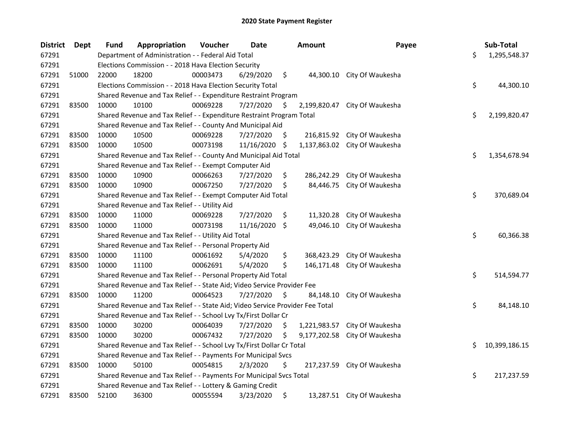| <b>District</b> | Dept  | <b>Fund</b> | Appropriation                                                                 | Voucher  | <b>Date</b> |     | <b>Amount</b> | Payee                         | Sub-Total           |
|-----------------|-------|-------------|-------------------------------------------------------------------------------|----------|-------------|-----|---------------|-------------------------------|---------------------|
| 67291           |       |             | Department of Administration - - Federal Aid Total                            |          |             |     |               |                               | \$<br>1,295,548.37  |
| 67291           |       |             | Elections Commission - - 2018 Hava Election Security                          |          |             |     |               |                               |                     |
| 67291           | 51000 | 22000       | 18200                                                                         | 00003473 | 6/29/2020   | \$  |               | 44,300.10 City Of Waukesha    |                     |
| 67291           |       |             | Elections Commission - - 2018 Hava Election Security Total                    |          |             |     |               |                               | \$<br>44,300.10     |
| 67291           |       |             | Shared Revenue and Tax Relief - - Expenditure Restraint Program               |          |             |     |               |                               |                     |
| 67291           | 83500 | 10000       | 10100                                                                         | 00069228 | 7/27/2020   | \$  | 2,199,820.47  | City Of Waukesha              |                     |
| 67291           |       |             | Shared Revenue and Tax Relief - - Expenditure Restraint Program Total         |          |             |     |               |                               | \$<br>2,199,820.47  |
| 67291           |       |             | Shared Revenue and Tax Relief - - County And Municipal Aid                    |          |             |     |               |                               |                     |
| 67291           | 83500 | 10000       | 10500                                                                         | 00069228 | 7/27/2020   | \$  |               | 216,815.92 City Of Waukesha   |                     |
| 67291           | 83500 | 10000       | 10500                                                                         | 00073198 | 11/16/2020  | -\$ |               | 1,137,863.02 City Of Waukesha |                     |
| 67291           |       |             | Shared Revenue and Tax Relief - - County And Municipal Aid Total              |          |             |     |               |                               | \$<br>1,354,678.94  |
| 67291           |       |             | Shared Revenue and Tax Relief - - Exempt Computer Aid                         |          |             |     |               |                               |                     |
| 67291           | 83500 | 10000       | 10900                                                                         | 00066263 | 7/27/2020   | \$  | 286,242.29    | City Of Waukesha              |                     |
| 67291           | 83500 | 10000       | 10900                                                                         | 00067250 | 7/27/2020   | \$  | 84,446.75     | City Of Waukesha              |                     |
| 67291           |       |             | Shared Revenue and Tax Relief - - Exempt Computer Aid Total                   |          |             |     |               |                               | \$<br>370,689.04    |
| 67291           |       |             | Shared Revenue and Tax Relief - - Utility Aid                                 |          |             |     |               |                               |                     |
| 67291           | 83500 | 10000       | 11000                                                                         | 00069228 | 7/27/2020   | \$  | 11,320.28     | City Of Waukesha              |                     |
| 67291           | 83500 | 10000       | 11000                                                                         | 00073198 | 11/16/2020  | \$  | 49,046.10     | City Of Waukesha              |                     |
| 67291           |       |             | Shared Revenue and Tax Relief - - Utility Aid Total                           |          |             |     |               |                               | \$<br>60,366.38     |
| 67291           |       |             | Shared Revenue and Tax Relief - - Personal Property Aid                       |          |             |     |               |                               |                     |
| 67291           | 83500 | 10000       | 11100                                                                         | 00061692 | 5/4/2020    | \$  | 368,423.29    | City Of Waukesha              |                     |
| 67291           | 83500 | 10000       | 11100                                                                         | 00062691 | 5/4/2020    | \$  | 146,171.48    | City Of Waukesha              |                     |
| 67291           |       |             | Shared Revenue and Tax Relief - - Personal Property Aid Total                 |          |             |     |               |                               | \$<br>514,594.77    |
| 67291           |       |             | Shared Revenue and Tax Relief - - State Aid; Video Service Provider Fee       |          |             |     |               |                               |                     |
| 67291           | 83500 | 10000       | 11200                                                                         | 00064523 | 7/27/2020   | \$  | 84,148.10     | City Of Waukesha              |                     |
| 67291           |       |             | Shared Revenue and Tax Relief - - State Aid; Video Service Provider Fee Total |          |             |     |               |                               | \$<br>84,148.10     |
| 67291           |       |             | Shared Revenue and Tax Relief - - School Lvy Tx/First Dollar Cr               |          |             |     |               |                               |                     |
| 67291           | 83500 | 10000       | 30200                                                                         | 00064039 | 7/27/2020   | \$  | 1,221,983.57  | City Of Waukesha              |                     |
| 67291           | 83500 | 10000       | 30200                                                                         | 00067432 | 7/27/2020   | \$  | 9,177,202.58  | City Of Waukesha              |                     |
| 67291           |       |             | Shared Revenue and Tax Relief - - School Lvy Tx/First Dollar Cr Total         |          |             |     |               |                               | \$<br>10,399,186.15 |
| 67291           |       |             | Shared Revenue and Tax Relief - - Payments For Municipal Svcs                 |          |             |     |               |                               |                     |
| 67291           | 83500 | 10000       | 50100                                                                         | 00054815 | 2/3/2020    | \$  | 217,237.59    | City Of Waukesha              |                     |
| 67291           |       |             | Shared Revenue and Tax Relief - - Payments For Municipal Svcs Total           |          |             |     |               |                               | \$<br>217,237.59    |
| 67291           |       |             | Shared Revenue and Tax Relief - - Lottery & Gaming Credit                     |          |             |     |               |                               |                     |
| 67291           | 83500 | 52100       | 36300                                                                         | 00055594 | 3/23/2020   | \$  |               | 13,287.51 City Of Waukesha    |                     |